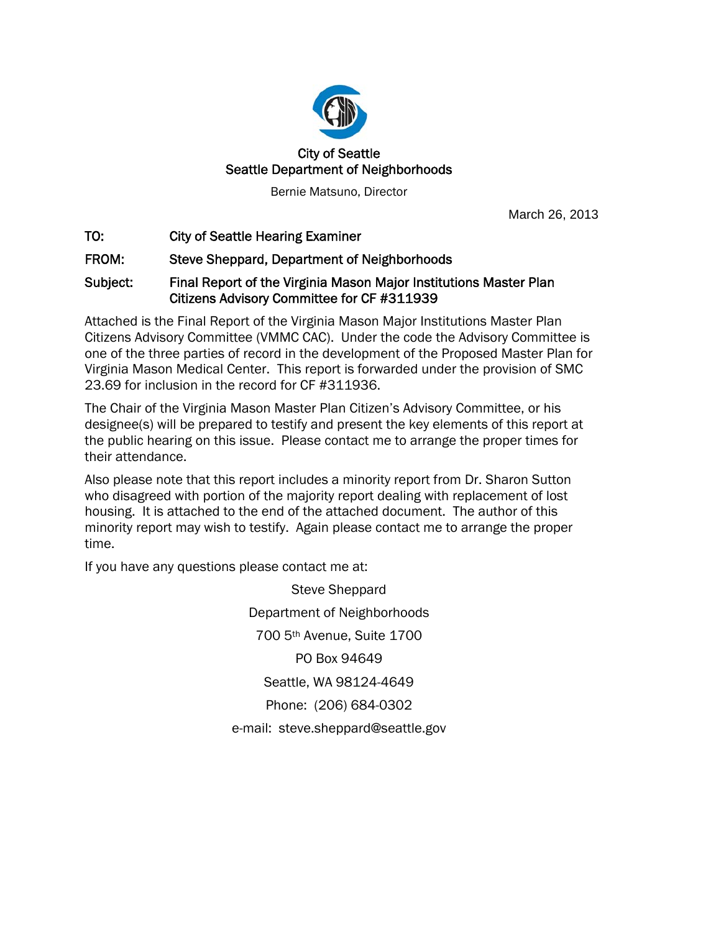

Bernie Matsuno, Director

March 26, 2013

TO: City of Seattle Hearing Examiner

FROM: Steve Sheppard, Department of Neighborhoods

## Subject: Final Report of the Virginia Mason Major Institutions Master Plan Citizens Advisory Committee for CF #311939

Attached is the Final Report of the Virginia Mason Major Institutions Master Plan Citizens Advisory Committee (VMMC CAC). Under the code the Advisory Committee is one of the three parties of record in the development of the Proposed Master Plan for Virginia Mason Medical Center. This report is forwarded under the provision of SMC 23.69 for inclusion in the record for CF #311936.

The Chair of the Virginia Mason Master Plan Citizen's Advisory Committee, or his designee(s) will be prepared to testify and present the key elements of this report at the public hearing on this issue. Please contact me to arrange the proper times for their attendance.

Also please note that this report includes a minority report from Dr. Sharon Sutton who disagreed with portion of the majority report dealing with replacement of lost housing. It is attached to the end of the attached document. The author of this minority report may wish to testify. Again please contact me to arrange the proper time.

If you have any questions please contact me at:

Steve Sheppard Department of Neighborhoods 700 5th Avenue, Suite 1700 PO Box 94649 Seattle, WA 98124-4649 Phone: (206) 684-0302 e-mail: steve.sheppard@seattle.gov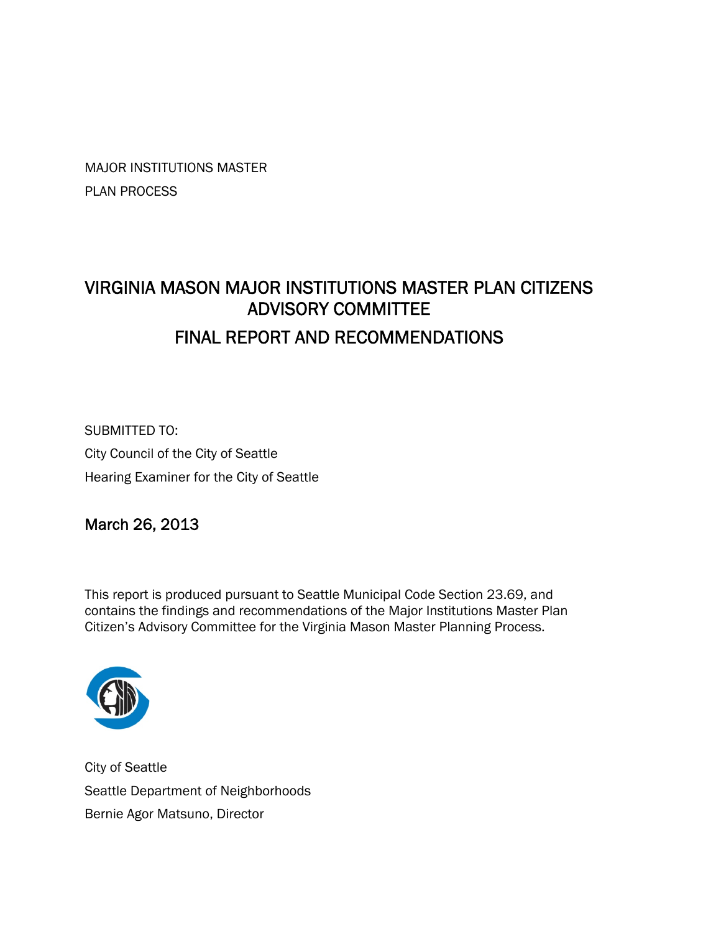MAJOR INSTITUTIONS MASTER PLAN PROCESS

# VIRGINIA MASON MAJOR INSTITUTIONS MASTER PLAN CITIZENS ADVISORY COMMITTEE FINAL REPORT AND RECOMMENDATIONS

SUBMITTED TO: City Council of the City of Seattle Hearing Examiner for the City of Seattle

March 26, 2013

This report is produced pursuant to Seattle Municipal Code Section 23.69, and contains the findings and recommendations of the Major Institutions Master Plan Citizen's Advisory Committee for the Virginia Mason Master Planning Process.



City of Seattle Seattle Department of Neighborhoods Bernie Agor Matsuno, Director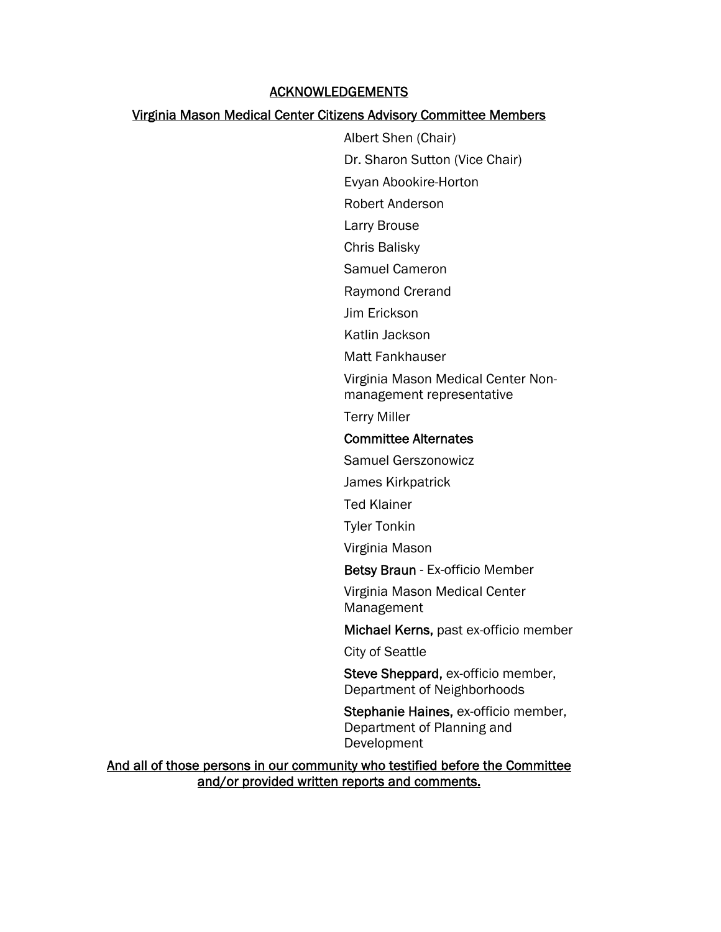## ACKNOWLEDGEMENTS

### Virginia Mason Medical Center Citizens Advisory Committee Members

Albert Shen (Chair) Dr. Sharon Sutton (Vice Chair) Evyan Abookire-Horton Robert Anderson

Larry Brouse

Chris Balisky

Samuel Cameron

Raymond Crerand

Jim Erickson

Katlin Jackson

Matt Fankhauser

Virginia Mason Medical Center Non-

management representative

Terry Miller

### Committee Alternates

Samuel Gerszonowicz

James Kirkpatrick

Ted Klainer

Tyler Tonkin

Virginia Mason

Betsy Braun - Ex-officio Member

Virginia Mason Medical Center Management

Michael Kerns, past ex-officio member

City of Seattle

Steve Sheppard, ex-officio member, Department of Neighborhoods

Stephanie Haines, ex-officio member, Department of Planning and Development

And all of those persons in our community who testified before the Committee and/or provided written reports and comments.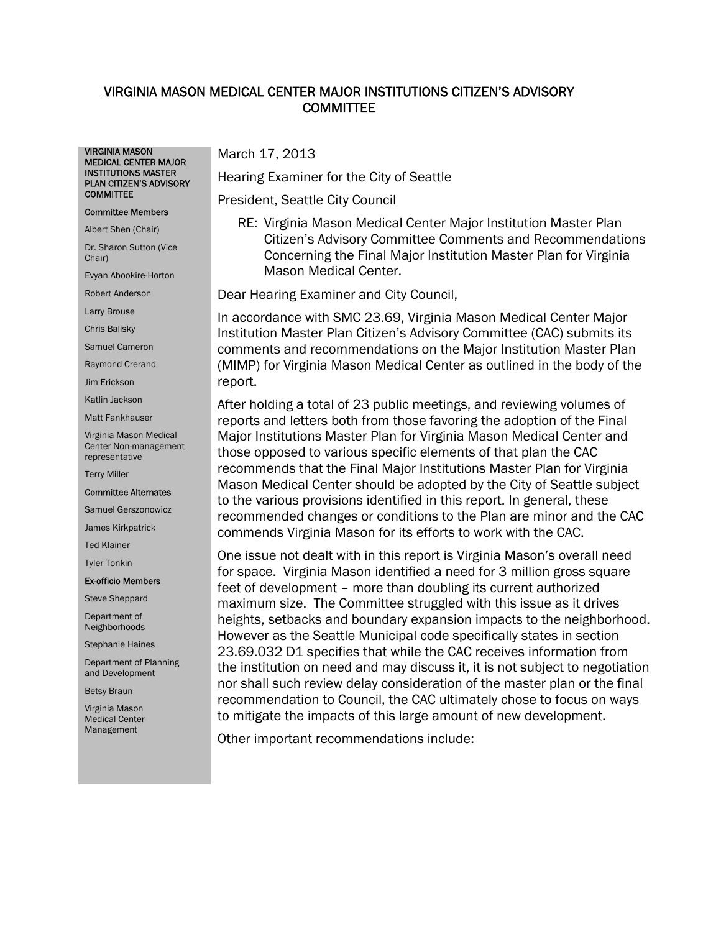## VIRGINIA MASON MEDICAL CENTER MAJOR INSTITUTIONS CITIZEN'S ADVISORY COMMITTEE

VIRGINIA MASON MEDICAL CENTER MAJOR INSTITUTIONS MASTER PLAN CITIZEN'S ADVISORY **COMMITTEE** 

#### Committee Members

Albert Shen (Chair)

Dr. Sharon Sutton (Vice Chair)

Evyan Abookire-Horton

Robert Anderson

Larry Brouse

Chris Balisky

Samuel Cameron

Raymond Crerand

Jim Erickson

Katlin Jackson

Matt Fankhauser

Virginia Mason Medical Center Non-management representative

Terry Miller

#### Committee Alternates

Samuel Gerszonowicz

James Kirkpatrick

Ted Klainer

Tyler Tonkin

#### Ex-officio Members

Steve Sheppard

Department of Neighborhoods

Stephanie Haines

Department of Planning and Development

Betsy Braun

Virginia Mason Medical Center Management

March 17, 2013

Hearing Examiner for the City of Seattle

President, Seattle City Council

RE: Virginia Mason Medical Center Major Institution Master Plan Citizen's Advisory Committee Comments and Recommendations Concerning the Final Major Institution Master Plan for Virginia Mason Medical Center.

Dear Hearing Examiner and City Council,

In accordance with SMC 23.69, Virginia Mason Medical Center Major Institution Master Plan Citizen's Advisory Committee (CAC) submits its comments and recommendations on the Major Institution Master Plan (MIMP) for Virginia Mason Medical Center as outlined in the body of the report.

After holding a total of 23 public meetings, and reviewing volumes of reports and letters both from those favoring the adoption of the Final Major Institutions Master Plan for Virginia Mason Medical Center and those opposed to various specific elements of that plan the CAC recommends that the Final Major Institutions Master Plan for Virginia Mason Medical Center should be adopted by the City of Seattle subject to the various provisions identified in this report. In general, these recommended changes or conditions to the Plan are minor and the CAC commends Virginia Mason for its efforts to work with the CAC.

One issue not dealt with in this report is Virginia Mason's overall need for space. Virginia Mason identified a need for 3 million gross square feet of development – more than doubling its current authorized maximum size. The Committee struggled with this issue as it drives heights, setbacks and boundary expansion impacts to the neighborhood. However as the Seattle Municipal code specifically states in section 23.69.032 D1 specifies that while the CAC receives information from the institution on need and may discuss it, it is not subject to negotiation nor shall such review delay consideration of the master plan or the final recommendation to Council, the CAC ultimately chose to focus on ways to mitigate the impacts of this large amount of new development.

Other important recommendations include: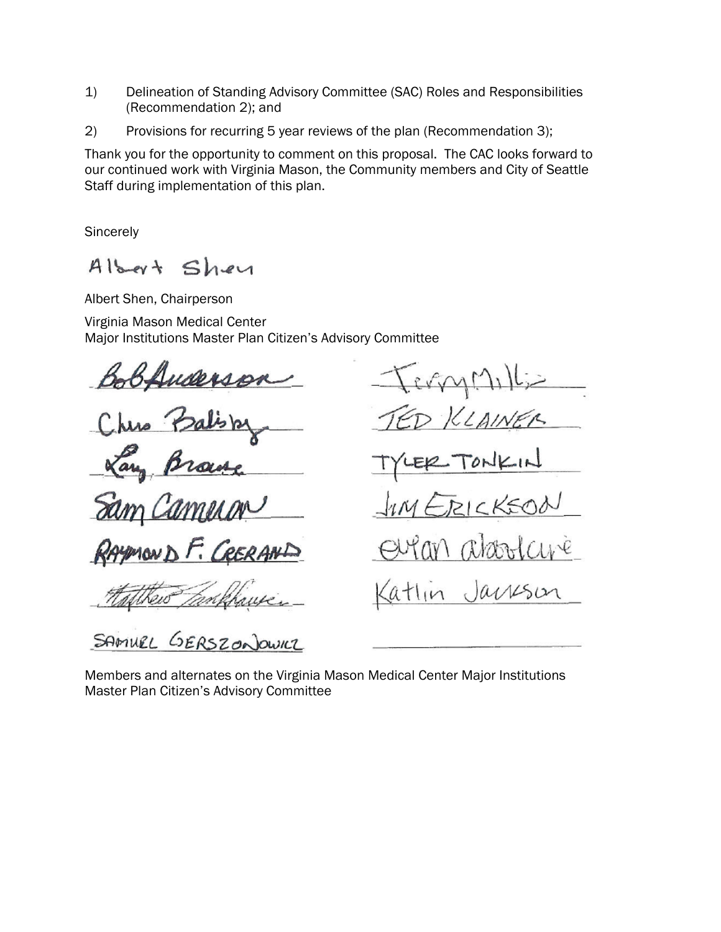- 1) Delineation of Standing Advisory Committee (SAC) Roles and Responsibilities (Recommendation 2); and
- 2) Provisions for recurring 5 year reviews of the plan (Recommendation 3);

Thank you for the opportunity to comment on this proposal. The CAC looks forward to our continued work with Virginia Mason, the Community members and City of Seattle Staff during implementation of this plan.

**Sincerely** 

 $A$ lbert Shey

Albert Shen, Chairperson

Virginia Mason Medical Center Major Institutions Master Plan Citizen's Advisory Committee

Juderso

CRERAND  $\mathcal{F}_{i}$ 

KLAINER  $PICKSO$ M aboucure Jackson atlın

 $exp(\Lambda)$ 

SAMUEL GERSZONOWICZ

Members and alternates on the Virginia Mason Medical Center Major Institutions Master Plan Citizen's Advisory Committee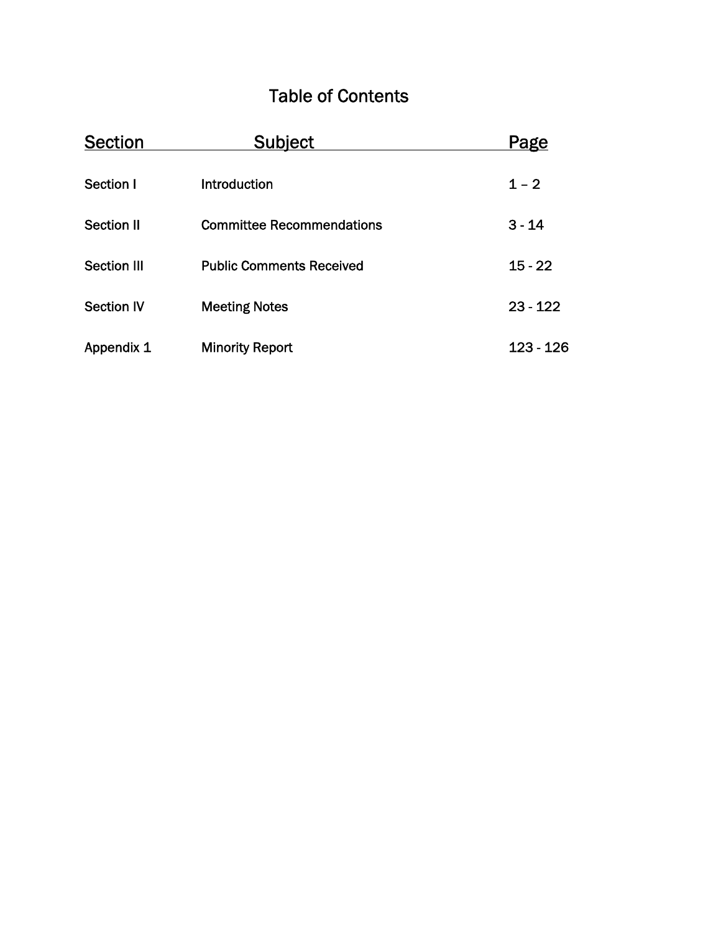# Table of Contents

| <b>Section</b>     | <b>Subject</b>                   | <u>Page</u> |
|--------------------|----------------------------------|-------------|
| Section I          | Introduction                     | $1 - 2$     |
| <b>Section II</b>  | <b>Committee Recommendations</b> | $3 - 14$    |
| <b>Section III</b> | <b>Public Comments Received</b>  | $15 - 22$   |
| <b>Section IV</b>  | <b>Meeting Notes</b>             | $23 - 122$  |
| Appendix 1         | <b>Minority Report</b>           | $123 - 126$ |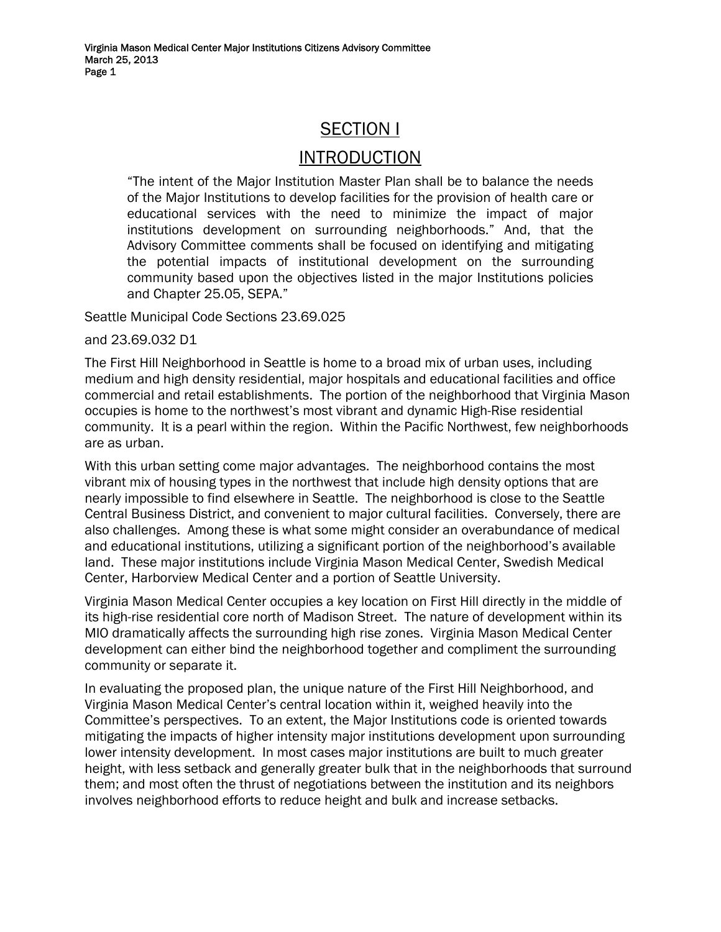## SECTION I

## **INTRODUCTION**

"The intent of the Major Institution Master Plan shall be to balance the needs of the Major Institutions to develop facilities for the provision of health care or educational services with the need to minimize the impact of major institutions development on surrounding neighborhoods." And, that the Advisory Committee comments shall be focused on identifying and mitigating the potential impacts of institutional development on the surrounding community based upon the objectives listed in the major Institutions policies and Chapter 25.05, SEPA."

Seattle Municipal Code Sections 23.69.025

and 23.69.032 D1

The First Hill Neighborhood in Seattle is home to a broad mix of urban uses, including medium and high density residential, major hospitals and educational facilities and office commercial and retail establishments. The portion of the neighborhood that Virginia Mason occupies is home to the northwest's most vibrant and dynamic High-Rise residential community. It is a pearl within the region. Within the Pacific Northwest, few neighborhoods are as urban.

With this urban setting come major advantages. The neighborhood contains the most vibrant mix of housing types in the northwest that include high density options that are nearly impossible to find elsewhere in Seattle. The neighborhood is close to the Seattle Central Business District, and convenient to major cultural facilities. Conversely, there are also challenges. Among these is what some might consider an overabundance of medical and educational institutions, utilizing a significant portion of the neighborhood's available land. These major institutions include Virginia Mason Medical Center, Swedish Medical Center, Harborview Medical Center and a portion of Seattle University.

Virginia Mason Medical Center occupies a key location on First Hill directly in the middle of its high-rise residential core north of Madison Street. The nature of development within its MIO dramatically affects the surrounding high rise zones. Virginia Mason Medical Center development can either bind the neighborhood together and compliment the surrounding community or separate it.

In evaluating the proposed plan, the unique nature of the First Hill Neighborhood, and Virginia Mason Medical Center's central location within it, weighed heavily into the Committee's perspectives. To an extent, the Major Institutions code is oriented towards mitigating the impacts of higher intensity major institutions development upon surrounding lower intensity development. In most cases major institutions are built to much greater height, with less setback and generally greater bulk that in the neighborhoods that surround them; and most often the thrust of negotiations between the institution and its neighbors involves neighborhood efforts to reduce height and bulk and increase setbacks.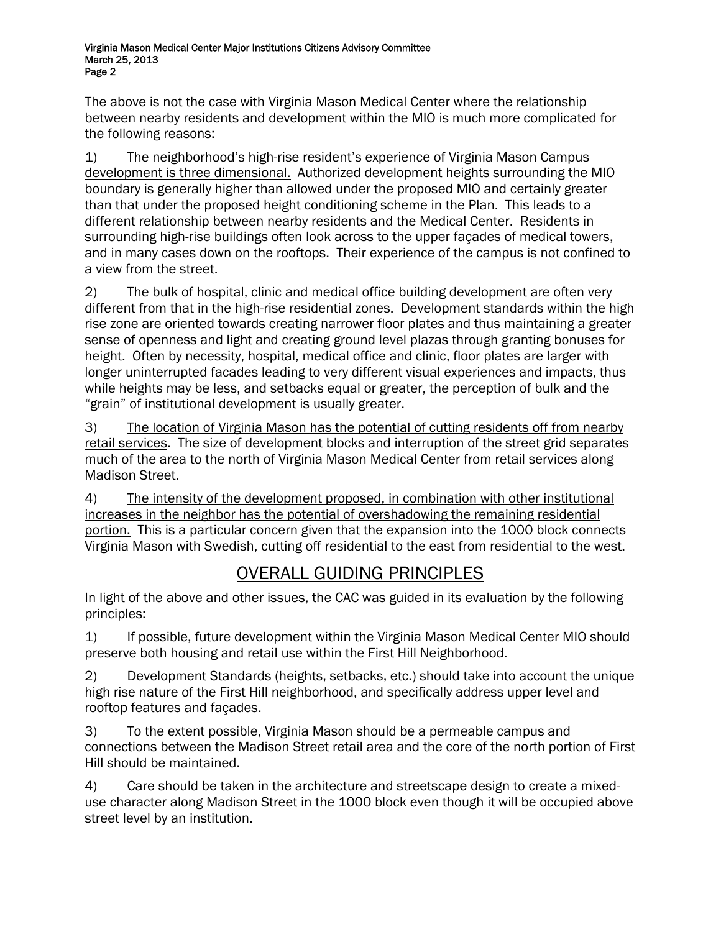The above is not the case with Virginia Mason Medical Center where the relationship between nearby residents and development within the MIO is much more complicated for the following reasons:

1) The neighborhood's high-rise resident's experience of Virginia Mason Campus development is three dimensional. Authorized development heights surrounding the MIO boundary is generally higher than allowed under the proposed MIO and certainly greater than that under the proposed height conditioning scheme in the Plan. This leads to a different relationship between nearby residents and the Medical Center. Residents in surrounding high-rise buildings often look across to the upper façades of medical towers, and in many cases down on the rooftops. Their experience of the campus is not confined to a view from the street.

2) The bulk of hospital, clinic and medical office building development are often very different from that in the high-rise residential zones. Development standards within the high rise zone are oriented towards creating narrower floor plates and thus maintaining a greater sense of openness and light and creating ground level plazas through granting bonuses for height. Often by necessity, hospital, medical office and clinic, floor plates are larger with longer uninterrupted facades leading to very different visual experiences and impacts, thus while heights may be less, and setbacks equal or greater, the perception of bulk and the "grain" of institutional development is usually greater.

3) The location of Virginia Mason has the potential of cutting residents off from nearby retail services. The size of development blocks and interruption of the street grid separates much of the area to the north of Virginia Mason Medical Center from retail services along Madison Street.

4) The intensity of the development proposed, in combination with other institutional increases in the neighbor has the potential of overshadowing the remaining residential portion. This is a particular concern given that the expansion into the 1000 block connects Virginia Mason with Swedish, cutting off residential to the east from residential to the west.

# OVERALL GUIDING PRINCIPLES

In light of the above and other issues, the CAC was guided in its evaluation by the following principles:

1) If possible, future development within the Virginia Mason Medical Center MIO should preserve both housing and retail use within the First Hill Neighborhood.

2) Development Standards (heights, setbacks, etc.) should take into account the unique high rise nature of the First Hill neighborhood, and specifically address upper level and rooftop features and façades.

3) To the extent possible, Virginia Mason should be a permeable campus and connections between the Madison Street retail area and the core of the north portion of First Hill should be maintained.

4) Care should be taken in the architecture and streetscape design to create a mixeduse character along Madison Street in the 1000 block even though it will be occupied above street level by an institution.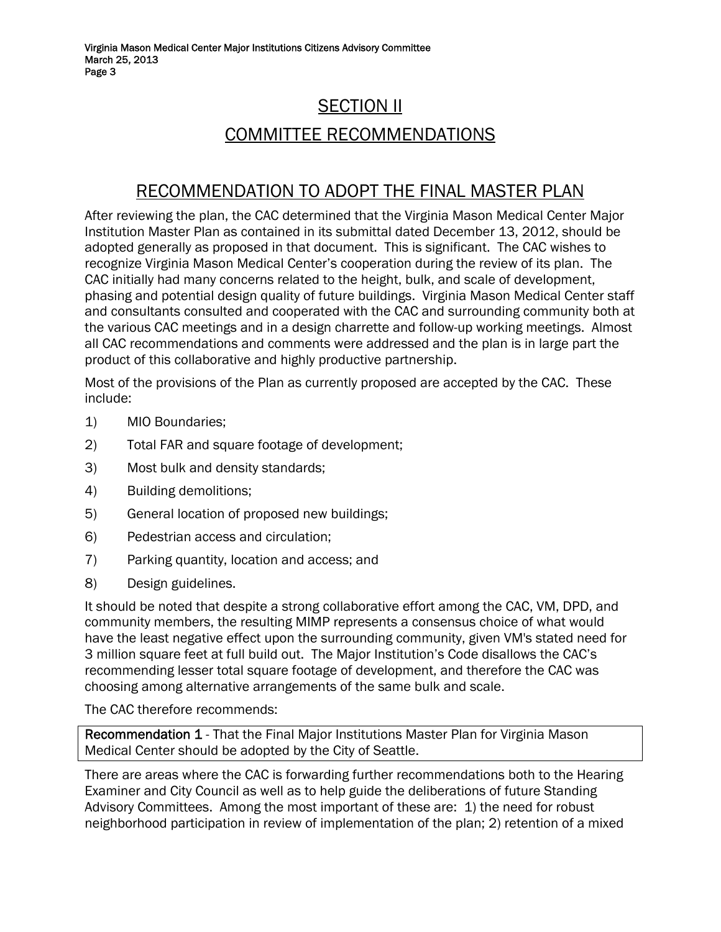# SECTION II COMMITTEE RECOMMENDATIONS

## RECOMMENDATION TO ADOPT THE FINAL MASTER PLAN

After reviewing the plan, the CAC determined that the Virginia Mason Medical Center Major Institution Master Plan as contained in its submittal dated December 13, 2012, should be adopted generally as proposed in that document. This is significant. The CAC wishes to recognize Virginia Mason Medical Center's cooperation during the review of its plan. The CAC initially had many concerns related to the height, bulk, and scale of development, phasing and potential design quality of future buildings. Virginia Mason Medical Center staff and consultants consulted and cooperated with the CAC and surrounding community both at the various CAC meetings and in a design charrette and follow-up working meetings. Almost all CAC recommendations and comments were addressed and the plan is in large part the product of this collaborative and highly productive partnership.

Most of the provisions of the Plan as currently proposed are accepted by the CAC. These include:

- 1) MIO Boundaries;
- 2) Total FAR and square footage of development;
- 3) Most bulk and density standards;
- 4) Building demolitions;
- 5) General location of proposed new buildings;
- 6) Pedestrian access and circulation;
- 7) Parking quantity, location and access; and
- 8) Design guidelines.

It should be noted that despite a strong collaborative effort among the CAC, VM, DPD, and community members, the resulting MIMP represents a consensus choice of what would have the least negative effect upon the surrounding community, given VM's stated need for 3 million square feet at full build out. The Major Institution's Code disallows the CAC's recommending lesser total square footage of development, and therefore the CAC was choosing among alternative arrangements of the same bulk and scale.

The CAC therefore recommends:

Recommendation 1 - That the Final Major Institutions Master Plan for Virginia Mason Medical Center should be adopted by the City of Seattle.

There are areas where the CAC is forwarding further recommendations both to the Hearing Examiner and City Council as well as to help guide the deliberations of future Standing Advisory Committees. Among the most important of these are: 1) the need for robust neighborhood participation in review of implementation of the plan; 2) retention of a mixed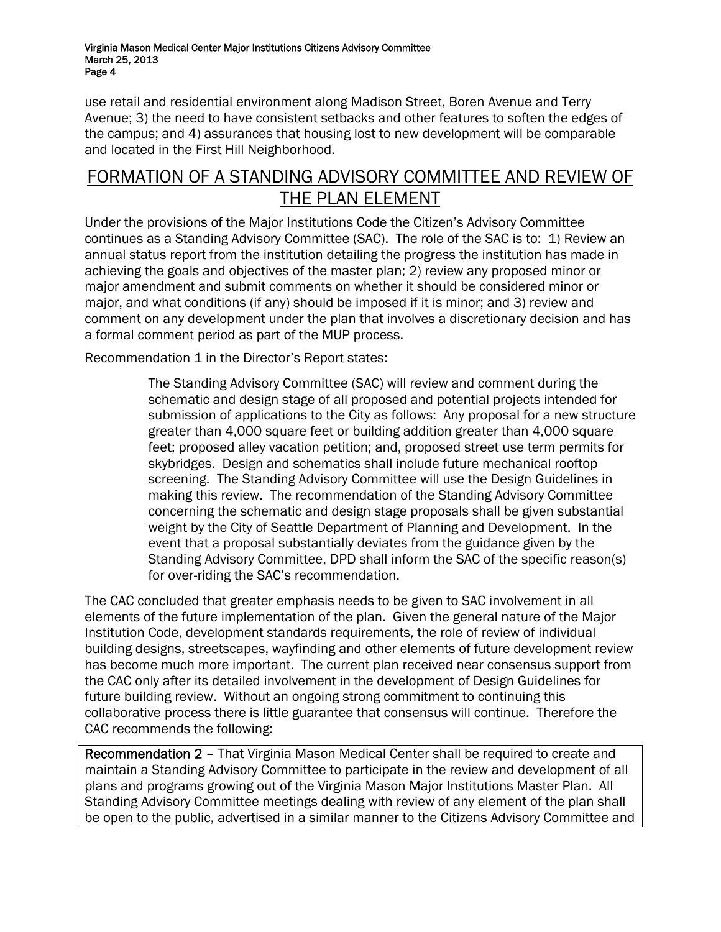use retail and residential environment along Madison Street, Boren Avenue and Terry Avenue; 3) the need to have consistent setbacks and other features to soften the edges of the campus; and 4) assurances that housing lost to new development will be comparable and located in the First Hill Neighborhood.

## FORMATION OF A STANDING ADVISORY COMMITTEE AND REVIEW OF THE PLAN ELEMENT

Under the provisions of the Major Institutions Code the Citizen's Advisory Committee continues as a Standing Advisory Committee (SAC). The role of the SAC is to: 1) Review an annual status report from the institution detailing the progress the institution has made in achieving the goals and objectives of the master plan; 2) review any proposed minor or major amendment and submit comments on whether it should be considered minor or major, and what conditions (if any) should be imposed if it is minor; and 3) review and comment on any development under the plan that involves a discretionary decision and has a formal comment period as part of the MUP process.

Recommendation 1 in the Director's Report states:

The Standing Advisory Committee (SAC) will review and comment during the schematic and design stage of all proposed and potential projects intended for submission of applications to the City as follows: Any proposal for a new structure greater than 4,000 square feet or building addition greater than 4,000 square feet; proposed alley vacation petition; and, proposed street use term permits for skybridges. Design and schematics shall include future mechanical rooftop screening. The Standing Advisory Committee will use the Design Guidelines in making this review. The recommendation of the Standing Advisory Committee concerning the schematic and design stage proposals shall be given substantial weight by the City of Seattle Department of Planning and Development. In the event that a proposal substantially deviates from the guidance given by the Standing Advisory Committee, DPD shall inform the SAC of the specific reason(s) for over-riding the SAC's recommendation.

The CAC concluded that greater emphasis needs to be given to SAC involvement in all elements of the future implementation of the plan. Given the general nature of the Major Institution Code, development standards requirements, the role of review of individual building designs, streetscapes, wayfinding and other elements of future development review has become much more important. The current plan received near consensus support from the CAC only after its detailed involvement in the development of Design Guidelines for future building review. Without an ongoing strong commitment to continuing this collaborative process there is little guarantee that consensus will continue. Therefore the CAC recommends the following:

Recommendation 2 – That Virginia Mason Medical Center shall be required to create and maintain a Standing Advisory Committee to participate in the review and development of all plans and programs growing out of the Virginia Mason Major Institutions Master Plan. All Standing Advisory Committee meetings dealing with review of any element of the plan shall be open to the public, advertised in a similar manner to the Citizens Advisory Committee and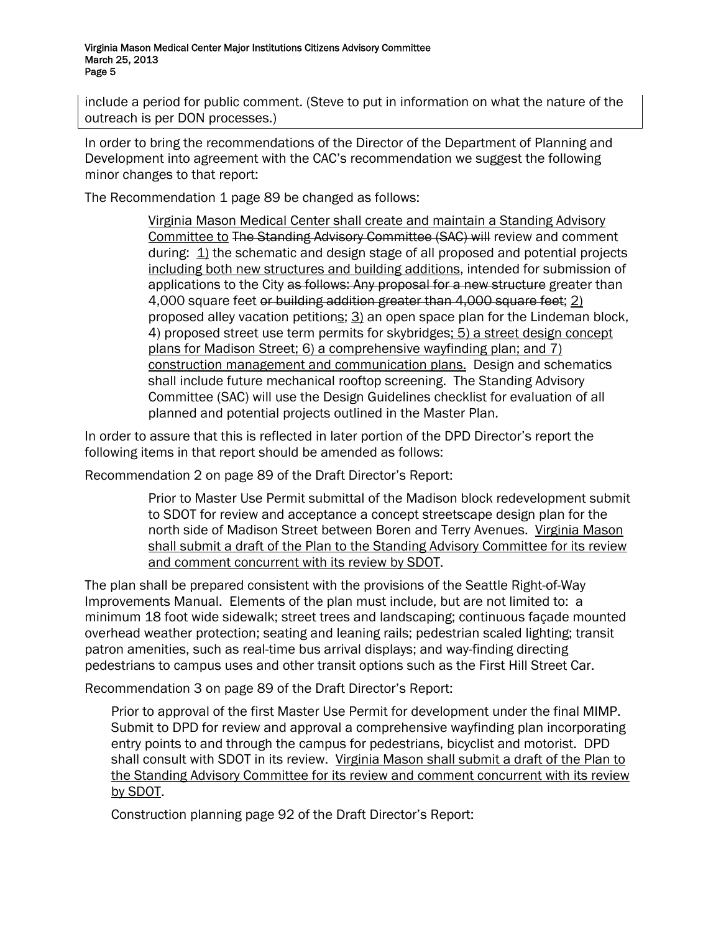include a period for public comment. (Steve to put in information on what the nature of the outreach is per DON processes.)

In order to bring the recommendations of the Director of the Department of Planning and Development into agreement with the CAC's recommendation we suggest the following minor changes to that report:

The Recommendation 1 page 89 be changed as follows:

Virginia Mason Medical Center shall create and maintain a Standing Advisory Committee to The Standing Advisory Committee (SAC) will review and comment during: 1) the schematic and design stage of all proposed and potential projects including both new structures and building additions, intended for submission of applications to the City as follows: Any proposal for a new structure greater than 4,000 square feet or building addition greater than 4,000 square feet; 2) proposed alley vacation petitions; 3) an open space plan for the Lindeman block, 4) proposed street use term permits for skybridges; 5) a street design concept plans for Madison Street; 6) a comprehensive wayfinding plan; and 7) construction management and communication plans. Design and schematics shall include future mechanical rooftop screening. The Standing Advisory Committee (SAC) will use the Design Guidelines checklist for evaluation of all planned and potential projects outlined in the Master Plan.

In order to assure that this is reflected in later portion of the DPD Director's report the following items in that report should be amended as follows:

Recommendation 2 on page 89 of the Draft Director's Report:

Prior to Master Use Permit submittal of the Madison block redevelopment submit to SDOT for review and acceptance a concept streetscape design plan for the north side of Madison Street between Boren and Terry Avenues. Virginia Mason shall submit a draft of the Plan to the Standing Advisory Committee for its review and comment concurrent with its review by SDOT.

The plan shall be prepared consistent with the provisions of the Seattle Right-of-Way Improvements Manual. Elements of the plan must include, but are not limited to: a minimum 18 foot wide sidewalk; street trees and landscaping; continuous façade mounted overhead weather protection; seating and leaning rails; pedestrian scaled lighting; transit patron amenities, such as real-time bus arrival displays; and way-finding directing pedestrians to campus uses and other transit options such as the First Hill Street Car.

Recommendation 3 on page 89 of the Draft Director's Report:

Prior to approval of the first Master Use Permit for development under the final MIMP. Submit to DPD for review and approval a comprehensive wayfinding plan incorporating entry points to and through the campus for pedestrians, bicyclist and motorist. DPD shall consult with SDOT in its review. Virginia Mason shall submit a draft of the Plan to the Standing Advisory Committee for its review and comment concurrent with its review by SDOT.

Construction planning page 92 of the Draft Director's Report: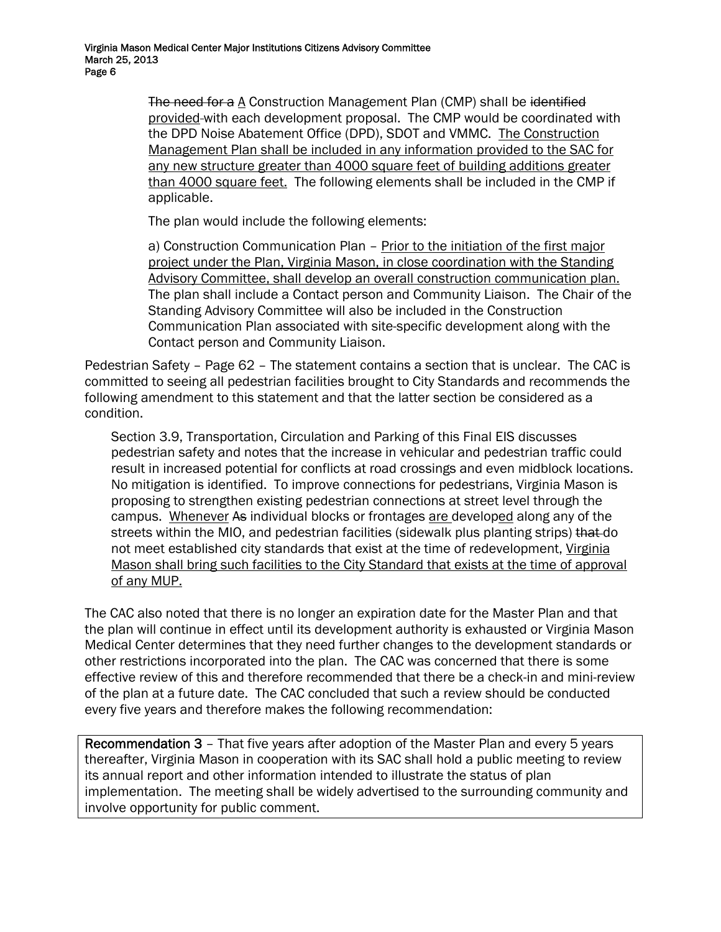The need for a  $\triangle$  Construction Management Plan (CMP) shall be identified provided with each development proposal. The CMP would be coordinated with the DPD Noise Abatement Office (DPD), SDOT and VMMC. The Construction Management Plan shall be included in any information provided to the SAC for any new structure greater than 4000 square feet of building additions greater than 4000 square feet. The following elements shall be included in the CMP if applicable.

The plan would include the following elements:

a) Construction Communication Plan - Prior to the initiation of the first major project under the Plan, Virginia Mason, in close coordination with the Standing Advisory Committee, shall develop an overall construction communication plan. The plan shall include a Contact person and Community Liaison. The Chair of the Standing Advisory Committee will also be included in the Construction Communication Plan associated with site-specific development along with the Contact person and Community Liaison.

Pedestrian Safety – Page 62 – The statement contains a section that is unclear. The CAC is committed to seeing all pedestrian facilities brought to City Standards and recommends the following amendment to this statement and that the latter section be considered as a condition.

Section 3.9, Transportation, Circulation and Parking of this Final EIS discusses pedestrian safety and notes that the increase in vehicular and pedestrian traffic could result in increased potential for conflicts at road crossings and even midblock locations. No mitigation is identified. To improve connections for pedestrians, Virginia Mason is proposing to strengthen existing pedestrian connections at street level through the campus. Whenever As individual blocks or frontages are developed along any of the streets within the MIO, and pedestrian facilities (sidewalk plus planting strips) that do not meet established city standards that exist at the time of redevelopment, Virginia Mason shall bring such facilities to the City Standard that exists at the time of approval of any MUP.

The CAC also noted that there is no longer an expiration date for the Master Plan and that the plan will continue in effect until its development authority is exhausted or Virginia Mason Medical Center determines that they need further changes to the development standards or other restrictions incorporated into the plan. The CAC was concerned that there is some effective review of this and therefore recommended that there be a check-in and mini-review of the plan at a future date. The CAC concluded that such a review should be conducted every five years and therefore makes the following recommendation:

Recommendation 3 – That five years after adoption of the Master Plan and every 5 years thereafter, Virginia Mason in cooperation with its SAC shall hold a public meeting to review its annual report and other information intended to illustrate the status of plan implementation. The meeting shall be widely advertised to the surrounding community and involve opportunity for public comment.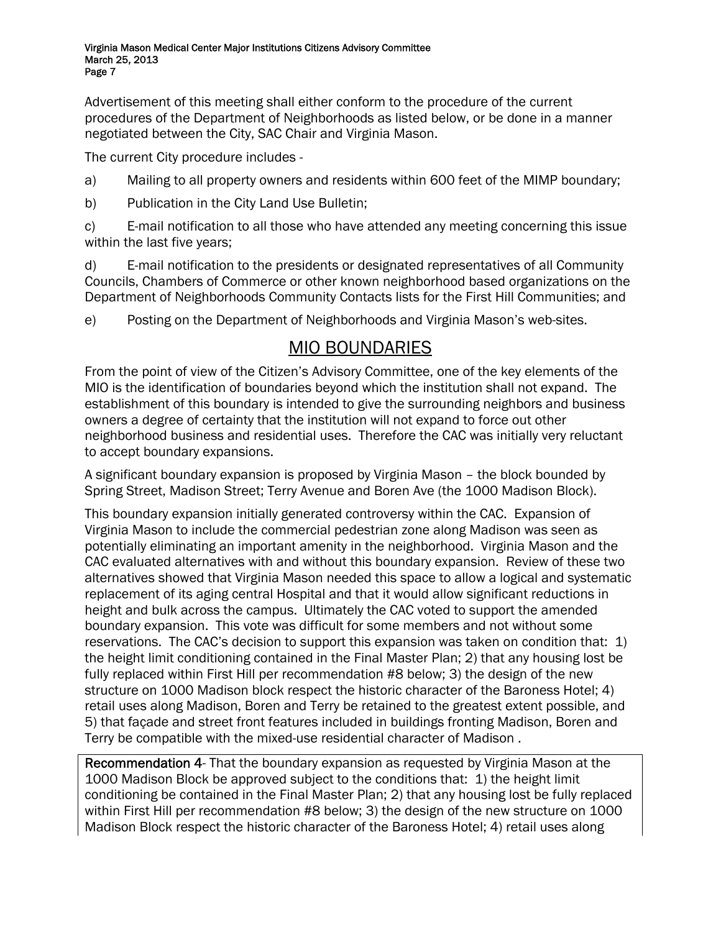Advertisement of this meeting shall either conform to the procedure of the current procedures of the Department of Neighborhoods as listed below, or be done in a manner negotiated between the City, SAC Chair and Virginia Mason.

The current City procedure includes -

- a) Mailing to all property owners and residents within 600 feet of the MIMP boundary;
- b) Publication in the City Land Use Bulletin;

c) E-mail notification to all those who have attended any meeting concerning this issue within the last five years;

d) E-mail notification to the presidents or designated representatives of all Community Councils, Chambers of Commerce or other known neighborhood based organizations on the Department of Neighborhoods Community Contacts lists for the First Hill Communities; and

e) Posting on the Department of Neighborhoods and Virginia Mason's web-sites.

## MIO BOUNDARIES

From the point of view of the Citizen's Advisory Committee, one of the key elements of the MIO is the identification of boundaries beyond which the institution shall not expand. The establishment of this boundary is intended to give the surrounding neighbors and business owners a degree of certainty that the institution will not expand to force out other neighborhood business and residential uses. Therefore the CAC was initially very reluctant to accept boundary expansions.

A significant boundary expansion is proposed by Virginia Mason – the block bounded by Spring Street, Madison Street; Terry Avenue and Boren Ave (the 1000 Madison Block).

This boundary expansion initially generated controversy within the CAC. Expansion of Virginia Mason to include the commercial pedestrian zone along Madison was seen as potentially eliminating an important amenity in the neighborhood. Virginia Mason and the CAC evaluated alternatives with and without this boundary expansion. Review of these two alternatives showed that Virginia Mason needed this space to allow a logical and systematic replacement of its aging central Hospital and that it would allow significant reductions in height and bulk across the campus. Ultimately the CAC voted to support the amended boundary expansion. This vote was difficult for some members and not without some reservations. The CAC's decision to support this expansion was taken on condition that: 1) the height limit conditioning contained in the Final Master Plan; 2) that any housing lost be fully replaced within First Hill per recommendation #8 below; 3) the design of the new structure on 1000 Madison block respect the historic character of the Baroness Hotel; 4) retail uses along Madison, Boren and Terry be retained to the greatest extent possible, and 5) that façade and street front features included in buildings fronting Madison, Boren and Terry be compatible with the mixed-use residential character of Madison .

Recommendation 4- That the boundary expansion as requested by Virginia Mason at the 1000 Madison Block be approved subject to the conditions that: 1) the height limit conditioning be contained in the Final Master Plan; 2) that any housing lost be fully replaced within First Hill per recommendation #8 below; 3) the design of the new structure on 1000 Madison Block respect the historic character of the Baroness Hotel; 4) retail uses along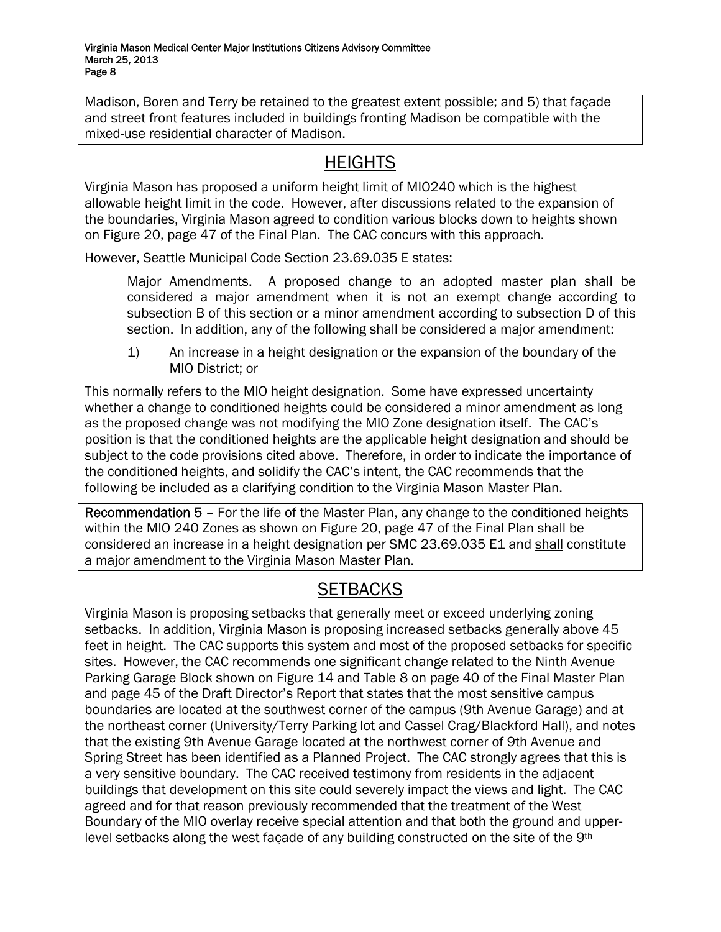Madison, Boren and Terry be retained to the greatest extent possible; and 5) that façade and street front features included in buildings fronting Madison be compatible with the mixed-use residential character of Madison.

## **HEIGHTS**

Virginia Mason has proposed a uniform height limit of MIO240 which is the highest allowable height limit in the code. However, after discussions related to the expansion of the boundaries, Virginia Mason agreed to condition various blocks down to heights shown on Figure 20, page 47 of the Final Plan. The CAC concurs with this approach.

However, Seattle Municipal Code Section 23.69.035 E states:

Major Amendments. A proposed change to an adopted master plan shall be considered a major amendment when it is not an exempt change according to subsection B of this section or a minor amendment according to subsection D of this section. In addition, any of the following shall be considered a major amendment:

1) An increase in a height designation or the expansion of the boundary of the MIO District; or

This normally refers to the MIO height designation. Some have expressed uncertainty whether a change to conditioned heights could be considered a minor amendment as long as the proposed change was not modifying the MIO Zone designation itself. The CAC's position is that the conditioned heights are the applicable height designation and should be subject to the code provisions cited above. Therefore, in order to indicate the importance of the conditioned heights, and solidify the CAC's intent, the CAC recommends that the following be included as a clarifying condition to the Virginia Mason Master Plan.

Recommendation 5 – For the life of the Master Plan, any change to the conditioned heights within the MIO 240 Zones as shown on Figure 20, page 47 of the Final Plan shall be considered an increase in a height designation per SMC 23.69.035 E1 and shall constitute a major amendment to the Virginia Mason Master Plan.

# **SETBACKS**

Virginia Mason is proposing setbacks that generally meet or exceed underlying zoning setbacks. In addition, Virginia Mason is proposing increased setbacks generally above 45 feet in height. The CAC supports this system and most of the proposed setbacks for specific sites. However, the CAC recommends one significant change related to the Ninth Avenue Parking Garage Block shown on Figure 14 and Table 8 on page 40 of the Final Master Plan and page 45 of the Draft Director's Report that states that the most sensitive campus boundaries are located at the southwest corner of the campus (9th Avenue Garage) and at the northeast corner (University/Terry Parking lot and Cassel Crag/Blackford Hall), and notes that the existing 9th Avenue Garage located at the northwest corner of 9th Avenue and Spring Street has been identified as a Planned Project. The CAC strongly agrees that this is a very sensitive boundary. The CAC received testimony from residents in the adjacent buildings that development on this site could severely impact the views and light. The CAC agreed and for that reason previously recommended that the treatment of the West Boundary of the MIO overlay receive special attention and that both the ground and upperlevel setbacks along the west facade of any building constructed on the site of the 9<sup>th</sup>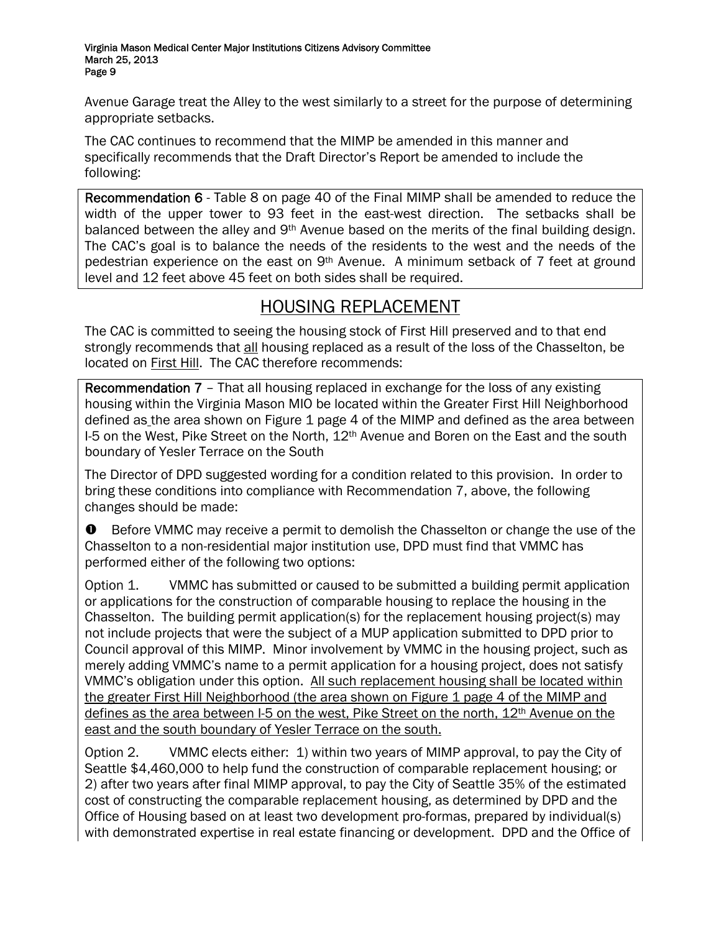Avenue Garage treat the Alley to the west similarly to a street for the purpose of determining appropriate setbacks.

The CAC continues to recommend that the MIMP be amended in this manner and specifically recommends that the Draft Director's Report be amended to include the following:

Recommendation 6 - Table 8 on page 40 of the Final MIMP shall be amended to reduce the width of the upper tower to 93 feet in the east-west direction. The setbacks shall be balanced between the alley and 9<sup>th</sup> Avenue based on the merits of the final building design. The CAC's goal is to balance the needs of the residents to the west and the needs of the pedestrian experience on the east on  $9<sup>th</sup>$  Avenue. A minimum setback of 7 feet at ground level and 12 feet above 45 feet on both sides shall be required.

## HOUSING REPLACEMENT

The CAC is committed to seeing the housing stock of First Hill preserved and to that end strongly recommends that all housing replaced as a result of the loss of the Chasselton, be located on **First Hill.** The CAC therefore recommends:

Recommendation 7 - That all housing replaced in exchange for the loss of any existing housing within the Virginia Mason MIO be located within the Greater First Hill Neighborhood defined as the area shown on Figure 1 page 4 of the MIMP and defined as the area between I-5 on the West, Pike Street on the North,  $12<sup>th</sup>$  Avenue and Boren on the East and the south boundary of Yesler Terrace on the South

The Director of DPD suggested wording for a condition related to this provision. In order to bring these conditions into compliance with Recommendation 7, above, the following changes should be made:

 $\bullet$  Before VMMC may receive a permit to demolish the Chasselton or change the use of the Chasselton to a non-residential major institution use, DPD must find that VMMC has performed either of the following two options:

Option 1. VMMC has submitted or caused to be submitted a building permit application or applications for the construction of comparable housing to replace the housing in the Chasselton. The building permit application(s) for the replacement housing project(s) may not include projects that were the subject of a MUP application submitted to DPD prior to Council approval of this MIMP. Minor involvement by VMMC in the housing project, such as merely adding VMMC's name to a permit application for a housing project, does not satisfy VMMC's obligation under this option. All such replacement housing shall be located within the greater First Hill Neighborhood (the area shown on Figure 1 page 4 of the MIMP and defines as the area between I-5 on the west. Pike Street on the north, 12<sup>th</sup> Avenue on the east and the south boundary of Yesler Terrace on the south.

Option 2. VMMC elects either: 1) within two years of MIMP approval, to pay the City of Seattle \$4,460,000 to help fund the construction of comparable replacement housing; or 2) after two years after final MIMP approval, to pay the City of Seattle 35% of the estimated cost of constructing the comparable replacement housing, as determined by DPD and the Office of Housing based on at least two development pro-formas, prepared by individual(s) with demonstrated expertise in real estate financing or development. DPD and the Office of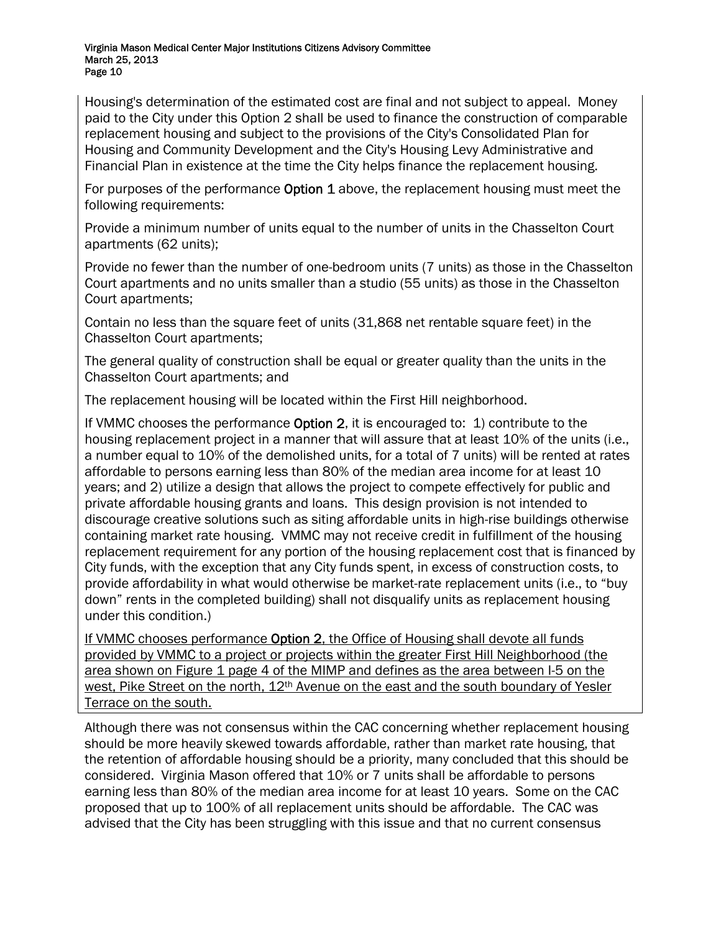Housing's determination of the estimated cost are final and not subject to appeal. Money paid to the City under this Option 2 shall be used to finance the construction of comparable replacement housing and subject to the provisions of the City's Consolidated Plan for Housing and Community Development and the City's Housing Levy Administrative and Financial Plan in existence at the time the City helps finance the replacement housing.

For purposes of the performance **Option 1** above, the replacement housing must meet the following requirements:

Provide a minimum number of units equal to the number of units in the Chasselton Court apartments (62 units);

Provide no fewer than the number of one-bedroom units (7 units) as those in the Chasselton Court apartments and no units smaller than a studio (55 units) as those in the Chasselton Court apartments;

Contain no less than the square feet of units (31,868 net rentable square feet) in the Chasselton Court apartments;

The general quality of construction shall be equal or greater quality than the units in the Chasselton Court apartments; and

The replacement housing will be located within the First Hill neighborhood.

If VMMC chooses the performance Option 2, it is encouraged to: 1) contribute to the housing replacement project in a manner that will assure that at least 10% of the units (i.e., a number equal to 10% of the demolished units, for a total of 7 units) will be rented at rates affordable to persons earning less than 80% of the median area income for at least 10 years; and 2) utilize a design that allows the project to compete effectively for public and private affordable housing grants and loans. This design provision is not intended to discourage creative solutions such as siting affordable units in high-rise buildings otherwise containing market rate housing. VMMC may not receive credit in fulfillment of the housing replacement requirement for any portion of the housing replacement cost that is financed by City funds, with the exception that any City funds spent, in excess of construction costs, to provide affordability in what would otherwise be market-rate replacement units (i.e., to "buy down" rents in the completed building) shall not disqualify units as replacement housing under this condition.)

If VMMC chooses performance Option 2, the Office of Housing shall devote all funds provided by VMMC to a project or projects within the greater First Hill Neighborhood (the area shown on Figure 1 page 4 of the MIMP and defines as the area between I-5 on the west, Pike Street on the north, 12<sup>th</sup> Avenue on the east and the south boundary of Yesler Terrace on the south.

Although there was not consensus within the CAC concerning whether replacement housing should be more heavily skewed towards affordable, rather than market rate housing, that the retention of affordable housing should be a priority, many concluded that this should be considered. Virginia Mason offered that 10% or 7 units shall be affordable to persons earning less than 80% of the median area income for at least 10 years. Some on the CAC proposed that up to 100% of all replacement units should be affordable. The CAC was advised that the City has been struggling with this issue and that no current consensus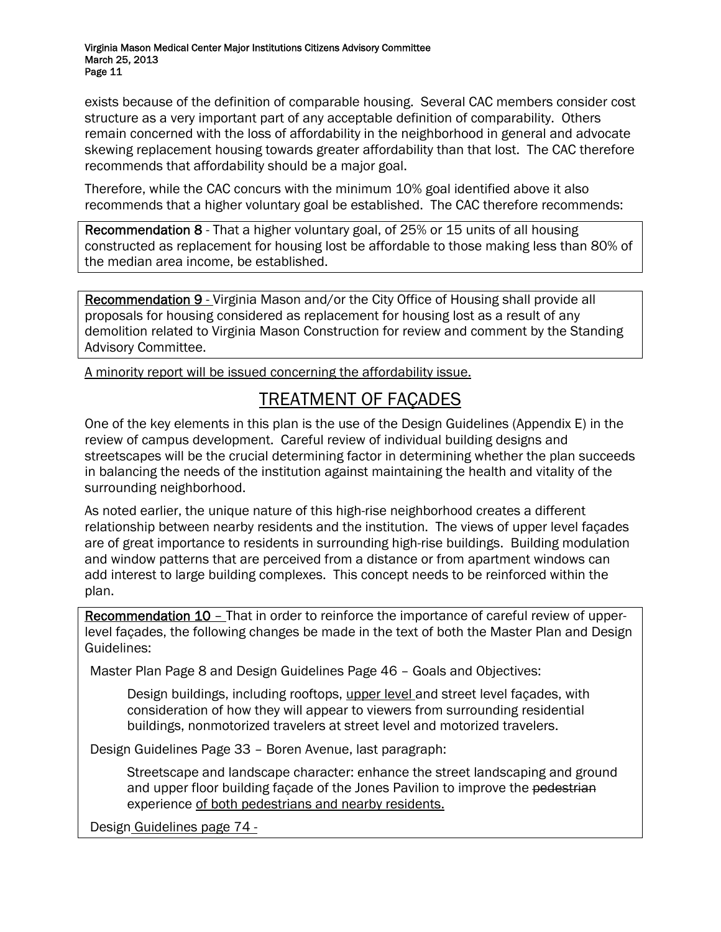exists because of the definition of comparable housing. Several CAC members consider cost structure as a very important part of any acceptable definition of comparability. Others remain concerned with the loss of affordability in the neighborhood in general and advocate skewing replacement housing towards greater affordability than that lost. The CAC therefore recommends that affordability should be a major goal.

Therefore, while the CAC concurs with the minimum 10% goal identified above it also recommends that a higher voluntary goal be established. The CAC therefore recommends:

Recommendation 8 - That a higher voluntary goal, of 25% or 15 units of all housing constructed as replacement for housing lost be affordable to those making less than 80% of the median area income, be established.

Recommendation 9 - Virginia Mason and/or the City Office of Housing shall provide all proposals for housing considered as replacement for housing lost as a result of any demolition related to Virginia Mason Construction for review and comment by the Standing Advisory Committee.

A minority report will be issued concerning the affordability issue.

## TREATMENT OF FAÇADES

One of the key elements in this plan is the use of the Design Guidelines (Appendix E) in the review of campus development. Careful review of individual building designs and streetscapes will be the crucial determining factor in determining whether the plan succeeds in balancing the needs of the institution against maintaining the health and vitality of the surrounding neighborhood.

As noted earlier, the unique nature of this high-rise neighborhood creates a different relationship between nearby residents and the institution. The views of upper level façades are of great importance to residents in surrounding high-rise buildings. Building modulation and window patterns that are perceived from a distance or from apartment windows can add interest to large building complexes. This concept needs to be reinforced within the plan.

Recommendation 10 – That in order to reinforce the importance of careful review of upperlevel façades, the following changes be made in the text of both the Master Plan and Design Guidelines:

Master Plan Page 8 and Design Guidelines Page 46 – Goals and Objectives:

Design buildings, including rooftops, upper level and street level façades, with consideration of how they will appear to viewers from surrounding residential buildings, nonmotorized travelers at street level and motorized travelers.

Design Guidelines Page 33 – Boren Avenue, last paragraph:

 Streetscape and landscape character: enhance the street landscaping and ground and upper floor building façade of the Jones Pavilion to improve the pedestrian experience of both pedestrians and nearby residents.

Design Guidelines page 74 -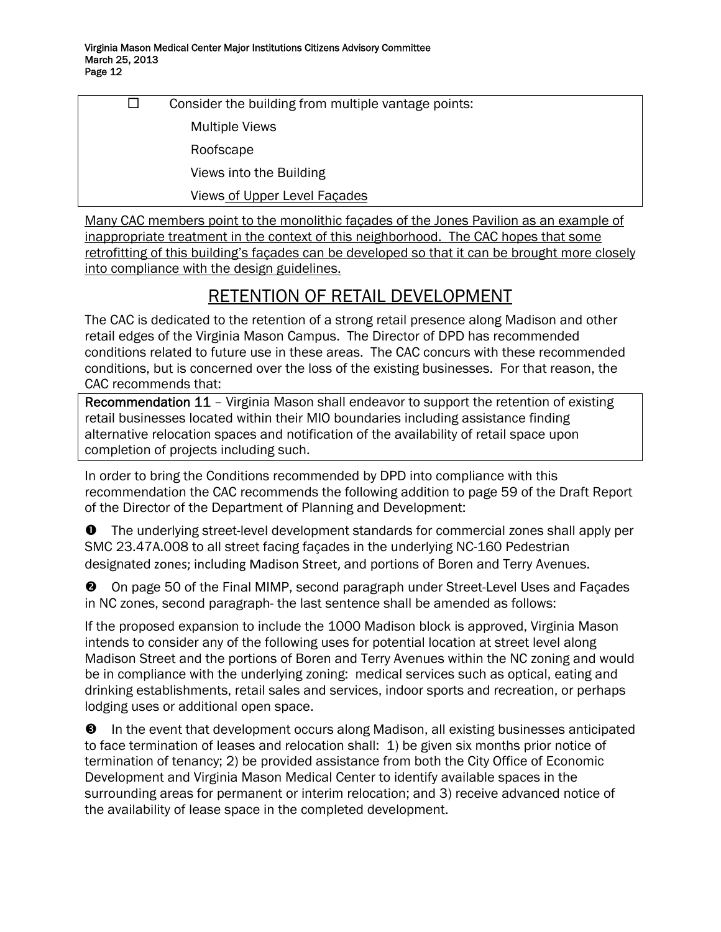$\square$  Consider the building from multiple vantage points: Multiple Views Roofscape Views into the Building Views of Upper Level Façades

Many CAC members point to the monolithic façades of the Jones Pavilion as an example of inappropriate treatment in the context of this neighborhood. The CAC hopes that some retrofitting of this building's façades can be developed so that it can be brought more closely into compliance with the design guidelines.

## RETENTION OF RETAIL DEVELOPMENT

The CAC is dedicated to the retention of a strong retail presence along Madison and other retail edges of the Virginia Mason Campus. The Director of DPD has recommended conditions related to future use in these areas. The CAC concurs with these recommended conditions, but is concerned over the loss of the existing businesses. For that reason, the CAC recommends that:

Recommendation 11 - Virginia Mason shall endeavor to support the retention of existing retail businesses located within their MIO boundaries including assistance finding alternative relocation spaces and notification of the availability of retail space upon completion of projects including such.

In order to bring the Conditions recommended by DPD into compliance with this recommendation the CAC recommends the following addition to page 59 of the Draft Report of the Director of the Department of Planning and Development:

 $\bullet$  The underlying street-level development standards for commercial zones shall apply per SMC 23.47A.008 to all street facing façades in the underlying NC-160 Pedestrian designated zones; including Madison Street, and portions of Boren and Terry Avenues.

**<sup>2</sup>** On page 50 of the Final MIMP, second paragraph under Street-Level Uses and Façades in NC zones, second paragraph- the last sentence shall be amended as follows:

If the proposed expansion to include the 1000 Madison block is approved, Virginia Mason intends to consider any of the following uses for potential location at street level along Madison Street and the portions of Boren and Terry Avenues within the NC zoning and would be in compliance with the underlying zoning: medical services such as optical, eating and drinking establishments, retail sales and services, indoor sports and recreation, or perhaps lodging uses or additional open space.

 $\Theta$  In the event that development occurs along Madison, all existing businesses anticipated to face termination of leases and relocation shall: 1) be given six months prior notice of termination of tenancy; 2) be provided assistance from both the City Office of Economic Development and Virginia Mason Medical Center to identify available spaces in the surrounding areas for permanent or interim relocation; and 3) receive advanced notice of the availability of lease space in the completed development.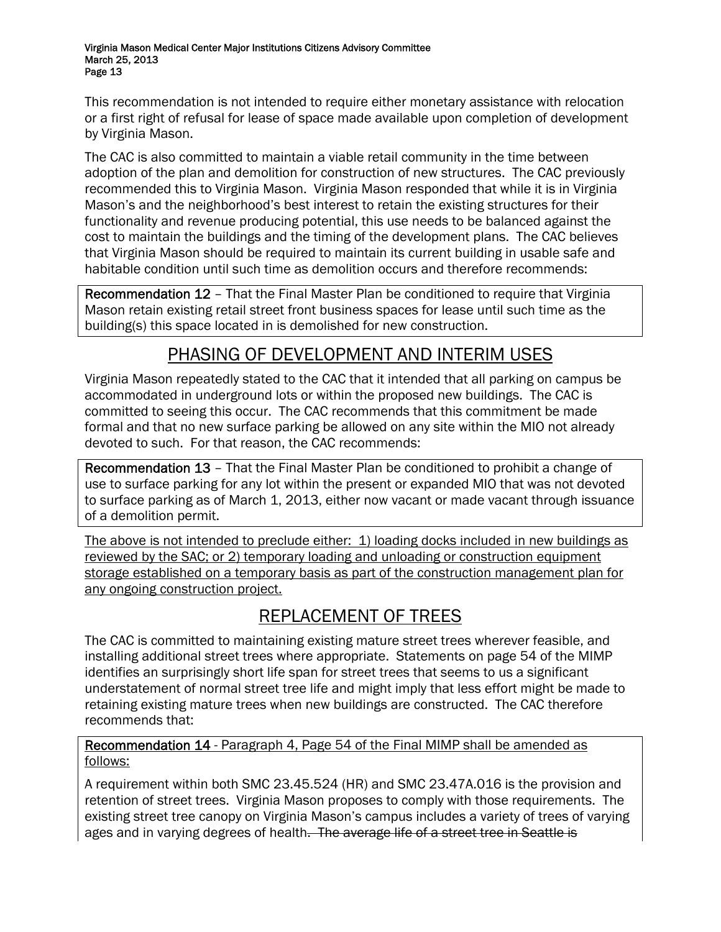This recommendation is not intended to require either monetary assistance with relocation or a first right of refusal for lease of space made available upon completion of development by Virginia Mason.

The CAC is also committed to maintain a viable retail community in the time between adoption of the plan and demolition for construction of new structures. The CAC previously recommended this to Virginia Mason. Virginia Mason responded that while it is in Virginia Mason's and the neighborhood's best interest to retain the existing structures for their functionality and revenue producing potential, this use needs to be balanced against the cost to maintain the buildings and the timing of the development plans. The CAC believes that Virginia Mason should be required to maintain its current building in usable safe and habitable condition until such time as demolition occurs and therefore recommends:

Recommendation 12 – That the Final Master Plan be conditioned to require that Virginia Mason retain existing retail street front business spaces for lease until such time as the building(s) this space located in is demolished for new construction.

## PHASING OF DEVELOPMENT AND INTERIM USES

Virginia Mason repeatedly stated to the CAC that it intended that all parking on campus be accommodated in underground lots or within the proposed new buildings. The CAC is committed to seeing this occur. The CAC recommends that this commitment be made formal and that no new surface parking be allowed on any site within the MIO not already devoted to such. For that reason, the CAC recommends:

Recommendation 13 – That the Final Master Plan be conditioned to prohibit a change of use to surface parking for any lot within the present or expanded MIO that was not devoted to surface parking as of March 1, 2013, either now vacant or made vacant through issuance of a demolition permit.

The above is not intended to preclude either: 1) loading docks included in new buildings as reviewed by the SAC; or 2) temporary loading and unloading or construction equipment storage established on a temporary basis as part of the construction management plan for any ongoing construction project.

## REPLACEMENT OF TREES

The CAC is committed to maintaining existing mature street trees wherever feasible, and installing additional street trees where appropriate. Statements on page 54 of the MIMP identifies an surprisingly short life span for street trees that seems to us a significant understatement of normal street tree life and might imply that less effort might be made to retaining existing mature trees when new buildings are constructed. The CAC therefore recommends that:

## Recommendation 14 - Paragraph 4, Page 54 of the Final MIMP shall be amended as follows:

A requirement within both SMC 23.45.524 (HR) and SMC 23.47A.016 is the provision and retention of street trees. Virginia Mason proposes to comply with those requirements. The existing street tree canopy on Virginia Mason's campus includes a variety of trees of varying ages and in varying degrees of health. The average life of a street tree in Seattle is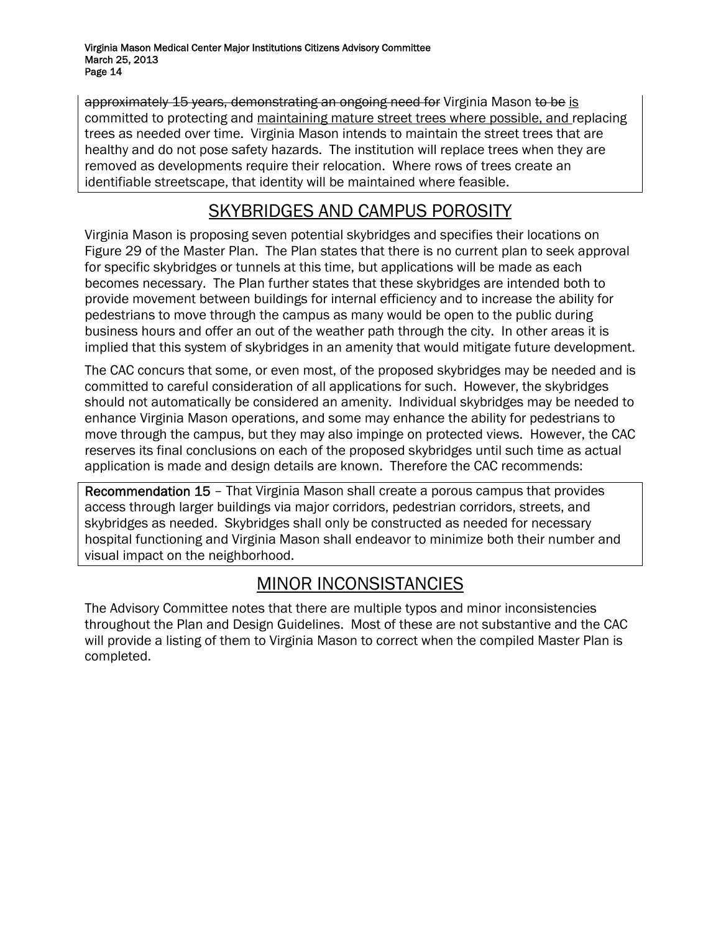approximately 15 years, demonstrating an ongoing need for Virginia Mason to be is committed to protecting and maintaining mature street trees where possible, and replacing trees as needed over time. Virginia Mason intends to maintain the street trees that are healthy and do not pose safety hazards. The institution will replace trees when they are removed as developments require their relocation. Where rows of trees create an identifiable streetscape, that identity will be maintained where feasible.

## SKYBRIDGES AND CAMPUS POROSITY

Virginia Mason is proposing seven potential skybridges and specifies their locations on Figure 29 of the Master Plan. The Plan states that there is no current plan to seek approval for specific skybridges or tunnels at this time, but applications will be made as each becomes necessary. The Plan further states that these skybridges are intended both to provide movement between buildings for internal efficiency and to increase the ability for pedestrians to move through the campus as many would be open to the public during business hours and offer an out of the weather path through the city. In other areas it is implied that this system of skybridges in an amenity that would mitigate future development.

The CAC concurs that some, or even most, of the proposed skybridges may be needed and is committed to careful consideration of all applications for such. However, the skybridges should not automatically be considered an amenity. Individual skybridges may be needed to enhance Virginia Mason operations, and some may enhance the ability for pedestrians to move through the campus, but they may also impinge on protected views. However, the CAC reserves its final conclusions on each of the proposed skybridges until such time as actual application is made and design details are known. Therefore the CAC recommends:

Recommendation 15 – That Virginia Mason shall create a porous campus that provides access through larger buildings via major corridors, pedestrian corridors, streets, and skybridges as needed. Skybridges shall only be constructed as needed for necessary hospital functioning and Virginia Mason shall endeavor to minimize both their number and visual impact on the neighborhood.

## MINOR INCONSISTANCIES

The Advisory Committee notes that there are multiple typos and minor inconsistencies throughout the Plan and Design Guidelines. Most of these are not substantive and the CAC will provide a listing of them to Virginia Mason to correct when the compiled Master Plan is completed.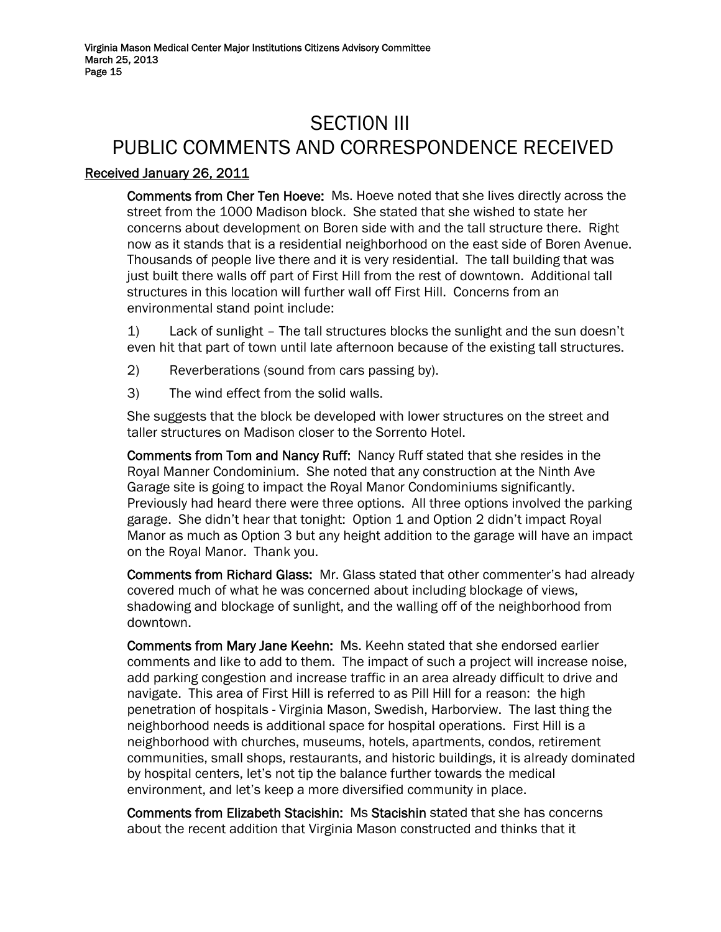# SECTI0N III PUBLIC COMMENTS AND CORRESPONDENCE RECEIVED

## Received January 26, 2011

Comments from Cher Ten Hoeve: Ms. Hoeve noted that she lives directly across the street from the 1000 Madison block. She stated that she wished to state her concerns about development on Boren side with and the tall structure there. Right now as it stands that is a residential neighborhood on the east side of Boren Avenue. Thousands of people live there and it is very residential. The tall building that was just built there walls off part of First Hill from the rest of downtown. Additional tall structures in this location will further wall off First Hill. Concerns from an environmental stand point include:

1) Lack of sunlight – The tall structures blocks the sunlight and the sun doesn't even hit that part of town until late afternoon because of the existing tall structures.

- 2) Reverberations (sound from cars passing by).
- 3) The wind effect from the solid walls.

She suggests that the block be developed with lower structures on the street and taller structures on Madison closer to the Sorrento Hotel.

Comments from Tom and Nancy Ruff: Nancy Ruff stated that she resides in the Royal Manner Condominium. She noted that any construction at the Ninth Ave Garage site is going to impact the Royal Manor Condominiums significantly. Previously had heard there were three options. All three options involved the parking garage. She didn't hear that tonight: Option 1 and Option 2 didn't impact Royal Manor as much as Option 3 but any height addition to the garage will have an impact on the Royal Manor. Thank you.

Comments from Richard Glass: Mr. Glass stated that other commenter's had already covered much of what he was concerned about including blockage of views, shadowing and blockage of sunlight, and the walling off of the neighborhood from downtown.

Comments from Mary Jane Keehn: Ms. Keehn stated that she endorsed earlier comments and like to add to them. The impact of such a project will increase noise, add parking congestion and increase traffic in an area already difficult to drive and navigate. This area of First Hill is referred to as Pill Hill for a reason: the high penetration of hospitals - Virginia Mason, Swedish, Harborview. The last thing the neighborhood needs is additional space for hospital operations. First Hill is a neighborhood with churches, museums, hotels, apartments, condos, retirement communities, small shops, restaurants, and historic buildings, it is already dominated by hospital centers, let's not tip the balance further towards the medical environment, and let's keep a more diversified community in place.

Comments from Elizabeth Stacishin: Ms Stacishin stated that she has concerns about the recent addition that Virginia Mason constructed and thinks that it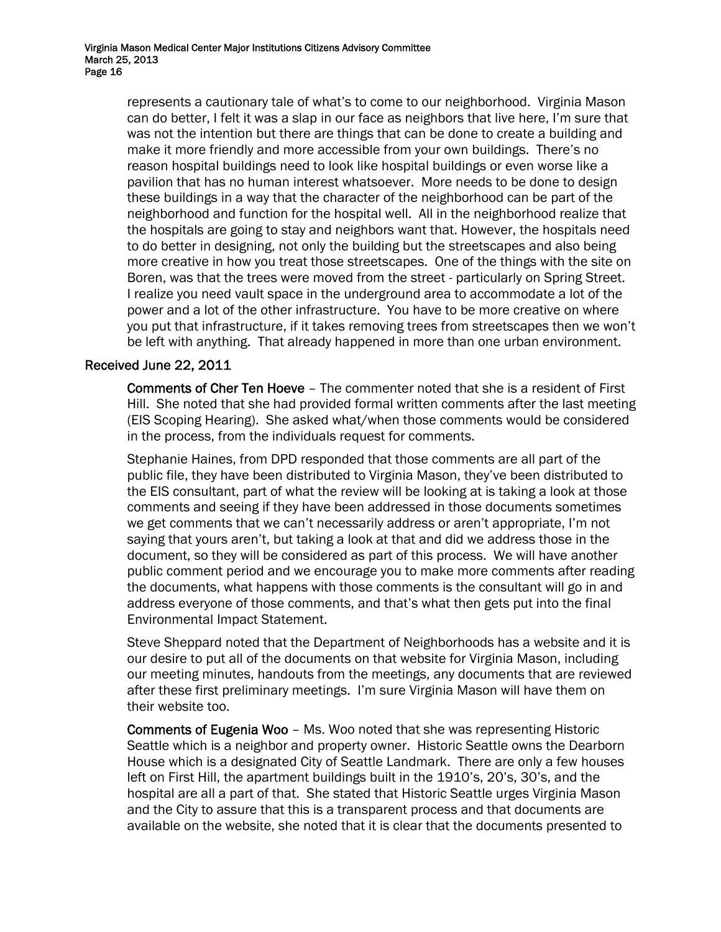represents a cautionary tale of what's to come to our neighborhood. Virginia Mason can do better, I felt it was a slap in our face as neighbors that live here, I'm sure that was not the intention but there are things that can be done to create a building and make it more friendly and more accessible from your own buildings. There's no reason hospital buildings need to look like hospital buildings or even worse like a pavilion that has no human interest whatsoever. More needs to be done to design these buildings in a way that the character of the neighborhood can be part of the neighborhood and function for the hospital well. All in the neighborhood realize that the hospitals are going to stay and neighbors want that. However, the hospitals need to do better in designing, not only the building but the streetscapes and also being more creative in how you treat those streetscapes. One of the things with the site on Boren, was that the trees were moved from the street - particularly on Spring Street. I realize you need vault space in the underground area to accommodate a lot of the power and a lot of the other infrastructure. You have to be more creative on where you put that infrastructure, if it takes removing trees from streetscapes then we won't be left with anything. That already happened in more than one urban environment.

## Received June 22, 2011

Comments of Cher Ten Hoeve – The commenter noted that she is a resident of First Hill. She noted that she had provided formal written comments after the last meeting (EIS Scoping Hearing). She asked what/when those comments would be considered in the process, from the individuals request for comments.

Stephanie Haines, from DPD responded that those comments are all part of the public file, they have been distributed to Virginia Mason, they've been distributed to the EIS consultant, part of what the review will be looking at is taking a look at those comments and seeing if they have been addressed in those documents sometimes we get comments that we can't necessarily address or aren't appropriate, I'm not saying that yours aren't, but taking a look at that and did we address those in the document, so they will be considered as part of this process. We will have another public comment period and we encourage you to make more comments after reading the documents, what happens with those comments is the consultant will go in and address everyone of those comments, and that's what then gets put into the final Environmental Impact Statement.

Steve Sheppard noted that the Department of Neighborhoods has a website and it is our desire to put all of the documents on that website for Virginia Mason, including our meeting minutes, handouts from the meetings, any documents that are reviewed after these first preliminary meetings. I'm sure Virginia Mason will have them on their website too.

Comments of Eugenia Woo – Ms. Woo noted that she was representing Historic Seattle which is a neighbor and property owner. Historic Seattle owns the Dearborn House which is a designated City of Seattle Landmark. There are only a few houses left on First Hill, the apartment buildings built in the 1910's, 20's, 30's, and the hospital are all a part of that. She stated that Historic Seattle urges Virginia Mason and the City to assure that this is a transparent process and that documents are available on the website, she noted that it is clear that the documents presented to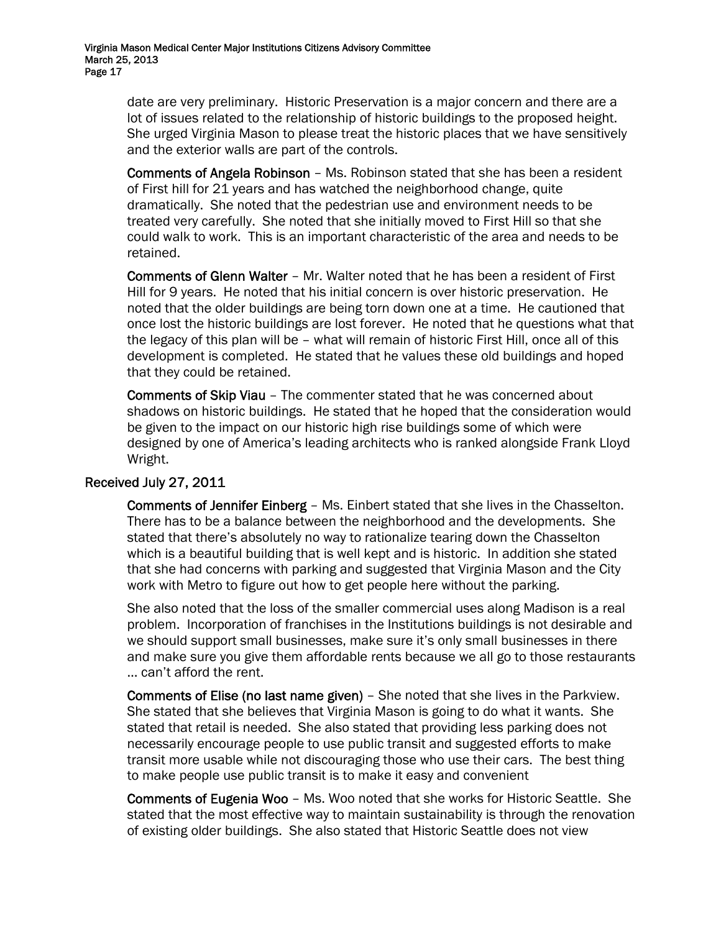date are very preliminary. Historic Preservation is a major concern and there are a lot of issues related to the relationship of historic buildings to the proposed height. She urged Virginia Mason to please treat the historic places that we have sensitively and the exterior walls are part of the controls.

Comments of Angela Robinson – Ms. Robinson stated that she has been a resident of First hill for 21 years and has watched the neighborhood change, quite dramatically. She noted that the pedestrian use and environment needs to be treated very carefully. She noted that she initially moved to First Hill so that she could walk to work. This is an important characteristic of the area and needs to be retained.

Comments of Glenn Walter – Mr. Walter noted that he has been a resident of First Hill for 9 years. He noted that his initial concern is over historic preservation. He noted that the older buildings are being torn down one at a time. He cautioned that once lost the historic buildings are lost forever. He noted that he questions what that the legacy of this plan will be – what will remain of historic First Hill, once all of this development is completed. He stated that he values these old buildings and hoped that they could be retained.

Comments of Skip Viau – The commenter stated that he was concerned about shadows on historic buildings. He stated that he hoped that the consideration would be given to the impact on our historic high rise buildings some of which were designed by one of America's leading architects who is ranked alongside Frank Lloyd Wright.

### Received July 27, 2011

Comments of Jennifer Einberg – Ms. Einbert stated that she lives in the Chasselton. There has to be a balance between the neighborhood and the developments. She stated that there's absolutely no way to rationalize tearing down the Chasselton which is a beautiful building that is well kept and is historic. In addition she stated that she had concerns with parking and suggested that Virginia Mason and the City work with Metro to figure out how to get people here without the parking.

She also noted that the loss of the smaller commercial uses along Madison is a real problem. Incorporation of franchises in the Institutions buildings is not desirable and we should support small businesses, make sure it's only small businesses in there and make sure you give them affordable rents because we all go to those restaurants … can't afford the rent.

Comments of Elise (no last name given) – She noted that she lives in the Parkview. She stated that she believes that Virginia Mason is going to do what it wants. She stated that retail is needed. She also stated that providing less parking does not necessarily encourage people to use public transit and suggested efforts to make transit more usable while not discouraging those who use their cars. The best thing to make people use public transit is to make it easy and convenient

Comments of Eugenia Woo – Ms. Woo noted that she works for Historic Seattle. She stated that the most effective way to maintain sustainability is through the renovation of existing older buildings. She also stated that Historic Seattle does not view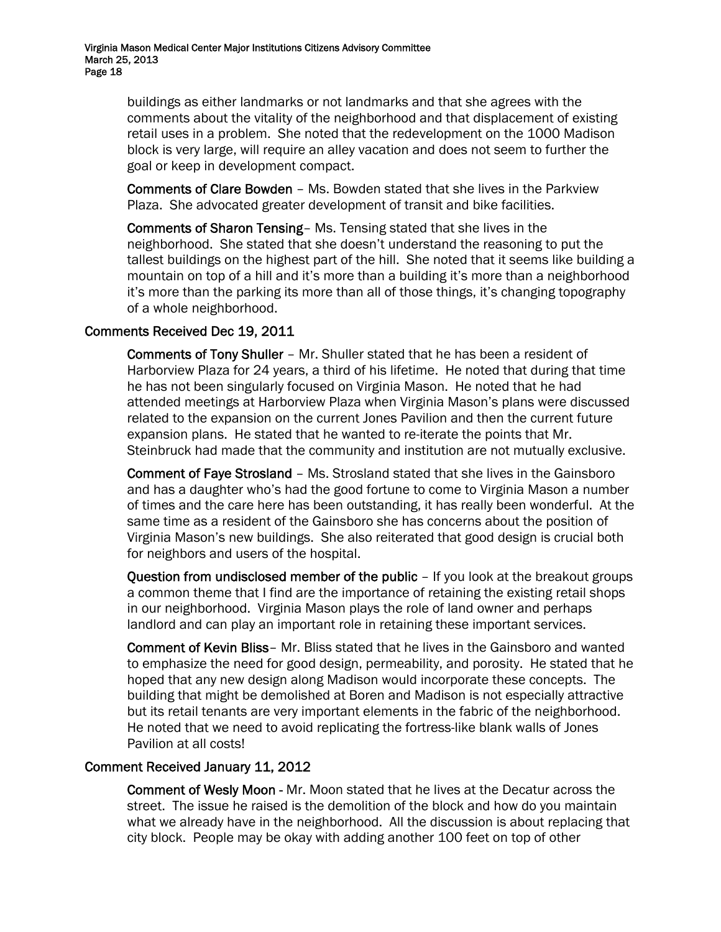buildings as either landmarks or not landmarks and that she agrees with the comments about the vitality of the neighborhood and that displacement of existing retail uses in a problem. She noted that the redevelopment on the 1000 Madison block is very large, will require an alley vacation and does not seem to further the goal or keep in development compact.

Comments of Clare Bowden – Ms. Bowden stated that she lives in the Parkview Plaza. She advocated greater development of transit and bike facilities.

Comments of Sharon Tensing– Ms. Tensing stated that she lives in the neighborhood. She stated that she doesn't understand the reasoning to put the tallest buildings on the highest part of the hill. She noted that it seems like building a mountain on top of a hill and it's more than a building it's more than a neighborhood it's more than the parking its more than all of those things, it's changing topography of a whole neighborhood.

## Comments Received Dec 19, 2011

Comments of Tony Shuller – Mr. Shuller stated that he has been a resident of Harborview Plaza for 24 years, a third of his lifetime. He noted that during that time he has not been singularly focused on Virginia Mason. He noted that he had attended meetings at Harborview Plaza when Virginia Mason's plans were discussed related to the expansion on the current Jones Pavilion and then the current future expansion plans. He stated that he wanted to re-iterate the points that Mr. Steinbruck had made that the community and institution are not mutually exclusive.

Comment of Faye Strosland – Ms. Strosland stated that she lives in the Gainsboro and has a daughter who's had the good fortune to come to Virginia Mason a number of times and the care here has been outstanding, it has really been wonderful. At the same time as a resident of the Gainsboro she has concerns about the position of Virginia Mason's new buildings. She also reiterated that good design is crucial both for neighbors and users of the hospital.

Question from undisclosed member of the public - If you look at the breakout groups a common theme that I find are the importance of retaining the existing retail shops in our neighborhood. Virginia Mason plays the role of land owner and perhaps landlord and can play an important role in retaining these important services.

Comment of Kevin Bliss– Mr. Bliss stated that he lives in the Gainsboro and wanted to emphasize the need for good design, permeability, and porosity. He stated that he hoped that any new design along Madison would incorporate these concepts. The building that might be demolished at Boren and Madison is not especially attractive but its retail tenants are very important elements in the fabric of the neighborhood. He noted that we need to avoid replicating the fortress-like blank walls of Jones Pavilion at all costs!

### Comment Received January 11, 2012

Comment of Wesly Moon - Mr. Moon stated that he lives at the Decatur across the street. The issue he raised is the demolition of the block and how do you maintain what we already have in the neighborhood. All the discussion is about replacing that city block. People may be okay with adding another 100 feet on top of other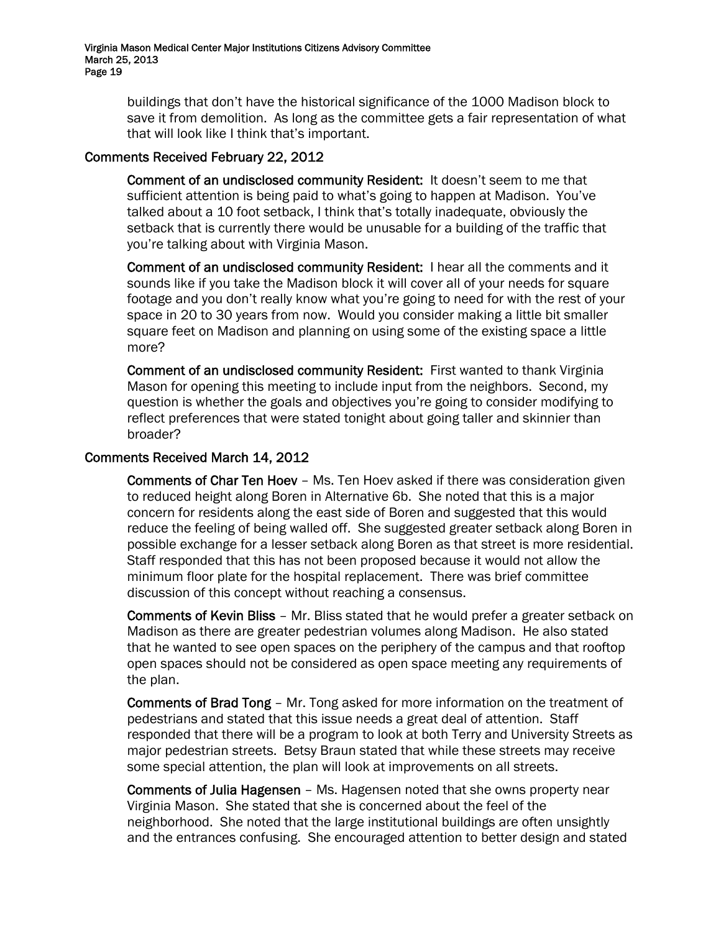buildings that don't have the historical significance of the 1000 Madison block to save it from demolition. As long as the committee gets a fair representation of what that will look like I think that's important.

## Comments Received February 22, 2012

Comment of an undisclosed community Resident: It doesn't seem to me that sufficient attention is being paid to what's going to happen at Madison. You've talked about a 10 foot setback, I think that's totally inadequate, obviously the setback that is currently there would be unusable for a building of the traffic that you're talking about with Virginia Mason.

Comment of an undisclosed community Resident: I hear all the comments and it sounds like if you take the Madison block it will cover all of your needs for square footage and you don't really know what you're going to need for with the rest of your space in 20 to 30 years from now. Would you consider making a little bit smaller square feet on Madison and planning on using some of the existing space a little more?

Comment of an undisclosed community Resident: First wanted to thank Virginia Mason for opening this meeting to include input from the neighbors. Second, my question is whether the goals and objectives you're going to consider modifying to reflect preferences that were stated tonight about going taller and skinnier than broader?

## Comments Received March 14, 2012

Comments of Char Ten Hoev – Ms. Ten Hoev asked if there was consideration given to reduced height along Boren in Alternative 6b. She noted that this is a major concern for residents along the east side of Boren and suggested that this would reduce the feeling of being walled off. She suggested greater setback along Boren in possible exchange for a lesser setback along Boren as that street is more residential. Staff responded that this has not been proposed because it would not allow the minimum floor plate for the hospital replacement. There was brief committee discussion of this concept without reaching a consensus.

Comments of Kevin Bliss – Mr. Bliss stated that he would prefer a greater setback on Madison as there are greater pedestrian volumes along Madison. He also stated that he wanted to see open spaces on the periphery of the campus and that rooftop open spaces should not be considered as open space meeting any requirements of the plan.

Comments of Brad Tong – Mr. Tong asked for more information on the treatment of pedestrians and stated that this issue needs a great deal of attention. Staff responded that there will be a program to look at both Terry and University Streets as major pedestrian streets. Betsy Braun stated that while these streets may receive some special attention, the plan will look at improvements on all streets.

Comments of Julia Hagensen – Ms. Hagensen noted that she owns property near Virginia Mason. She stated that she is concerned about the feel of the neighborhood. She noted that the large institutional buildings are often unsightly and the entrances confusing. She encouraged attention to better design and stated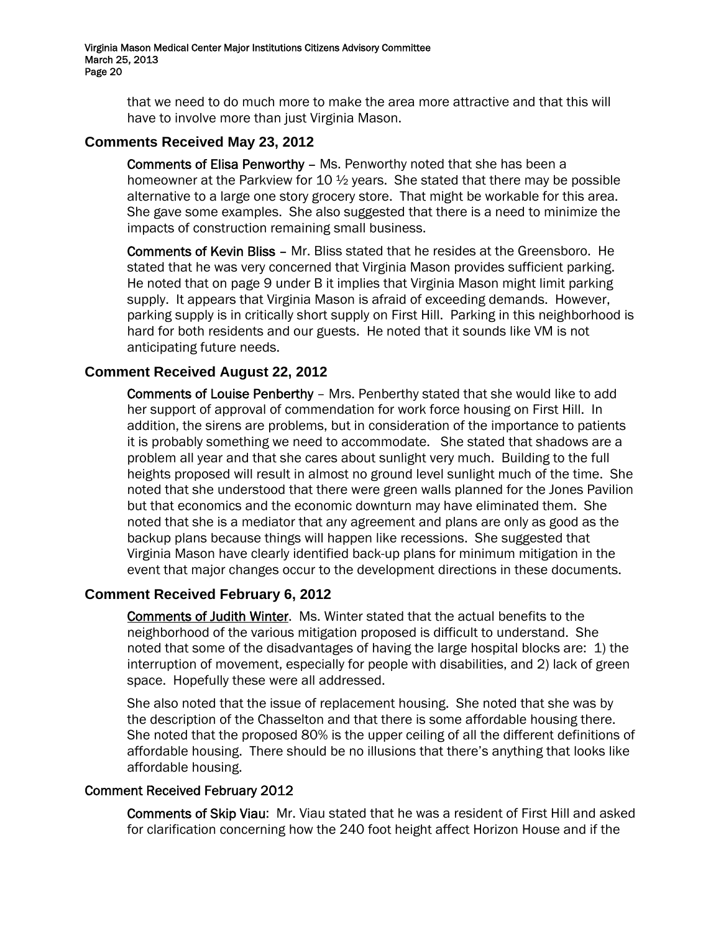> that we need to do much more to make the area more attractive and that this will have to involve more than just Virginia Mason.

## **Comments Received May 23, 2012**

Comments of Elisa Penworthy – Ms. Penworthy noted that she has been a homeowner at the Parkview for 10  $\frac{1}{2}$  years. She stated that there may be possible alternative to a large one story grocery store. That might be workable for this area. She gave some examples. She also suggested that there is a need to minimize the impacts of construction remaining small business.

Comments of Kevin Bliss – Mr. Bliss stated that he resides at the Greensboro. He stated that he was very concerned that Virginia Mason provides sufficient parking. He noted that on page 9 under B it implies that Virginia Mason might limit parking supply. It appears that Virginia Mason is afraid of exceeding demands. However, parking supply is in critically short supply on First Hill. Parking in this neighborhood is hard for both residents and our guests. He noted that it sounds like VM is not anticipating future needs.

## **Comment Received August 22, 2012**

Comments of Louise Penberthy – Mrs. Penberthy stated that she would like to add her support of approval of commendation for work force housing on First Hill. In addition, the sirens are problems, but in consideration of the importance to patients it is probably something we need to accommodate. She stated that shadows are a problem all year and that she cares about sunlight very much. Building to the full heights proposed will result in almost no ground level sunlight much of the time. She noted that she understood that there were green walls planned for the Jones Pavilion but that economics and the economic downturn may have eliminated them. She noted that she is a mediator that any agreement and plans are only as good as the backup plans because things will happen like recessions. She suggested that Virginia Mason have clearly identified back-up plans for minimum mitigation in the event that major changes occur to the development directions in these documents.

### **Comment Received February 6, 2012**

Comments of Judith Winter. Ms. Winter stated that the actual benefits to the neighborhood of the various mitigation proposed is difficult to understand. She noted that some of the disadvantages of having the large hospital blocks are: 1) the interruption of movement, especially for people with disabilities, and 2) lack of green space. Hopefully these were all addressed.

She also noted that the issue of replacement housing. She noted that she was by the description of the Chasselton and that there is some affordable housing there. She noted that the proposed 80% is the upper ceiling of all the different definitions of affordable housing. There should be no illusions that there's anything that looks like affordable housing.

### Comment Received February 2012

Comments of Skip Viau: Mr. Viau stated that he was a resident of First Hill and asked for clarification concerning how the 240 foot height affect Horizon House and if the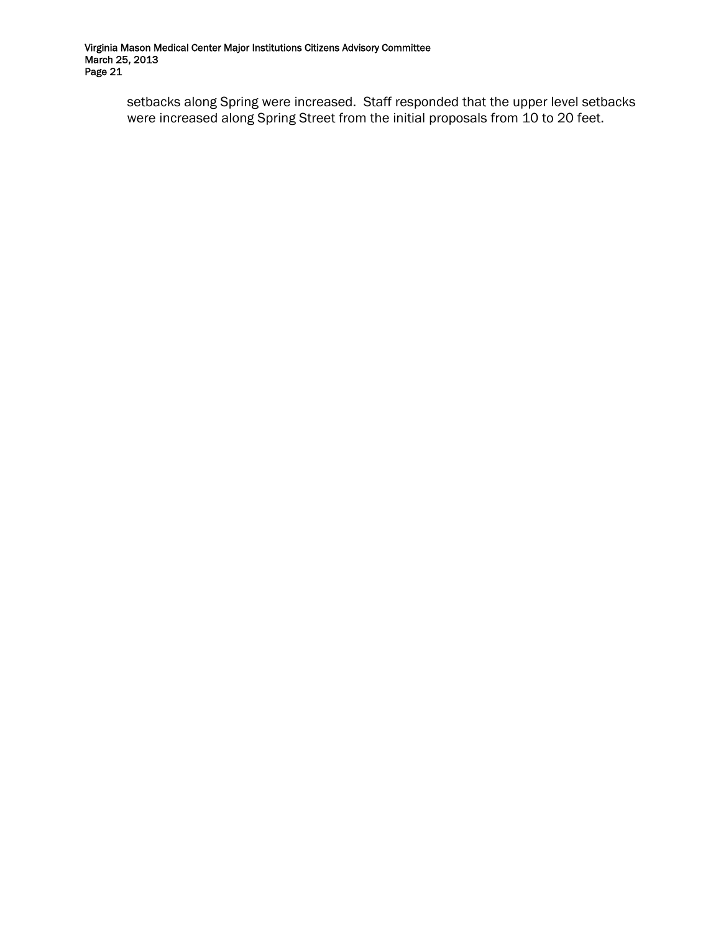setbacks along Spring were increased. Staff responded that the upper level setbacks were increased along Spring Street from the initial proposals from 10 to 20 feet.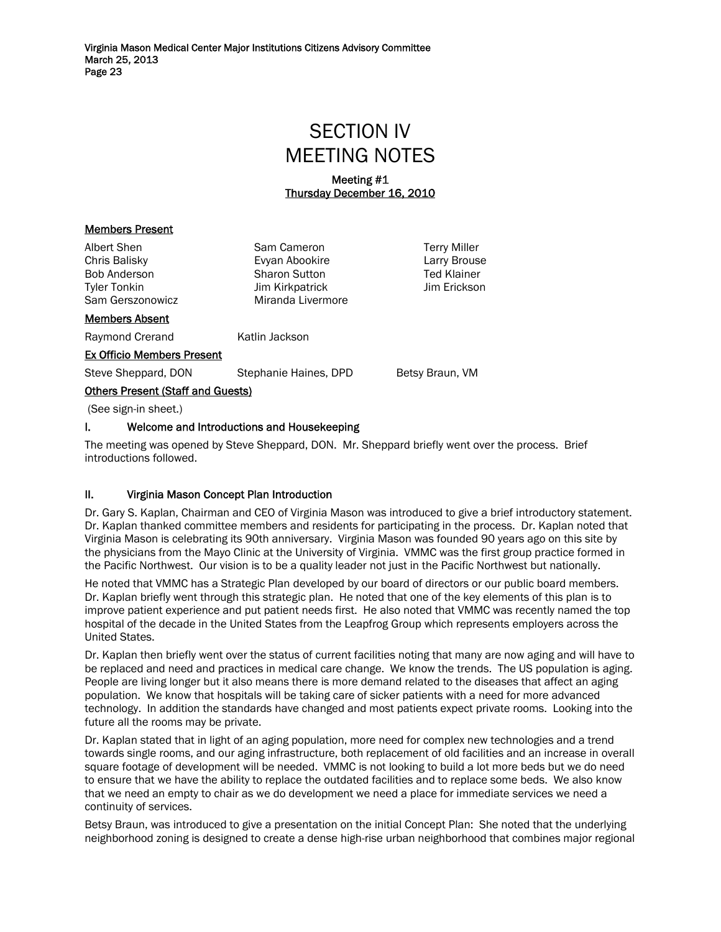# SECTION IV MEETING NOTES

### Meeting #1 Thursday December 16, 2010

#### Members Present

| Albert Shen<br>Chris Balisky<br><b>Bob Anderson</b><br><b>Tyler Tonkin</b><br>Sam Gerszonowicz | Sam Cameron<br>Evyan Abookire<br><b>Sharon Sutton</b><br>Jim Kirkpatrick<br>Miranda Livermore | <b>Terry Miller</b><br>Larry Brouse<br><b>Ted Klainer</b><br>Jim Erickson |  |  |
|------------------------------------------------------------------------------------------------|-----------------------------------------------------------------------------------------------|---------------------------------------------------------------------------|--|--|
| <b>Members Absent</b>                                                                          |                                                                                               |                                                                           |  |  |
| Raymond Crerand                                                                                | Katlin Jackson                                                                                |                                                                           |  |  |
| <b>Ex Officio Members Present</b>                                                              |                                                                                               |                                                                           |  |  |
| Steve Sheppard, DON                                                                            | Stephanie Haines, DPD                                                                         | Betsy Braun, VM                                                           |  |  |
| <b>Others Present (Staff and Guests)</b>                                                       |                                                                                               |                                                                           |  |  |
| $(See sign-in sheet.)$                                                                         |                                                                                               |                                                                           |  |  |
|                                                                                                |                                                                                               |                                                                           |  |  |

#### I. Welcome and Introductions and Housekeeping

The meeting was opened by Steve Sheppard, DON. Mr. Sheppard briefly went over the process. Brief introductions followed.

#### II. Virginia Mason Concept Plan Introduction

Dr. Gary S. Kaplan, Chairman and CEO of Virginia Mason was introduced to give a brief introductory statement. Dr. Kaplan thanked committee members and residents for participating in the process. Dr. Kaplan noted that Virginia Mason is celebrating its 90th anniversary. Virginia Mason was founded 90 years ago on this site by the physicians from the Mayo Clinic at the University of Virginia. VMMC was the first group practice formed in the Pacific Northwest. Our vision is to be a quality leader not just in the Pacific Northwest but nationally.

He noted that VMMC has a Strategic Plan developed by our board of directors or our public board members. Dr. Kaplan briefly went through this strategic plan. He noted that one of the key elements of this plan is to improve patient experience and put patient needs first. He also noted that VMMC was recently named the top hospital of the decade in the United States from the Leapfrog Group which represents employers across the United States.

Dr. Kaplan then briefly went over the status of current facilities noting that many are now aging and will have to be replaced and need and practices in medical care change. We know the trends. The US population is aging. People are living longer but it also means there is more demand related to the diseases that affect an aging population. We know that hospitals will be taking care of sicker patients with a need for more advanced technology. In addition the standards have changed and most patients expect private rooms. Looking into the future all the rooms may be private.

Dr. Kaplan stated that in light of an aging population, more need for complex new technologies and a trend towards single rooms, and our aging infrastructure, both replacement of old facilities and an increase in overall square footage of development will be needed. VMMC is not looking to build a lot more beds but we do need to ensure that we have the ability to replace the outdated facilities and to replace some beds. We also know that we need an empty to chair as we do development we need a place for immediate services we need a continuity of services.

Betsy Braun, was introduced to give a presentation on the initial Concept Plan: She noted that the underlying neighborhood zoning is designed to create a dense high-rise urban neighborhood that combines major regional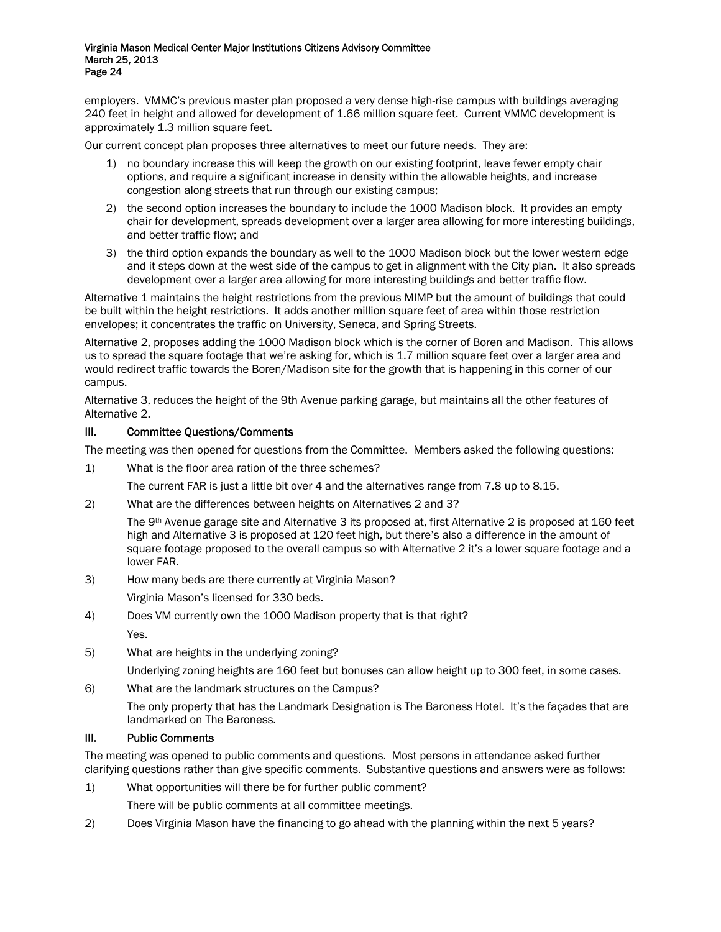employers. VMMC's previous master plan proposed a very dense high-rise campus with buildings averaging 240 feet in height and allowed for development of 1.66 million square feet. Current VMMC development is approximately 1.3 million square feet.

Our current concept plan proposes three alternatives to meet our future needs. They are:

- 1) no boundary increase this will keep the growth on our existing footprint, leave fewer empty chair options, and require a significant increase in density within the allowable heights, and increase congestion along streets that run through our existing campus;
- 2) the second option increases the boundary to include the 1000 Madison block. It provides an empty chair for development, spreads development over a larger area allowing for more interesting buildings, and better traffic flow; and
- 3) the third option expands the boundary as well to the 1000 Madison block but the lower western edge and it steps down at the west side of the campus to get in alignment with the City plan. It also spreads development over a larger area allowing for more interesting buildings and better traffic flow.

Alternative 1 maintains the height restrictions from the previous MIMP but the amount of buildings that could be built within the height restrictions. It adds another million square feet of area within those restriction envelopes; it concentrates the traffic on University, Seneca, and Spring Streets.

Alternative 2, proposes adding the 1000 Madison block which is the corner of Boren and Madison. This allows us to spread the square footage that we're asking for, which is 1.7 million square feet over a larger area and would redirect traffic towards the Boren/Madison site for the growth that is happening in this corner of our campus.

Alternative 3, reduces the height of the 9th Avenue parking garage, but maintains all the other features of Alternative 2.

#### III. Committee Questions/Comments

The meeting was then opened for questions from the Committee. Members asked the following questions:

1) What is the floor area ration of the three schemes?

The current FAR is just a little bit over 4 and the alternatives range from 7.8 up to 8.15.

2) What are the differences between heights on Alternatives 2 and 3?

The 9th Avenue garage site and Alternative 3 its proposed at, first Alternative 2 is proposed at 160 feet high and Alternative 3 is proposed at 120 feet high, but there's also a difference in the amount of square footage proposed to the overall campus so with Alternative 2 it's a lower square footage and a lower FAR.

3) How many beds are there currently at Virginia Mason?

Virginia Mason's licensed for 330 beds.

- 4) Does VM currently own the 1000 Madison property that is that right?
	- Yes.
- 5) What are heights in the underlying zoning?

Underlying zoning heights are 160 feet but bonuses can allow height up to 300 feet, in some cases.

6) What are the landmark structures on the Campus?

The only property that has the Landmark Designation is The Baroness Hotel. It's the façades that are landmarked on The Baroness.

### III. Public Comments

The meeting was opened to public comments and questions. Most persons in attendance asked further clarifying questions rather than give specific comments. Substantive questions and answers were as follows:

1) What opportunities will there be for further public comment?

There will be public comments at all committee meetings.

2) Does Virginia Mason have the financing to go ahead with the planning within the next 5 years?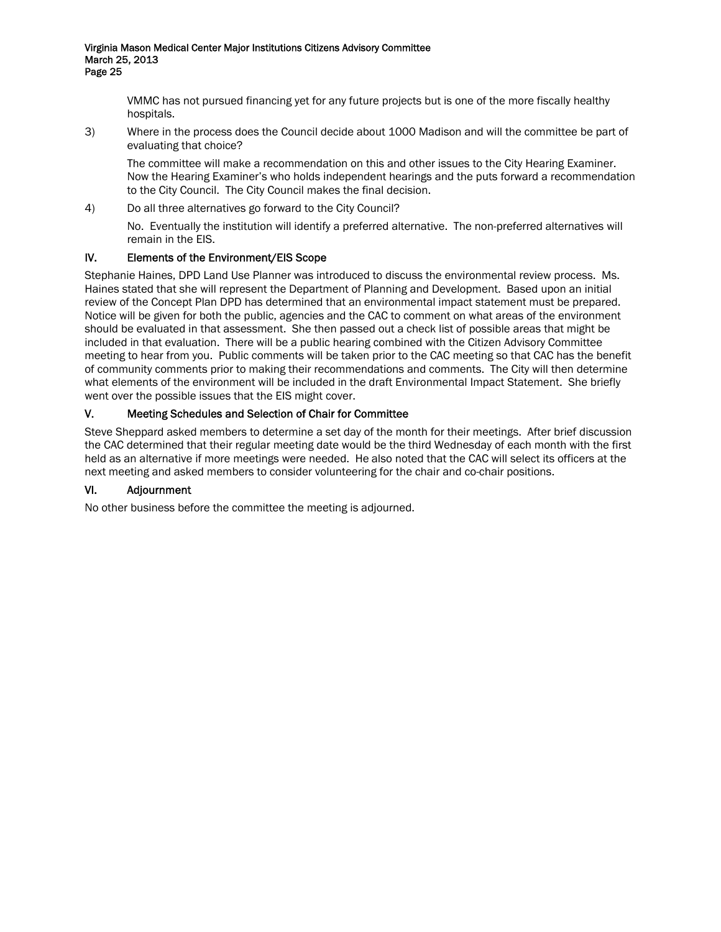VMMC has not pursued financing yet for any future projects but is one of the more fiscally healthy hospitals.

3) Where in the process does the Council decide about 1000 Madison and will the committee be part of evaluating that choice?

The committee will make a recommendation on this and other issues to the City Hearing Examiner. Now the Hearing Examiner's who holds independent hearings and the puts forward a recommendation to the City Council. The City Council makes the final decision.

4) Do all three alternatives go forward to the City Council?

No. Eventually the institution will identify a preferred alternative. The non-preferred alternatives will remain in the EIS.

### IV. Elements of the Environment/EIS Scope

Stephanie Haines, DPD Land Use Planner was introduced to discuss the environmental review process. Ms. Haines stated that she will represent the Department of Planning and Development. Based upon an initial review of the Concept Plan DPD has determined that an environmental impact statement must be prepared. Notice will be given for both the public, agencies and the CAC to comment on what areas of the environment should be evaluated in that assessment. She then passed out a check list of possible areas that might be included in that evaluation. There will be a public hearing combined with the Citizen Advisory Committee meeting to hear from you. Public comments will be taken prior to the CAC meeting so that CAC has the benefit of community comments prior to making their recommendations and comments. The City will then determine what elements of the environment will be included in the draft Environmental Impact Statement. She briefly went over the possible issues that the EIS might cover.

### V. Meeting Schedules and Selection of Chair for Committee

Steve Sheppard asked members to determine a set day of the month for their meetings. After brief discussion the CAC determined that their regular meeting date would be the third Wednesday of each month with the first held as an alternative if more meetings were needed. He also noted that the CAC will select its officers at the next meeting and asked members to consider volunteering for the chair and co-chair positions.

### VI. Adjournment

No other business before the committee the meeting is adjourned.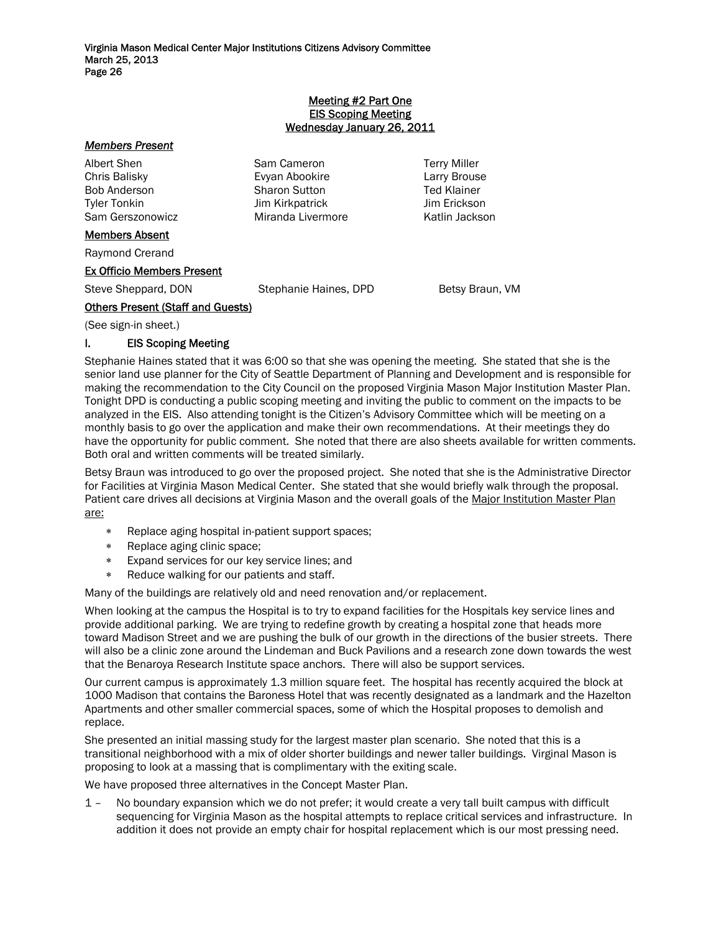#### Meeting #2 Part One EIS Scoping Meeting Wednesday January 26, 2011

#### *Members Present*

Albert Shen Sam Cameron Terry Miller Chris Balisky Evyan Abookire Larry Brouse Bob Anderson Sharon Sutton Ted Klainer Tyler Tonkin Jim Kirkpatrick Jim Erickson Sam Gerszonowicz Miranda Livermore Katlin Jackson

#### Members Absent

Raymond Crerand

#### Ex Officio Members Present

Steve Sheppard, DON Stephanie Haines, DPD Betsy Braun, VM

### Others Present (Staff and Guests)

(See sign-in sheet.)

#### I. EIS Scoping Meeting

Stephanie Haines stated that it was 6:00 so that she was opening the meeting. She stated that she is the senior land use planner for the City of Seattle Department of Planning and Development and is responsible for making the recommendation to the City Council on the proposed Virginia Mason Major Institution Master Plan. Tonight DPD is conducting a public scoping meeting and inviting the public to comment on the impacts to be analyzed in the EIS. Also attending tonight is the Citizen's Advisory Committee which will be meeting on a monthly basis to go over the application and make their own recommendations. At their meetings they do have the opportunity for public comment. She noted that there are also sheets available for written comments. Both oral and written comments will be treated similarly.

Betsy Braun was introduced to go over the proposed project. She noted that she is the Administrative Director for Facilities at Virginia Mason Medical Center. She stated that she would briefly walk through the proposal. Patient care drives all decisions at Virginia Mason and the overall goals of the Major Institution Master Plan are:

- ∗ Replace aging hospital in-patient support spaces;
- ∗ Replace aging clinic space;
- ∗ Expand services for our key service lines; and
- ∗ Reduce walking for our patients and staff.

Many of the buildings are relatively old and need renovation and/or replacement.

When looking at the campus the Hospital is to try to expand facilities for the Hospitals key service lines and provide additional parking. We are trying to redefine growth by creating a hospital zone that heads more toward Madison Street and we are pushing the bulk of our growth in the directions of the busier streets. There will also be a clinic zone around the Lindeman and Buck Pavilions and a research zone down towards the west that the Benaroya Research Institute space anchors. There will also be support services.

Our current campus is approximately 1.3 million square feet. The hospital has recently acquired the block at 1000 Madison that contains the Baroness Hotel that was recently designated as a landmark and the Hazelton Apartments and other smaller commercial spaces, some of which the Hospital proposes to demolish and replace.

She presented an initial massing study for the largest master plan scenario. She noted that this is a transitional neighborhood with a mix of older shorter buildings and newer taller buildings. Virginal Mason is proposing to look at a massing that is complimentary with the exiting scale.

We have proposed three alternatives in the Concept Master Plan.

1 – No boundary expansion which we do not prefer; it would create a very tall built campus with difficult sequencing for Virginia Mason as the hospital attempts to replace critical services and infrastructure. In addition it does not provide an empty chair for hospital replacement which is our most pressing need.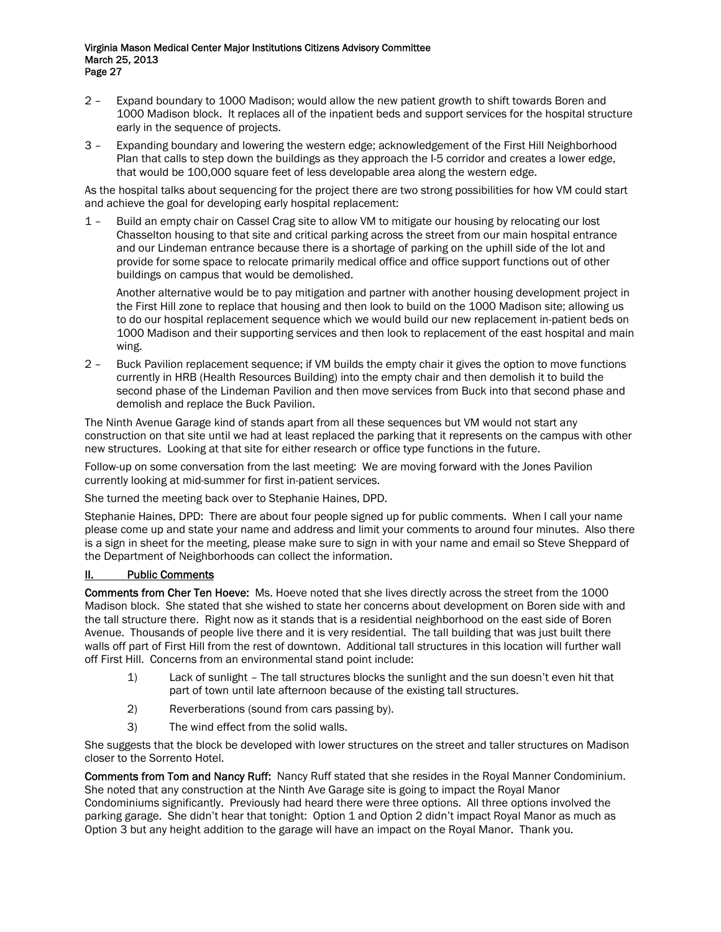- 2 Expand boundary to 1000 Madison; would allow the new patient growth to shift towards Boren and 1000 Madison block. It replaces all of the inpatient beds and support services for the hospital structure early in the sequence of projects.
- 3 Expanding boundary and lowering the western edge; acknowledgement of the First Hill Neighborhood Plan that calls to step down the buildings as they approach the I-5 corridor and creates a lower edge, that would be 100,000 square feet of less developable area along the western edge.

As the hospital talks about sequencing for the project there are two strong possibilities for how VM could start and achieve the goal for developing early hospital replacement:

1 – Build an empty chair on Cassel Crag site to allow VM to mitigate our housing by relocating our lost Chasselton housing to that site and critical parking across the street from our main hospital entrance and our Lindeman entrance because there is a shortage of parking on the uphill side of the lot and provide for some space to relocate primarily medical office and office support functions out of other buildings on campus that would be demolished.

 Another alternative would be to pay mitigation and partner with another housing development project in the First Hill zone to replace that housing and then look to build on the 1000 Madison site; allowing us to do our hospital replacement sequence which we would build our new replacement in-patient beds on 1000 Madison and their supporting services and then look to replacement of the east hospital and main wing.

2 – Buck Pavilion replacement sequence; if VM builds the empty chair it gives the option to move functions currently in HRB (Health Resources Building) into the empty chair and then demolish it to build the second phase of the Lindeman Pavilion and then move services from Buck into that second phase and demolish and replace the Buck Pavilion.

The Ninth Avenue Garage kind of stands apart from all these sequences but VM would not start any construction on that site until we had at least replaced the parking that it represents on the campus with other new structures. Looking at that site for either research or office type functions in the future.

Follow-up on some conversation from the last meeting: We are moving forward with the Jones Pavilion currently looking at mid-summer for first in-patient services.

She turned the meeting back over to Stephanie Haines, DPD.

Stephanie Haines, DPD: There are about four people signed up for public comments. When I call your name please come up and state your name and address and limit your comments to around four minutes. Also there is a sign in sheet for the meeting, please make sure to sign in with your name and email so Steve Sheppard of the Department of Neighborhoods can collect the information.

#### II. Public Comments

Comments from Cher Ten Hoeve: Ms. Hoeve noted that she lives directly across the street from the 1000 Madison block. She stated that she wished to state her concerns about development on Boren side with and the tall structure there. Right now as it stands that is a residential neighborhood on the east side of Boren Avenue. Thousands of people live there and it is very residential. The tall building that was just built there walls off part of First Hill from the rest of downtown. Additional tall structures in this location will further wall off First Hill. Concerns from an environmental stand point include:

- 1) Lack of sunlight The tall structures blocks the sunlight and the sun doesn't even hit that part of town until late afternoon because of the existing tall structures.
- 2) Reverberations (sound from cars passing by).
- 3) The wind effect from the solid walls.

She suggests that the block be developed with lower structures on the street and taller structures on Madison closer to the Sorrento Hotel.

Comments from Tom and Nancy Ruff: Nancy Ruff stated that she resides in the Royal Manner Condominium. She noted that any construction at the Ninth Ave Garage site is going to impact the Royal Manor Condominiums significantly. Previously had heard there were three options. All three options involved the parking garage. She didn't hear that tonight: Option 1 and Option 2 didn't impact Royal Manor as much as Option 3 but any height addition to the garage will have an impact on the Royal Manor. Thank you.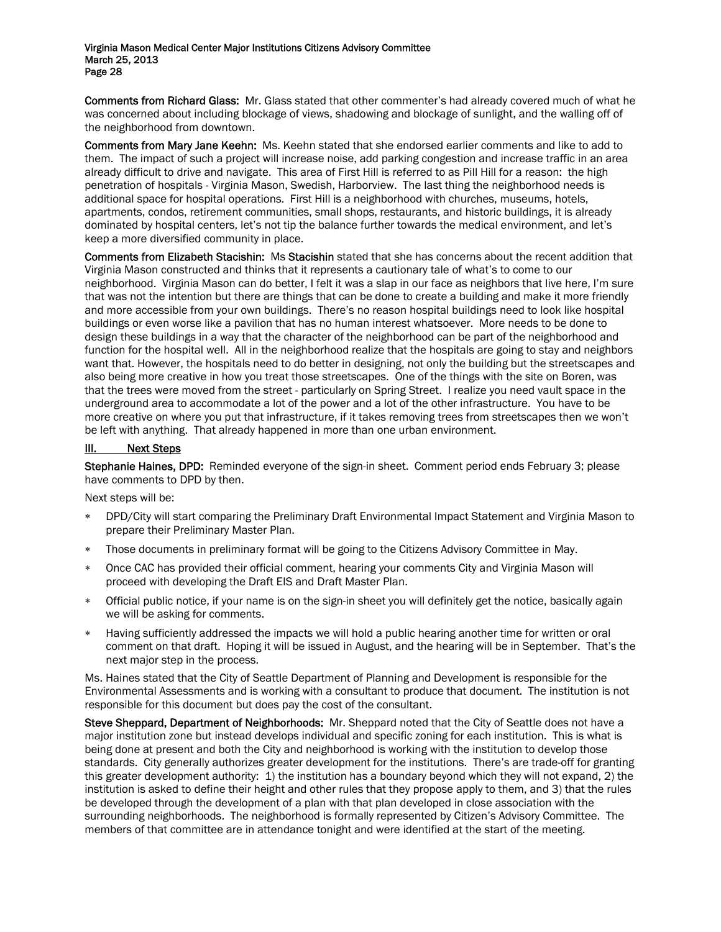Comments from Richard Glass: Mr. Glass stated that other commenter's had already covered much of what he was concerned about including blockage of views, shadowing and blockage of sunlight, and the walling off of the neighborhood from downtown.

Comments from Mary Jane Keehn: Ms. Keehn stated that she endorsed earlier comments and like to add to them. The impact of such a project will increase noise, add parking congestion and increase traffic in an area already difficult to drive and navigate. This area of First Hill is referred to as Pill Hill for a reason: the high penetration of hospitals - Virginia Mason, Swedish, Harborview. The last thing the neighborhood needs is additional space for hospital operations. First Hill is a neighborhood with churches, museums, hotels, apartments, condos, retirement communities, small shops, restaurants, and historic buildings, it is already dominated by hospital centers, let's not tip the balance further towards the medical environment, and let's keep a more diversified community in place.

Comments from Elizabeth Stacishin: Ms Stacishin stated that she has concerns about the recent addition that Virginia Mason constructed and thinks that it represents a cautionary tale of what's to come to our neighborhood. Virginia Mason can do better, I felt it was a slap in our face as neighbors that live here, I'm sure that was not the intention but there are things that can be done to create a building and make it more friendly and more accessible from your own buildings. There's no reason hospital buildings need to look like hospital buildings or even worse like a pavilion that has no human interest whatsoever. More needs to be done to design these buildings in a way that the character of the neighborhood can be part of the neighborhood and function for the hospital well. All in the neighborhood realize that the hospitals are going to stay and neighbors want that. However, the hospitals need to do better in designing, not only the building but the streetscapes and also being more creative in how you treat those streetscapes. One of the things with the site on Boren, was that the trees were moved from the street - particularly on Spring Street. I realize you need vault space in the underground area to accommodate a lot of the power and a lot of the other infrastructure. You have to be more creative on where you put that infrastructure, if it takes removing trees from streetscapes then we won't be left with anything. That already happened in more than one urban environment.

#### III. Next Steps

Stephanie Haines, DPD: Reminded everyone of the sign-in sheet. Comment period ends February 3; please have comments to DPD by then.

Next steps will be:

- DPD/City will start comparing the Preliminary Draft Environmental Impact Statement and Virginia Mason to prepare their Preliminary Master Plan.
- ∗ Those documents in preliminary format will be going to the Citizens Advisory Committee in May.
- ∗ Once CAC has provided their official comment, hearing your comments City and Virginia Mason will proceed with developing the Draft EIS and Draft Master Plan.
- Official public notice, if your name is on the sign-in sheet you will definitely get the notice, basically again we will be asking for comments.
- Having sufficiently addressed the impacts we will hold a public hearing another time for written or oral comment on that draft. Hoping it will be issued in August, and the hearing will be in September. That's the next major step in the process.

Ms. Haines stated that the City of Seattle Department of Planning and Development is responsible for the Environmental Assessments and is working with a consultant to produce that document. The institution is not responsible for this document but does pay the cost of the consultant.

Steve Sheppard, Department of Neighborhoods: Mr. Sheppard noted that the City of Seattle does not have a major institution zone but instead develops individual and specific zoning for each institution. This is what is being done at present and both the City and neighborhood is working with the institution to develop those standards. City generally authorizes greater development for the institutions. There's are trade-off for granting this greater development authority: 1) the institution has a boundary beyond which they will not expand, 2) the institution is asked to define their height and other rules that they propose apply to them, and 3) that the rules be developed through the development of a plan with that plan developed in close association with the surrounding neighborhoods. The neighborhood is formally represented by Citizen's Advisory Committee. The members of that committee are in attendance tonight and were identified at the start of the meeting.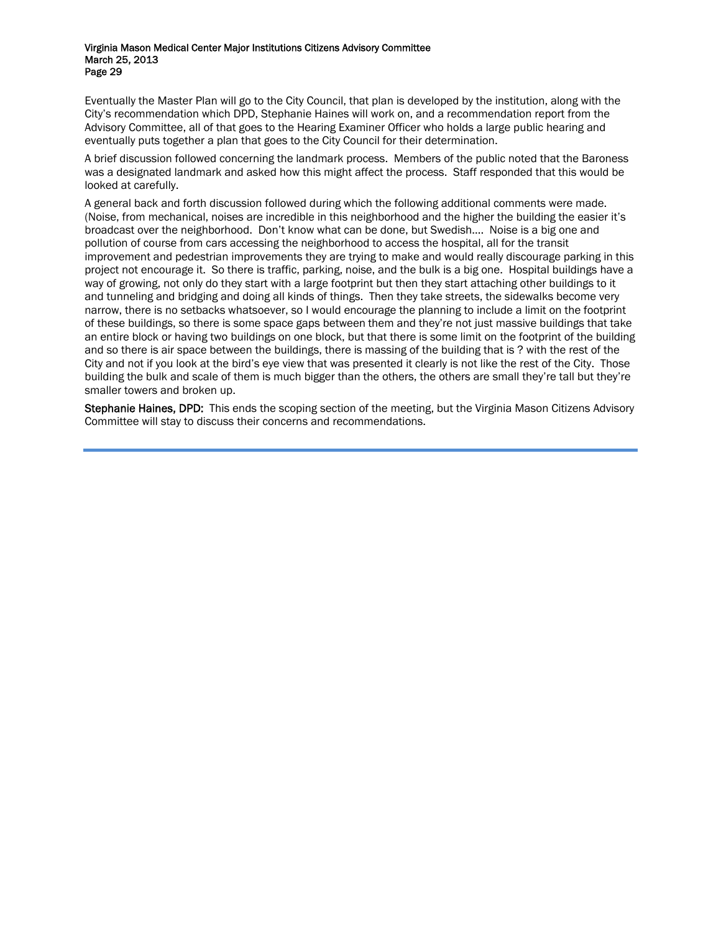Eventually the Master Plan will go to the City Council, that plan is developed by the institution, along with the City's recommendation which DPD, Stephanie Haines will work on, and a recommendation report from the Advisory Committee, all of that goes to the Hearing Examiner Officer who holds a large public hearing and eventually puts together a plan that goes to the City Council for their determination.

A brief discussion followed concerning the landmark process. Members of the public noted that the Baroness was a designated landmark and asked how this might affect the process. Staff responded that this would be looked at carefully.

A general back and forth discussion followed during which the following additional comments were made. (Noise, from mechanical, noises are incredible in this neighborhood and the higher the building the easier it's broadcast over the neighborhood. Don't know what can be done, but Swedish…. Noise is a big one and pollution of course from cars accessing the neighborhood to access the hospital, all for the transit improvement and pedestrian improvements they are trying to make and would really discourage parking in this project not encourage it. So there is traffic, parking, noise, and the bulk is a big one. Hospital buildings have a way of growing, not only do they start with a large footprint but then they start attaching other buildings to it and tunneling and bridging and doing all kinds of things. Then they take streets, the sidewalks become very narrow, there is no setbacks whatsoever, so I would encourage the planning to include a limit on the footprint of these buildings, so there is some space gaps between them and they're not just massive buildings that take an entire block or having two buildings on one block, but that there is some limit on the footprint of the building and so there is air space between the buildings, there is massing of the building that is ? with the rest of the City and not if you look at the bird's eye view that was presented it clearly is not like the rest of the City. Those building the bulk and scale of them is much bigger than the others, the others are small they're tall but they're smaller towers and broken up.

Stephanie Haines, DPD: This ends the scoping section of the meeting, but the Virginia Mason Citizens Advisory Committee will stay to discuss their concerns and recommendations.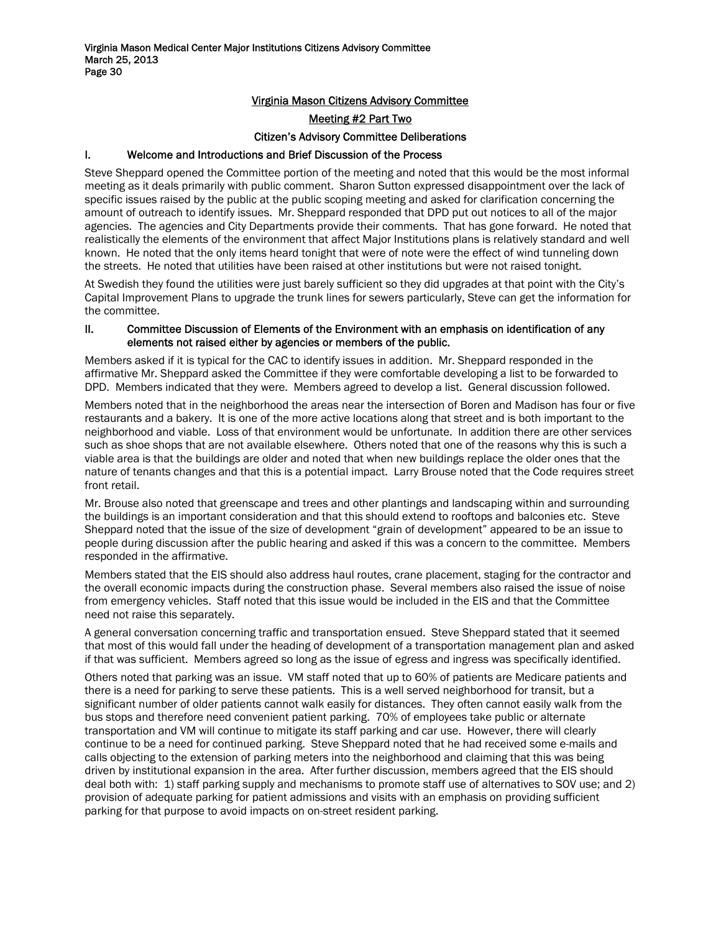# Virginia Mason Citizens Advisory Committee

#### Meeting #2 Part Two

#### Citizen's Advisory Committee Deliberations

## I. Welcome and Introductions and Brief Discussion of the Process

Steve Sheppard opened the Committee portion of the meeting and noted that this would be the most informal meeting as it deals primarily with public comment. Sharon Sutton expressed disappointment over the lack of specific issues raised by the public at the public scoping meeting and asked for clarification concerning the amount of outreach to identify issues. Mr. Sheppard responded that DPD put out notices to all of the major agencies. The agencies and City Departments provide their comments. That has gone forward. He noted that realistically the elements of the environment that affect Major Institutions plans is relatively standard and well known. He noted that the only items heard tonight that were of note were the effect of wind tunneling down the streets. He noted that utilities have been raised at other institutions but were not raised tonight.

At Swedish they found the utilities were just barely sufficient so they did upgrades at that point with the City's Capital Improvement Plans to upgrade the trunk lines for sewers particularly, Steve can get the information for the committee.

#### II. Committee Discussion of Elements of the Environment with an emphasis on identification of any elements not raised either by agencies or members of the public.

Members asked if it is typical for the CAC to identify issues in addition. Mr. Sheppard responded in the affirmative Mr. Sheppard asked the Committee if they were comfortable developing a list to be forwarded to DPD. Members indicated that they were. Members agreed to develop a list. General discussion followed.

Members noted that in the neighborhood the areas near the intersection of Boren and Madison has four or five restaurants and a bakery. It is one of the more active locations along that street and is both important to the neighborhood and viable. Loss of that environment would be unfortunate. In addition there are other services such as shoe shops that are not available elsewhere. Others noted that one of the reasons why this is such a viable area is that the buildings are older and noted that when new buildings replace the older ones that the nature of tenants changes and that this is a potential impact. Larry Brouse noted that the Code requires street front retail.

Mr. Brouse also noted that greenscape and trees and other plantings and landscaping within and surrounding the buildings is an important consideration and that this should extend to rooftops and balconies etc. Steve Sheppard noted that the issue of the size of development "grain of development" appeared to be an issue to people during discussion after the public hearing and asked if this was a concern to the committee. Members responded in the affirmative.

Members stated that the EIS should also address haul routes, crane placement, staging for the contractor and the overall economic impacts during the construction phase. Several members also raised the issue of noise from emergency vehicles. Staff noted that this issue would be included in the EIS and that the Committee need not raise this separately.

A general conversation concerning traffic and transportation ensued. Steve Sheppard stated that it seemed that most of this would fall under the heading of development of a transportation management plan and asked if that was sufficient. Members agreed so long as the issue of egress and ingress was specifically identified.

Others noted that parking was an issue. VM staff noted that up to 60% of patients are Medicare patients and there is a need for parking to serve these patients. This is a well served neighborhood for transit, but a significant number of older patients cannot walk easily for distances. They often cannot easily walk from the bus stops and therefore need convenient patient parking. 70% of employees take public or alternate transportation and VM will continue to mitigate its staff parking and car use. However, there will clearly continue to be a need for continued parking. Steve Sheppard noted that he had received some e-mails and calls objecting to the extension of parking meters into the neighborhood and claiming that this was being driven by institutional expansion in the area. After further discussion, members agreed that the EIS should deal both with: 1) staff parking supply and mechanisms to promote staff use of alternatives to SOV use; and 2) provision of adequate parking for patient admissions and visits with an emphasis on providing sufficient parking for that purpose to avoid impacts on on-street resident parking.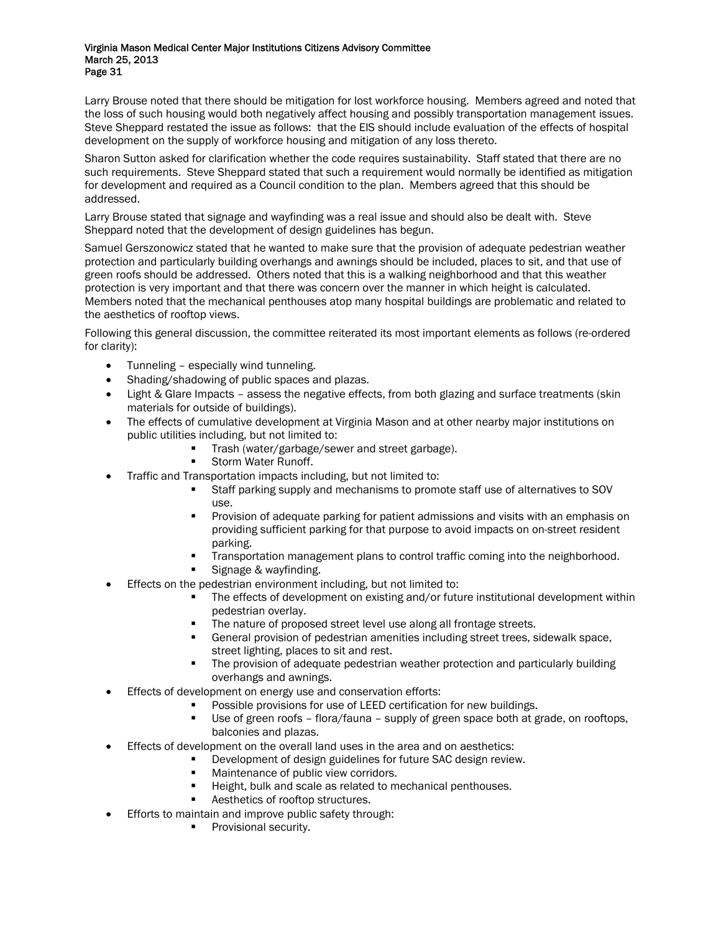Larry Brouse noted that there should be mitigation for lost workforce housing. Members agreed and noted that the loss of such housing would both negatively affect housing and possibly transportation management issues. Steve Sheppard restated the issue as follows: that the EIS should include evaluation of the effects of hospital development on the supply of workforce housing and mitigation of any loss thereto.

Sharon Sutton asked for clarification whether the code requires sustainability. Staff stated that there are no such requirements. Steve Sheppard stated that such a requirement would normally be identified as mitigation for development and required as a Council condition to the plan. Members agreed that this should be addressed.

Larry Brouse stated that signage and wayfinding was a real issue and should also be dealt with. Steve Sheppard noted that the development of design guidelines has begun.

Samuel Gerszonowicz stated that he wanted to make sure that the provision of adequate pedestrian weather protection and particularly building overhangs and awnings should be included, places to sit, and that use of green roofs should be addressed. Others noted that this is a walking neighborhood and that this weather protection is very important and that there was concern over the manner in which height is calculated. Members noted that the mechanical penthouses atop many hospital buildings are problematic and related to the aesthetics of rooftop views.

Following this general discussion, the committee reiterated its most important elements as follows (re-ordered for clarity):

- Tunneling especially wind tunneling.
- Shading/shadowing of public spaces and plazas.
- Light & Glare Impacts assess the negative effects, from both glazing and surface treatments (skin materials for outside of buildings).
- The effects of cumulative development at Virginia Mason and at other nearby major institutions on public utilities including, but not limited to:
	- **Trash (water/garbage/sewer and street garbage).**
	- Storm Water Runoff.
- Traffic and Transportation impacts including, but not limited to:
	- Staff parking supply and mechanisms to promote staff use of alternatives to SOV use.
	- Provision of adequate parking for patient admissions and visits with an emphasis on providing sufficient parking for that purpose to avoid impacts on on-street resident parking.
	- Transportation management plans to control traffic coming into the neighborhood.
	- Signage & wayfinding.
- Effects on the pedestrian environment including, but not limited to:
	- The effects of development on existing and/or future institutional development within pedestrian overlay.
	- The nature of proposed street level use along all frontage streets.
	- General provision of pedestrian amenities including street trees, sidewalk space, street lighting, places to sit and rest.
	- The provision of adequate pedestrian weather protection and particularly building overhangs and awnings.
- Effects of development on energy use and conservation efforts:
	- Possible provisions for use of LEED certification for new buildings.
	- Use of green roofs flora/fauna supply of green space both at grade, on rooftops, balconies and plazas.
- Effects of development on the overall land uses in the area and on aesthetics:
	- Development of design guidelines for future SAC design review.
	- **Maintenance of public view corridors.**
	- Height, bulk and scale as related to mechanical penthouses.
	- Aesthetics of rooftop structures.
- Efforts to maintain and improve public safety through:
	- **Provisional security.**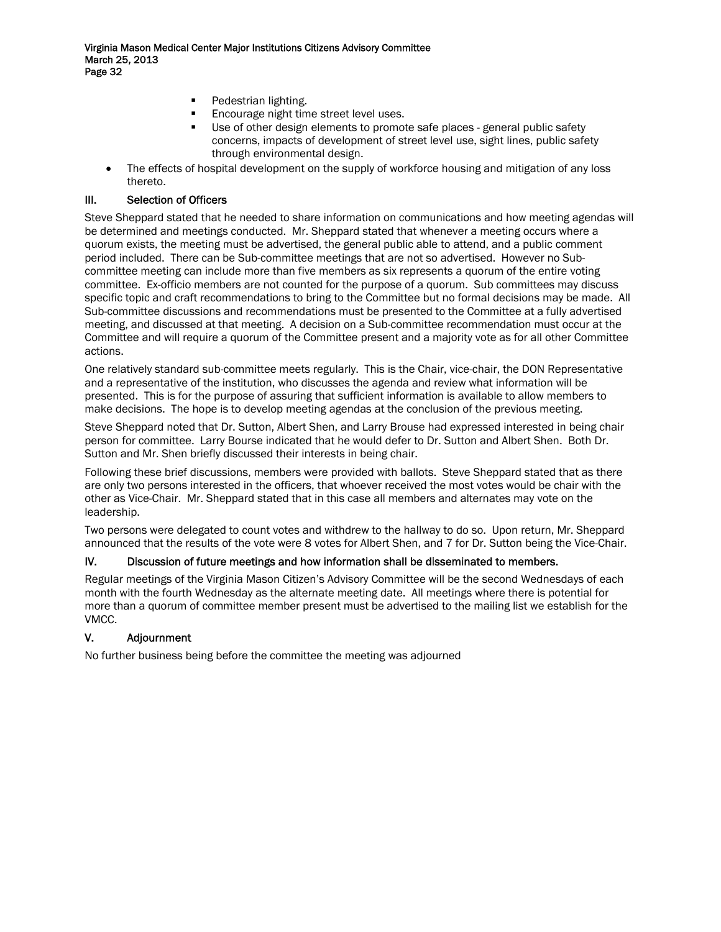- Pedestrian lighting.
- Encourage night time street level uses.
- Use of other design elements to promote safe places general public safety concerns, impacts of development of street level use, sight lines, public safety through environmental design.
- The effects of hospital development on the supply of workforce housing and mitigation of any loss thereto.

# III. Selection of Officers

Steve Sheppard stated that he needed to share information on communications and how meeting agendas will be determined and meetings conducted. Mr. Sheppard stated that whenever a meeting occurs where a quorum exists, the meeting must be advertised, the general public able to attend, and a public comment period included. There can be Sub-committee meetings that are not so advertised. However no Subcommittee meeting can include more than five members as six represents a quorum of the entire voting committee. Ex-officio members are not counted for the purpose of a quorum. Sub committees may discuss specific topic and craft recommendations to bring to the Committee but no formal decisions may be made. All Sub-committee discussions and recommendations must be presented to the Committee at a fully advertised meeting, and discussed at that meeting. A decision on a Sub-committee recommendation must occur at the Committee and will require a quorum of the Committee present and a majority vote as for all other Committee actions.

One relatively standard sub-committee meets regularly. This is the Chair, vice-chair, the DON Representative and a representative of the institution, who discusses the agenda and review what information will be presented. This is for the purpose of assuring that sufficient information is available to allow members to make decisions. The hope is to develop meeting agendas at the conclusion of the previous meeting.

Steve Sheppard noted that Dr. Sutton, Albert Shen, and Larry Brouse had expressed interested in being chair person for committee. Larry Bourse indicated that he would defer to Dr. Sutton and Albert Shen. Both Dr. Sutton and Mr. Shen briefly discussed their interests in being chair.

Following these brief discussions, members were provided with ballots. Steve Sheppard stated that as there are only two persons interested in the officers, that whoever received the most votes would be chair with the other as Vice-Chair. Mr. Sheppard stated that in this case all members and alternates may vote on the leadership.

Two persons were delegated to count votes and withdrew to the hallway to do so. Upon return, Mr. Sheppard announced that the results of the vote were 8 votes for Albert Shen, and 7 for Dr. Sutton being the Vice-Chair.

## IV. Discussion of future meetings and how information shall be disseminated to members.

Regular meetings of the Virginia Mason Citizen's Advisory Committee will be the second Wednesdays of each month with the fourth Wednesday as the alternate meeting date. All meetings where there is potential for more than a quorum of committee member present must be advertised to the mailing list we establish for the VMCC.

# V. Adjournment

No further business being before the committee the meeting was adjourned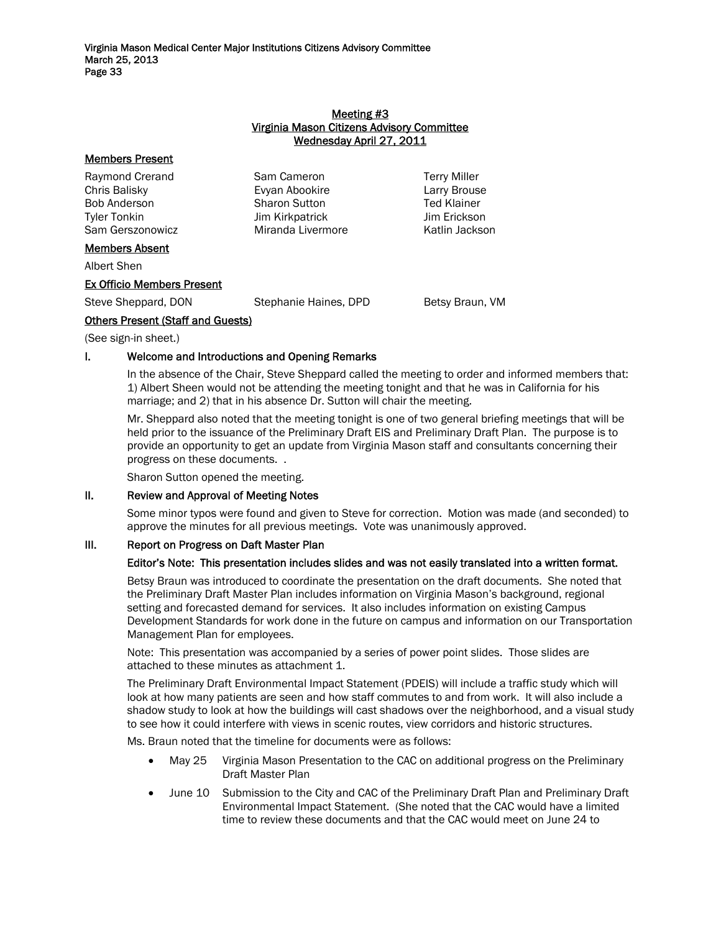#### Meeting #3 Virginia Mason Citizens Advisory Committee Wednesday April 27, 2011

| <b>Members Present</b>            |                       |                     |
|-----------------------------------|-----------------------|---------------------|
| Raymond Crerand                   | Sam Cameron           | <b>Terry Miller</b> |
| Chris Balisky                     | Evyan Abookire        | Larry Brouse        |
| <b>Bob Anderson</b>               | <b>Sharon Sutton</b>  | <b>Ted Klainer</b>  |
| Tyler Tonkin                      | Jim Kirkpatrick       | Jim Erickson        |
| Sam Gerszonowicz                  | Miranda Livermore     | Katlin Jackson      |
| <b>Members Absent</b>             |                       |                     |
| Albert Shen                       |                       |                     |
| <b>Ex Officio Members Present</b> |                       |                     |
| Steve Sheppard, DON               | Stephanie Haines, DPD | Betsy Braun, VM     |

## Others Present (Staff and Guests)

(See sign-in sheet.)

# I. Welcome and Introductions and Opening Remarks

In the absence of the Chair, Steve Sheppard called the meeting to order and informed members that: 1) Albert Sheen would not be attending the meeting tonight and that he was in California for his marriage; and 2) that in his absence Dr. Sutton will chair the meeting.

Mr. Sheppard also noted that the meeting tonight is one of two general briefing meetings that will be held prior to the issuance of the Preliminary Draft EIS and Preliminary Draft Plan. The purpose is to provide an opportunity to get an update from Virginia Mason staff and consultants concerning their progress on these documents. .

Sharon Sutton opened the meeting.

## II. Review and Approval of Meeting Notes

Some minor typos were found and given to Steve for correction. Motion was made (and seconded) to approve the minutes for all previous meetings. Vote was unanimously approved.

## III. Report on Progress on Daft Master Plan

## Editor's Note: This presentation includes slides and was not easily translated into a written format.

Betsy Braun was introduced to coordinate the presentation on the draft documents. She noted that the Preliminary Draft Master Plan includes information on Virginia Mason's background, regional setting and forecasted demand for services. It also includes information on existing Campus Development Standards for work done in the future on campus and information on our Transportation Management Plan for employees.

Note: This presentation was accompanied by a series of power point slides. Those slides are attached to these minutes as attachment 1.

The Preliminary Draft Environmental Impact Statement (PDEIS) will include a traffic study which will look at how many patients are seen and how staff commutes to and from work. It will also include a shadow study to look at how the buildings will cast shadows over the neighborhood, and a visual study to see how it could interfere with views in scenic routes, view corridors and historic structures.

Ms. Braun noted that the timeline for documents were as follows:

- May 25 Virginia Mason Presentation to the CAC on additional progress on the Preliminary Draft Master Plan
- June 10 Submission to the City and CAC of the Preliminary Draft Plan and Preliminary Draft Environmental Impact Statement. (She noted that the CAC would have a limited time to review these documents and that the CAC would meet on June 24 to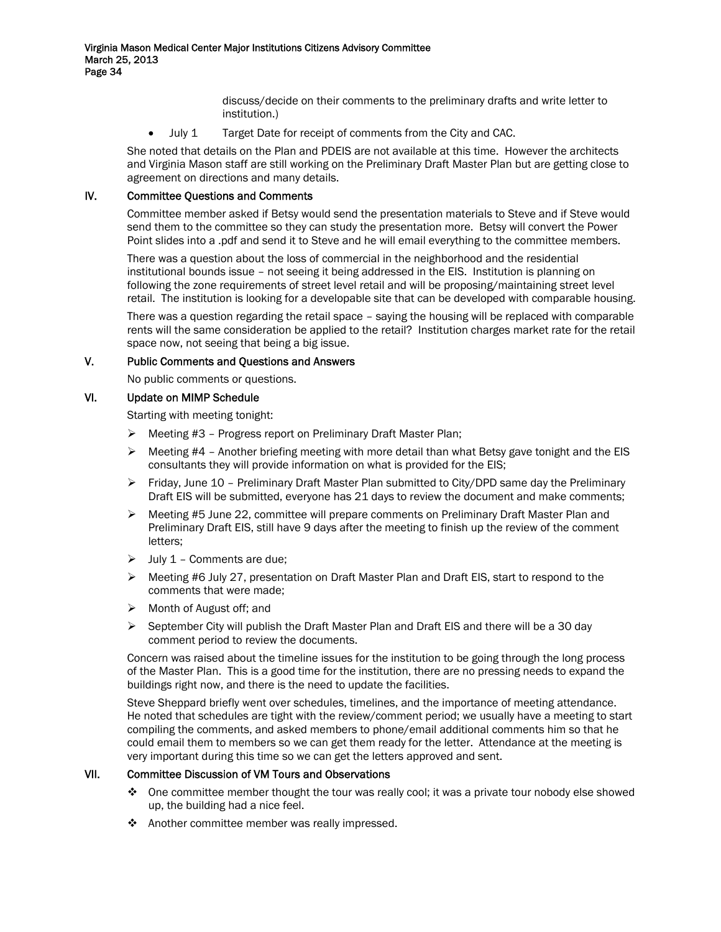discuss/decide on their comments to the preliminary drafts and write letter to institution.)

• July 1 Target Date for receipt of comments from the City and CAC.

She noted that details on the Plan and PDEIS are not available at this time. However the architects and Virginia Mason staff are still working on the Preliminary Draft Master Plan but are getting close to agreement on directions and many details.

## IV. Committee Questions and Comments

Committee member asked if Betsy would send the presentation materials to Steve and if Steve would send them to the committee so they can study the presentation more. Betsy will convert the Power Point slides into a .pdf and send it to Steve and he will email everything to the committee members.

There was a question about the loss of commercial in the neighborhood and the residential institutional bounds issue – not seeing it being addressed in the EIS. Institution is planning on following the zone requirements of street level retail and will be proposing/maintaining street level retail. The institution is looking for a developable site that can be developed with comparable housing.

There was a question regarding the retail space – saying the housing will be replaced with comparable rents will the same consideration be applied to the retail? Institution charges market rate for the retail space now, not seeing that being a big issue.

#### V. Public Comments and Questions and Answers

No public comments or questions.

#### VI. Update on MIMP Schedule

Starting with meeting tonight:

- ¾ Meeting #3 Progress report on Preliminary Draft Master Plan;
- $\triangleright$  Meeting #4 Another briefing meeting with more detail than what Betsy gave tonight and the EIS consultants they will provide information on what is provided for the EIS;
- $\triangleright$  Friday, June 10 Preliminary Draft Master Plan submitted to City/DPD same day the Preliminary Draft EIS will be submitted, everyone has 21 days to review the document and make comments;
- ¾ Meeting #5 June 22, committee will prepare comments on Preliminary Draft Master Plan and Preliminary Draft EIS, still have 9 days after the meeting to finish up the review of the comment letters;
- $\triangleright$  July 1 Comments are due:
- ¾ Meeting #6 July 27, presentation on Draft Master Plan and Draft EIS, start to respond to the comments that were made;
- $\triangleright$  Month of August off; and
- $\triangleright$  September City will publish the Draft Master Plan and Draft EIS and there will be a 30 day comment period to review the documents.

Concern was raised about the timeline issues for the institution to be going through the long process of the Master Plan. This is a good time for the institution, there are no pressing needs to expand the buildings right now, and there is the need to update the facilities.

Steve Sheppard briefly went over schedules, timelines, and the importance of meeting attendance. He noted that schedules are tight with the review/comment period; we usually have a meeting to start compiling the comments, and asked members to phone/email additional comments him so that he could email them to members so we can get them ready for the letter. Attendance at the meeting is very important during this time so we can get the letters approved and sent.

## VII. Committee Discussion of VM Tours and Observations

- $\clubsuit$  One committee member thought the tour was really cool; it was a private tour nobody else showed up, the building had a nice feel.
- ❖ Another committee member was really impressed.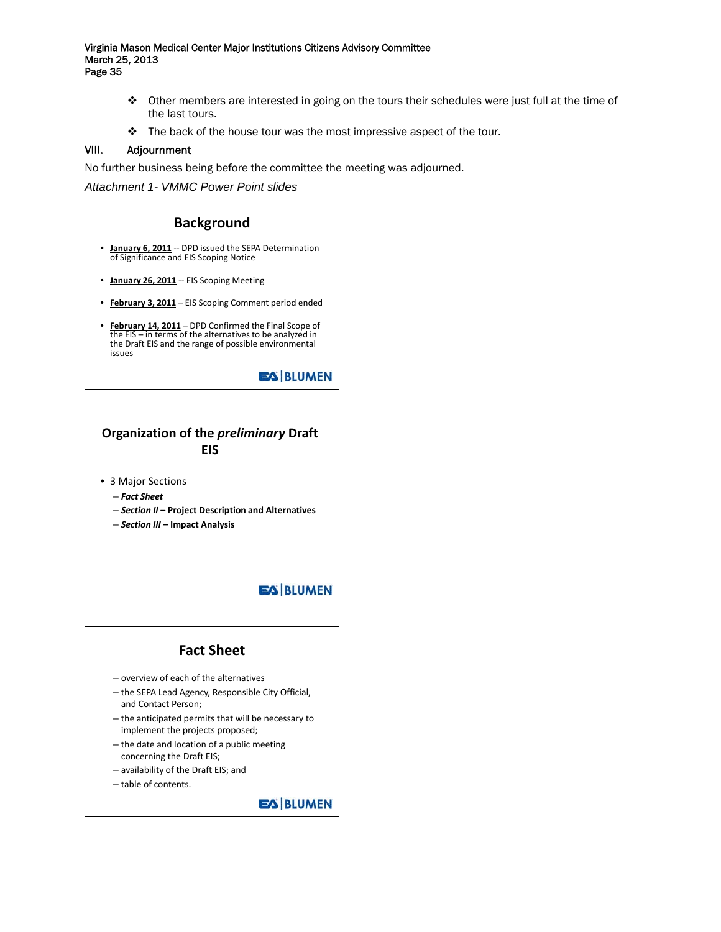- $\triangle$  Other members are interested in going on the tours their schedules were just full at the time of the last tours.
- $\cdot \cdot$  The back of the house tour was the most impressive aspect of the tour.

#### VIII. Adjournment

No further business being before the committee the meeting was adjourned.

*Attachment 1- VMMC Power Point slides* 



# **Organization of the** *preliminary* **Draft EIS**

- 3 Major Sections
	- *Fact Sheet*
	- *Section II*  **Project Description and Alternatives**
	- *Section III*  **Impact Analysis**

# **EA BLUMEN**

# **Fact Sheet**

- overview of each of the alternatives
- the SEPA Lead Agency, Responsible City Official, and Contact Person;
- the anticipated permits that will be necessary to implement the projects proposed;
- the date and location of a public meeting concerning the Draft EIS;
- availability of the Draft EIS; and
- table of contents.

**EX BLUMEN**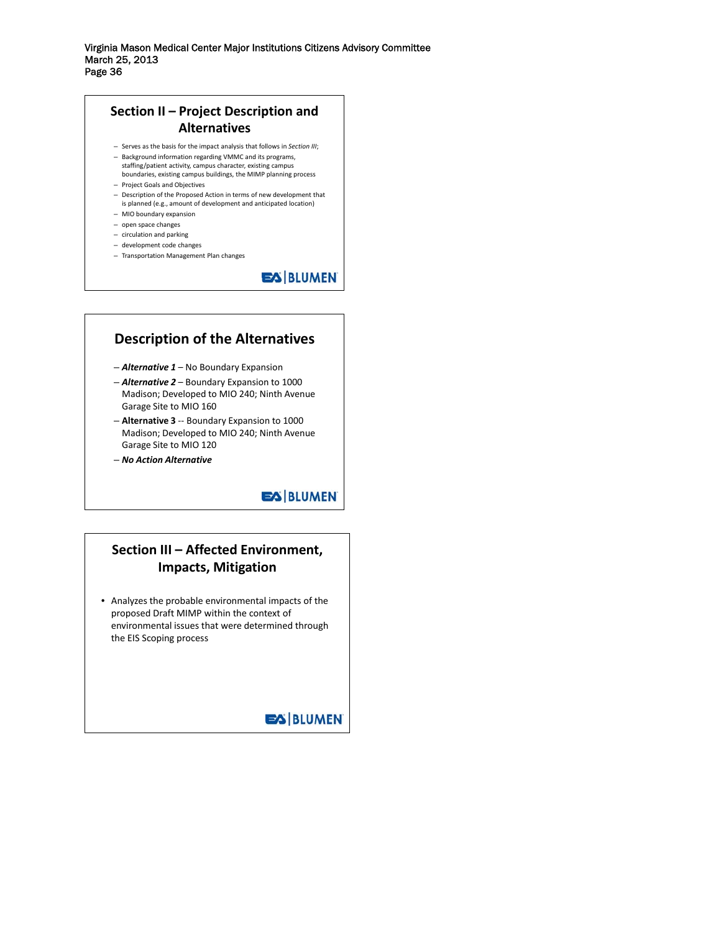# **Section II – Project Description and Alternatives**

- Serves as the basis for the impact analysis that follows in *Section III*;
- Background information regarding VMMC and its programs, staffing/patient activity, campus character, existing campus boundaries, existing campus buildings, the MIMP planning process
- Project Goals and Objectives
- Description of the Proposed Action in terms of new development that is planned (e.g., amount of development and anticipated location)
- MIO boundary expansion
- open space changes
- circulation and parking
- development code changes
- Transportation Management Plan changes

**EA BLUMEN** 

# **Description of the Alternatives**

- *Alternative 1* No Boundary Expansion
- *Alternative 2* Boundary Expansion to 1000 Madison; Developed to MIO 240; Ninth Avenue Garage Site to MIO 160
- **Alternative 3** ‐‐ Boundary Expansion to 1000 Madison; Developed to MIO 240; Ninth Avenue Garage Site to MIO 120
- *No Action Alternative*

# **EA BLUMEN**

# **Section III – Affected Environment, Impacts, Mitigation**

• Analyzes the probable environmental impacts of the proposed Draft MIMP within the context of environmental issues that were determined through the EIS Scoping process

**EX BLUMEN**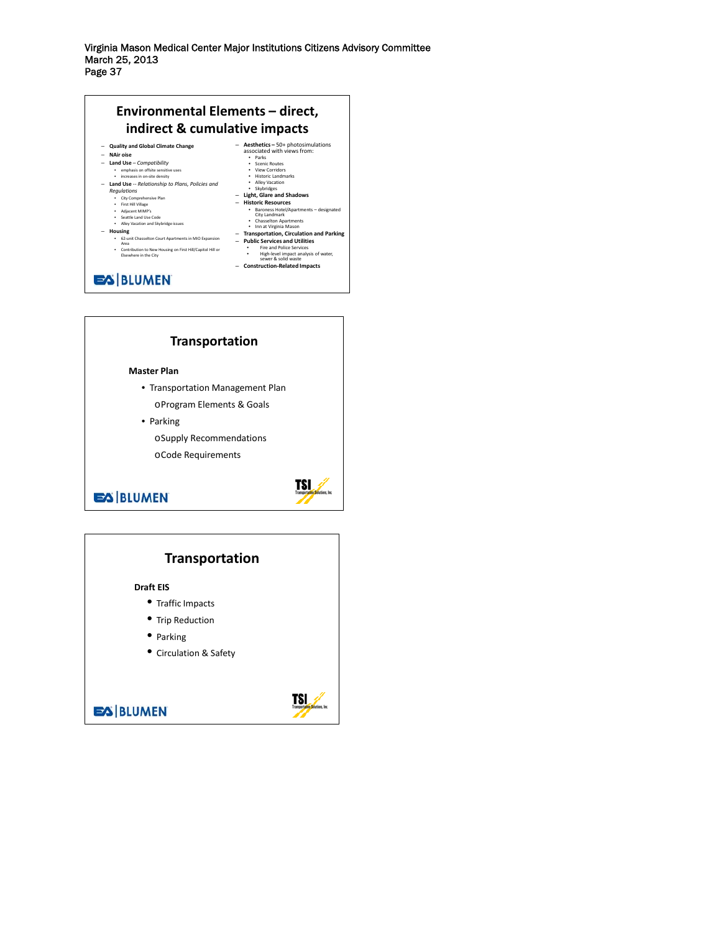



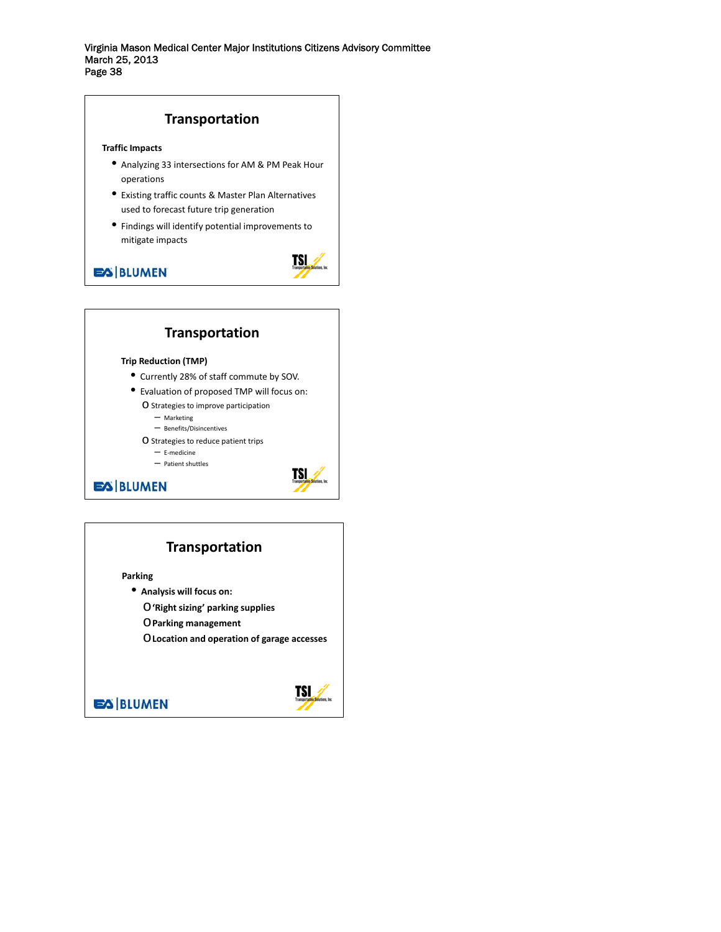

# **Transportation**

**Parking**

- **Analysis will focus on:**
	- o**'Right sizing' parking supplies**
	- o**Parking management**

o**Location and operation of garage accesses**

**EX BLUMEN** 

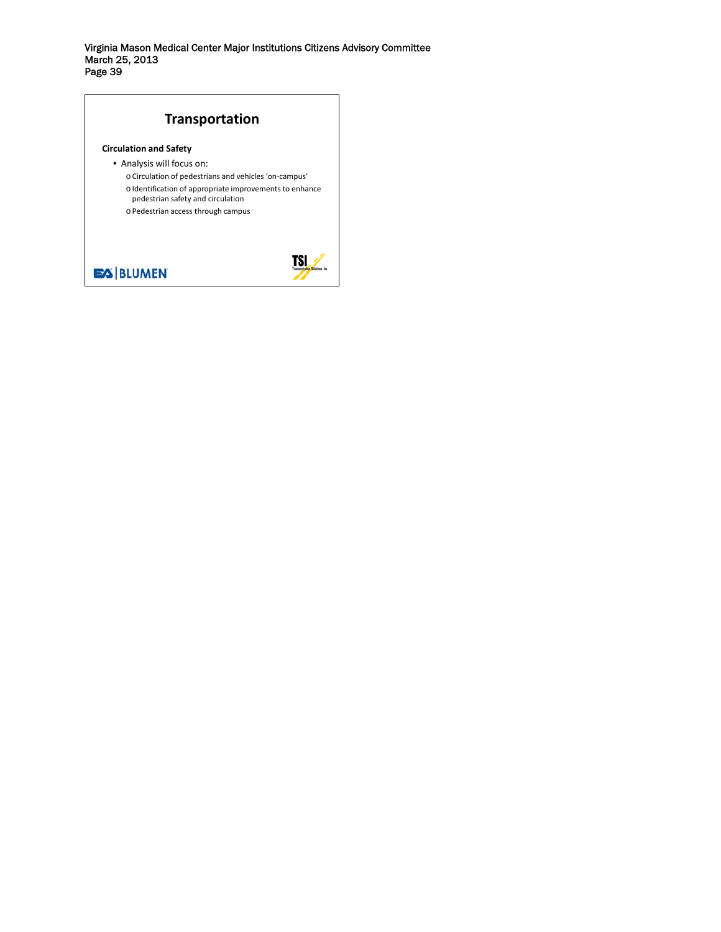# **Transportation**

#### **Circulation and Safety**

- Analysis will focus on:
	- o Circulation of pedestrians and vehicles 'on‐campus'
	- o Identification of appropriate improvements to enhance pedestrian safety and circulation
	- o Pedestrian access through campus



# **ES BLUMEN**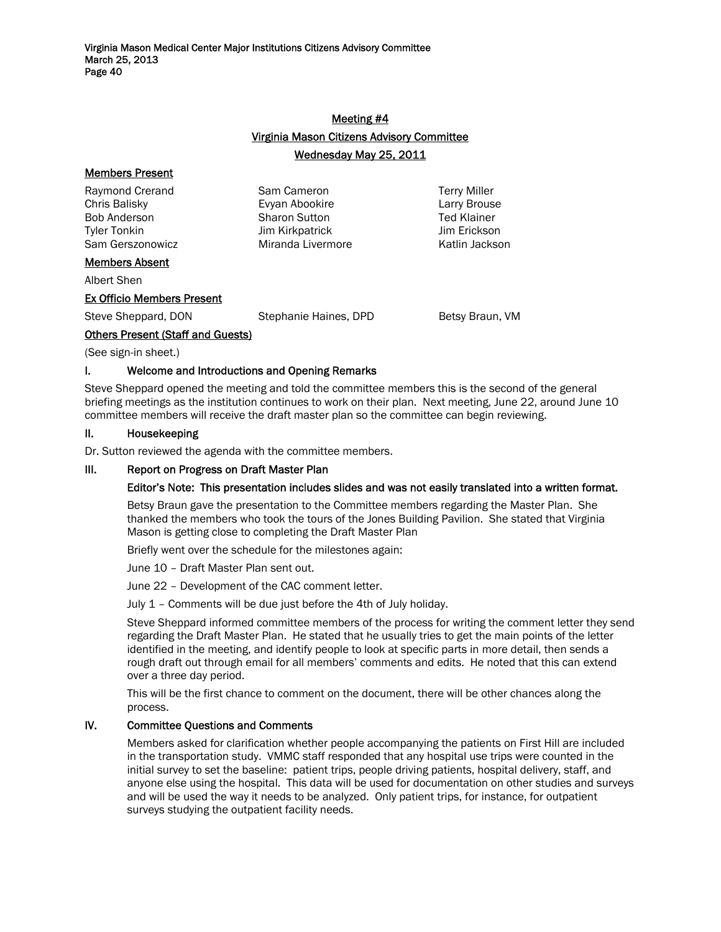# Meeting #4 Virginia Mason Citizens Advisory Committee Wednesday May 25, 2011

| <b>Members Present</b>            |                       |                     |
|-----------------------------------|-----------------------|---------------------|
| Raymond Crerand                   | Sam Cameron           | <b>Terry Miller</b> |
| Chris Balisky                     | Evyan Abookire        | Larry Brouse        |
| <b>Bob Anderson</b>               | <b>Sharon Sutton</b>  | <b>Ted Klainer</b>  |
| <b>Tyler Tonkin</b>               | Jim Kirkpatrick       | Jim Erickson        |
| Sam Gerszonowicz                  | Miranda Livermore     | Katlin Jackson      |
| <b>Members Absent</b>             |                       |                     |
| Albert Shen                       |                       |                     |
| <b>Ex Officio Members Present</b> |                       |                     |
| Steve Sheppard, DON               | Stephanie Haines, DPD | Betsy Braun, VM     |

## Others Present (Staff and Guests)

(See sign-in sheet.)

## I. Welcome and Introductions and Opening Remarks

Steve Sheppard opened the meeting and told the committee members this is the second of the general briefing meetings as the institution continues to work on their plan. Next meeting, June 22, around June 10 committee members will receive the draft master plan so the committee can begin reviewing.

## II. Housekeeping

Dr. Sutton reviewed the agenda with the committee members.

#### III. Report on Progress on Draft Master Plan

#### Editor's Note: This presentation includes slides and was not easily translated into a written format.

Betsy Braun gave the presentation to the Committee members regarding the Master Plan. She thanked the members who took the tours of the Jones Building Pavilion. She stated that Virginia Mason is getting close to completing the Draft Master Plan

Briefly went over the schedule for the milestones again:

June 10 – Draft Master Plan sent out.

June 22 – Development of the CAC comment letter.

July 1 – Comments will be due just before the 4th of July holiday.

Steve Sheppard informed committee members of the process for writing the comment letter they send regarding the Draft Master Plan. He stated that he usually tries to get the main points of the letter identified in the meeting, and identify people to look at specific parts in more detail, then sends a rough draft out through email for all members' comments and edits. He noted that this can extend over a three day period.

This will be the first chance to comment on the document, there will be other chances along the process.

#### IV. Committee Questions and Comments

Members asked for clarification whether people accompanying the patients on First Hill are included in the transportation study. VMMC staff responded that any hospital use trips were counted in the initial survey to set the baseline: patient trips, people driving patients, hospital delivery, staff, and anyone else using the hospital. This data will be used for documentation on other studies and surveys and will be used the way it needs to be analyzed. Only patient trips, for instance, for outpatient surveys studying the outpatient facility needs.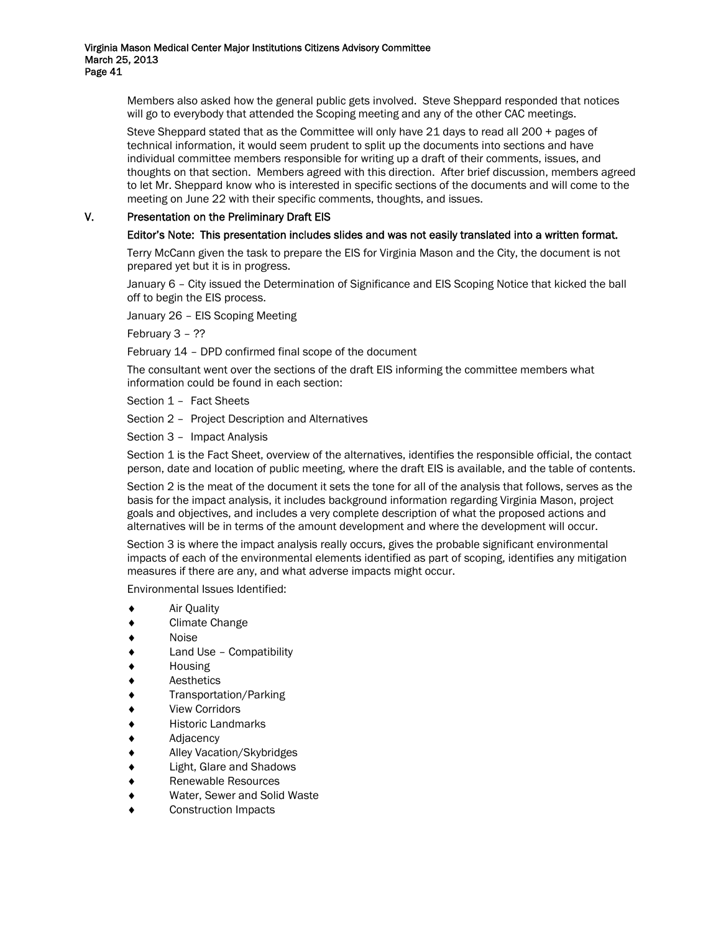Members also asked how the general public gets involved. Steve Sheppard responded that notices will go to everybody that attended the Scoping meeting and any of the other CAC meetings.

Steve Sheppard stated that as the Committee will only have 21 days to read all 200 + pages of technical information, it would seem prudent to split up the documents into sections and have individual committee members responsible for writing up a draft of their comments, issues, and thoughts on that section. Members agreed with this direction. After brief discussion, members agreed to let Mr. Sheppard know who is interested in specific sections of the documents and will come to the meeting on June 22 with their specific comments, thoughts, and issues.

# V. Presentation on the Preliminary Draft EIS

#### Editor's Note: This presentation includes slides and was not easily translated into a written format.

Terry McCann given the task to prepare the EIS for Virginia Mason and the City, the document is not prepared yet but it is in progress.

January 6 – City issued the Determination of Significance and EIS Scoping Notice that kicked the ball off to begin the EIS process.

January 26 – EIS Scoping Meeting

February 3 – ??

February 14 – DPD confirmed final scope of the document

The consultant went over the sections of the draft EIS informing the committee members what information could be found in each section:

Section 1 – Fact Sheets

Section 2 – Project Description and Alternatives

Section 3 – Impact Analysis

Section 1 is the Fact Sheet, overview of the alternatives, identifies the responsible official, the contact person, date and location of public meeting, where the draft EIS is available, and the table of contents.

Section 2 is the meat of the document it sets the tone for all of the analysis that follows, serves as the basis for the impact analysis, it includes background information regarding Virginia Mason, project goals and objectives, and includes a very complete description of what the proposed actions and alternatives will be in terms of the amount development and where the development will occur.

Section 3 is where the impact analysis really occurs, gives the probable significant environmental impacts of each of the environmental elements identified as part of scoping, identifies any mitigation measures if there are any, and what adverse impacts might occur.

Environmental Issues Identified:

- ♦ Air Quality
- ♦ Climate Change
- ♦ Noise
- Land Use Compatibility
- **Housing**
- ♦ Aesthetics
- Transportation/Parking
- **View Corridors**
- **Historic Landmarks**
- Adjacency
- Alley Vacation/Skybridges
- ♦ Light, Glare and Shadows
- ♦ Renewable Resources
- Water, Sewer and Solid Waste
- Construction Impacts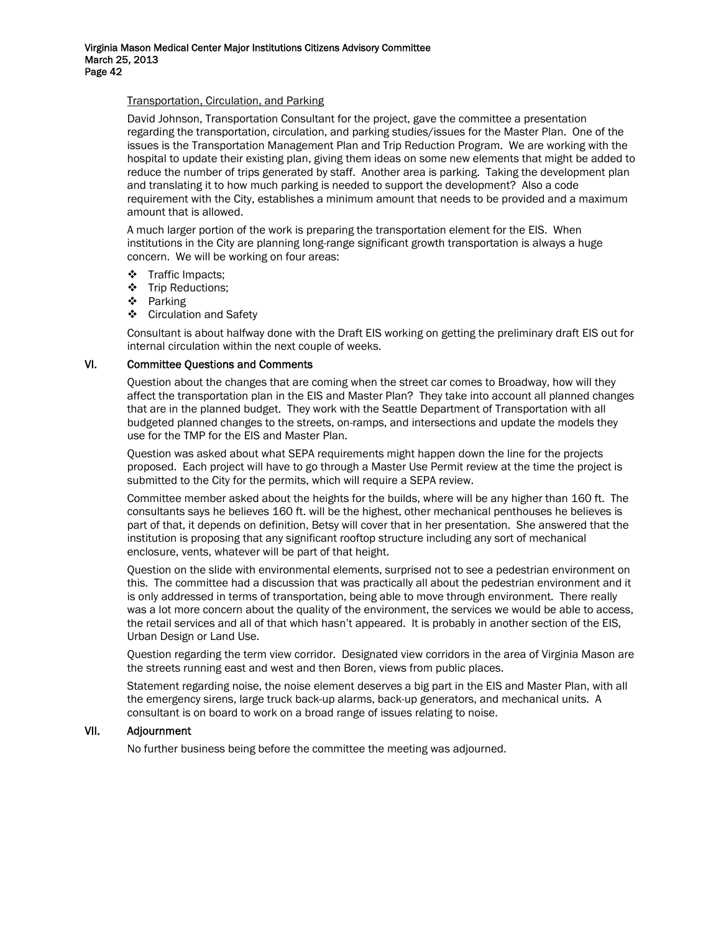#### Transportation, Circulation, and Parking

David Johnson, Transportation Consultant for the project, gave the committee a presentation regarding the transportation, circulation, and parking studies/issues for the Master Plan. One of the issues is the Transportation Management Plan and Trip Reduction Program. We are working with the hospital to update their existing plan, giving them ideas on some new elements that might be added to reduce the number of trips generated by staff. Another area is parking. Taking the development plan and translating it to how much parking is needed to support the development? Also a code requirement with the City, establishes a minimum amount that needs to be provided and a maximum amount that is allowed.

A much larger portion of the work is preparing the transportation element for the EIS. When institutions in the City are planning long-range significant growth transportation is always a huge concern. We will be working on four areas:

- ❖ Traffic Impacts;
- Trip Reductions;
- ❖ Parking
- Circulation and Safety

Consultant is about halfway done with the Draft EIS working on getting the preliminary draft EIS out for internal circulation within the next couple of weeks.

#### VI. Committee Questions and Comments

Question about the changes that are coming when the street car comes to Broadway, how will they affect the transportation plan in the EIS and Master Plan? They take into account all planned changes that are in the planned budget. They work with the Seattle Department of Transportation with all budgeted planned changes to the streets, on-ramps, and intersections and update the models they use for the TMP for the EIS and Master Plan.

Question was asked about what SEPA requirements might happen down the line for the projects proposed. Each project will have to go through a Master Use Permit review at the time the project is submitted to the City for the permits, which will require a SEPA review.

Committee member asked about the heights for the builds, where will be any higher than 160 ft. The consultants says he believes 160 ft. will be the highest, other mechanical penthouses he believes is part of that, it depends on definition, Betsy will cover that in her presentation. She answered that the institution is proposing that any significant rooftop structure including any sort of mechanical enclosure, vents, whatever will be part of that height.

Question on the slide with environmental elements, surprised not to see a pedestrian environment on this. The committee had a discussion that was practically all about the pedestrian environment and it is only addressed in terms of transportation, being able to move through environment. There really was a lot more concern about the quality of the environment, the services we would be able to access, the retail services and all of that which hasn't appeared. It is probably in another section of the EIS, Urban Design or Land Use.

Question regarding the term view corridor. Designated view corridors in the area of Virginia Mason are the streets running east and west and then Boren, views from public places.

Statement regarding noise, the noise element deserves a big part in the EIS and Master Plan, with all the emergency sirens, large truck back-up alarms, back-up generators, and mechanical units. A consultant is on board to work on a broad range of issues relating to noise.

#### VII. Adjournment

No further business being before the committee the meeting was adjourned.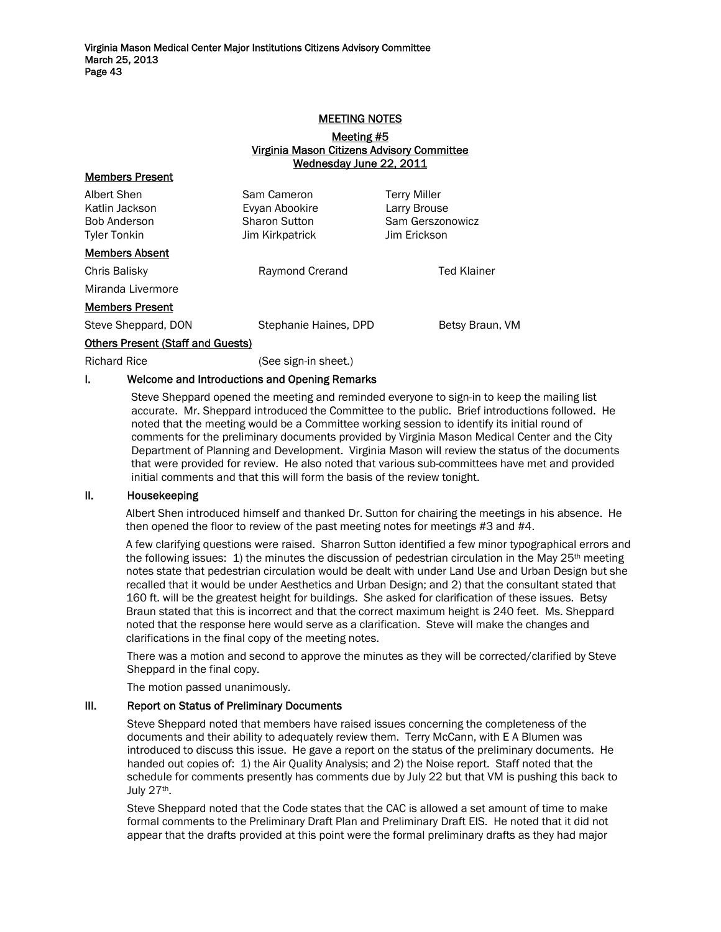#### MEETING NOTES

#### Meeting #5 Virginia Mason Citizens Advisory Committee Wednesday June 22, 2011

| Sam Cameron<br>Evyan Abookire<br><b>Sharon Sutton</b><br>Jim Kirkpatrick | <b>Terry Miller</b><br>Larry Brouse<br>Sam Gerszonowicz<br>Jim Erickson |
|--------------------------------------------------------------------------|-------------------------------------------------------------------------|
|                                                                          |                                                                         |
| Raymond Crerand                                                          | <b>Ted Klainer</b>                                                      |
|                                                                          |                                                                         |
|                                                                          |                                                                         |
| Stephanie Haines, DPD                                                    | Betsy Braun, VM                                                         |
| <b>Others Present (Staff and Guests)</b>                                 |                                                                         |
|                                                                          |                                                                         |

Members Present

Richard Rice (See sign-in sheet.)

#### I. Welcome and Introductions and Opening Remarks

Steve Sheppard opened the meeting and reminded everyone to sign-in to keep the mailing list accurate. Mr. Sheppard introduced the Committee to the public. Brief introductions followed. He noted that the meeting would be a Committee working session to identify its initial round of comments for the preliminary documents provided by Virginia Mason Medical Center and the City Department of Planning and Development. Virginia Mason will review the status of the documents that were provided for review. He also noted that various sub-committees have met and provided initial comments and that this will form the basis of the review tonight.

#### II. Housekeeping

Albert Shen introduced himself and thanked Dr. Sutton for chairing the meetings in his absence. He then opened the floor to review of the past meeting notes for meetings #3 and #4.

A few clarifying questions were raised. Sharron Sutton identified a few minor typographical errors and the following issues: 1) the minutes the discussion of pedestrian circulation in the May 25<sup>th</sup> meeting notes state that pedestrian circulation would be dealt with under Land Use and Urban Design but she recalled that it would be under Aesthetics and Urban Design; and 2) that the consultant stated that 160 ft. will be the greatest height for buildings. She asked for clarification of these issues. Betsy Braun stated that this is incorrect and that the correct maximum height is 240 feet. Ms. Sheppard noted that the response here would serve as a clarification. Steve will make the changes and clarifications in the final copy of the meeting notes.

There was a motion and second to approve the minutes as they will be corrected/clarified by Steve Sheppard in the final copy.

The motion passed unanimously.

#### III. Report on Status of Preliminary Documents

Steve Sheppard noted that members have raised issues concerning the completeness of the documents and their ability to adequately review them. Terry McCann, with E A Blumen was introduced to discuss this issue. He gave a report on the status of the preliminary documents. He handed out copies of: 1) the Air Quality Analysis; and 2) the Noise report. Staff noted that the schedule for comments presently has comments due by July 22 but that VM is pushing this back to July 27<sup>th</sup>.

Steve Sheppard noted that the Code states that the CAC is allowed a set amount of time to make formal comments to the Preliminary Draft Plan and Preliminary Draft EIS. He noted that it did not appear that the drafts provided at this point were the formal preliminary drafts as they had major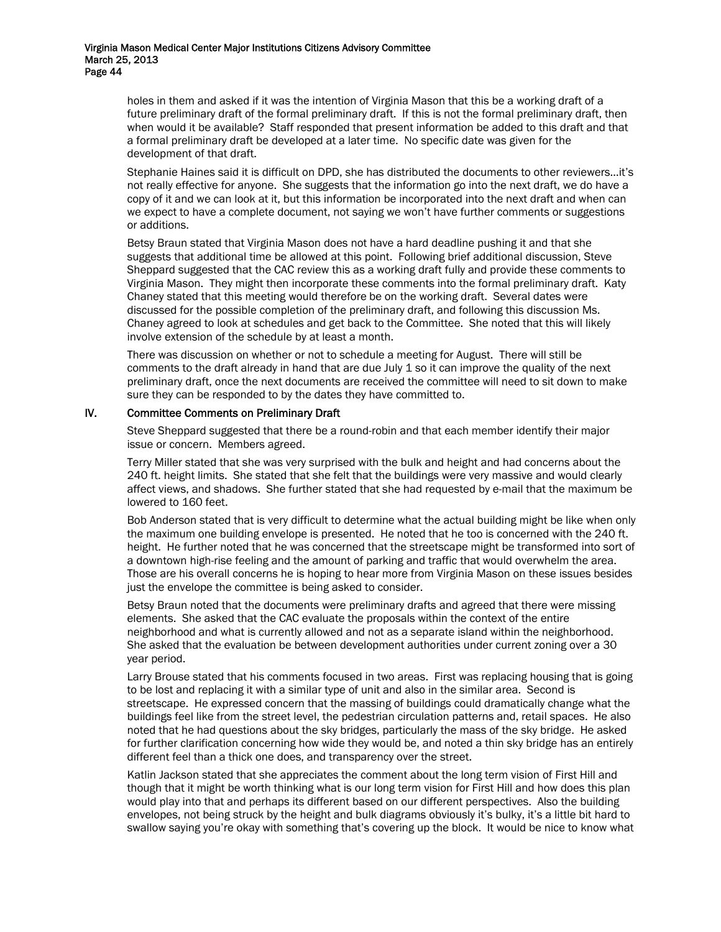holes in them and asked if it was the intention of Virginia Mason that this be a working draft of a future preliminary draft of the formal preliminary draft. If this is not the formal preliminary draft, then when would it be available? Staff responded that present information be added to this draft and that a formal preliminary draft be developed at a later time. No specific date was given for the development of that draft.

Stephanie Haines said it is difficult on DPD, she has distributed the documents to other reviewers…it's not really effective for anyone. She suggests that the information go into the next draft, we do have a copy of it and we can look at it, but this information be incorporated into the next draft and when can we expect to have a complete document, not saying we won't have further comments or suggestions or additions.

Betsy Braun stated that Virginia Mason does not have a hard deadline pushing it and that she suggests that additional time be allowed at this point. Following brief additional discussion, Steve Sheppard suggested that the CAC review this as a working draft fully and provide these comments to Virginia Mason. They might then incorporate these comments into the formal preliminary draft. Katy Chaney stated that this meeting would therefore be on the working draft. Several dates were discussed for the possible completion of the preliminary draft, and following this discussion Ms. Chaney agreed to look at schedules and get back to the Committee. She noted that this will likely involve extension of the schedule by at least a month.

There was discussion on whether or not to schedule a meeting for August. There will still be comments to the draft already in hand that are due July 1 so it can improve the quality of the next preliminary draft, once the next documents are received the committee will need to sit down to make sure they can be responded to by the dates they have committed to.

#### IV. Committee Comments on Preliminary Draft

Steve Sheppard suggested that there be a round-robin and that each member identify their major issue or concern. Members agreed.

Terry Miller stated that she was very surprised with the bulk and height and had concerns about the 240 ft. height limits. She stated that she felt that the buildings were very massive and would clearly affect views, and shadows. She further stated that she had requested by e-mail that the maximum be lowered to 160 feet.

Bob Anderson stated that is very difficult to determine what the actual building might be like when only the maximum one building envelope is presented. He noted that he too is concerned with the 240 ft. height. He further noted that he was concerned that the streetscape might be transformed into sort of a downtown high-rise feeling and the amount of parking and traffic that would overwhelm the area. Those are his overall concerns he is hoping to hear more from Virginia Mason on these issues besides just the envelope the committee is being asked to consider.

Betsy Braun noted that the documents were preliminary drafts and agreed that there were missing elements. She asked that the CAC evaluate the proposals within the context of the entire neighborhood and what is currently allowed and not as a separate island within the neighborhood. She asked that the evaluation be between development authorities under current zoning over a 30 year period.

Larry Brouse stated that his comments focused in two areas. First was replacing housing that is going to be lost and replacing it with a similar type of unit and also in the similar area. Second is streetscape. He expressed concern that the massing of buildings could dramatically change what the buildings feel like from the street level, the pedestrian circulation patterns and, retail spaces. He also noted that he had questions about the sky bridges, particularly the mass of the sky bridge. He asked for further clarification concerning how wide they would be, and noted a thin sky bridge has an entirely different feel than a thick one does, and transparency over the street.

Katlin Jackson stated that she appreciates the comment about the long term vision of First Hill and though that it might be worth thinking what is our long term vision for First Hill and how does this plan would play into that and perhaps its different based on our different perspectives. Also the building envelopes, not being struck by the height and bulk diagrams obviously it's bulky, it's a little bit hard to swallow saying you're okay with something that's covering up the block. It would be nice to know what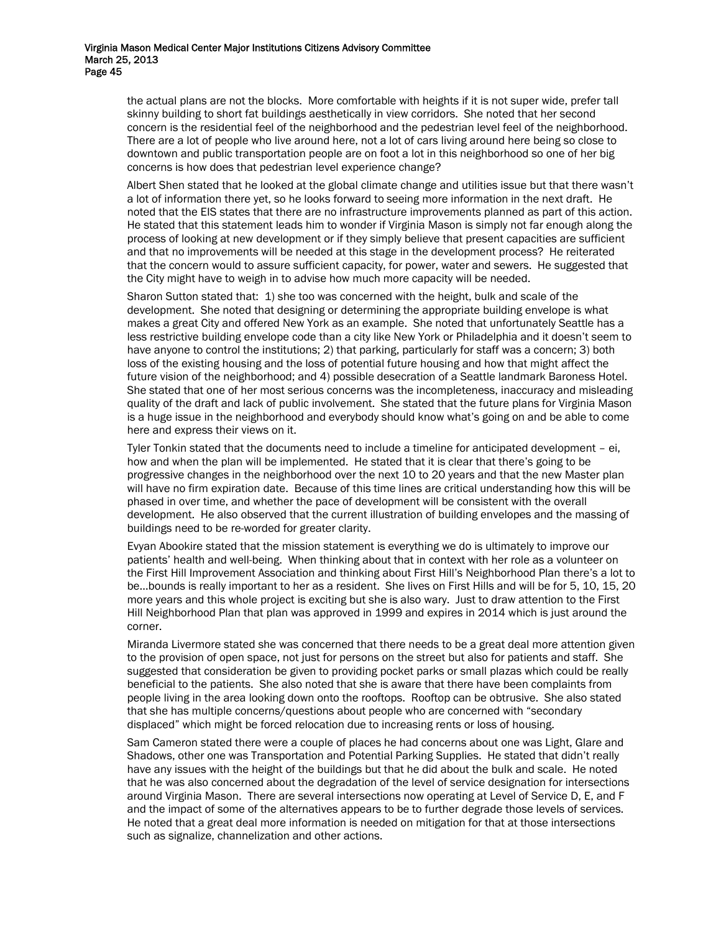the actual plans are not the blocks. More comfortable with heights if it is not super wide, prefer tall skinny building to short fat buildings aesthetically in view corridors. She noted that her second concern is the residential feel of the neighborhood and the pedestrian level feel of the neighborhood. There are a lot of people who live around here, not a lot of cars living around here being so close to downtown and public transportation people are on foot a lot in this neighborhood so one of her big concerns is how does that pedestrian level experience change?

Albert Shen stated that he looked at the global climate change and utilities issue but that there wasn't a lot of information there yet, so he looks forward to seeing more information in the next draft. He noted that the EIS states that there are no infrastructure improvements planned as part of this action. He stated that this statement leads him to wonder if Virginia Mason is simply not far enough along the process of looking at new development or if they simply believe that present capacities are sufficient and that no improvements will be needed at this stage in the development process? He reiterated that the concern would to assure sufficient capacity, for power, water and sewers. He suggested that the City might have to weigh in to advise how much more capacity will be needed.

Sharon Sutton stated that: 1) she too was concerned with the height, bulk and scale of the development. She noted that designing or determining the appropriate building envelope is what makes a great City and offered New York as an example. She noted that unfortunately Seattle has a less restrictive building envelope code than a city like New York or Philadelphia and it doesn't seem to have anyone to control the institutions; 2) that parking, particularly for staff was a concern; 3) both loss of the existing housing and the loss of potential future housing and how that might affect the future vision of the neighborhood; and 4) possible desecration of a Seattle landmark Baroness Hotel. She stated that one of her most serious concerns was the incompleteness, inaccuracy and misleading quality of the draft and lack of public involvement. She stated that the future plans for Virginia Mason is a huge issue in the neighborhood and everybody should know what's going on and be able to come here and express their views on it.

Tyler Tonkin stated that the documents need to include a timeline for anticipated development – ei, how and when the plan will be implemented. He stated that it is clear that there's going to be progressive changes in the neighborhood over the next 10 to 20 years and that the new Master plan will have no firm expiration date. Because of this time lines are critical understanding how this will be phased in over time, and whether the pace of development will be consistent with the overall development. He also observed that the current illustration of building envelopes and the massing of buildings need to be re-worded for greater clarity.

Evyan Abookire stated that the mission statement is everything we do is ultimately to improve our patients' health and well-being. When thinking about that in context with her role as a volunteer on the First Hill Improvement Association and thinking about First Hill's Neighborhood Plan there's a lot to be…bounds is really important to her as a resident. She lives on First Hills and will be for 5, 10, 15, 20 more years and this whole project is exciting but she is also wary. Just to draw attention to the First Hill Neighborhood Plan that plan was approved in 1999 and expires in 2014 which is just around the corner.

Miranda Livermore stated she was concerned that there needs to be a great deal more attention given to the provision of open space, not just for persons on the street but also for patients and staff. She suggested that consideration be given to providing pocket parks or small plazas which could be really beneficial to the patients. She also noted that she is aware that there have been complaints from people living in the area looking down onto the rooftops. Rooftop can be obtrusive. She also stated that she has multiple concerns/questions about people who are concerned with "secondary displaced" which might be forced relocation due to increasing rents or loss of housing.

Sam Cameron stated there were a couple of places he had concerns about one was Light, Glare and Shadows, other one was Transportation and Potential Parking Supplies. He stated that didn't really have any issues with the height of the buildings but that he did about the bulk and scale. He noted that he was also concerned about the degradation of the level of service designation for intersections around Virginia Mason. There are several intersections now operating at Level of Service D, E, and F and the impact of some of the alternatives appears to be to further degrade those levels of services. He noted that a great deal more information is needed on mitigation for that at those intersections such as signalize, channelization and other actions.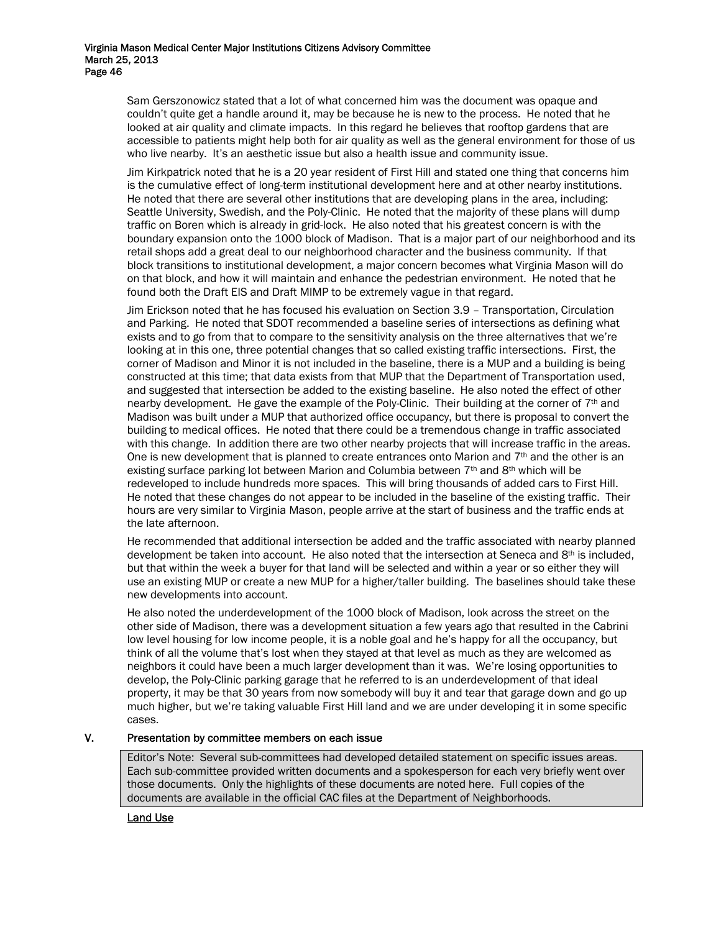Sam Gerszonowicz stated that a lot of what concerned him was the document was opaque and couldn't quite get a handle around it, may be because he is new to the process. He noted that he looked at air quality and climate impacts. In this regard he believes that rooftop gardens that are accessible to patients might help both for air quality as well as the general environment for those of us who live nearby. It's an aesthetic issue but also a health issue and community issue.

Jim Kirkpatrick noted that he is a 20 year resident of First Hill and stated one thing that concerns him is the cumulative effect of long-term institutional development here and at other nearby institutions. He noted that there are several other institutions that are developing plans in the area, including: Seattle University, Swedish, and the Poly-Clinic. He noted that the majority of these plans will dump traffic on Boren which is already in grid-lock. He also noted that his greatest concern is with the boundary expansion onto the 1000 block of Madison. That is a major part of our neighborhood and its retail shops add a great deal to our neighborhood character and the business community. If that block transitions to institutional development, a major concern becomes what Virginia Mason will do on that block, and how it will maintain and enhance the pedestrian environment. He noted that he found both the Draft EIS and Draft MIMP to be extremely vague in that regard.

Jim Erickson noted that he has focused his evaluation on Section 3.9 – Transportation, Circulation and Parking. He noted that SDOT recommended a baseline series of intersections as defining what exists and to go from that to compare to the sensitivity analysis on the three alternatives that we're looking at in this one, three potential changes that so called existing traffic intersections. First, the corner of Madison and Minor it is not included in the baseline, there is a MUP and a building is being constructed at this time; that data exists from that MUP that the Department of Transportation used, and suggested that intersection be added to the existing baseline. He also noted the effect of other nearby development. He gave the example of the Poly-Clinic. Their building at the corner of  $7<sup>th</sup>$  and Madison was built under a MUP that authorized office occupancy, but there is proposal to convert the building to medical offices. He noted that there could be a tremendous change in traffic associated with this change. In addition there are two other nearby projects that will increase traffic in the areas. One is new development that is planned to create entrances onto Marion and  $7<sup>th</sup>$  and the other is an existing surface parking lot between Marion and Columbia between  $7<sup>th</sup>$  and  $8<sup>th</sup>$  which will be redeveloped to include hundreds more spaces. This will bring thousands of added cars to First Hill. He noted that these changes do not appear to be included in the baseline of the existing traffic. Their hours are very similar to Virginia Mason, people arrive at the start of business and the traffic ends at the late afternoon.

He recommended that additional intersection be added and the traffic associated with nearby planned development be taken into account. He also noted that the intersection at Seneca and 8<sup>th</sup> is included, but that within the week a buyer for that land will be selected and within a year or so either they will use an existing MUP or create a new MUP for a higher/taller building. The baselines should take these new developments into account.

He also noted the underdevelopment of the 1000 block of Madison, look across the street on the other side of Madison, there was a development situation a few years ago that resulted in the Cabrini low level housing for low income people, it is a noble goal and he's happy for all the occupancy, but think of all the volume that's lost when they stayed at that level as much as they are welcomed as neighbors it could have been a much larger development than it was. We're losing opportunities to develop, the Poly-Clinic parking garage that he referred to is an underdevelopment of that ideal property, it may be that 30 years from now somebody will buy it and tear that garage down and go up much higher, but we're taking valuable First Hill land and we are under developing it in some specific cases.

## V. Presentation by committee members on each issue

Editor's Note: Several sub-committees had developed detailed statement on specific issues areas. Each sub-committee provided written documents and a spokesperson for each very briefly went over those documents. Only the highlights of these documents are noted here. Full copies of the documents are available in the official CAC files at the Department of Neighborhoods.

Land Use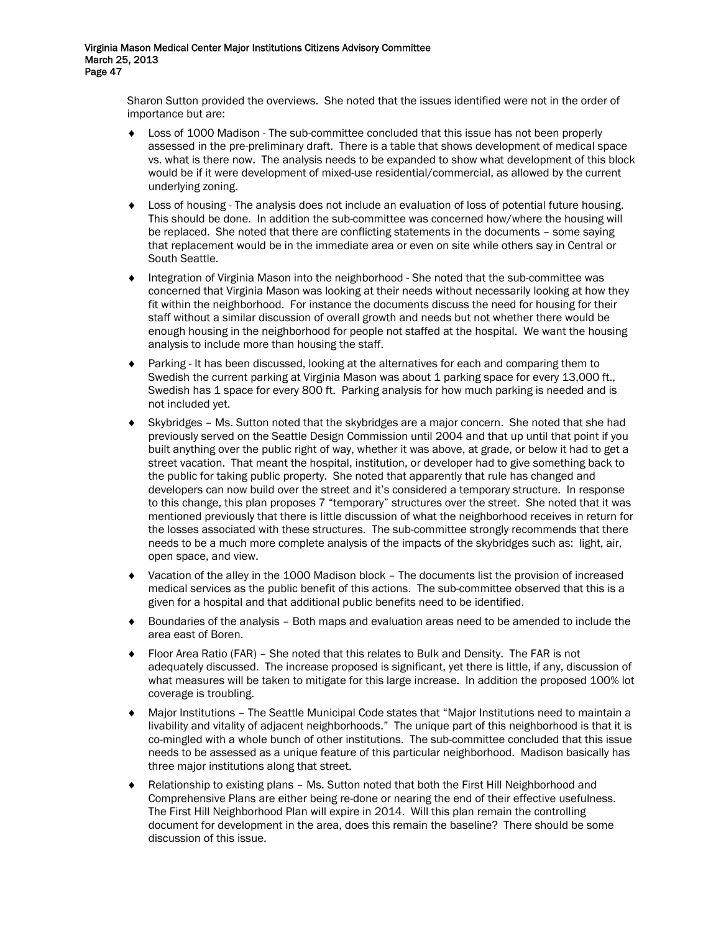Sharon Sutton provided the overviews. She noted that the issues identified were not in the order of importance but are:

- ♦ Loss of 1000 Madison The sub-committee concluded that this issue has not been properly assessed in the pre-preliminary draft. There is a table that shows development of medical space vs. what is there now. The analysis needs to be expanded to show what development of this block would be if it were development of mixed-use residential/commercial, as allowed by the current underlying zoning.
- ♦ Loss of housing The analysis does not include an evaluation of loss of potential future housing. This should be done. In addition the sub-committee was concerned how/where the housing will be replaced. She noted that there are conflicting statements in the documents – some saying that replacement would be in the immediate area or even on site while others say in Central or South Seattle.
- ♦ Integration of Virginia Mason into the neighborhood She noted that the sub-committee was concerned that Virginia Mason was looking at their needs without necessarily looking at how they fit within the neighborhood. For instance the documents discuss the need for housing for their staff without a similar discussion of overall growth and needs but not whether there would be enough housing in the neighborhood for people not staffed at the hospital. We want the housing analysis to include more than housing the staff.
- ♦ Parking It has been discussed, looking at the alternatives for each and comparing them to Swedish the current parking at Virginia Mason was about 1 parking space for every 13,000 ft., Swedish has 1 space for every 800 ft. Parking analysis for how much parking is needed and is not included yet.
- Skybridges Ms. Sutton noted that the skybridges are a major concern. She noted that she had previously served on the Seattle Design Commission until 2004 and that up until that point if you built anything over the public right of way, whether it was above, at grade, or below it had to get a street vacation. That meant the hospital, institution, or developer had to give something back to the public for taking public property. She noted that apparently that rule has changed and developers can now build over the street and it's considered a temporary structure. In response to this change, this plan proposes 7 "temporary" structures over the street. She noted that it was mentioned previously that there is little discussion of what the neighborhood receives in return for the losses associated with these structures. The sub-committee strongly recommends that there needs to be a much more complete analysis of the impacts of the skybridges such as: light, air, open space, and view.
- Vacation of the alley in the 1000 Madison block The documents list the provision of increased medical services as the public benefit of this actions. The sub-committee observed that this is a given for a hospital and that additional public benefits need to be identified.
- Boundaries of the analysis Both maps and evaluation areas need to be amended to include the area east of Boren.
- ♦ Floor Area Ratio (FAR) She noted that this relates to Bulk and Density. The FAR is not adequately discussed. The increase proposed is significant, yet there is little, if any, discussion of what measures will be taken to mitigate for this large increase. In addition the proposed 100% lot coverage is troubling.
- ♦ Major Institutions The Seattle Municipal Code states that "Major Institutions need to maintain a livability and vitality of adjacent neighborhoods." The unique part of this neighborhood is that it is co-mingled with a whole bunch of other institutions. The sub-committee concluded that this issue needs to be assessed as a unique feature of this particular neighborhood. Madison basically has three major institutions along that street.
- Relationship to existing plans Ms. Sutton noted that both the First Hill Neighborhood and Comprehensive Plans are either being re-done or nearing the end of their effective usefulness. The First Hill Neighborhood Plan will expire in 2014. Will this plan remain the controlling document for development in the area, does this remain the baseline? There should be some discussion of this issue.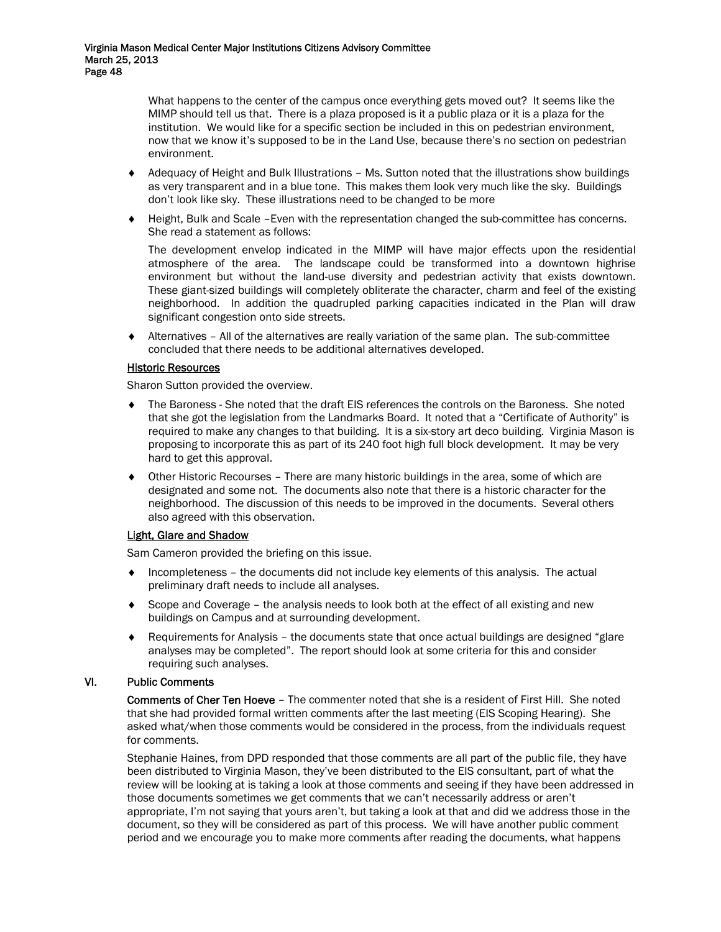What happens to the center of the campus once everything gets moved out? It seems like the MIMP should tell us that. There is a plaza proposed is it a public plaza or it is a plaza for the institution. We would like for a specific section be included in this on pedestrian environment, now that we know it's supposed to be in the Land Use, because there's no section on pedestrian environment.

- Adequacy of Height and Bulk Illustrations Ms. Sutton noted that the illustrations show buildings as very transparent and in a blue tone. This makes them look very much like the sky. Buildings don't look like sky. These illustrations need to be changed to be more
- ♦ Height, Bulk and Scale –Even with the representation changed the sub-committee has concerns. She read a statement as follows:

The development envelop indicated in the MIMP will have major effects upon the residential atmosphere of the area. The landscape could be transformed into a downtown highrise environment but without the land-use diversity and pedestrian activity that exists downtown. These giant-sized buildings will completely obliterate the character, charm and feel of the existing neighborhood. In addition the quadrupled parking capacities indicated in the Plan will draw significant congestion onto side streets.

Alternatives – All of the alternatives are really variation of the same plan. The sub-committee concluded that there needs to be additional alternatives developed.

# **Historic Resources**

Sharon Sutton provided the overview.

- ♦ The Baroness She noted that the draft EIS references the controls on the Baroness. She noted that she got the legislation from the Landmarks Board. It noted that a "Certificate of Authority" is required to make any changes to that building. It is a six-story art deco building. Virginia Mason is proposing to incorporate this as part of its 240 foot high full block development. It may be very hard to get this approval.
- ♦ Other Historic Recourses There are many historic buildings in the area, some of which are designated and some not. The documents also note that there is a historic character for the neighborhood. The discussion of this needs to be improved in the documents. Several others also agreed with this observation.

## Light, Glare and Shadow

Sam Cameron provided the briefing on this issue.

- $\bullet$  Incompleteness the documents did not include key elements of this analysis. The actual preliminary draft needs to include all analyses.
- ♦ Scope and Coverage the analysis needs to look both at the effect of all existing and new buildings on Campus and at surrounding development.
- ♦ Requirements for Analysis the documents state that once actual buildings are designed "glare analyses may be completed". The report should look at some criteria for this and consider requiring such analyses.

## VI. Public Comments

Comments of Cher Ten Hoeve – The commenter noted that she is a resident of First Hill. She noted that she had provided formal written comments after the last meeting (EIS Scoping Hearing). She asked what/when those comments would be considered in the process, from the individuals request for comments.

Stephanie Haines, from DPD responded that those comments are all part of the public file, they have been distributed to Virginia Mason, they've been distributed to the EIS consultant, part of what the review will be looking at is taking a look at those comments and seeing if they have been addressed in those documents sometimes we get comments that we can't necessarily address or aren't appropriate, I'm not saying that yours aren't, but taking a look at that and did we address those in the document, so they will be considered as part of this process. We will have another public comment period and we encourage you to make more comments after reading the documents, what happens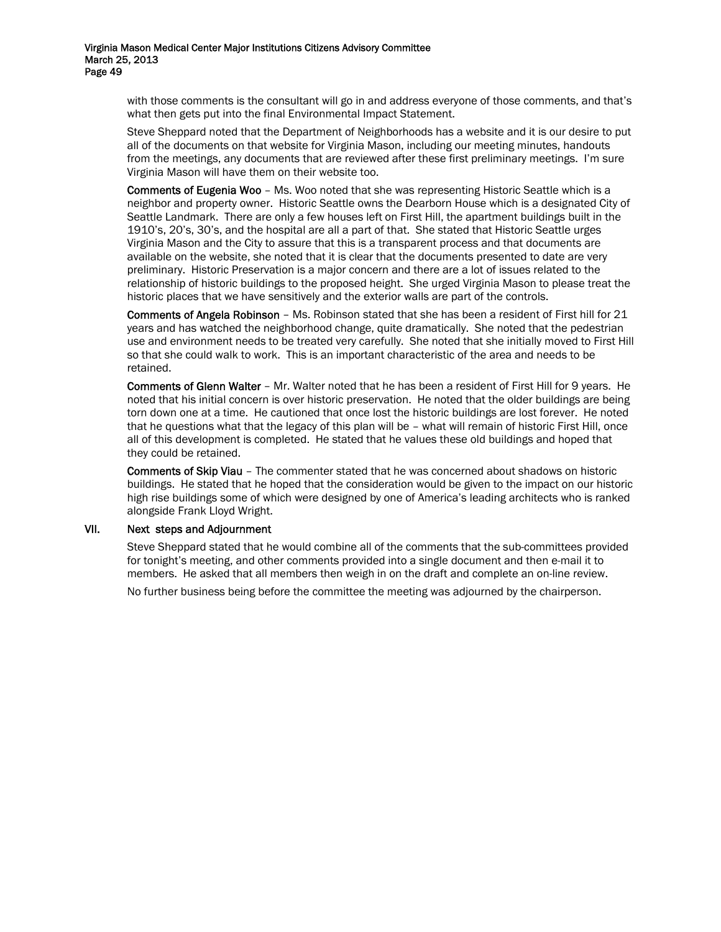> with those comments is the consultant will go in and address everyone of those comments, and that's what then gets put into the final Environmental Impact Statement.

> Steve Sheppard noted that the Department of Neighborhoods has a website and it is our desire to put all of the documents on that website for Virginia Mason, including our meeting minutes, handouts from the meetings, any documents that are reviewed after these first preliminary meetings. I'm sure Virginia Mason will have them on their website too.

> Comments of Eugenia Woo – Ms. Woo noted that she was representing Historic Seattle which is a neighbor and property owner. Historic Seattle owns the Dearborn House which is a designated City of Seattle Landmark. There are only a few houses left on First Hill, the apartment buildings built in the 1910's, 20's, 30's, and the hospital are all a part of that. She stated that Historic Seattle urges Virginia Mason and the City to assure that this is a transparent process and that documents are available on the website, she noted that it is clear that the documents presented to date are very preliminary. Historic Preservation is a major concern and there are a lot of issues related to the relationship of historic buildings to the proposed height. She urged Virginia Mason to please treat the historic places that we have sensitively and the exterior walls are part of the controls.

> Comments of Angela Robinson – Ms. Robinson stated that she has been a resident of First hill for 21 years and has watched the neighborhood change, quite dramatically. She noted that the pedestrian use and environment needs to be treated very carefully. She noted that she initially moved to First Hill so that she could walk to work. This is an important characteristic of the area and needs to be retained.

> Comments of Glenn Walter – Mr. Walter noted that he has been a resident of First Hill for 9 years. He noted that his initial concern is over historic preservation. He noted that the older buildings are being torn down one at a time. He cautioned that once lost the historic buildings are lost forever. He noted that he questions what that the legacy of this plan will be – what will remain of historic First Hill, once all of this development is completed. He stated that he values these old buildings and hoped that they could be retained.

> Comments of Skip Viau – The commenter stated that he was concerned about shadows on historic buildings. He stated that he hoped that the consideration would be given to the impact on our historic high rise buildings some of which were designed by one of America's leading architects who is ranked alongside Frank Lloyd Wright.

#### VII. Next steps and Adjournment

Steve Sheppard stated that he would combine all of the comments that the sub-committees provided for tonight's meeting, and other comments provided into a single document and then e-mail it to members. He asked that all members then weigh in on the draft and complete an on-line review.

No further business being before the committee the meeting was adjourned by the chairperson.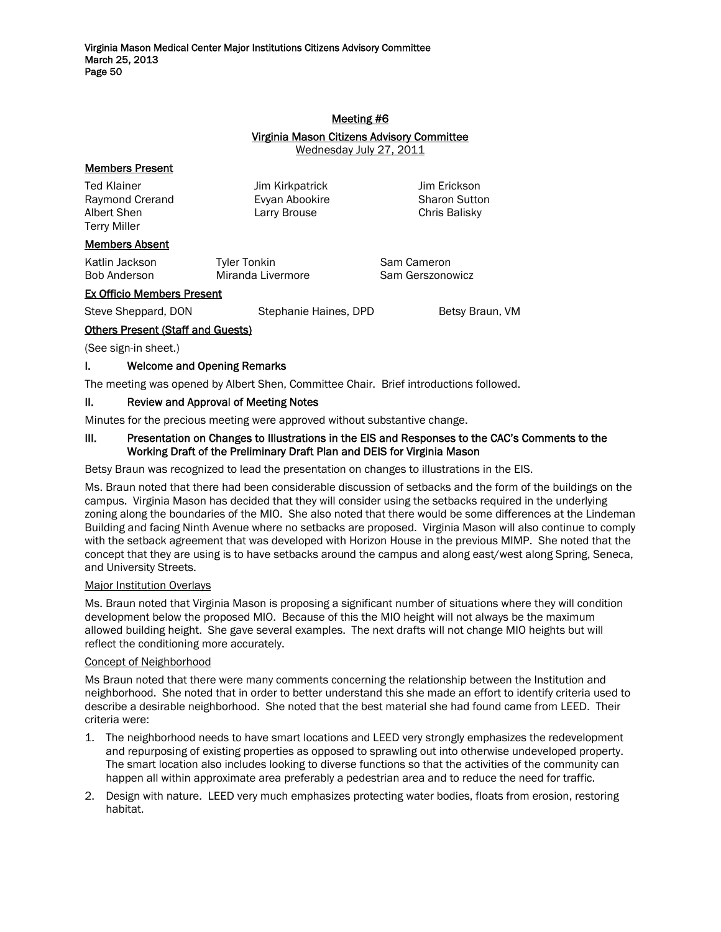#### Meeting #6

# Virginia Mason Citizens Advisory Committee

Wednesday July 27, 2011

# Members Present

Ted Klainer Jim Kirkpatrick Jim Erickson Raymond Crerand **E**vyan Abookire **Sharon Sutton** Albert Shen **Larry Brouse** Chris Balisky Terry Miller

# Members Absent

| Katlin Jackson | Tyler Tonkin      |
|----------------|-------------------|
| Bob Anderson   | Miranda Livermore |

Sam Cameron Sam Gerszonowicz

## Ex Officio Members Present

Steve Sheppard, DON Stephanie Haines, DPD Betsy Braun, VM

# Others Present (Staff and Guests)

(See sign-in sheet.)

# I. Welcome and Opening Remarks

The meeting was opened by Albert Shen, Committee Chair. Brief introductions followed.

## II. Review and Approval of Meeting Notes

Minutes for the precious meeting were approved without substantive change.

## III. Presentation on Changes to Illustrations in the EIS and Responses to the CAC's Comments to the Working Draft of the Preliminary Draft Plan and DEIS for Virginia Mason

Betsy Braun was recognized to lead the presentation on changes to illustrations in the EIS.

Ms. Braun noted that there had been considerable discussion of setbacks and the form of the buildings on the campus. Virginia Mason has decided that they will consider using the setbacks required in the underlying zoning along the boundaries of the MIO. She also noted that there would be some differences at the Lindeman Building and facing Ninth Avenue where no setbacks are proposed. Virginia Mason will also continue to comply with the setback agreement that was developed with Horizon House in the previous MIMP. She noted that the concept that they are using is to have setbacks around the campus and along east/west along Spring, Seneca, and University Streets.

## Major Institution Overlays

Ms. Braun noted that Virginia Mason is proposing a significant number of situations where they will condition development below the proposed MIO. Because of this the MIO height will not always be the maximum allowed building height. She gave several examples. The next drafts will not change MIO heights but will reflect the conditioning more accurately.

## Concept of Neighborhood

Ms Braun noted that there were many comments concerning the relationship between the Institution and neighborhood. She noted that in order to better understand this she made an effort to identify criteria used to describe a desirable neighborhood. She noted that the best material she had found came from LEED. Their criteria were:

- 1. The neighborhood needs to have smart locations and LEED very strongly emphasizes the redevelopment and repurposing of existing properties as opposed to sprawling out into otherwise undeveloped property. The smart location also includes looking to diverse functions so that the activities of the community can happen all within approximate area preferably a pedestrian area and to reduce the need for traffic.
- 2. Design with nature. LEED very much emphasizes protecting water bodies, floats from erosion, restoring habitat.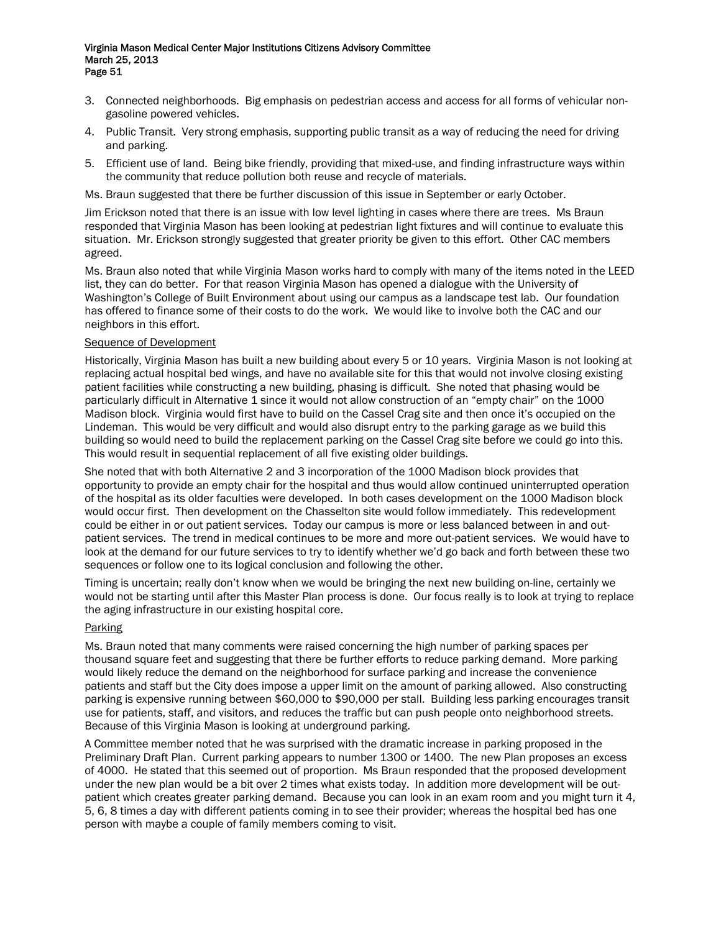- 3. Connected neighborhoods. Big emphasis on pedestrian access and access for all forms of vehicular nongasoline powered vehicles.
- 4. Public Transit. Very strong emphasis, supporting public transit as a way of reducing the need for driving and parking.
- 5. Efficient use of land. Being bike friendly, providing that mixed-use, and finding infrastructure ways within the community that reduce pollution both reuse and recycle of materials.

Ms. Braun suggested that there be further discussion of this issue in September or early October.

Jim Erickson noted that there is an issue with low level lighting in cases where there are trees. Ms Braun responded that Virginia Mason has been looking at pedestrian light fixtures and will continue to evaluate this situation. Mr. Erickson strongly suggested that greater priority be given to this effort. Other CAC members agreed.

Ms. Braun also noted that while Virginia Mason works hard to comply with many of the items noted in the LEED list, they can do better. For that reason Virginia Mason has opened a dialogue with the University of Washington's College of Built Environment about using our campus as a landscape test lab. Our foundation has offered to finance some of their costs to do the work. We would like to involve both the CAC and our neighbors in this effort.

#### Sequence of Development

Historically, Virginia Mason has built a new building about every 5 or 10 years. Virginia Mason is not looking at replacing actual hospital bed wings, and have no available site for this that would not involve closing existing patient facilities while constructing a new building, phasing is difficult. She noted that phasing would be particularly difficult in Alternative 1 since it would not allow construction of an "empty chair" on the 1000 Madison block. Virginia would first have to build on the Cassel Crag site and then once it's occupied on the Lindeman. This would be very difficult and would also disrupt entry to the parking garage as we build this building so would need to build the replacement parking on the Cassel Crag site before we could go into this. This would result in sequential replacement of all five existing older buildings.

She noted that with both Alternative 2 and 3 incorporation of the 1000 Madison block provides that opportunity to provide an empty chair for the hospital and thus would allow continued uninterrupted operation of the hospital as its older faculties were developed. In both cases development on the 1000 Madison block would occur first. Then development on the Chasselton site would follow immediately. This redevelopment could be either in or out patient services. Today our campus is more or less balanced between in and outpatient services. The trend in medical continues to be more and more out-patient services. We would have to look at the demand for our future services to try to identify whether we'd go back and forth between these two sequences or follow one to its logical conclusion and following the other.

Timing is uncertain; really don't know when we would be bringing the next new building on-line, certainly we would not be starting until after this Master Plan process is done. Our focus really is to look at trying to replace the aging infrastructure in our existing hospital core.

## Parking

Ms. Braun noted that many comments were raised concerning the high number of parking spaces per thousand square feet and suggesting that there be further efforts to reduce parking demand. More parking would likely reduce the demand on the neighborhood for surface parking and increase the convenience patients and staff but the City does impose a upper limit on the amount of parking allowed. Also constructing parking is expensive running between \$60,000 to \$90,000 per stall. Building less parking encourages transit use for patients, staff, and visitors, and reduces the traffic but can push people onto neighborhood streets. Because of this Virginia Mason is looking at underground parking.

A Committee member noted that he was surprised with the dramatic increase in parking proposed in the Preliminary Draft Plan. Current parking appears to number 1300 or 1400. The new Plan proposes an excess of 4000. He stated that this seemed out of proportion. Ms Braun responded that the proposed development under the new plan would be a bit over 2 times what exists today. In addition more development will be outpatient which creates greater parking demand. Because you can look in an exam room and you might turn it 4, 5, 6, 8 times a day with different patients coming in to see their provider; whereas the hospital bed has one person with maybe a couple of family members coming to visit.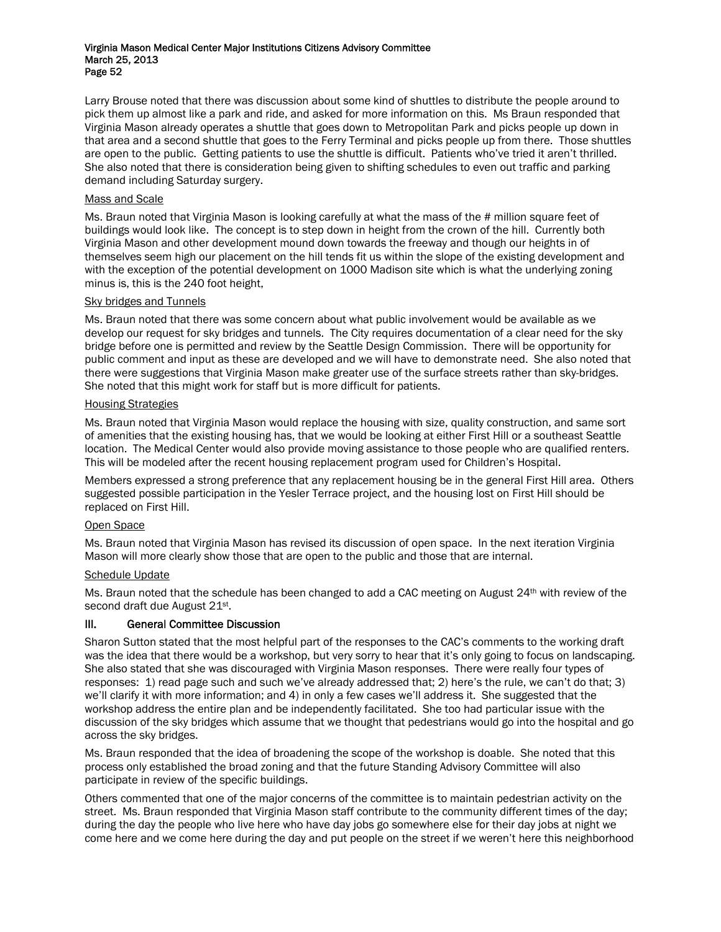Larry Brouse noted that there was discussion about some kind of shuttles to distribute the people around to pick them up almost like a park and ride, and asked for more information on this. Ms Braun responded that Virginia Mason already operates a shuttle that goes down to Metropolitan Park and picks people up down in that area and a second shuttle that goes to the Ferry Terminal and picks people up from there. Those shuttles are open to the public. Getting patients to use the shuttle is difficult. Patients who've tried it aren't thrilled. She also noted that there is consideration being given to shifting schedules to even out traffic and parking demand including Saturday surgery.

#### Mass and Scale

Ms. Braun noted that Virginia Mason is looking carefully at what the mass of the # million square feet of buildings would look like. The concept is to step down in height from the crown of the hill. Currently both Virginia Mason and other development mound down towards the freeway and though our heights in of themselves seem high our placement on the hill tends fit us within the slope of the existing development and with the exception of the potential development on 1000 Madison site which is what the underlying zoning minus is, this is the 240 foot height,

#### Sky bridges and Tunnels

Ms. Braun noted that there was some concern about what public involvement would be available as we develop our request for sky bridges and tunnels. The City requires documentation of a clear need for the sky bridge before one is permitted and review by the Seattle Design Commission. There will be opportunity for public comment and input as these are developed and we will have to demonstrate need. She also noted that there were suggestions that Virginia Mason make greater use of the surface streets rather than sky-bridges. She noted that this might work for staff but is more difficult for patients.

#### Housing Strategies

Ms. Braun noted that Virginia Mason would replace the housing with size, quality construction, and same sort of amenities that the existing housing has, that we would be looking at either First Hill or a southeast Seattle location. The Medical Center would also provide moving assistance to those people who are qualified renters. This will be modeled after the recent housing replacement program used for Children's Hospital.

Members expressed a strong preference that any replacement housing be in the general First Hill area. Others suggested possible participation in the Yesler Terrace project, and the housing lost on First Hill should be replaced on First Hill.

## Open Space

Ms. Braun noted that Virginia Mason has revised its discussion of open space. In the next iteration Virginia Mason will more clearly show those that are open to the public and those that are internal.

#### Schedule Update

Ms. Braun noted that the schedule has been changed to add a CAC meeting on August 24<sup>th</sup> with review of the second draft due August 21<sup>st</sup>.

## III. General Committee Discussion

Sharon Sutton stated that the most helpful part of the responses to the CAC's comments to the working draft was the idea that there would be a workshop, but very sorry to hear that it's only going to focus on landscaping. She also stated that she was discouraged with Virginia Mason responses. There were really four types of responses: 1) read page such and such we've already addressed that; 2) here's the rule, we can't do that; 3) we'll clarify it with more information; and 4) in only a few cases we'll address it. She suggested that the workshop address the entire plan and be independently facilitated. She too had particular issue with the discussion of the sky bridges which assume that we thought that pedestrians would go into the hospital and go across the sky bridges.

Ms. Braun responded that the idea of broadening the scope of the workshop is doable. She noted that this process only established the broad zoning and that the future Standing Advisory Committee will also participate in review of the specific buildings.

Others commented that one of the major concerns of the committee is to maintain pedestrian activity on the street. Ms. Braun responded that Virginia Mason staff contribute to the community different times of the day; during the day the people who live here who have day jobs go somewhere else for their day jobs at night we come here and we come here during the day and put people on the street if we weren't here this neighborhood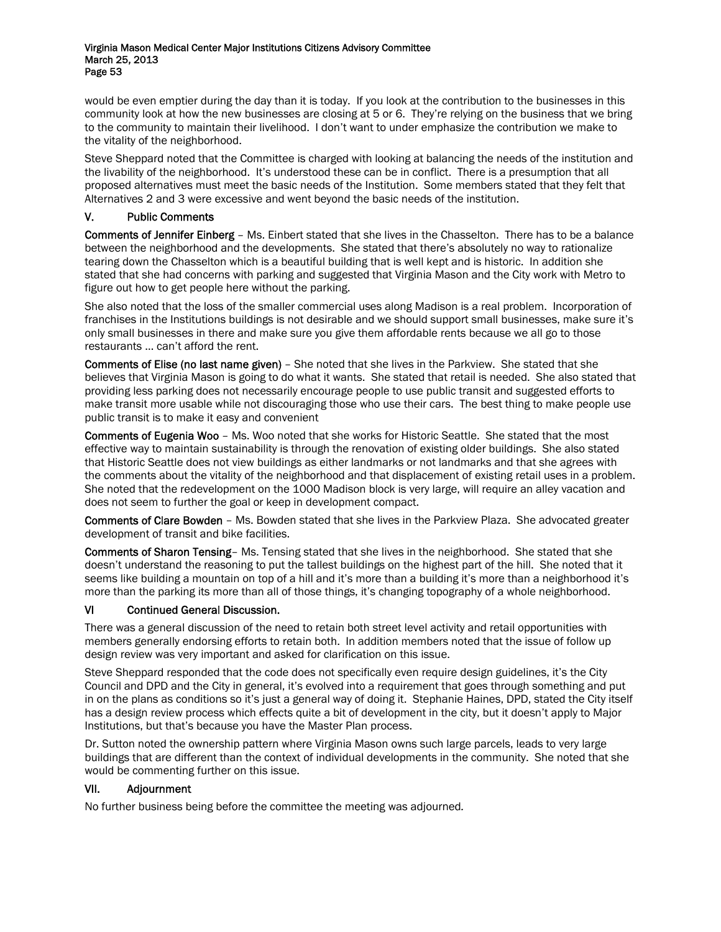would be even emptier during the day than it is today. If you look at the contribution to the businesses in this community look at how the new businesses are closing at 5 or 6. They're relying on the business that we bring to the community to maintain their livelihood. I don't want to under emphasize the contribution we make to the vitality of the neighborhood.

Steve Sheppard noted that the Committee is charged with looking at balancing the needs of the institution and the livability of the neighborhood. It's understood these can be in conflict. There is a presumption that all proposed alternatives must meet the basic needs of the Institution. Some members stated that they felt that Alternatives 2 and 3 were excessive and went beyond the basic needs of the institution.

# V. Public Comments

Comments of Jennifer Einberg – Ms. Einbert stated that she lives in the Chasselton. There has to be a balance between the neighborhood and the developments. She stated that there's absolutely no way to rationalize tearing down the Chasselton which is a beautiful building that is well kept and is historic. In addition she stated that she had concerns with parking and suggested that Virginia Mason and the City work with Metro to figure out how to get people here without the parking.

She also noted that the loss of the smaller commercial uses along Madison is a real problem. Incorporation of franchises in the Institutions buildings is not desirable and we should support small businesses, make sure it's only small businesses in there and make sure you give them affordable rents because we all go to those restaurants … can't afford the rent.

Comments of Elise (no last name given) – She noted that she lives in the Parkview. She stated that she believes that Virginia Mason is going to do what it wants. She stated that retail is needed. She also stated that providing less parking does not necessarily encourage people to use public transit and suggested efforts to make transit more usable while not discouraging those who use their cars. The best thing to make people use public transit is to make it easy and convenient

Comments of Eugenia Woo – Ms. Woo noted that she works for Historic Seattle. She stated that the most effective way to maintain sustainability is through the renovation of existing older buildings. She also stated that Historic Seattle does not view buildings as either landmarks or not landmarks and that she agrees with the comments about the vitality of the neighborhood and that displacement of existing retail uses in a problem. She noted that the redevelopment on the 1000 Madison block is very large, will require an alley vacation and does not seem to further the goal or keep in development compact.

Comments of Clare Bowden – Ms. Bowden stated that she lives in the Parkview Plaza. She advocated greater development of transit and bike facilities.

Comments of Sharon Tensing– Ms. Tensing stated that she lives in the neighborhood. She stated that she doesn't understand the reasoning to put the tallest buildings on the highest part of the hill. She noted that it seems like building a mountain on top of a hill and it's more than a building it's more than a neighborhood it's more than the parking its more than all of those things, it's changing topography of a whole neighborhood.

## VI Continued General Discussion.

There was a general discussion of the need to retain both street level activity and retail opportunities with members generally endorsing efforts to retain both. In addition members noted that the issue of follow up design review was very important and asked for clarification on this issue.

Steve Sheppard responded that the code does not specifically even require design guidelines, it's the City Council and DPD and the City in general, it's evolved into a requirement that goes through something and put in on the plans as conditions so it's just a general way of doing it. Stephanie Haines, DPD, stated the City itself has a design review process which effects quite a bit of development in the city, but it doesn't apply to Major Institutions, but that's because you have the Master Plan process.

Dr. Sutton noted the ownership pattern where Virginia Mason owns such large parcels, leads to very large buildings that are different than the context of individual developments in the community. She noted that she would be commenting further on this issue.

## VII. Adjournment

No further business being before the committee the meeting was adjourned*.*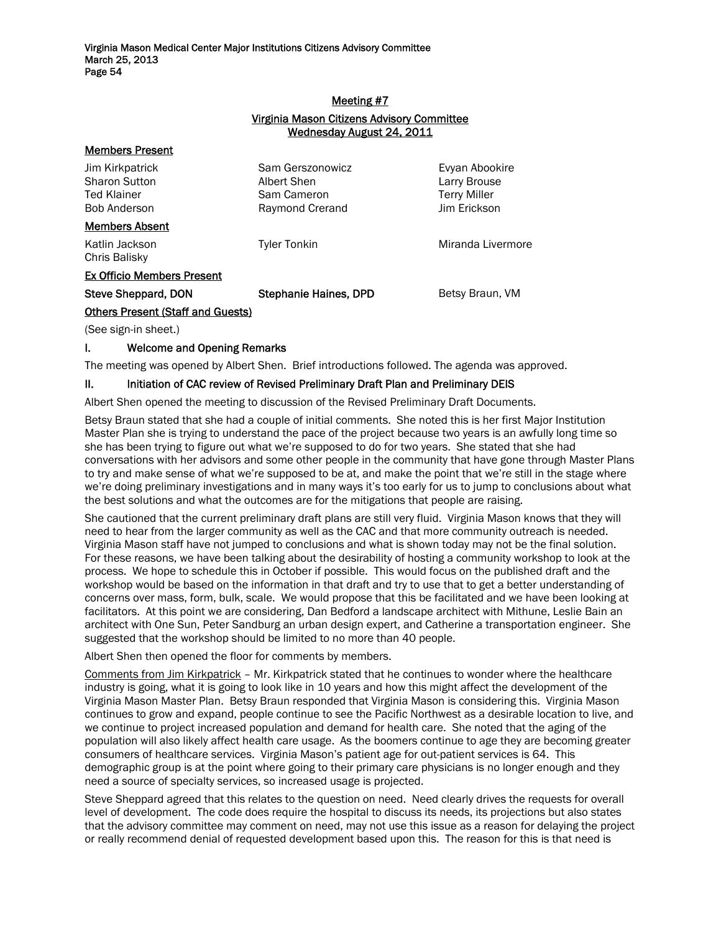# Meeting #7 Virginia Mason Citizens Advisory Committee Wednesday August 24, 2011

| Jim Kirkpatrick<br><b>Sharon Sutton</b><br><b>Ted Klainer</b><br><b>Bob Anderson</b> | Sam Gerszonowicz<br>Albert Shen<br>Sam Cameron<br>Raymond Crerand | Evyan Abookire<br>Larry Brouse<br><b>Terry Miller</b><br>Jim Erickson |
|--------------------------------------------------------------------------------------|-------------------------------------------------------------------|-----------------------------------------------------------------------|
| <b>Members Absent</b>                                                                |                                                                   |                                                                       |
| Katlin Jackson<br>Chris Balisky                                                      | <b>Tyler Tonkin</b>                                               | Miranda Livermore                                                     |
| <b>Ex Officio Members Present</b>                                                    |                                                                   |                                                                       |
| <b>Steve Sheppard, DON</b>                                                           | Stephanie Haines, DPD                                             | Betsy Braun, VM                                                       |
| <b>Others Present (Staff and Guests)</b>                                             |                                                                   |                                                                       |
| $(0.000)$ cide in chant $)$                                                          |                                                                   |                                                                       |

(See sign-in sheet.)

Members Present

## I. Welcome and Opening Remarks

The meeting was opened by Albert Shen. Brief introductions followed. The agenda was approved.

#### II. Initiation of CAC review of Revised Preliminary Draft Plan and Preliminary DEIS

Albert Shen opened the meeting to discussion of the Revised Preliminary Draft Documents.

Betsy Braun stated that she had a couple of initial comments. She noted this is her first Major Institution Master Plan she is trying to understand the pace of the project because two years is an awfully long time so she has been trying to figure out what we're supposed to do for two years. She stated that she had conversations with her advisors and some other people in the community that have gone through Master Plans to try and make sense of what we're supposed to be at, and make the point that we're still in the stage where we're doing preliminary investigations and in many ways it's too early for us to jump to conclusions about what the best solutions and what the outcomes are for the mitigations that people are raising.

She cautioned that the current preliminary draft plans are still very fluid. Virginia Mason knows that they will need to hear from the larger community as well as the CAC and that more community outreach is needed. Virginia Mason staff have not jumped to conclusions and what is shown today may not be the final solution. For these reasons, we have been talking about the desirability of hosting a community workshop to look at the process. We hope to schedule this in October if possible. This would focus on the published draft and the workshop would be based on the information in that draft and try to use that to get a better understanding of concerns over mass, form, bulk, scale. We would propose that this be facilitated and we have been looking at facilitators. At this point we are considering, Dan Bedford a landscape architect with Mithune, Leslie Bain an architect with One Sun, Peter Sandburg an urban design expert, and Catherine a transportation engineer. She suggested that the workshop should be limited to no more than 40 people.

Albert Shen then opened the floor for comments by members.

Comments from Jim Kirkpatrick – Mr. Kirkpatrick stated that he continues to wonder where the healthcare industry is going, what it is going to look like in 10 years and how this might affect the development of the Virginia Mason Master Plan. Betsy Braun responded that Virginia Mason is considering this. Virginia Mason continues to grow and expand, people continue to see the Pacific Northwest as a desirable location to live, and we continue to project increased population and demand for health care. She noted that the aging of the population will also likely affect health care usage. As the boomers continue to age they are becoming greater consumers of healthcare services. Virginia Mason's patient age for out-patient services is 64. This demographic group is at the point where going to their primary care physicians is no longer enough and they need a source of specialty services, so increased usage is projected.

Steve Sheppard agreed that this relates to the question on need. Need clearly drives the requests for overall level of development. The code does require the hospital to discuss its needs, its projections but also states that the advisory committee may comment on need, may not use this issue as a reason for delaying the project or really recommend denial of requested development based upon this. The reason for this is that need is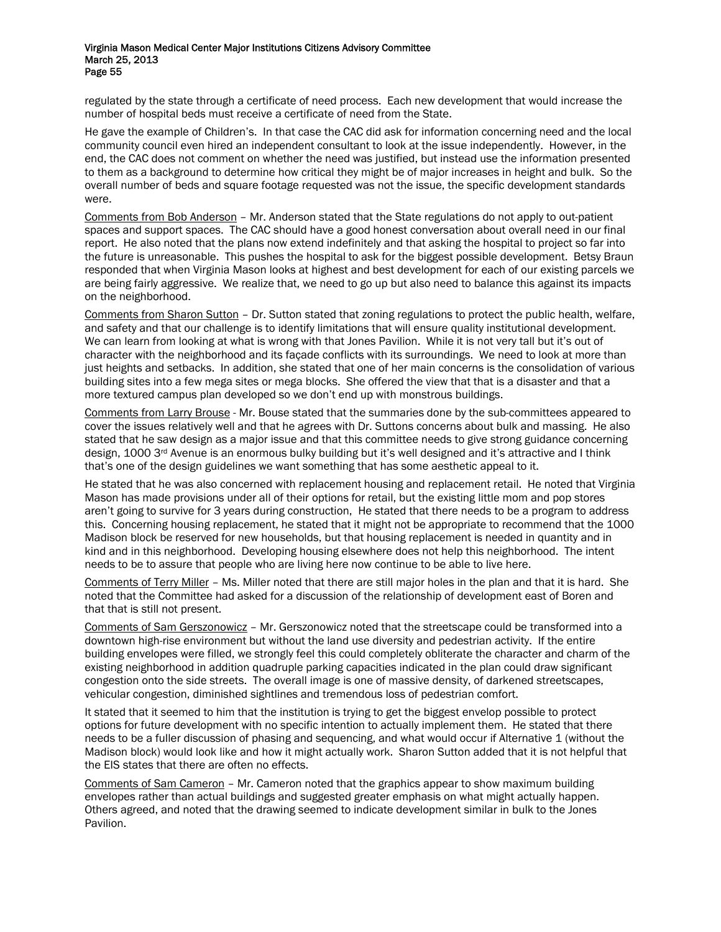regulated by the state through a certificate of need process. Each new development that would increase the number of hospital beds must receive a certificate of need from the State.

He gave the example of Children's. In that case the CAC did ask for information concerning need and the local community council even hired an independent consultant to look at the issue independently. However, in the end, the CAC does not comment on whether the need was justified, but instead use the information presented to them as a background to determine how critical they might be of major increases in height and bulk. So the overall number of beds and square footage requested was not the issue, the specific development standards were.

Comments from Bob Anderson – Mr. Anderson stated that the State regulations do not apply to out-patient spaces and support spaces. The CAC should have a good honest conversation about overall need in our final report. He also noted that the plans now extend indefinitely and that asking the hospital to project so far into the future is unreasonable. This pushes the hospital to ask for the biggest possible development. Betsy Braun responded that when Virginia Mason looks at highest and best development for each of our existing parcels we are being fairly aggressive. We realize that, we need to go up but also need to balance this against its impacts on the neighborhood.

Comments from Sharon Sutton – Dr. Sutton stated that zoning regulations to protect the public health, welfare, and safety and that our challenge is to identify limitations that will ensure quality institutional development. We can learn from looking at what is wrong with that Jones Pavilion. While it is not very tall but it's out of character with the neighborhood and its façade conflicts with its surroundings. We need to look at more than just heights and setbacks. In addition, she stated that one of her main concerns is the consolidation of various building sites into a few mega sites or mega blocks. She offered the view that that is a disaster and that a more textured campus plan developed so we don't end up with monstrous buildings.

Comments from Larry Brouse - Mr. Bouse stated that the summaries done by the sub-committees appeared to cover the issues relatively well and that he agrees with Dr. Suttons concerns about bulk and massing. He also stated that he saw design as a major issue and that this committee needs to give strong guidance concerning design, 1000 3<sup>rd</sup> Avenue is an enormous bulky building but it's well designed and it's attractive and I think that's one of the design guidelines we want something that has some aesthetic appeal to it.

He stated that he was also concerned with replacement housing and replacement retail. He noted that Virginia Mason has made provisions under all of their options for retail, but the existing little mom and pop stores aren't going to survive for 3 years during construction, He stated that there needs to be a program to address this. Concerning housing replacement, he stated that it might not be appropriate to recommend that the 1000 Madison block be reserved for new households, but that housing replacement is needed in quantity and in kind and in this neighborhood. Developing housing elsewhere does not help this neighborhood. The intent needs to be to assure that people who are living here now continue to be able to live here.

Comments of Terry Miller – Ms. Miller noted that there are still major holes in the plan and that it is hard. She noted that the Committee had asked for a discussion of the relationship of development east of Boren and that that is still not present.

Comments of Sam Gerszonowicz – Mr. Gerszonowicz noted that the streetscape could be transformed into a downtown high-rise environment but without the land use diversity and pedestrian activity. If the entire building envelopes were filled, we strongly feel this could completely obliterate the character and charm of the existing neighborhood in addition quadruple parking capacities indicated in the plan could draw significant congestion onto the side streets. The overall image is one of massive density, of darkened streetscapes, vehicular congestion, diminished sightlines and tremendous loss of pedestrian comfort.

It stated that it seemed to him that the institution is trying to get the biggest envelop possible to protect options for future development with no specific intention to actually implement them. He stated that there needs to be a fuller discussion of phasing and sequencing, and what would occur if Alternative 1 (without the Madison block) would look like and how it might actually work. Sharon Sutton added that it is not helpful that the EIS states that there are often no effects.

Comments of Sam Cameron – Mr. Cameron noted that the graphics appear to show maximum building envelopes rather than actual buildings and suggested greater emphasis on what might actually happen. Others agreed, and noted that the drawing seemed to indicate development similar in bulk to the Jones Pavilion.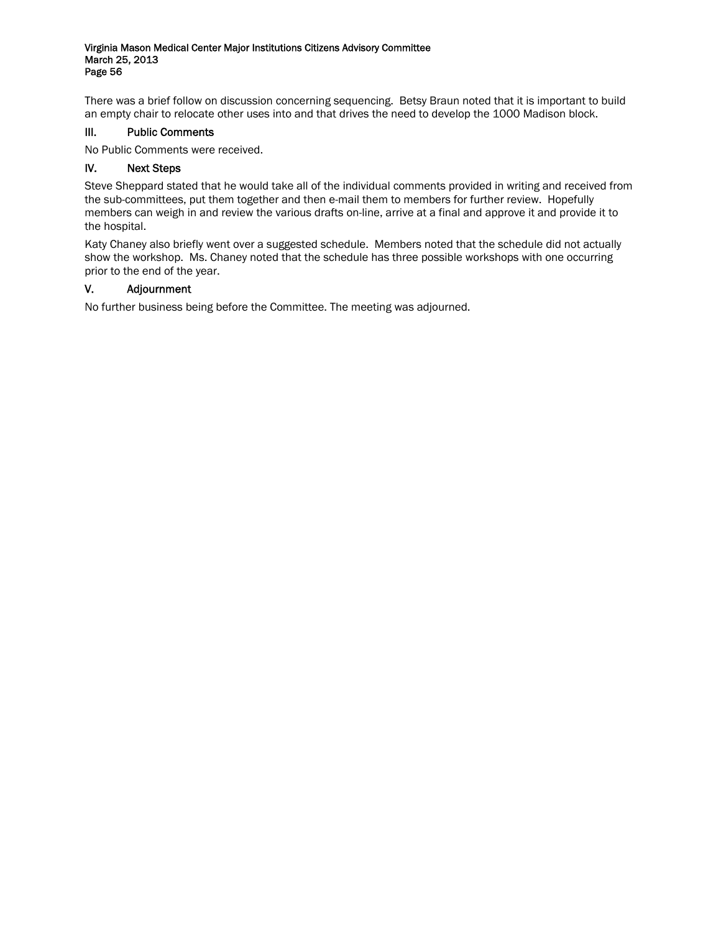There was a brief follow on discussion concerning sequencing. Betsy Braun noted that it is important to build an empty chair to relocate other uses into and that drives the need to develop the 1000 Madison block.

# III. Public Comments

No Public Comments were received.

# IV. Next Steps

Steve Sheppard stated that he would take all of the individual comments provided in writing and received from the sub-committees, put them together and then e-mail them to members for further review. Hopefully members can weigh in and review the various drafts on-line, arrive at a final and approve it and provide it to the hospital.

Katy Chaney also briefly went over a suggested schedule. Members noted that the schedule did not actually show the workshop. Ms. Chaney noted that the schedule has three possible workshops with one occurring prior to the end of the year.

# V. Adjournment

No further business being before the Committee. The meeting was adjourned.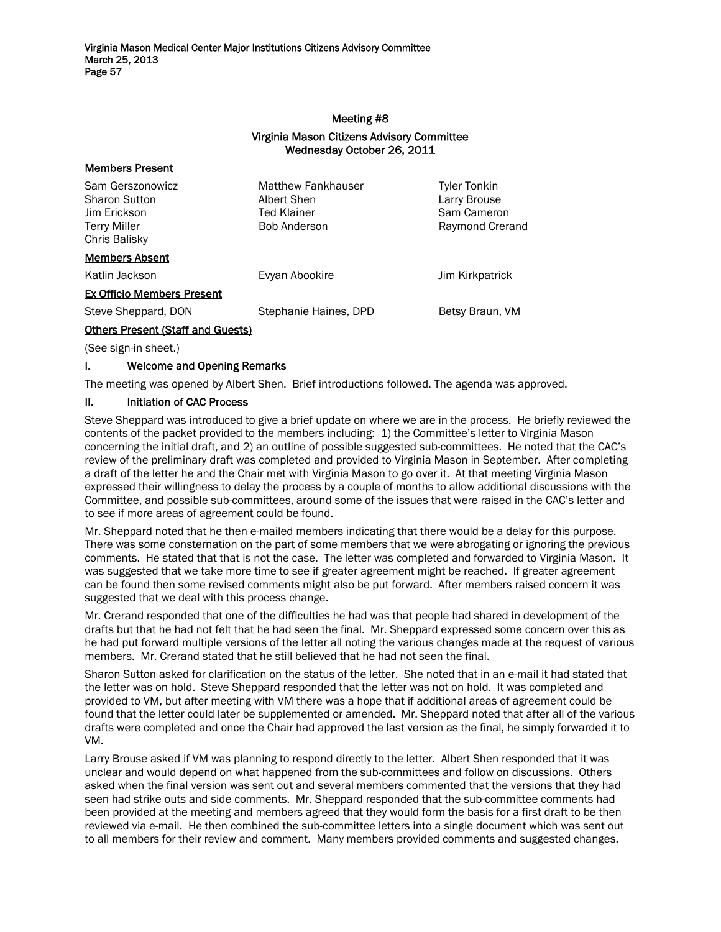# Meeting #8

## Virginia Mason Citizens Advisory Committee Wednesday October 26, 2011

| Sam Gerszonowicz<br>Sharon Sutton<br>Jim Erickson<br>Terry Miller<br>Chris Balisky | <b>Matthew Fankhauser</b><br>Albert Shen<br><b>Ted Klainer</b><br><b>Bob Anderson</b> | <b>Tyler Tonkin</b><br>Larry Brouse<br>Sam Cameron<br>Raymond Crerand |
|------------------------------------------------------------------------------------|---------------------------------------------------------------------------------------|-----------------------------------------------------------------------|
| <b>Members Absent</b>                                                              |                                                                                       |                                                                       |
| Katlin Jackson                                                                     | Evyan Abookire                                                                        | Jim Kirkpatrick                                                       |
| <b>Ex Officio Members Present</b>                                                  |                                                                                       |                                                                       |
| Steve Sheppard, DON                                                                | Stephanie Haines, DPD                                                                 | Betsy Braun, VM                                                       |
| <b>Others Present (Staff and Guests)</b>                                           |                                                                                       |                                                                       |

(See sign-in sheet.)

Members Present

# I. Welcome and Opening Remarks

The meeting was opened by Albert Shen. Brief introductions followed. The agenda was approved.

## II. Initiation of CAC Process

Steve Sheppard was introduced to give a brief update on where we are in the process. He briefly reviewed the contents of the packet provided to the members including: 1) the Committee's letter to Virginia Mason concerning the initial draft, and 2) an outline of possible suggested sub-committees. He noted that the CAC's review of the preliminary draft was completed and provided to Virginia Mason in September. After completing a draft of the letter he and the Chair met with Virginia Mason to go over it. At that meeting Virginia Mason expressed their willingness to delay the process by a couple of months to allow additional discussions with the Committee, and possible sub-committees, around some of the issues that were raised in the CAC's letter and to see if more areas of agreement could be found.

Mr. Sheppard noted that he then e-mailed members indicating that there would be a delay for this purpose. There was some consternation on the part of some members that we were abrogating or ignoring the previous comments. He stated that that is not the case. The letter was completed and forwarded to Virginia Mason. It was suggested that we take more time to see if greater agreement might be reached. If greater agreement can be found then some revised comments might also be put forward. After members raised concern it was suggested that we deal with this process change.

Mr. Crerand responded that one of the difficulties he had was that people had shared in development of the drafts but that he had not felt that he had seen the final. Mr. Sheppard expressed some concern over this as he had put forward multiple versions of the letter all noting the various changes made at the request of various members. Mr. Crerand stated that he still believed that he had not seen the final.

Sharon Sutton asked for clarification on the status of the letter. She noted that in an e-mail it had stated that the letter was on hold. Steve Sheppard responded that the letter was not on hold. It was completed and provided to VM, but after meeting with VM there was a hope that if additional areas of agreement could be found that the letter could later be supplemented or amended. Mr. Sheppard noted that after all of the various drafts were completed and once the Chair had approved the last version as the final, he simply forwarded it to VM.

Larry Brouse asked if VM was planning to respond directly to the letter. Albert Shen responded that it was unclear and would depend on what happened from the sub-committees and follow on discussions. Others asked when the final version was sent out and several members commented that the versions that they had seen had strike outs and side comments. Mr. Sheppard responded that the sub-committee comments had been provided at the meeting and members agreed that they would form the basis for a first draft to be then reviewed via e-mail. He then combined the sub-committee letters into a single document which was sent out to all members for their review and comment. Many members provided comments and suggested changes.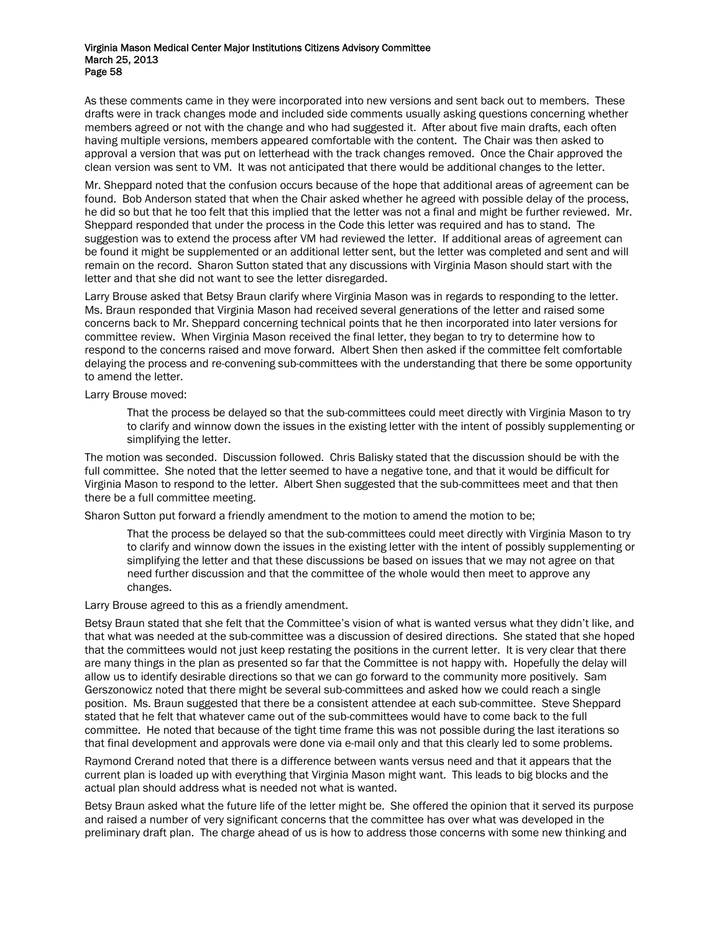As these comments came in they were incorporated into new versions and sent back out to members. These drafts were in track changes mode and included side comments usually asking questions concerning whether members agreed or not with the change and who had suggested it. After about five main drafts, each often having multiple versions, members appeared comfortable with the content. The Chair was then asked to approval a version that was put on letterhead with the track changes removed. Once the Chair approved the clean version was sent to VM. It was not anticipated that there would be additional changes to the letter.

Mr. Sheppard noted that the confusion occurs because of the hope that additional areas of agreement can be found. Bob Anderson stated that when the Chair asked whether he agreed with possible delay of the process, he did so but that he too felt that this implied that the letter was not a final and might be further reviewed. Mr. Sheppard responded that under the process in the Code this letter was required and has to stand. The suggestion was to extend the process after VM had reviewed the letter. If additional areas of agreement can be found it might be supplemented or an additional letter sent, but the letter was completed and sent and will remain on the record. Sharon Sutton stated that any discussions with Virginia Mason should start with the letter and that she did not want to see the letter disregarded.

Larry Brouse asked that Betsy Braun clarify where Virginia Mason was in regards to responding to the letter. Ms. Braun responded that Virginia Mason had received several generations of the letter and raised some concerns back to Mr. Sheppard concerning technical points that he then incorporated into later versions for committee review. When Virginia Mason received the final letter, they began to try to determine how to respond to the concerns raised and move forward. Albert Shen then asked if the committee felt comfortable delaying the process and re-convening sub-committees with the understanding that there be some opportunity to amend the letter.

Larry Brouse moved:

That the process be delayed so that the sub-committees could meet directly with Virginia Mason to try to clarify and winnow down the issues in the existing letter with the intent of possibly supplementing or simplifying the letter.

The motion was seconded. Discussion followed. Chris Balisky stated that the discussion should be with the full committee. She noted that the letter seemed to have a negative tone, and that it would be difficult for Virginia Mason to respond to the letter. Albert Shen suggested that the sub-committees meet and that then there be a full committee meeting.

Sharon Sutton put forward a friendly amendment to the motion to amend the motion to be;

That the process be delayed so that the sub-committees could meet directly with Virginia Mason to try to clarify and winnow down the issues in the existing letter with the intent of possibly supplementing or simplifying the letter and that these discussions be based on issues that we may not agree on that need further discussion and that the committee of the whole would then meet to approve any changes.

Larry Brouse agreed to this as a friendly amendment.

Betsy Braun stated that she felt that the Committee's vision of what is wanted versus what they didn't like, and that what was needed at the sub-committee was a discussion of desired directions. She stated that she hoped that the committees would not just keep restating the positions in the current letter. It is very clear that there are many things in the plan as presented so far that the Committee is not happy with. Hopefully the delay will allow us to identify desirable directions so that we can go forward to the community more positively. Sam Gerszonowicz noted that there might be several sub-committees and asked how we could reach a single position. Ms. Braun suggested that there be a consistent attendee at each sub-committee. Steve Sheppard stated that he felt that whatever came out of the sub-committees would have to come back to the full committee. He noted that because of the tight time frame this was not possible during the last iterations so that final development and approvals were done via e-mail only and that this clearly led to some problems.

Raymond Crerand noted that there is a difference between wants versus need and that it appears that the current plan is loaded up with everything that Virginia Mason might want. This leads to big blocks and the actual plan should address what is needed not what is wanted.

Betsy Braun asked what the future life of the letter might be. She offered the opinion that it served its purpose and raised a number of very significant concerns that the committee has over what was developed in the preliminary draft plan. The charge ahead of us is how to address those concerns with some new thinking and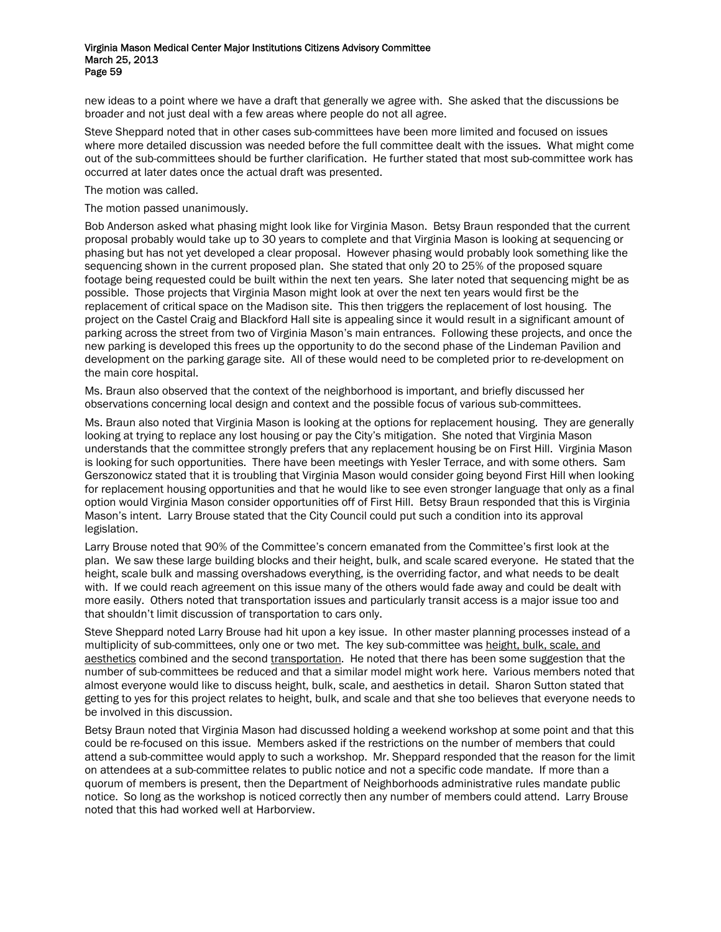new ideas to a point where we have a draft that generally we agree with. She asked that the discussions be broader and not just deal with a few areas where people do not all agree.

Steve Sheppard noted that in other cases sub-committees have been more limited and focused on issues where more detailed discussion was needed before the full committee dealt with the issues. What might come out of the sub-committees should be further clarification. He further stated that most sub-committee work has occurred at later dates once the actual draft was presented.

The motion was called.

#### The motion passed unanimously.

Bob Anderson asked what phasing might look like for Virginia Mason. Betsy Braun responded that the current proposal probably would take up to 30 years to complete and that Virginia Mason is looking at sequencing or phasing but has not yet developed a clear proposal. However phasing would probably look something like the sequencing shown in the current proposed plan. She stated that only 20 to 25% of the proposed square footage being requested could be built within the next ten years. She later noted that sequencing might be as possible. Those projects that Virginia Mason might look at over the next ten years would first be the replacement of critical space on the Madison site. This then triggers the replacement of lost housing. The project on the Castel Craig and Blackford Hall site is appealing since it would result in a significant amount of parking across the street from two of Virginia Mason's main entrances. Following these projects, and once the new parking is developed this frees up the opportunity to do the second phase of the Lindeman Pavilion and development on the parking garage site. All of these would need to be completed prior to re-development on the main core hospital.

Ms. Braun also observed that the context of the neighborhood is important, and briefly discussed her observations concerning local design and context and the possible focus of various sub-committees.

Ms. Braun also noted that Virginia Mason is looking at the options for replacement housing. They are generally looking at trying to replace any lost housing or pay the City's mitigation. She noted that Virginia Mason understands that the committee strongly prefers that any replacement housing be on First Hill. Virginia Mason is looking for such opportunities. There have been meetings with Yesler Terrace, and with some others. Sam Gerszonowicz stated that it is troubling that Virginia Mason would consider going beyond First Hill when looking for replacement housing opportunities and that he would like to see even stronger language that only as a final option would Virginia Mason consider opportunities off of First Hill. Betsy Braun responded that this is Virginia Mason's intent. Larry Brouse stated that the City Council could put such a condition into its approval legislation.

Larry Brouse noted that 90% of the Committee's concern emanated from the Committee's first look at the plan. We saw these large building blocks and their height, bulk, and scale scared everyone. He stated that the height, scale bulk and massing overshadows everything, is the overriding factor, and what needs to be dealt with. If we could reach agreement on this issue many of the others would fade away and could be dealt with more easily. Others noted that transportation issues and particularly transit access is a major issue too and that shouldn't limit discussion of transportation to cars only.

Steve Sheppard noted Larry Brouse had hit upon a key issue. In other master planning processes instead of a multiplicity of sub-committees, only one or two met. The key sub-committee was height, bulk, scale, and aesthetics combined and the second transportation. He noted that there has been some suggestion that the number of sub-committees be reduced and that a similar model might work here. Various members noted that almost everyone would like to discuss height, bulk, scale, and aesthetics in detail. Sharon Sutton stated that getting to yes for this project relates to height, bulk, and scale and that she too believes that everyone needs to be involved in this discussion.

Betsy Braun noted that Virginia Mason had discussed holding a weekend workshop at some point and that this could be re-focused on this issue. Members asked if the restrictions on the number of members that could attend a sub-committee would apply to such a workshop. Mr. Sheppard responded that the reason for the limit on attendees at a sub-committee relates to public notice and not a specific code mandate. If more than a quorum of members is present, then the Department of Neighborhoods administrative rules mandate public notice. So long as the workshop is noticed correctly then any number of members could attend. Larry Brouse noted that this had worked well at Harborview.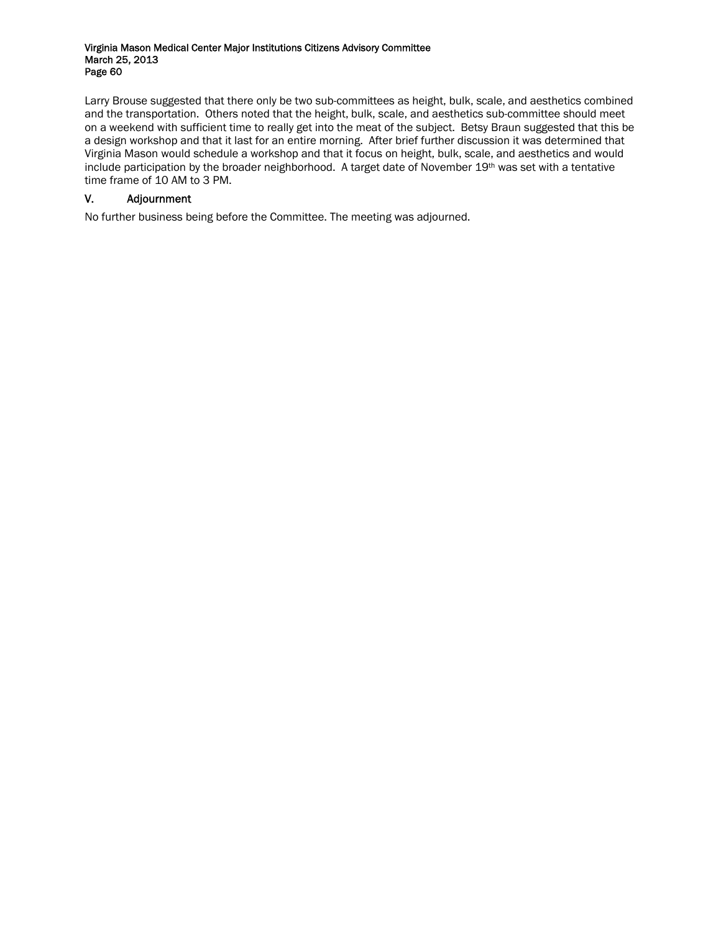Larry Brouse suggested that there only be two sub-committees as height, bulk, scale, and aesthetics combined and the transportation. Others noted that the height, bulk, scale, and aesthetics sub-committee should meet on a weekend with sufficient time to really get into the meat of the subject. Betsy Braun suggested that this be a design workshop and that it last for an entire morning. After brief further discussion it was determined that Virginia Mason would schedule a workshop and that it focus on height, bulk, scale, and aesthetics and would include participation by the broader neighborhood. A target date of November 19th was set with a tentative time frame of 10 AM to 3 PM.

# V. Adjournment

No further business being before the Committee. The meeting was adjourned.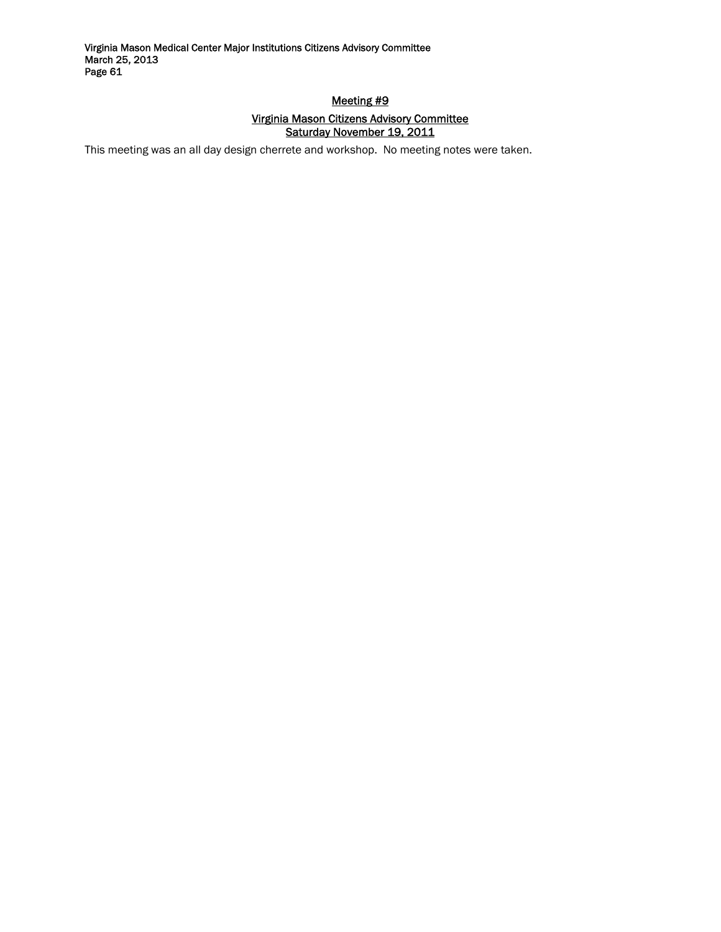# Meeting #9 Virginia Mason Citizens Advisory Committee Saturday November 19, 2011

This meeting was an all day design cherrete and workshop. No meeting notes were taken.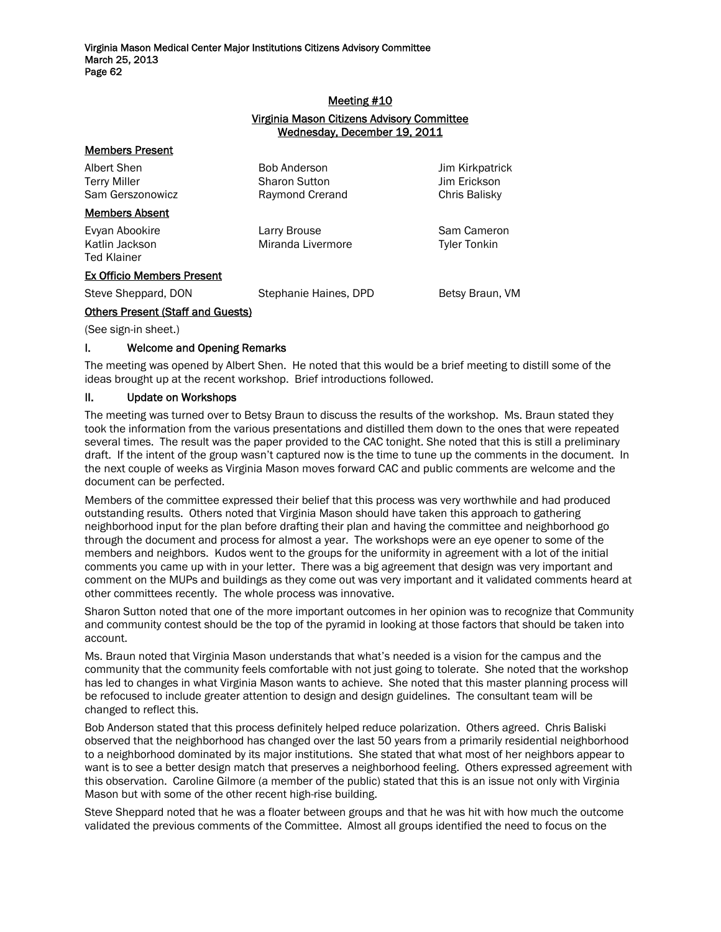# Meeting #10

## Virginia Mason Citizens Advisory Committee Wednesday, December 19, 2011

| <b>Bob Anderson</b><br><b>Sharon Sutton</b><br>Raymond Crerand | Jim Kirkpatrick<br>Jim Erickson<br>Chris Balisky |
|----------------------------------------------------------------|--------------------------------------------------|
|                                                                |                                                  |
| Larry Brouse<br>Miranda Livermore                              | Sam Cameron<br><b>Tyler Tonkin</b>               |
|                                                                |                                                  |
| Stephanie Haines, DPD                                          | Betsy Braun, VM                                  |
|                                                                |                                                  |

(See sign-in sheet.)

#### I. Welcome and Opening Remarks

The meeting was opened by Albert Shen. He noted that this would be a brief meeting to distill some of the ideas brought up at the recent workshop. Brief introductions followed.

#### II. Update on Workshops

The meeting was turned over to Betsy Braun to discuss the results of the workshop. Ms. Braun stated they took the information from the various presentations and distilled them down to the ones that were repeated several times. The result was the paper provided to the CAC tonight. She noted that this is still a preliminary draft. If the intent of the group wasn't captured now is the time to tune up the comments in the document. In the next couple of weeks as Virginia Mason moves forward CAC and public comments are welcome and the document can be perfected.

Members of the committee expressed their belief that this process was very worthwhile and had produced outstanding results. Others noted that Virginia Mason should have taken this approach to gathering neighborhood input for the plan before drafting their plan and having the committee and neighborhood go through the document and process for almost a year. The workshops were an eye opener to some of the members and neighbors. Kudos went to the groups for the uniformity in agreement with a lot of the initial comments you came up with in your letter. There was a big agreement that design was very important and comment on the MUPs and buildings as they come out was very important and it validated comments heard at other committees recently. The whole process was innovative.

Sharon Sutton noted that one of the more important outcomes in her opinion was to recognize that Community and community contest should be the top of the pyramid in looking at those factors that should be taken into account.

Ms. Braun noted that Virginia Mason understands that what's needed is a vision for the campus and the community that the community feels comfortable with not just going to tolerate. She noted that the workshop has led to changes in what Virginia Mason wants to achieve. She noted that this master planning process will be refocused to include greater attention to design and design guidelines. The consultant team will be changed to reflect this.

Bob Anderson stated that this process definitely helped reduce polarization. Others agreed. Chris Baliski observed that the neighborhood has changed over the last 50 years from a primarily residential neighborhood to a neighborhood dominated by its major institutions. She stated that what most of her neighbors appear to want is to see a better design match that preserves a neighborhood feeling. Others expressed agreement with this observation. Caroline Gilmore (a member of the public) stated that this is an issue not only with Virginia Mason but with some of the other recent high-rise building.

Steve Sheppard noted that he was a floater between groups and that he was hit with how much the outcome validated the previous comments of the Committee. Almost all groups identified the need to focus on the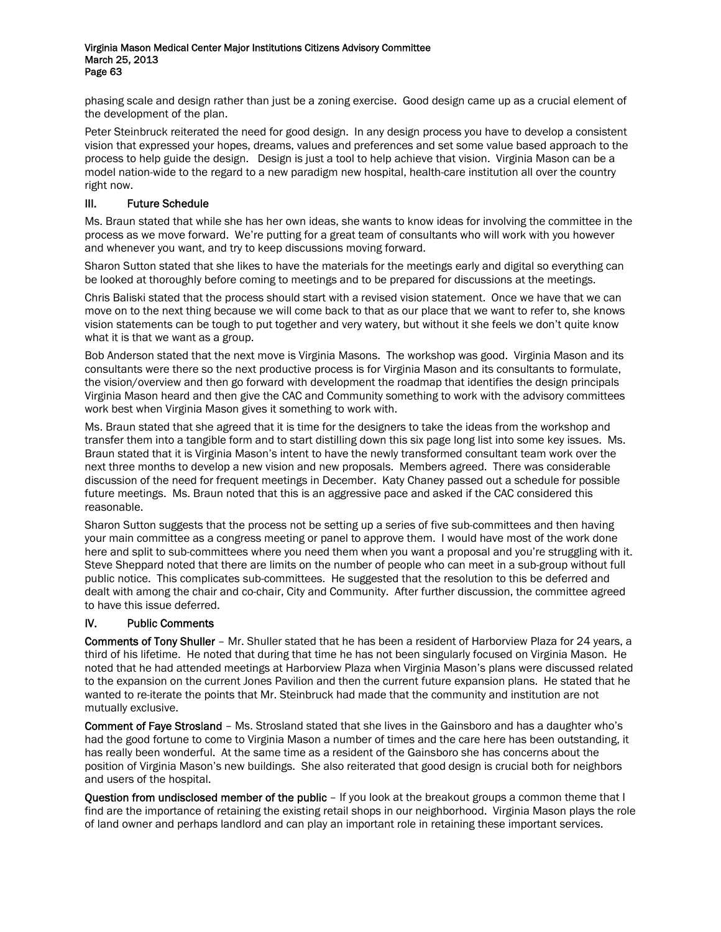phasing scale and design rather than just be a zoning exercise. Good design came up as a crucial element of the development of the plan.

Peter Steinbruck reiterated the need for good design. In any design process you have to develop a consistent vision that expressed your hopes, dreams, values and preferences and set some value based approach to the process to help guide the design. Design is just a tool to help achieve that vision. Virginia Mason can be a model nation-wide to the regard to a new paradigm new hospital, health-care institution all over the country right now.

# III. Future Schedule

Ms. Braun stated that while she has her own ideas, she wants to know ideas for involving the committee in the process as we move forward. We're putting for a great team of consultants who will work with you however and whenever you want, and try to keep discussions moving forward.

Sharon Sutton stated that she likes to have the materials for the meetings early and digital so everything can be looked at thoroughly before coming to meetings and to be prepared for discussions at the meetings.

Chris Baliski stated that the process should start with a revised vision statement. Once we have that we can move on to the next thing because we will come back to that as our place that we want to refer to, she knows vision statements can be tough to put together and very watery, but without it she feels we don't quite know what it is that we want as a group.

Bob Anderson stated that the next move is Virginia Masons. The workshop was good. Virginia Mason and its consultants were there so the next productive process is for Virginia Mason and its consultants to formulate, the vision/overview and then go forward with development the roadmap that identifies the design principals Virginia Mason heard and then give the CAC and Community something to work with the advisory committees work best when Virginia Mason gives it something to work with.

Ms. Braun stated that she agreed that it is time for the designers to take the ideas from the workshop and transfer them into a tangible form and to start distilling down this six page long list into some key issues. Ms. Braun stated that it is Virginia Mason's intent to have the newly transformed consultant team work over the next three months to develop a new vision and new proposals. Members agreed. There was considerable discussion of the need for frequent meetings in December. Katy Chaney passed out a schedule for possible future meetings. Ms. Braun noted that this is an aggressive pace and asked if the CAC considered this reasonable.

Sharon Sutton suggests that the process not be setting up a series of five sub-committees and then having your main committee as a congress meeting or panel to approve them. I would have most of the work done here and split to sub-committees where you need them when you want a proposal and you're struggling with it. Steve Sheppard noted that there are limits on the number of people who can meet in a sub-group without full public notice. This complicates sub-committees. He suggested that the resolution to this be deferred and dealt with among the chair and co-chair, City and Community. After further discussion, the committee agreed to have this issue deferred.

# IV. Public Comments

Comments of Tony Shuller – Mr. Shuller stated that he has been a resident of Harborview Plaza for 24 years, a third of his lifetime. He noted that during that time he has not been singularly focused on Virginia Mason. He noted that he had attended meetings at Harborview Plaza when Virginia Mason's plans were discussed related to the expansion on the current Jones Pavilion and then the current future expansion plans. He stated that he wanted to re-iterate the points that Mr. Steinbruck had made that the community and institution are not mutually exclusive.

Comment of Faye Strosland – Ms. Strosland stated that she lives in the Gainsboro and has a daughter who's had the good fortune to come to Virginia Mason a number of times and the care here has been outstanding, it has really been wonderful. At the same time as a resident of the Gainsboro she has concerns about the position of Virginia Mason's new buildings. She also reiterated that good design is crucial both for neighbors and users of the hospital.

Question from undisclosed member of the public – If you look at the breakout groups a common theme that I find are the importance of retaining the existing retail shops in our neighborhood. Virginia Mason plays the role of land owner and perhaps landlord and can play an important role in retaining these important services.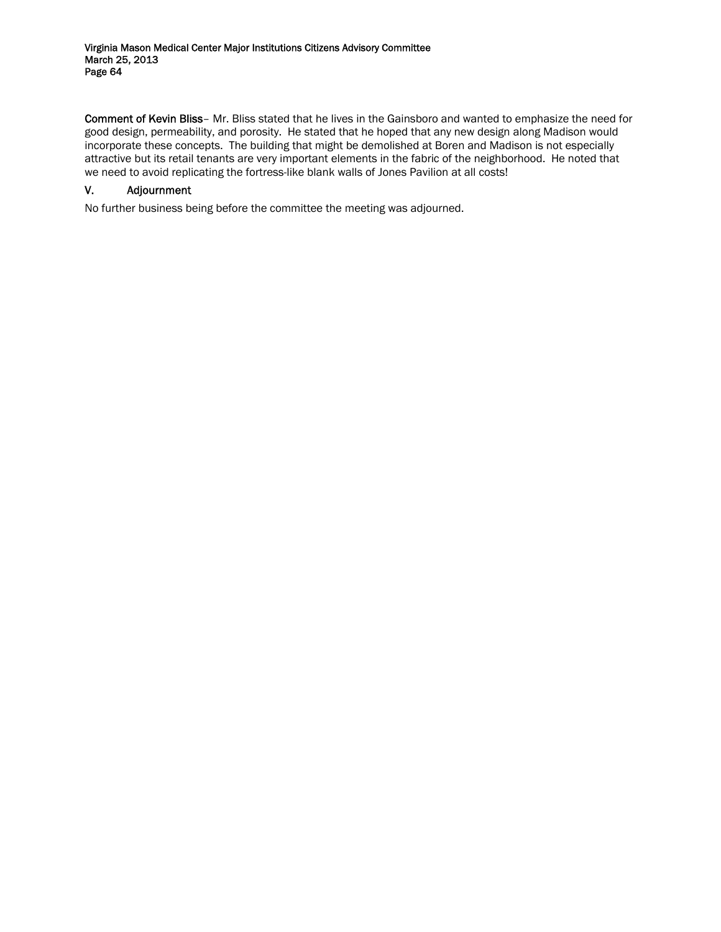Comment of Kevin Bliss– Mr. Bliss stated that he lives in the Gainsboro and wanted to emphasize the need for good design, permeability, and porosity. He stated that he hoped that any new design along Madison would incorporate these concepts. The building that might be demolished at Boren and Madison is not especially attractive but its retail tenants are very important elements in the fabric of the neighborhood. He noted that we need to avoid replicating the fortress-like blank walls of Jones Pavilion at all costs!

# V. Adjournment

No further business being before the committee the meeting was adjourned.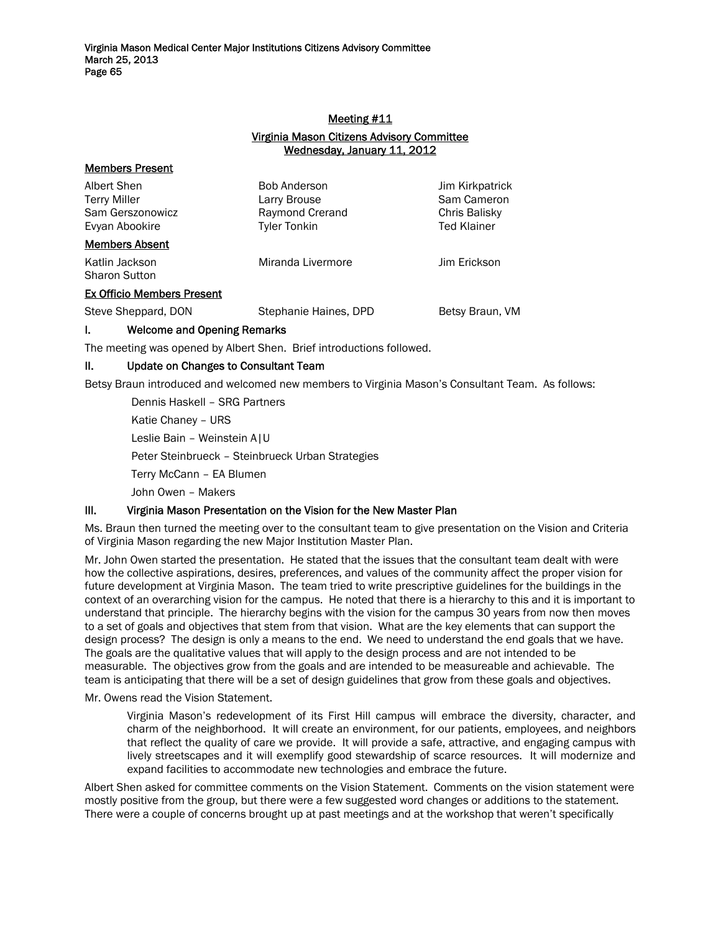### Meeting #11

## Virginia Mason Citizens Advisory Committee Wednesday, January 11, 2012

| <b>Members Present</b>                                            |                                                                               |                                                                       |
|-------------------------------------------------------------------|-------------------------------------------------------------------------------|-----------------------------------------------------------------------|
| Albert Shen<br>Terry Miller<br>Sam Gerszonowicz<br>Evyan Abookire | <b>Bob Anderson</b><br>Larry Brouse<br>Raymond Crerand<br><b>Tyler Tonkin</b> | Jim Kirkpatrick<br>Sam Cameron<br>Chris Balisky<br><b>Ted Klainer</b> |
| <b>Members Absent</b>                                             |                                                                               |                                                                       |
| Katlin Jackson<br>Sharon Sutton                                   | Miranda Livermore                                                             | Jim Erickson                                                          |
| <b>Ex Officio Members Present</b>                                 |                                                                               |                                                                       |
| Steve Sheppard, DON                                               | Stephanie Haines, DPD                                                         | Betsy Braun, VM                                                       |
|                                                                   |                                                                               |                                                                       |

I. Welcome and Opening Remarks

The meeting was opened by Albert Shen. Brief introductions followed.

## II. Update on Changes to Consultant Team

Betsy Braun introduced and welcomed new members to Virginia Mason's Consultant Team. As follows:

Dennis Haskell – SRG Partners Katie Chaney – URS Leslie Bain – Weinstein A|U Peter Steinbrueck – Steinbrueck Urban Strategies Terry McCann – EA Blumen John Owen – Makers

## III. Virginia Mason Presentation on the Vision for the New Master Plan

Ms. Braun then turned the meeting over to the consultant team to give presentation on the Vision and Criteria of Virginia Mason regarding the new Major Institution Master Plan.

Mr. John Owen started the presentation. He stated that the issues that the consultant team dealt with were how the collective aspirations, desires, preferences, and values of the community affect the proper vision for future development at Virginia Mason. The team tried to write prescriptive guidelines for the buildings in the context of an overarching vision for the campus. He noted that there is a hierarchy to this and it is important to understand that principle. The hierarchy begins with the vision for the campus 30 years from now then moves to a set of goals and objectives that stem from that vision. What are the key elements that can support the design process? The design is only a means to the end. We need to understand the end goals that we have. The goals are the qualitative values that will apply to the design process and are not intended to be measurable. The objectives grow from the goals and are intended to be measureable and achievable. The team is anticipating that there will be a set of design guidelines that grow from these goals and objectives.

Mr. Owens read the Vision Statement.

Virginia Mason's redevelopment of its First Hill campus will embrace the diversity, character, and charm of the neighborhood. It will create an environment, for our patients, employees, and neighbors that reflect the quality of care we provide. It will provide a safe, attractive, and engaging campus with lively streetscapes and it will exemplify good stewardship of scarce resources. It will modernize and expand facilities to accommodate new technologies and embrace the future.

Albert Shen asked for committee comments on the Vision Statement. Comments on the vision statement were mostly positive from the group, but there were a few suggested word changes or additions to the statement. There were a couple of concerns brought up at past meetings and at the workshop that weren't specifically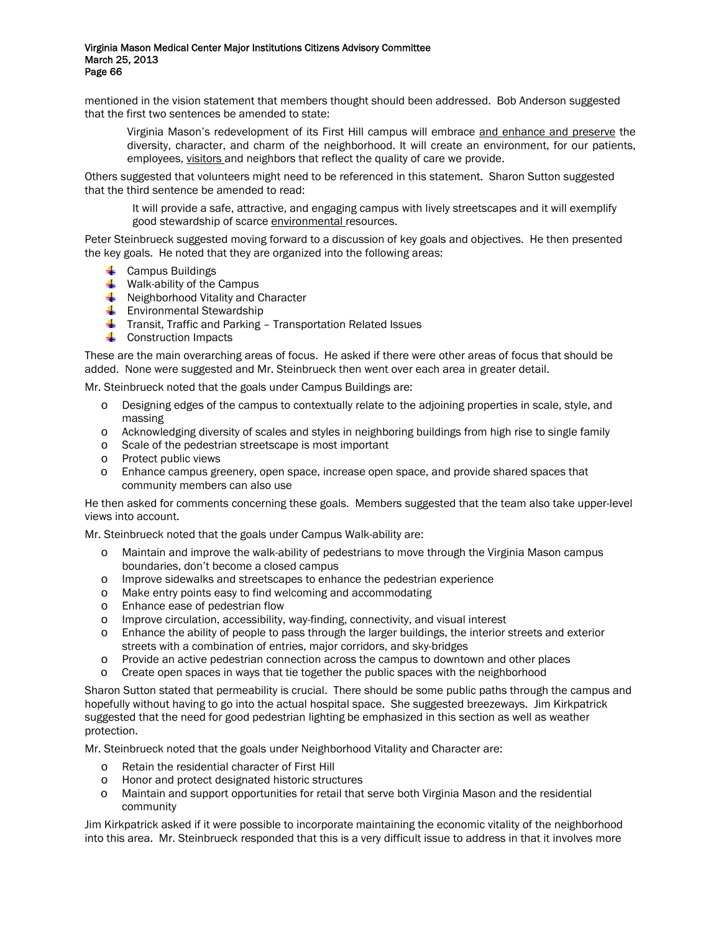mentioned in the vision statement that members thought should been addressed. Bob Anderson suggested that the first two sentences be amended to state:

Virginia Mason's redevelopment of its First Hill campus will embrace and enhance and preserve the diversity, character, and charm of the neighborhood. It will create an environment, for our patients, employees, visitors and neighbors that reflect the quality of care we provide.

Others suggested that volunteers might need to be referenced in this statement. Sharon Sutton suggested that the third sentence be amended to read:

It will provide a safe, attractive, and engaging campus with lively streetscapes and it will exemplify good stewardship of scarce environmental resources.

Peter Steinbrueck suggested moving forward to a discussion of key goals and objectives. He then presented the key goals. He noted that they are organized into the following areas:

- $\leftarrow$  Campus Buildings
- $\ddot{\bullet}$  Walk-ability of the Campus
- **E** Neighborhood Vitality and Character
- **Environmental Stewardship**
- $\ddotplus$  Transit, Traffic and Parking Transportation Related Issues
- **↓** Construction Impacts

These are the main overarching areas of focus. He asked if there were other areas of focus that should be added. None were suggested and Mr. Steinbrueck then went over each area in greater detail.

Mr. Steinbrueck noted that the goals under Campus Buildings are:

- o Designing edges of the campus to contextually relate to the adjoining properties in scale, style, and massing
- o Acknowledging diversity of scales and styles in neighboring buildings from high rise to single family
- o Scale of the pedestrian streetscape is most important
- o Protect public views
- o Enhance campus greenery, open space, increase open space, and provide shared spaces that community members can also use

He then asked for comments concerning these goals. Members suggested that the team also take upper-level views into account.

Mr. Steinbrueck noted that the goals under Campus Walk-ability are:

- o Maintain and improve the walk-ability of pedestrians to move through the Virginia Mason campus boundaries, don't become a closed campus
- o Improve sidewalks and streetscapes to enhance the pedestrian experience
- o Make entry points easy to find welcoming and accommodating
- o Enhance ease of pedestrian flow
- o Improve circulation, accessibility, way-finding, connectivity, and visual interest
- o Enhance the ability of people to pass through the larger buildings, the interior streets and exterior streets with a combination of entries, major corridors, and sky-bridges
- o Provide an active pedestrian connection across the campus to downtown and other places
- o Create open spaces in ways that tie together the public spaces with the neighborhood

Sharon Sutton stated that permeability is crucial. There should be some public paths through the campus and hopefully without having to go into the actual hospital space. She suggested breezeways. Jim Kirkpatrick suggested that the need for good pedestrian lighting be emphasized in this section as well as weather protection.

Mr. Steinbrueck noted that the goals under Neighborhood Vitality and Character are:

- o Retain the residential character of First Hill
- o Honor and protect designated historic structures
- o Maintain and support opportunities for retail that serve both Virginia Mason and the residential community

Jim Kirkpatrick asked if it were possible to incorporate maintaining the economic vitality of the neighborhood into this area. Mr. Steinbrueck responded that this is a very difficult issue to address in that it involves more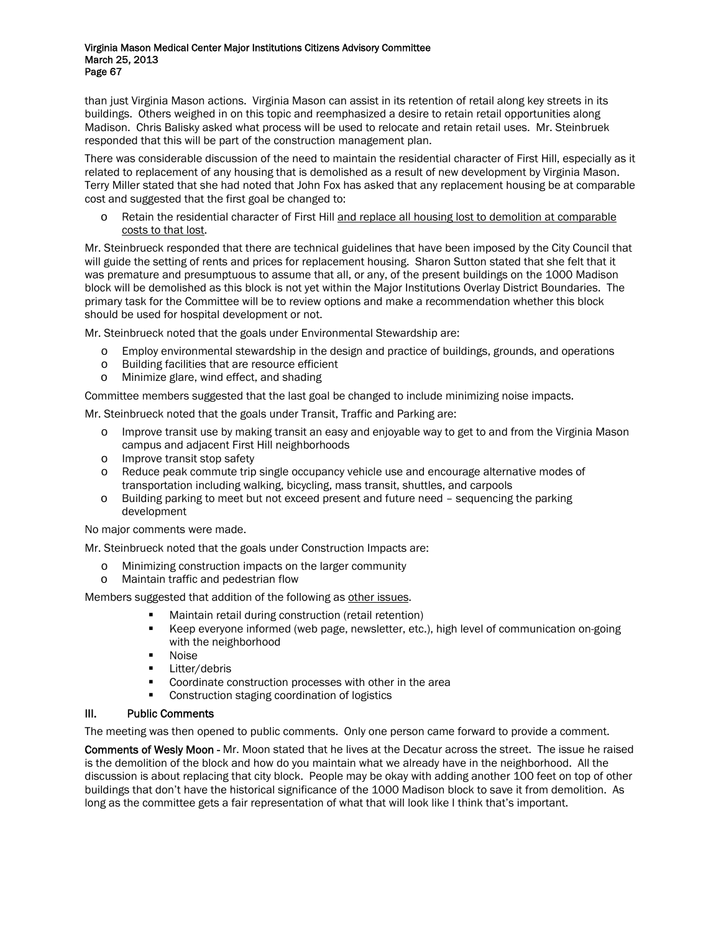than just Virginia Mason actions. Virginia Mason can assist in its retention of retail along key streets in its buildings. Others weighed in on this topic and reemphasized a desire to retain retail opportunities along Madison. Chris Balisky asked what process will be used to relocate and retain retail uses. Mr. Steinbruek responded that this will be part of the construction management plan.

There was considerable discussion of the need to maintain the residential character of First Hill, especially as it related to replacement of any housing that is demolished as a result of new development by Virginia Mason. Terry Miller stated that she had noted that John Fox has asked that any replacement housing be at comparable cost and suggested that the first goal be changed to:

o Retain the residential character of First Hill and replace all housing lost to demolition at comparable costs to that lost.

Mr. Steinbrueck responded that there are technical guidelines that have been imposed by the City Council that will guide the setting of rents and prices for replacement housing. Sharon Sutton stated that she felt that it was premature and presumptuous to assume that all, or any, of the present buildings on the 1000 Madison block will be demolished as this block is not yet within the Major Institutions Overlay District Boundaries. The primary task for the Committee will be to review options and make a recommendation whether this block should be used for hospital development or not.

Mr. Steinbrueck noted that the goals under Environmental Stewardship are:

- o Employ environmental stewardship in the design and practice of buildings, grounds, and operations
- o Building facilities that are resource efficient
- o Minimize glare, wind effect, and shading

Committee members suggested that the last goal be changed to include minimizing noise impacts.

Mr. Steinbrueck noted that the goals under Transit, Traffic and Parking are:

- o Improve transit use by making transit an easy and enjoyable way to get to and from the Virginia Mason campus and adjacent First Hill neighborhoods
- o Improve transit stop safety
- o Reduce peak commute trip single occupancy vehicle use and encourage alternative modes of transportation including walking, bicycling, mass transit, shuttles, and carpools
- o Building parking to meet but not exceed present and future need sequencing the parking development

No major comments were made.

Mr. Steinbrueck noted that the goals under Construction Impacts are:

- o Minimizing construction impacts on the larger community
- o Maintain traffic and pedestrian flow

Members suggested that addition of the following as other issues.

- Maintain retail during construction (retail retention)
- Keep everyone informed (web page, newsletter, etc.), high level of communication on-going with the neighborhood
- **Noise**
- **Litter/debris**
- **Coordinate construction processes with other in the area**
- Construction staging coordination of logistics

### III. Public Comments

The meeting was then opened to public comments. Only one person came forward to provide a comment.

Comments of Wesly Moon - Mr. Moon stated that he lives at the Decatur across the street. The issue he raised is the demolition of the block and how do you maintain what we already have in the neighborhood. All the discussion is about replacing that city block. People may be okay with adding another 100 feet on top of other buildings that don't have the historical significance of the 1000 Madison block to save it from demolition. As long as the committee gets a fair representation of what that will look like I think that's important.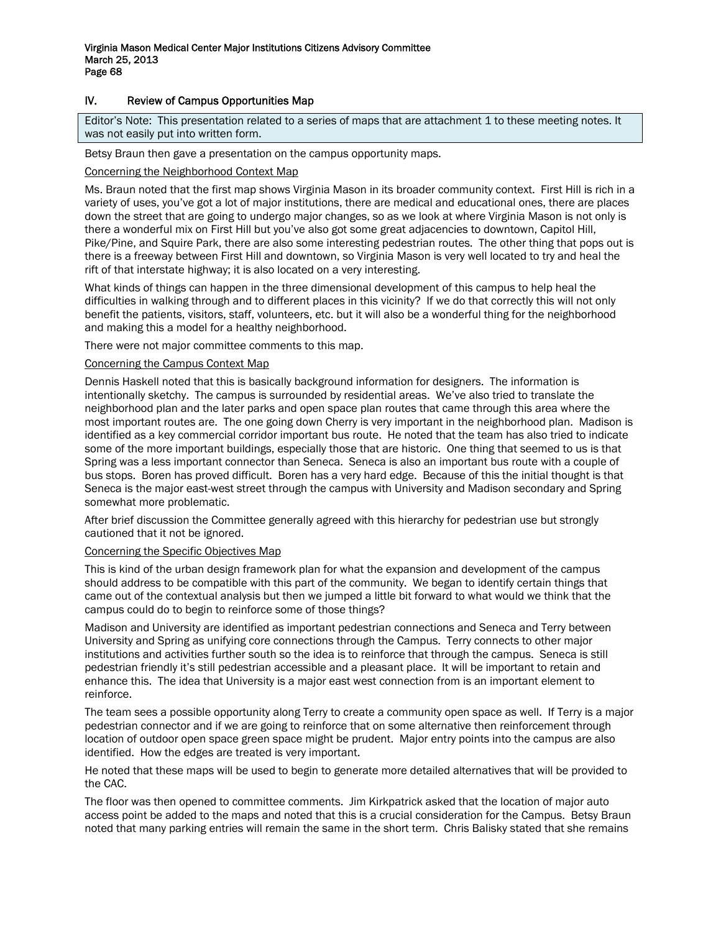## IV. Review of Campus Opportunities Map

Editor's Note: This presentation related to a series of maps that are attachment 1 to these meeting notes. It was not easily put into written form.

Betsy Braun then gave a presentation on the campus opportunity maps.

# Concerning the Neighborhood Context Map

Ms. Braun noted that the first map shows Virginia Mason in its broader community context. First Hill is rich in a variety of uses, you've got a lot of major institutions, there are medical and educational ones, there are places down the street that are going to undergo major changes, so as we look at where Virginia Mason is not only is there a wonderful mix on First Hill but you've also got some great adjacencies to downtown, Capitol Hill, Pike/Pine, and Squire Park, there are also some interesting pedestrian routes. The other thing that pops out is there is a freeway between First Hill and downtown, so Virginia Mason is very well located to try and heal the rift of that interstate highway; it is also located on a very interesting.

What kinds of things can happen in the three dimensional development of this campus to help heal the difficulties in walking through and to different places in this vicinity? If we do that correctly this will not only benefit the patients, visitors, staff, volunteers, etc. but it will also be a wonderful thing for the neighborhood and making this a model for a healthy neighborhood.

There were not major committee comments to this map.

### Concerning the Campus Context Map

Dennis Haskell noted that this is basically background information for designers. The information is intentionally sketchy. The campus is surrounded by residential areas. We've also tried to translate the neighborhood plan and the later parks and open space plan routes that came through this area where the most important routes are. The one going down Cherry is very important in the neighborhood plan. Madison is identified as a key commercial corridor important bus route. He noted that the team has also tried to indicate some of the more important buildings, especially those that are historic. One thing that seemed to us is that Spring was a less important connector than Seneca. Seneca is also an important bus route with a couple of bus stops. Boren has proved difficult. Boren has a very hard edge. Because of this the initial thought is that Seneca is the major east-west street through the campus with University and Madison secondary and Spring somewhat more problematic.

After brief discussion the Committee generally agreed with this hierarchy for pedestrian use but strongly cautioned that it not be ignored.

### Concerning the Specific Objectives Map

This is kind of the urban design framework plan for what the expansion and development of the campus should address to be compatible with this part of the community. We began to identify certain things that came out of the contextual analysis but then we jumped a little bit forward to what would we think that the campus could do to begin to reinforce some of those things?

Madison and University are identified as important pedestrian connections and Seneca and Terry between University and Spring as unifying core connections through the Campus. Terry connects to other major institutions and activities further south so the idea is to reinforce that through the campus. Seneca is still pedestrian friendly it's still pedestrian accessible and a pleasant place. It will be important to retain and enhance this. The idea that University is a major east west connection from is an important element to reinforce.

The team sees a possible opportunity along Terry to create a community open space as well. If Terry is a major pedestrian connector and if we are going to reinforce that on some alternative then reinforcement through location of outdoor open space green space might be prudent. Major entry points into the campus are also identified. How the edges are treated is very important.

He noted that these maps will be used to begin to generate more detailed alternatives that will be provided to the CAC.

The floor was then opened to committee comments. Jim Kirkpatrick asked that the location of major auto access point be added to the maps and noted that this is a crucial consideration for the Campus. Betsy Braun noted that many parking entries will remain the same in the short term. Chris Balisky stated that she remains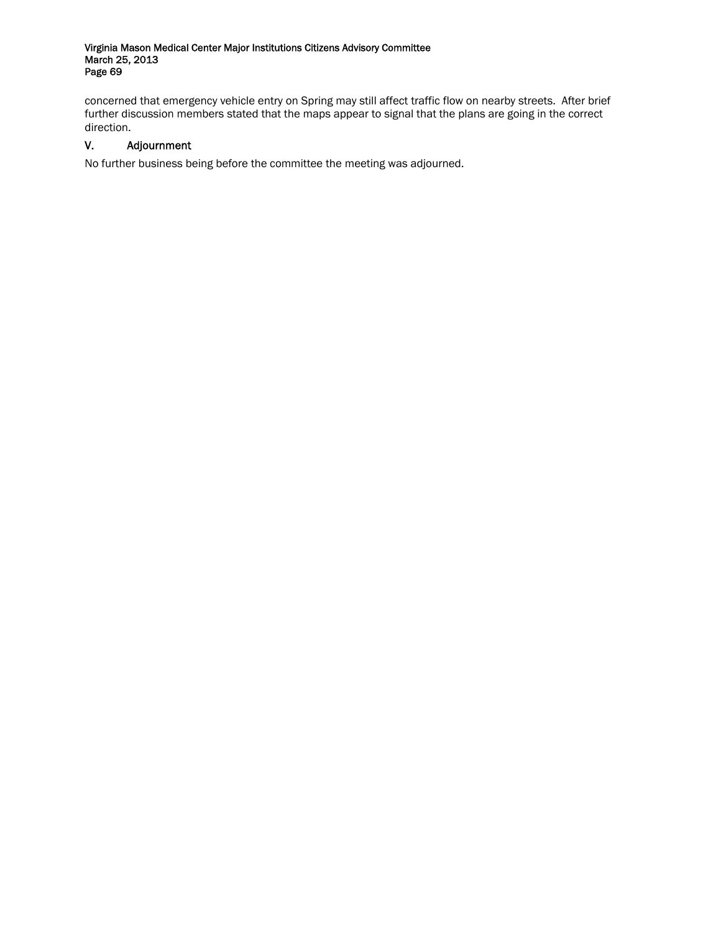concerned that emergency vehicle entry on Spring may still affect traffic flow on nearby streets. After brief further discussion members stated that the maps appear to signal that the plans are going in the correct direction.

# V. Adjournment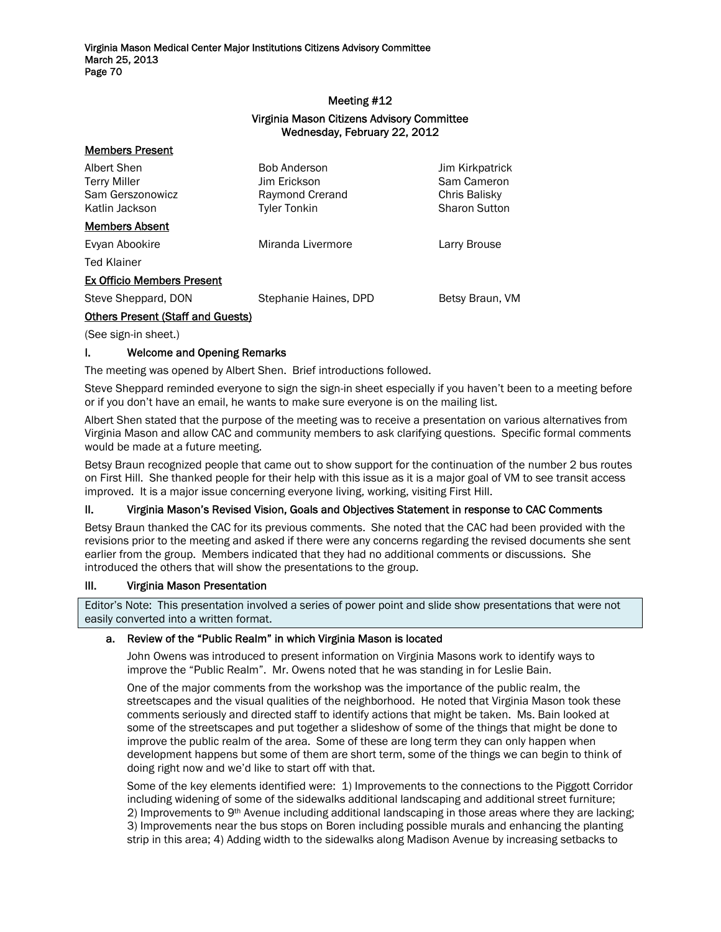### Meeting #12

## Virginia Mason Citizens Advisory Committee Wednesday, February 22, 2012

| Albert Shen<br><b>Terry Miller</b><br>Sam Gerszonowicz<br>Katlin Jackson | <b>Bob Anderson</b><br>Jim Erickson<br>Raymond Crerand<br><b>Tyler Tonkin</b> | Jim Kirkpatrick<br>Sam Cameron<br>Chris Balisky<br><b>Sharon Sutton</b> |
|--------------------------------------------------------------------------|-------------------------------------------------------------------------------|-------------------------------------------------------------------------|
| <b>Members Absent</b>                                                    |                                                                               |                                                                         |
| Evyan Abookire                                                           | Miranda Livermore                                                             | Larry Brouse                                                            |
| <b>Ted Klainer</b>                                                       |                                                                               |                                                                         |
| <b>Ex Officio Members Present</b>                                        |                                                                               |                                                                         |
| Steve Sheppard, DON                                                      | Stephanie Haines, DPD                                                         | Betsy Braun, VM                                                         |
| <b>Others Present (Staff and Guests)</b>                                 |                                                                               |                                                                         |

(See sign-in sheet.)

Members Present

### I. Welcome and Opening Remarks

The meeting was opened by Albert Shen. Brief introductions followed.

Steve Sheppard reminded everyone to sign the sign-in sheet especially if you haven't been to a meeting before or if you don't have an email, he wants to make sure everyone is on the mailing list.

Albert Shen stated that the purpose of the meeting was to receive a presentation on various alternatives from Virginia Mason and allow CAC and community members to ask clarifying questions. Specific formal comments would be made at a future meeting.

Betsy Braun recognized people that came out to show support for the continuation of the number 2 bus routes on First Hill. She thanked people for their help with this issue as it is a major goal of VM to see transit access improved. It is a major issue concerning everyone living, working, visiting First Hill.

### II. Virginia Mason's Revised Vision, Goals and Objectives Statement in response to CAC Comments

Betsy Braun thanked the CAC for its previous comments. She noted that the CAC had been provided with the revisions prior to the meeting and asked if there were any concerns regarding the revised documents she sent earlier from the group. Members indicated that they had no additional comments or discussions. She introduced the others that will show the presentations to the group.

### III. Virginia Mason Presentation

Editor's Note: This presentation involved a series of power point and slide show presentations that were not easily converted into a written format.

### a. Review of the "Public Realm" in which Virginia Mason is located

John Owens was introduced to present information on Virginia Masons work to identify ways to improve the "Public Realm". Mr. Owens noted that he was standing in for Leslie Bain.

One of the major comments from the workshop was the importance of the public realm, the streetscapes and the visual qualities of the neighborhood. He noted that Virginia Mason took these comments seriously and directed staff to identify actions that might be taken. Ms. Bain looked at some of the streetscapes and put together a slideshow of some of the things that might be done to improve the public realm of the area. Some of these are long term they can only happen when development happens but some of them are short term, some of the things we can begin to think of doing right now and we'd like to start off with that.

Some of the key elements identified were: 1) Improvements to the connections to the Piggott Corridor including widening of some of the sidewalks additional landscaping and additional street furniture; 2) Improvements to 9<sup>th</sup> Avenue including additional landscaping in those areas where they are lacking; 3) Improvements near the bus stops on Boren including possible murals and enhancing the planting strip in this area; 4) Adding width to the sidewalks along Madison Avenue by increasing setbacks to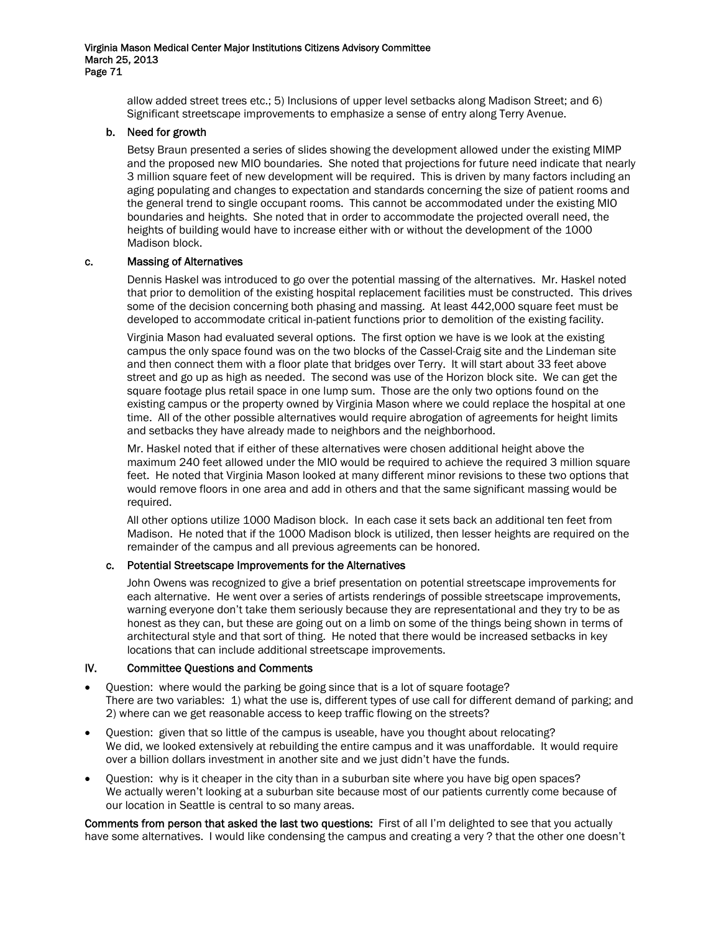allow added street trees etc.; 5) Inclusions of upper level setbacks along Madison Street; and 6) Significant streetscape improvements to emphasize a sense of entry along Terry Avenue.

### b. Need for growth

Betsy Braun presented a series of slides showing the development allowed under the existing MIMP and the proposed new MIO boundaries. She noted that projections for future need indicate that nearly 3 million square feet of new development will be required. This is driven by many factors including an aging populating and changes to expectation and standards concerning the size of patient rooms and the general trend to single occupant rooms. This cannot be accommodated under the existing MIO boundaries and heights. She noted that in order to accommodate the projected overall need, the heights of building would have to increase either with or without the development of the 1000 Madison block.

### c. Massing of Alternatives

Dennis Haskel was introduced to go over the potential massing of the alternatives. Mr. Haskel noted that prior to demolition of the existing hospital replacement facilities must be constructed. This drives some of the decision concerning both phasing and massing. At least 442,000 square feet must be developed to accommodate critical in-patient functions prior to demolition of the existing facility.

Virginia Mason had evaluated several options. The first option we have is we look at the existing campus the only space found was on the two blocks of the Cassel-Craig site and the Lindeman site and then connect them with a floor plate that bridges over Terry. It will start about 33 feet above street and go up as high as needed. The second was use of the Horizon block site. We can get the square footage plus retail space in one lump sum. Those are the only two options found on the existing campus or the property owned by Virginia Mason where we could replace the hospital at one time. All of the other possible alternatives would require abrogation of agreements for height limits and setbacks they have already made to neighbors and the neighborhood.

Mr. Haskel noted that if either of these alternatives were chosen additional height above the maximum 240 feet allowed under the MIO would be required to achieve the required 3 million square feet. He noted that Virginia Mason looked at many different minor revisions to these two options that would remove floors in one area and add in others and that the same significant massing would be required.

All other options utilize 1000 Madison block. In each case it sets back an additional ten feet from Madison. He noted that if the 1000 Madison block is utilized, then lesser heights are required on the remainder of the campus and all previous agreements can be honored.

### c. Potential Streetscape Improvements for the Alternatives

John Owens was recognized to give a brief presentation on potential streetscape improvements for each alternative. He went over a series of artists renderings of possible streetscape improvements, warning everyone don't take them seriously because they are representational and they try to be as honest as they can, but these are going out on a limb on some of the things being shown in terms of architectural style and that sort of thing. He noted that there would be increased setbacks in key locations that can include additional streetscape improvements.

### IV. Committee Questions and Comments

- Question: where would the parking be going since that is a lot of square footage? There are two variables: 1) what the use is, different types of use call for different demand of parking; and 2) where can we get reasonable access to keep traffic flowing on the streets?
- Question: given that so little of the campus is useable, have you thought about relocating? We did, we looked extensively at rebuilding the entire campus and it was unaffordable. It would require over a billion dollars investment in another site and we just didn't have the funds.
- Question: why is it cheaper in the city than in a suburban site where you have big open spaces? We actually weren't looking at a suburban site because most of our patients currently come because of our location in Seattle is central to so many areas.

Comments from person that asked the last two questions: First of all I'm delighted to see that you actually have some alternatives. I would like condensing the campus and creating a very ? that the other one doesn't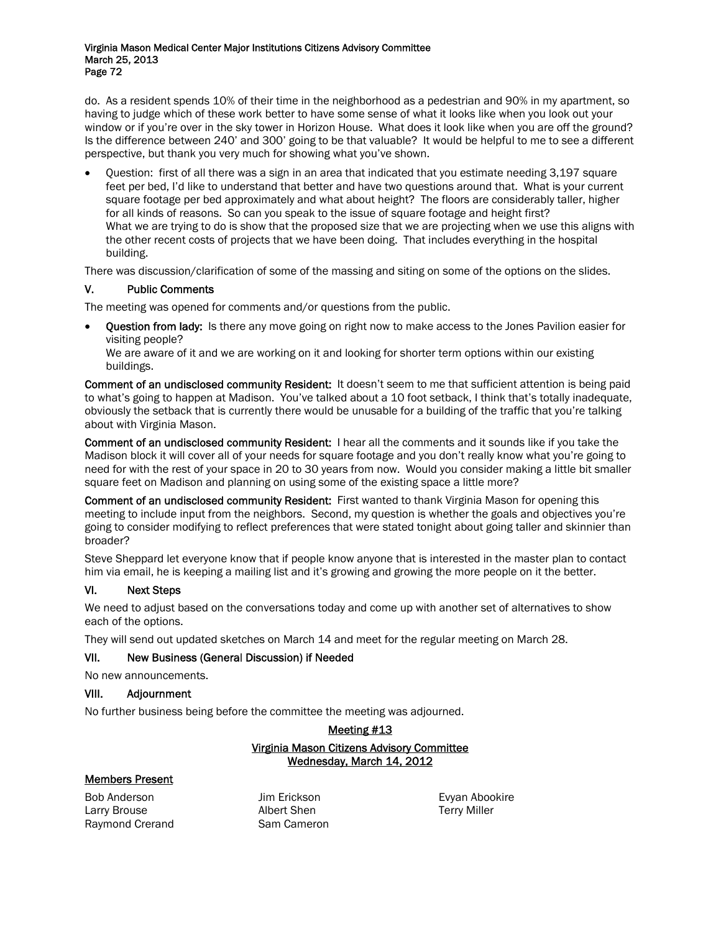do. As a resident spends 10% of their time in the neighborhood as a pedestrian and 90% in my apartment, so having to judge which of these work better to have some sense of what it looks like when you look out your window or if you're over in the sky tower in Horizon House. What does it look like when you are off the ground? Is the difference between 240' and 300' going to be that valuable? It would be helpful to me to see a different perspective, but thank you very much for showing what you've shown.

• Question: first of all there was a sign in an area that indicated that you estimate needing 3,197 square feet per bed, I'd like to understand that better and have two questions around that. What is your current square footage per bed approximately and what about height? The floors are considerably taller, higher for all kinds of reasons. So can you speak to the issue of square footage and height first? What we are trying to do is show that the proposed size that we are projecting when we use this aligns with the other recent costs of projects that we have been doing. That includes everything in the hospital building.

There was discussion/clarification of some of the massing and siting on some of the options on the slides.

## V. Public Comments

The meeting was opened for comments and/or questions from the public.

• Question from lady: Is there any move going on right now to make access to the Jones Pavilion easier for visiting people?

We are aware of it and we are working on it and looking for shorter term options within our existing buildings.

Comment of an undisclosed community Resident: It doesn't seem to me that sufficient attention is being paid to what's going to happen at Madison. You've talked about a 10 foot setback, I think that's totally inadequate, obviously the setback that is currently there would be unusable for a building of the traffic that you're talking about with Virginia Mason.

Comment of an undisclosed community Resident: I hear all the comments and it sounds like if you take the Madison block it will cover all of your needs for square footage and you don't really know what you're going to need for with the rest of your space in 20 to 30 years from now. Would you consider making a little bit smaller square feet on Madison and planning on using some of the existing space a little more?

Comment of an undisclosed community Resident: First wanted to thank Virginia Mason for opening this meeting to include input from the neighbors. Second, my question is whether the goals and objectives you're going to consider modifying to reflect preferences that were stated tonight about going taller and skinnier than broader?

Steve Sheppard let everyone know that if people know anyone that is interested in the master plan to contact him via email, he is keeping a mailing list and it's growing and growing the more people on it the better.

### VI. Next Steps

We need to adjust based on the conversations today and come up with another set of alternatives to show each of the options.

They will send out updated sketches on March 14 and meet for the regular meeting on March 28.

### VII. New Business (General Discussion) if Needed

No new announcements.

### VIII. Adjournment

No further business being before the committee the meeting was adjourned.

# Meeting #13 Virginia Mason Citizens Advisory Committee Wednesday, March 14, 2012

# Members Present

Bob Anderson **Example 2** Jim Erickson **Example 2 Example 2 Evyan Abookire** Larry Brouse **Albert Shen** Terry Miller Raymond Crerand Sam Cameron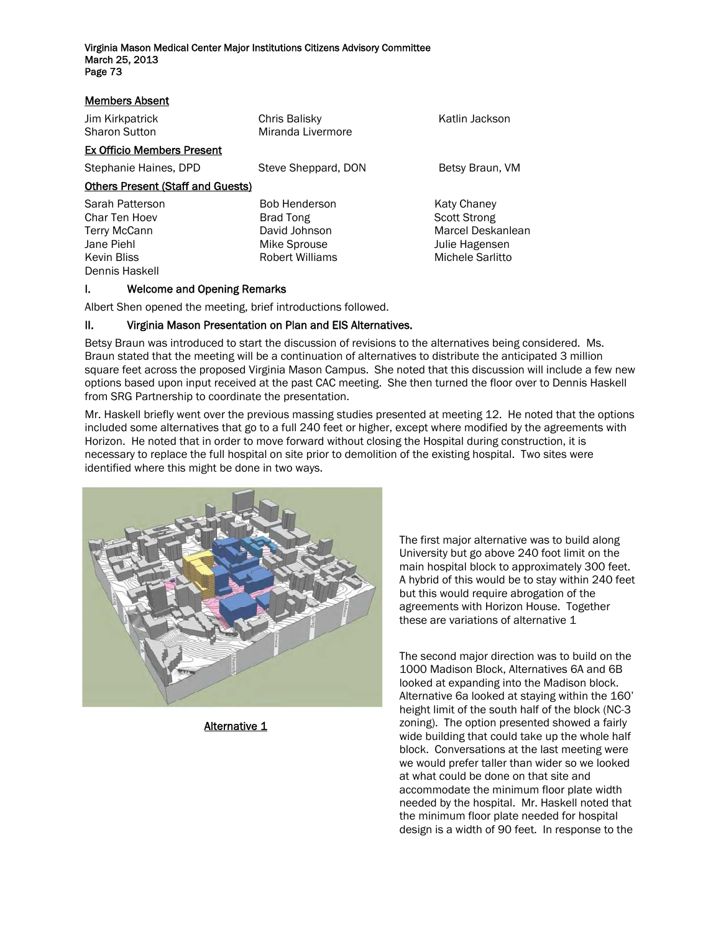| <b>Members Absent</b>                                                                                  |                                                                                       |                                                                                               |  |  |
|--------------------------------------------------------------------------------------------------------|---------------------------------------------------------------------------------------|-----------------------------------------------------------------------------------------------|--|--|
| Jim Kirkpatrick<br><b>Sharon Sutton</b>                                                                | Chris Balisky<br>Miranda Livermore                                                    | Katlin Jackson                                                                                |  |  |
| <b>Ex Officio Members Present</b>                                                                      |                                                                                       |                                                                                               |  |  |
| Stephanie Haines, DPD                                                                                  | Steve Sheppard, DON                                                                   | Betsy Braun, VM                                                                               |  |  |
| <b>Others Present (Staff and Guests)</b>                                                               |                                                                                       |                                                                                               |  |  |
| Sarah Patterson<br>Char Ten Hoev<br>Terry McCann<br>Jane Piehl<br><b>Kevin Bliss</b><br>Dennis Haskell | <b>Bob Henderson</b><br>Brad Tong<br>David Johnson<br>Mike Sprouse<br>Robert Williams | Katy Chaney<br><b>Scott Strong</b><br>Marcel Deskanlean<br>Julie Hagensen<br>Michele Sarlitto |  |  |

### I. Welcome and Opening Remarks

Albert Shen opened the meeting, brief introductions followed.

### II. Virginia Mason Presentation on Plan and EIS Alternatives.

Betsy Braun was introduced to start the discussion of revisions to the alternatives being considered. Ms. Braun stated that the meeting will be a continuation of alternatives to distribute the anticipated 3 million square feet across the proposed Virginia Mason Campus. She noted that this discussion will include a few new options based upon input received at the past CAC meeting. She then turned the floor over to Dennis Haskell from SRG Partnership to coordinate the presentation.

Mr. Haskell briefly went over the previous massing studies presented at meeting 12. He noted that the options included some alternatives that go to a full 240 feet or higher, except where modified by the agreements with Horizon. He noted that in order to move forward without closing the Hospital during construction, it is necessary to replace the full hospital on site prior to demolition of the existing hospital. Two sites were identified where this might be done in two ways.



Alternative 1

The first major alternative was to build along University but go above 240 foot limit on the main hospital block to approximately 300 feet. A hybrid of this would be to stay within 240 feet but this would require abrogation of the agreements with Horizon House. Together these are variations of alternative 1

The second major direction was to build on the 1000 Madison Block, Alternatives 6A and 6B looked at expanding into the Madison block. Alternative 6a looked at staying within the 160' height limit of the south half of the block (NC-3 zoning). The option presented showed a fairly wide building that could take up the whole half block. Conversations at the last meeting were we would prefer taller than wider so we looked at what could be done on that site and accommodate the minimum floor plate width needed by the hospital. Mr. Haskell noted that the minimum floor plate needed for hospital design is a width of 90 feet. In response to the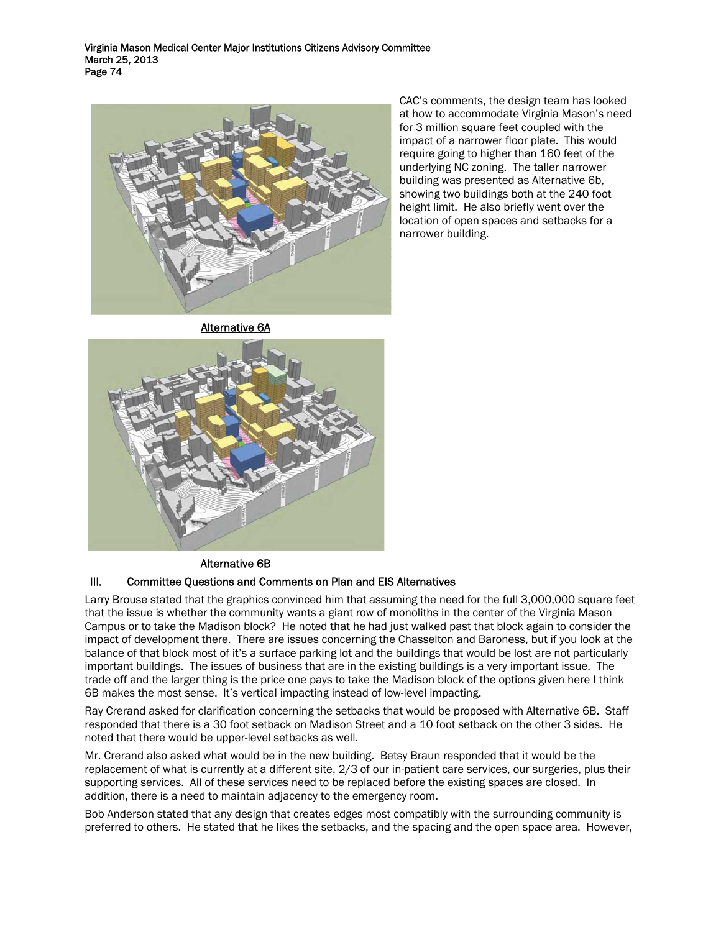

CAC's comments, the design team has looked at how to accommodate Virginia Mason's need for 3 million square feet coupled with the impact of a narrower floor plate. This would require going to higher than 160 feet of the underlying NC zoning. The taller narrower building was presented as Alternative 6b, showing two buildings both at the 240 foot height limit. He also briefly went over the location of open spaces and setbacks for a narrower building.

Alternative 6A



### Alternative 6B

### III. Committee Questions and Comments on Plan and EIS Alternatives

Larry Brouse stated that the graphics convinced him that assuming the need for the full 3,000,000 square feet that the issue is whether the community wants a giant row of monoliths in the center of the Virginia Mason Campus or to take the Madison block? He noted that he had just walked past that block again to consider the impact of development there. There are issues concerning the Chasselton and Baroness, but if you look at the balance of that block most of it's a surface parking lot and the buildings that would be lost are not particularly important buildings. The issues of business that are in the existing buildings is a very important issue. The trade off and the larger thing is the price one pays to take the Madison block of the options given here I think 6B makes the most sense. It's vertical impacting instead of low-level impacting.

Ray Crerand asked for clarification concerning the setbacks that would be proposed with Alternative 6B. Staff responded that there is a 30 foot setback on Madison Street and a 10 foot setback on the other 3 sides. He noted that there would be upper-level setbacks as well.

Mr. Crerand also asked what would be in the new building. Betsy Braun responded that it would be the replacement of what is currently at a different site, 2/3 of our in-patient care services, our surgeries, plus their supporting services. All of these services need to be replaced before the existing spaces are closed. In addition, there is a need to maintain adjacency to the emergency room.

Bob Anderson stated that any design that creates edges most compatibly with the surrounding community is preferred to others. He stated that he likes the setbacks, and the spacing and the open space area. However,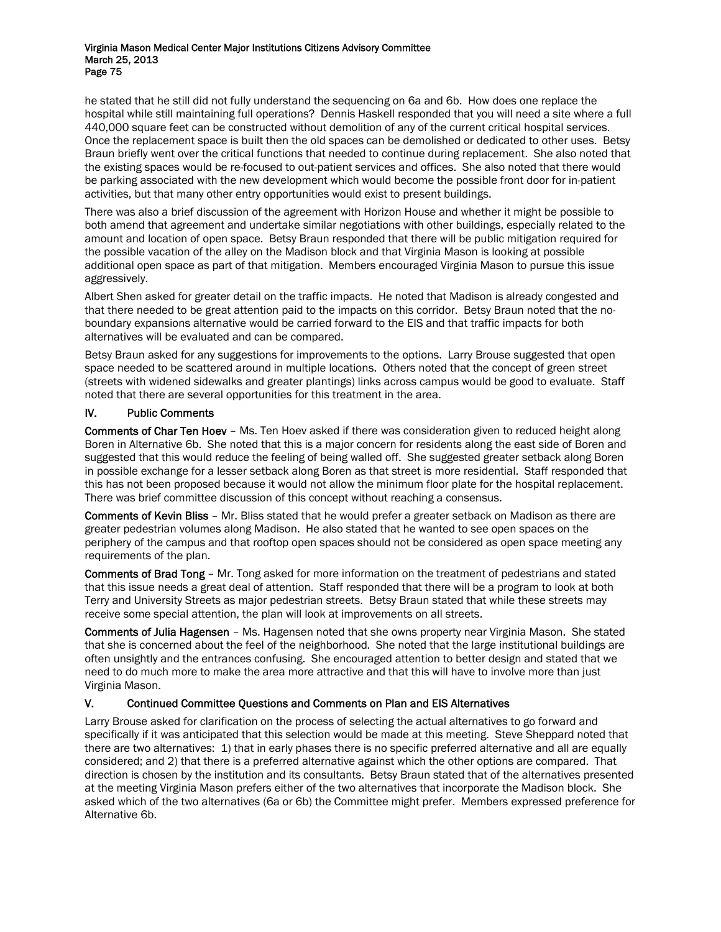he stated that he still did not fully understand the sequencing on 6a and 6b. How does one replace the hospital while still maintaining full operations? Dennis Haskell responded that you will need a site where a full 440,000 square feet can be constructed without demolition of any of the current critical hospital services. Once the replacement space is built then the old spaces can be demolished or dedicated to other uses. Betsy Braun briefly went over the critical functions that needed to continue during replacement. She also noted that the existing spaces would be re-focused to out-patient services and offices. She also noted that there would be parking associated with the new development which would become the possible front door for in-patient activities, but that many other entry opportunities would exist to present buildings.

There was also a brief discussion of the agreement with Horizon House and whether it might be possible to both amend that agreement and undertake similar negotiations with other buildings, especially related to the amount and location of open space. Betsy Braun responded that there will be public mitigation required for the possible vacation of the alley on the Madison block and that Virginia Mason is looking at possible additional open space as part of that mitigation. Members encouraged Virginia Mason to pursue this issue aggressively.

Albert Shen asked for greater detail on the traffic impacts. He noted that Madison is already congested and that there needed to be great attention paid to the impacts on this corridor. Betsy Braun noted that the noboundary expansions alternative would be carried forward to the EIS and that traffic impacts for both alternatives will be evaluated and can be compared.

Betsy Braun asked for any suggestions for improvements to the options. Larry Brouse suggested that open space needed to be scattered around in multiple locations. Others noted that the concept of green street (streets with widened sidewalks and greater plantings) links across campus would be good to evaluate. Staff noted that there are several opportunities for this treatment in the area.

## IV. Public Comments

Comments of Char Ten Hoev – Ms. Ten Hoev asked if there was consideration given to reduced height along Boren in Alternative 6b. She noted that this is a major concern for residents along the east side of Boren and suggested that this would reduce the feeling of being walled off. She suggested greater setback along Boren in possible exchange for a lesser setback along Boren as that street is more residential. Staff responded that this has not been proposed because it would not allow the minimum floor plate for the hospital replacement. There was brief committee discussion of this concept without reaching a consensus.

Comments of Kevin Bliss – Mr. Bliss stated that he would prefer a greater setback on Madison as there are greater pedestrian volumes along Madison. He also stated that he wanted to see open spaces on the periphery of the campus and that rooftop open spaces should not be considered as open space meeting any requirements of the plan.

Comments of Brad Tong – Mr. Tong asked for more information on the treatment of pedestrians and stated that this issue needs a great deal of attention. Staff responded that there will be a program to look at both Terry and University Streets as major pedestrian streets. Betsy Braun stated that while these streets may receive some special attention, the plan will look at improvements on all streets.

Comments of Julia Hagensen – Ms. Hagensen noted that she owns property near Virginia Mason. She stated that she is concerned about the feel of the neighborhood. She noted that the large institutional buildings are often unsightly and the entrances confusing. She encouraged attention to better design and stated that we need to do much more to make the area more attractive and that this will have to involve more than just Virginia Mason.

# V. Continued Committee Questions and Comments on Plan and EIS Alternatives

Larry Brouse asked for clarification on the process of selecting the actual alternatives to go forward and specifically if it was anticipated that this selection would be made at this meeting. Steve Sheppard noted that there are two alternatives: 1) that in early phases there is no specific preferred alternative and all are equally considered; and 2) that there is a preferred alternative against which the other options are compared. That direction is chosen by the institution and its consultants. Betsy Braun stated that of the alternatives presented at the meeting Virginia Mason prefers either of the two alternatives that incorporate the Madison block. She asked which of the two alternatives (6a or 6b) the Committee might prefer. Members expressed preference for Alternative 6b.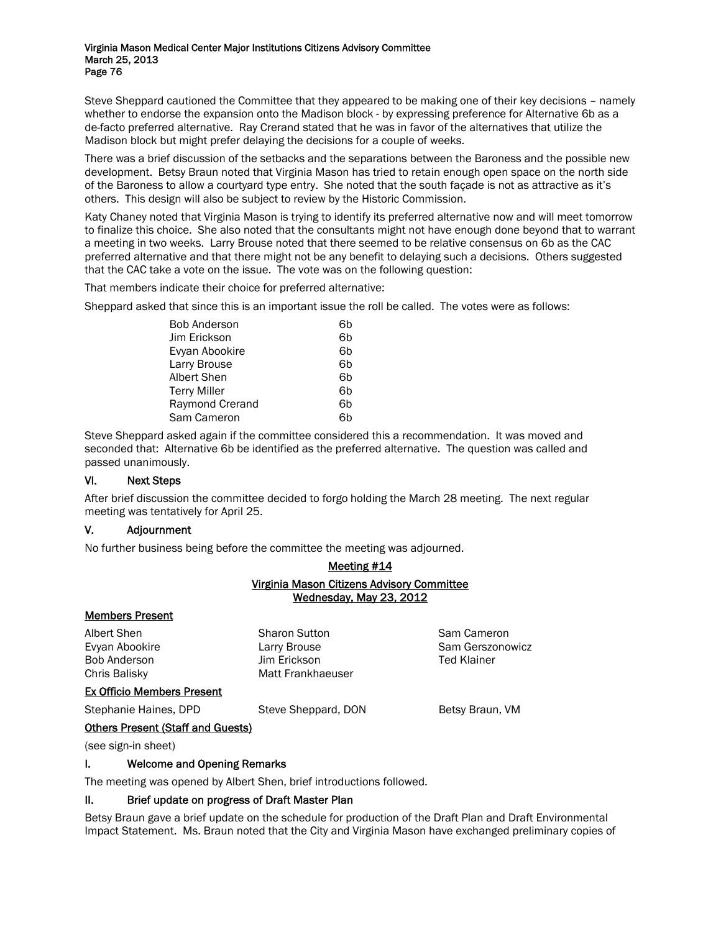Steve Sheppard cautioned the Committee that they appeared to be making one of their key decisions – namely whether to endorse the expansion onto the Madison block - by expressing preference for Alternative 6b as a de-facto preferred alternative. Ray Crerand stated that he was in favor of the alternatives that utilize the Madison block but might prefer delaying the decisions for a couple of weeks.

There was a brief discussion of the setbacks and the separations between the Baroness and the possible new development. Betsy Braun noted that Virginia Mason has tried to retain enough open space on the north side of the Baroness to allow a courtyard type entry. She noted that the south façade is not as attractive as it's others. This design will also be subject to review by the Historic Commission.

Katy Chaney noted that Virginia Mason is trying to identify its preferred alternative now and will meet tomorrow to finalize this choice. She also noted that the consultants might not have enough done beyond that to warrant a meeting in two weeks. Larry Brouse noted that there seemed to be relative consensus on 6b as the CAC preferred alternative and that there might not be any benefit to delaying such a decisions. Others suggested that the CAC take a vote on the issue. The vote was on the following question:

That members indicate their choice for preferred alternative:

Sheppard asked that since this is an important issue the roll be called. The votes were as follows:

| <b>Bob Anderson</b> | 6h |
|---------------------|----|
| Jim Erickson        | 6h |
| Evyan Abookire      | 6h |
| Larry Brouse        | 6h |
| Albert Shen         | 6h |
| <b>Terry Miller</b> | 6h |
| Raymond Crerand     | 6h |
| Sam Cameron         |    |

Steve Sheppard asked again if the committee considered this a recommendation. It was moved and seconded that: Alternative 6b be identified as the preferred alternative. The question was called and passed unanimously.

### VI. Next Steps

After brief discussion the committee decided to forgo holding the March 28 meeting. The next regular meeting was tentatively for April 25.

### V. Adjournment

No further business being before the committee the meeting was adjourned.

## Meeting #14 Virginia Mason Citizens Advisory Committee Wednesday, May 23, 2012

### Members Present

Albert Shen Sharon Sutton Sutton Sam Cameron

Evyan Abookire **Larry Brouse** Communication Communication Communication Communication Communication Communication Bob Anderson Jim Erickson Ted Klainer Chris Balisky Matt Frankhaeuser

### Ex Officio Members Present

Stephanie Haines, DPD Steve Sheppard, DON Betsy Braun, VM

### Others Present (Staff and Guests)

(see sign-in sheet)

### I. Welcome and Opening Remarks

The meeting was opened by Albert Shen, brief introductions followed.

### II. Brief update on progress of Draft Master Plan

Betsy Braun gave a brief update on the schedule for production of the Draft Plan and Draft Environmental Impact Statement. Ms. Braun noted that the City and Virginia Mason have exchanged preliminary copies of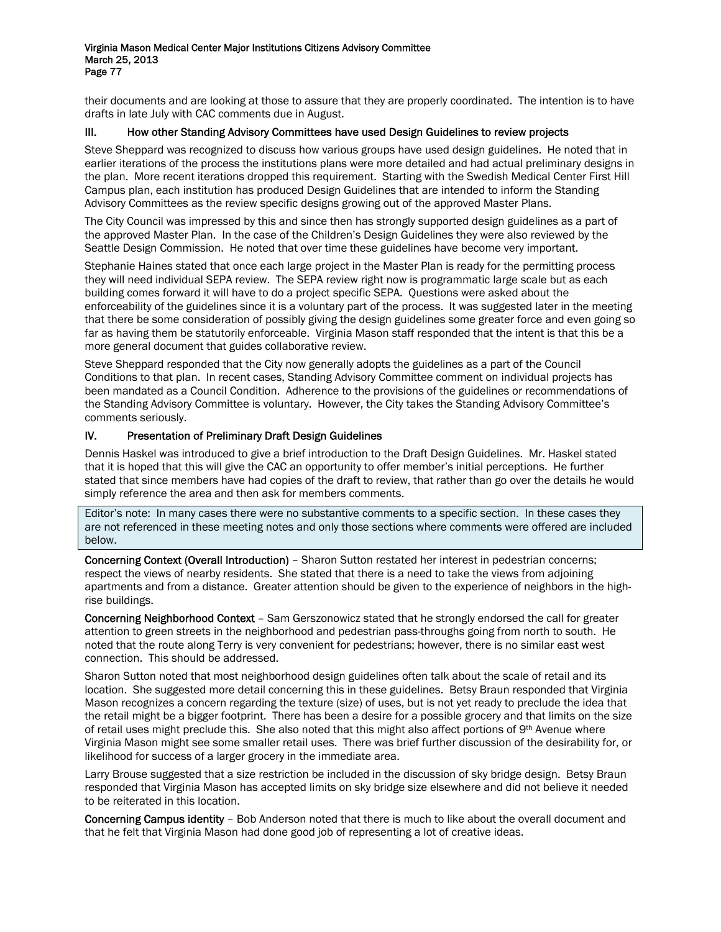their documents and are looking at those to assure that they are properly coordinated. The intention is to have drafts in late July with CAC comments due in August.

### III. How other Standing Advisory Committees have used Design Guidelines to review projects

Steve Sheppard was recognized to discuss how various groups have used design guidelines. He noted that in earlier iterations of the process the institutions plans were more detailed and had actual preliminary designs in the plan. More recent iterations dropped this requirement. Starting with the Swedish Medical Center First Hill Campus plan, each institution has produced Design Guidelines that are intended to inform the Standing Advisory Committees as the review specific designs growing out of the approved Master Plans.

The City Council was impressed by this and since then has strongly supported design guidelines as a part of the approved Master Plan. In the case of the Children's Design Guidelines they were also reviewed by the Seattle Design Commission. He noted that over time these guidelines have become very important.

Stephanie Haines stated that once each large project in the Master Plan is ready for the permitting process they will need individual SEPA review. The SEPA review right now is programmatic large scale but as each building comes forward it will have to do a project specific SEPA. Questions were asked about the enforceability of the guidelines since it is a voluntary part of the process. It was suggested later in the meeting that there be some consideration of possibly giving the design guidelines some greater force and even going so far as having them be statutorily enforceable. Virginia Mason staff responded that the intent is that this be a more general document that guides collaborative review.

Steve Sheppard responded that the City now generally adopts the guidelines as a part of the Council Conditions to that plan. In recent cases, Standing Advisory Committee comment on individual projects has been mandated as a Council Condition. Adherence to the provisions of the guidelines or recommendations of the Standing Advisory Committee is voluntary. However, the City takes the Standing Advisory Committee's comments seriously.

# IV. Presentation of Preliminary Draft Design Guidelines

Dennis Haskel was introduced to give a brief introduction to the Draft Design Guidelines. Mr. Haskel stated that it is hoped that this will give the CAC an opportunity to offer member's initial perceptions. He further stated that since members have had copies of the draft to review, that rather than go over the details he would simply reference the area and then ask for members comments.

Editor's note: In many cases there were no substantive comments to a specific section. In these cases they are not referenced in these meeting notes and only those sections where comments were offered are included below.

Concerning Context (Overall Introduction) – Sharon Sutton restated her interest in pedestrian concerns; respect the views of nearby residents. She stated that there is a need to take the views from adjoining apartments and from a distance. Greater attention should be given to the experience of neighbors in the highrise buildings.

Concerning Neighborhood Context – Sam Gerszonowicz stated that he strongly endorsed the call for greater attention to green streets in the neighborhood and pedestrian pass-throughs going from north to south. He noted that the route along Terry is very convenient for pedestrians; however, there is no similar east west connection. This should be addressed.

Sharon Sutton noted that most neighborhood design guidelines often talk about the scale of retail and its location. She suggested more detail concerning this in these guidelines. Betsy Braun responded that Virginia Mason recognizes a concern regarding the texture (size) of uses, but is not yet ready to preclude the idea that the retail might be a bigger footprint. There has been a desire for a possible grocery and that limits on the size of retail uses might preclude this. She also noted that this might also affect portions of  $9<sup>th</sup>$  Avenue where Virginia Mason might see some smaller retail uses. There was brief further discussion of the desirability for, or likelihood for success of a larger grocery in the immediate area.

Larry Brouse suggested that a size restriction be included in the discussion of sky bridge design. Betsy Braun responded that Virginia Mason has accepted limits on sky bridge size elsewhere and did not believe it needed to be reiterated in this location.

Concerning Campus identity – Bob Anderson noted that there is much to like about the overall document and that he felt that Virginia Mason had done good job of representing a lot of creative ideas.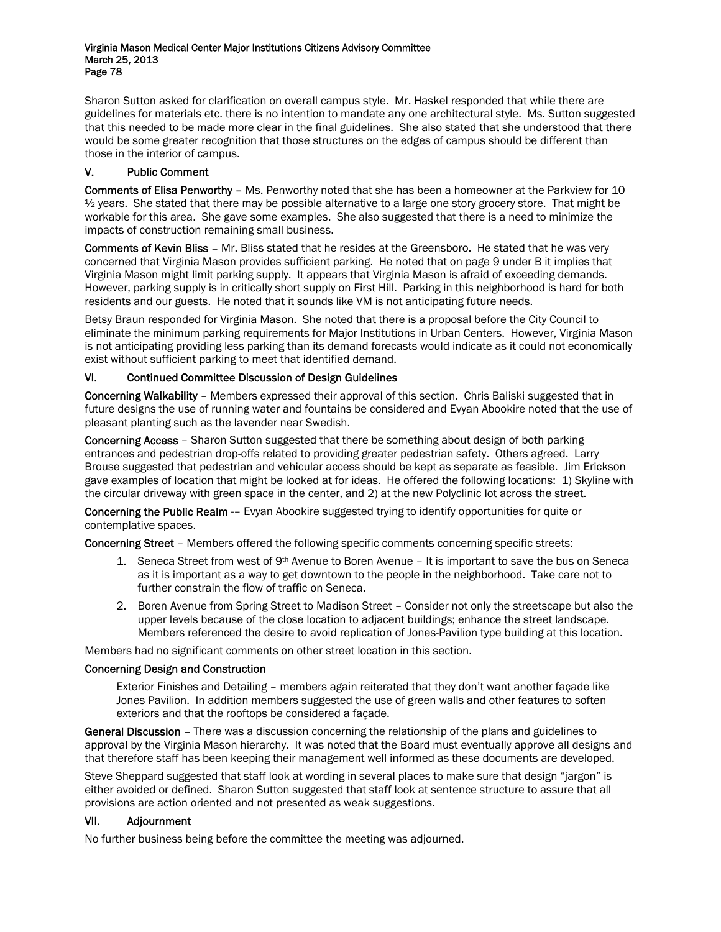Sharon Sutton asked for clarification on overall campus style. Mr. Haskel responded that while there are guidelines for materials etc. there is no intention to mandate any one architectural style. Ms. Sutton suggested that this needed to be made more clear in the final guidelines. She also stated that she understood that there would be some greater recognition that those structures on the edges of campus should be different than those in the interior of campus.

# V. Public Comment

Comments of Elisa Penworthy – Ms. Penworthy noted that she has been a homeowner at the Parkview for 10  $\frac{1}{2}$  years. She stated that there may be possible alternative to a large one story grocery store. That might be workable for this area. She gave some examples. She also suggested that there is a need to minimize the impacts of construction remaining small business.

Comments of Kevin Bliss – Mr. Bliss stated that he resides at the Greensboro. He stated that he was very concerned that Virginia Mason provides sufficient parking. He noted that on page 9 under B it implies that Virginia Mason might limit parking supply. It appears that Virginia Mason is afraid of exceeding demands. However, parking supply is in critically short supply on First Hill. Parking in this neighborhood is hard for both residents and our guests. He noted that it sounds like VM is not anticipating future needs.

Betsy Braun responded for Virginia Mason. She noted that there is a proposal before the City Council to eliminate the minimum parking requirements for Major Institutions in Urban Centers. However, Virginia Mason is not anticipating providing less parking than its demand forecasts would indicate as it could not economically exist without sufficient parking to meet that identified demand.

# VI. Continued Committee Discussion of Design Guidelines

Concerning Walkability – Members expressed their approval of this section. Chris Baliski suggested that in future designs the use of running water and fountains be considered and Evyan Abookire noted that the use of pleasant planting such as the lavender near Swedish.

Concerning Access – Sharon Sutton suggested that there be something about design of both parking entrances and pedestrian drop-offs related to providing greater pedestrian safety. Others agreed. Larry Brouse suggested that pedestrian and vehicular access should be kept as separate as feasible. Jim Erickson gave examples of location that might be looked at for ideas. He offered the following locations: 1) Skyline with the circular driveway with green space in the center, and 2) at the new Polyclinic lot across the street.

Concerning the Public Realm -– Evyan Abookire suggested trying to identify opportunities for quite or contemplative spaces.

Concerning Street – Members offered the following specific comments concerning specific streets:

- 1. Seneca Street from west of  $9<sup>th</sup>$  Avenue to Boren Avenue It is important to save the bus on Seneca as it is important as a way to get downtown to the people in the neighborhood. Take care not to further constrain the flow of traffic on Seneca.
- 2. Boren Avenue from Spring Street to Madison Street Consider not only the streetscape but also the upper levels because of the close location to adjacent buildings; enhance the street landscape. Members referenced the desire to avoid replication of Jones-Pavilion type building at this location.

Members had no significant comments on other street location in this section.

### Concerning Design and Construction

Exterior Finishes and Detailing – members again reiterated that they don't want another façade like Jones Pavilion. In addition members suggested the use of green walls and other features to soften exteriors and that the rooftops be considered a façade.

General Discussion - There was a discussion concerning the relationship of the plans and guidelines to approval by the Virginia Mason hierarchy. It was noted that the Board must eventually approve all designs and that therefore staff has been keeping their management well informed as these documents are developed.

Steve Sheppard suggested that staff look at wording in several places to make sure that design "jargon" is either avoided or defined. Sharon Sutton suggested that staff look at sentence structure to assure that all provisions are action oriented and not presented as weak suggestions.

### VII. Adjournment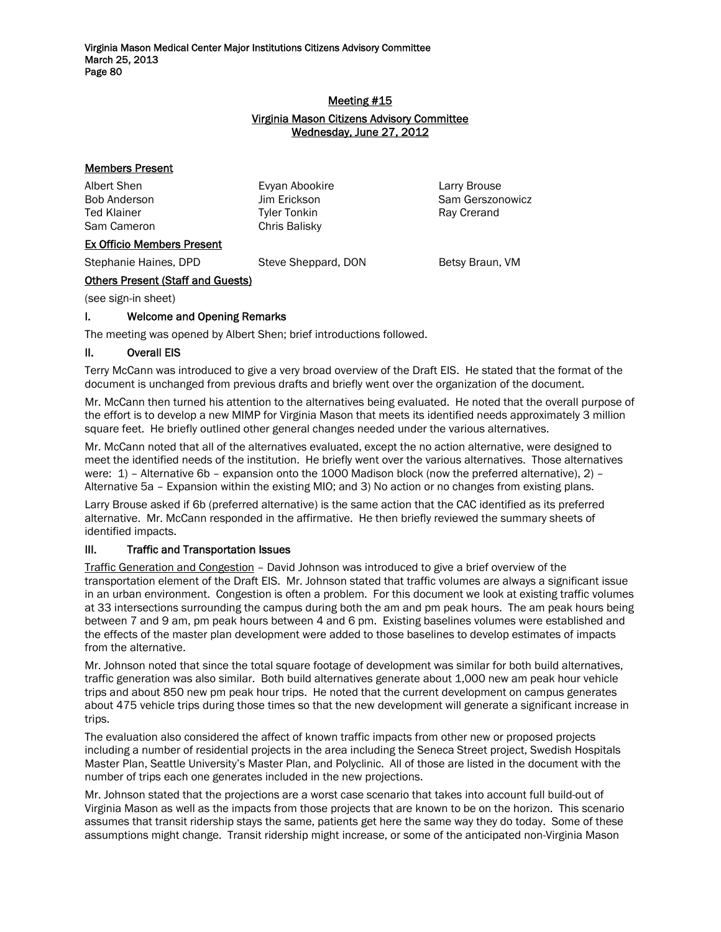## Meeting #15 Virginia Mason Citizens Advisory Committee Wednesday, June 27, 2012

## Members Present

Albert Shen Evyan Abookire Larry Brouse Ted Klainer Tyler Tonkin Tyler Tonkin Ray Crerand Sam Cameron Chris Balisky

Bob Anderson Jim Erickson Sam Gerszonowicz

### Ex Officio Members Present

Stephanie Haines, DPD Steve Sheppard, DON Betsy Braun, VM

# Others Present (Staff and Guests)

(see sign-in sheet)

## I. Welcome and Opening Remarks

The meeting was opened by Albert Shen; brief introductions followed.

### II. Overall EIS

Terry McCann was introduced to give a very broad overview of the Draft EIS. He stated that the format of the document is unchanged from previous drafts and briefly went over the organization of the document.

Mr. McCann then turned his attention to the alternatives being evaluated. He noted that the overall purpose of the effort is to develop a new MIMP for Virginia Mason that meets its identified needs approximately 3 million square feet. He briefly outlined other general changes needed under the various alternatives.

Mr. McCann noted that all of the alternatives evaluated, except the no action alternative, were designed to meet the identified needs of the institution. He briefly went over the various alternatives. Those alternatives were: 1) – Alternative 6b – expansion onto the 1000 Madison block (now the preferred alternative), 2) – Alternative 5a – Expansion within the existing MIO; and 3) No action or no changes from existing plans.

Larry Brouse asked if 6b (preferred alternative) is the same action that the CAC identified as its preferred alternative. Mr. McCann responded in the affirmative. He then briefly reviewed the summary sheets of identified impacts.

### III. Traffic and Transportation Issues

Traffic Generation and Congestion – David Johnson was introduced to give a brief overview of the transportation element of the Draft EIS. Mr. Johnson stated that traffic volumes are always a significant issue in an urban environment. Congestion is often a problem. For this document we look at existing traffic volumes at 33 intersections surrounding the campus during both the am and pm peak hours. The am peak hours being between 7 and 9 am, pm peak hours between 4 and 6 pm. Existing baselines volumes were established and the effects of the master plan development were added to those baselines to develop estimates of impacts from the alternative.

Mr. Johnson noted that since the total square footage of development was similar for both build alternatives, traffic generation was also similar. Both build alternatives generate about 1,000 new am peak hour vehicle trips and about 850 new pm peak hour trips. He noted that the current development on campus generates about 475 vehicle trips during those times so that the new development will generate a significant increase in trips.

The evaluation also considered the affect of known traffic impacts from other new or proposed projects including a number of residential projects in the area including the Seneca Street project, Swedish Hospitals Master Plan, Seattle University's Master Plan, and Polyclinic. All of those are listed in the document with the number of trips each one generates included in the new projections.

Mr. Johnson stated that the projections are a worst case scenario that takes into account full build-out of Virginia Mason as well as the impacts from those projects that are known to be on the horizon. This scenario assumes that transit ridership stays the same, patients get here the same way they do today. Some of these assumptions might change. Transit ridership might increase, or some of the anticipated non-Virginia Mason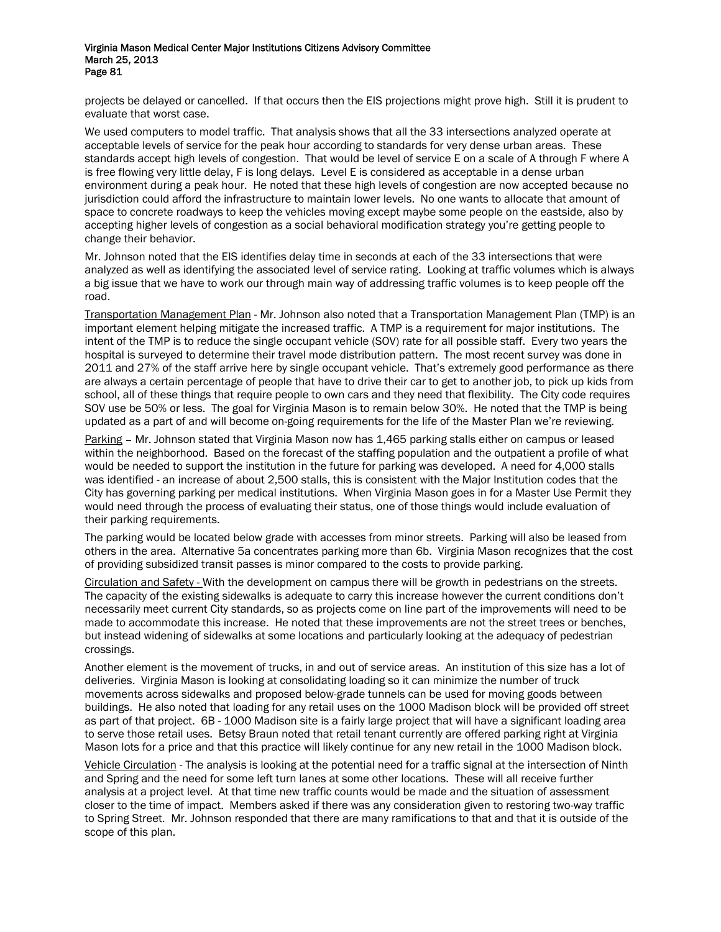projects be delayed or cancelled. If that occurs then the EIS projections might prove high. Still it is prudent to evaluate that worst case.

We used computers to model traffic. That analysis shows that all the 33 intersections analyzed operate at acceptable levels of service for the peak hour according to standards for very dense urban areas. These standards accept high levels of congestion. That would be level of service E on a scale of A through F where A is free flowing very little delay, F is long delays. Level E is considered as acceptable in a dense urban environment during a peak hour. He noted that these high levels of congestion are now accepted because no jurisdiction could afford the infrastructure to maintain lower levels. No one wants to allocate that amount of space to concrete roadways to keep the vehicles moving except maybe some people on the eastside, also by accepting higher levels of congestion as a social behavioral modification strategy you're getting people to change their behavior.

Mr. Johnson noted that the EIS identifies delay time in seconds at each of the 33 intersections that were analyzed as well as identifying the associated level of service rating. Looking at traffic volumes which is always a big issue that we have to work our through main way of addressing traffic volumes is to keep people off the road.

Transportation Management Plan - Mr. Johnson also noted that a Transportation Management Plan (TMP) is an important element helping mitigate the increased traffic. A TMP is a requirement for major institutions. The intent of the TMP is to reduce the single occupant vehicle (SOV) rate for all possible staff. Every two years the hospital is surveyed to determine their travel mode distribution pattern. The most recent survey was done in 2011 and 27% of the staff arrive here by single occupant vehicle. That's extremely good performance as there are always a certain percentage of people that have to drive their car to get to another job, to pick up kids from school, all of these things that require people to own cars and they need that flexibility. The City code requires SOV use be 50% or less. The goal for Virginia Mason is to remain below 30%. He noted that the TMP is being updated as a part of and will become on-going requirements for the life of the Master Plan we're reviewing.

Parking – Mr. Johnson stated that Virginia Mason now has 1,465 parking stalls either on campus or leased within the neighborhood. Based on the forecast of the staffing population and the outpatient a profile of what would be needed to support the institution in the future for parking was developed. A need for 4,000 stalls was identified - an increase of about 2,500 stalls, this is consistent with the Major Institution codes that the City has governing parking per medical institutions. When Virginia Mason goes in for a Master Use Permit they would need through the process of evaluating their status, one of those things would include evaluation of their parking requirements.

The parking would be located below grade with accesses from minor streets. Parking will also be leased from others in the area. Alternative 5a concentrates parking more than 6b. Virginia Mason recognizes that the cost of providing subsidized transit passes is minor compared to the costs to provide parking.

Circulation and Safety - With the development on campus there will be growth in pedestrians on the streets. The capacity of the existing sidewalks is adequate to carry this increase however the current conditions don't necessarily meet current City standards, so as projects come on line part of the improvements will need to be made to accommodate this increase. He noted that these improvements are not the street trees or benches, but instead widening of sidewalks at some locations and particularly looking at the adequacy of pedestrian crossings.

Another element is the movement of trucks, in and out of service areas. An institution of this size has a lot of deliveries. Virginia Mason is looking at consolidating loading so it can minimize the number of truck movements across sidewalks and proposed below-grade tunnels can be used for moving goods between buildings. He also noted that loading for any retail uses on the 1000 Madison block will be provided off street as part of that project. 6B - 1000 Madison site is a fairly large project that will have a significant loading area to serve those retail uses. Betsy Braun noted that retail tenant currently are offered parking right at Virginia Mason lots for a price and that this practice will likely continue for any new retail in the 1000 Madison block.

Vehicle Circulation - The analysis is looking at the potential need for a traffic signal at the intersection of Ninth and Spring and the need for some left turn lanes at some other locations. These will all receive further analysis at a project level. At that time new traffic counts would be made and the situation of assessment closer to the time of impact. Members asked if there was any consideration given to restoring two-way traffic to Spring Street. Mr. Johnson responded that there are many ramifications to that and that it is outside of the scope of this plan.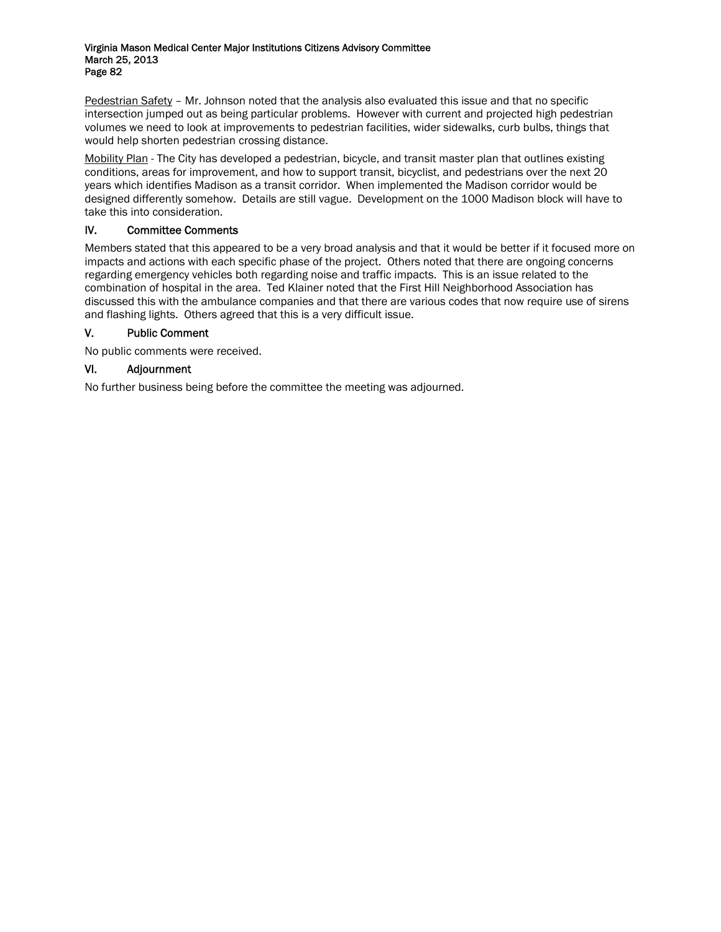Pedestrian Safety – Mr. Johnson noted that the analysis also evaluated this issue and that no specific intersection jumped out as being particular problems. However with current and projected high pedestrian volumes we need to look at improvements to pedestrian facilities, wider sidewalks, curb bulbs, things that would help shorten pedestrian crossing distance.

Mobility Plan - The City has developed a pedestrian, bicycle, and transit master plan that outlines existing conditions, areas for improvement, and how to support transit, bicyclist, and pedestrians over the next 20 years which identifies Madison as a transit corridor. When implemented the Madison corridor would be designed differently somehow. Details are still vague. Development on the 1000 Madison block will have to take this into consideration.

## IV. Committee Comments

Members stated that this appeared to be a very broad analysis and that it would be better if it focused more on impacts and actions with each specific phase of the project. Others noted that there are ongoing concerns regarding emergency vehicles both regarding noise and traffic impacts. This is an issue related to the combination of hospital in the area. Ted Klainer noted that the First Hill Neighborhood Association has discussed this with the ambulance companies and that there are various codes that now require use of sirens and flashing lights. Others agreed that this is a very difficult issue.

## V. Public Comment

No public comments were received.

## VI. Adjournment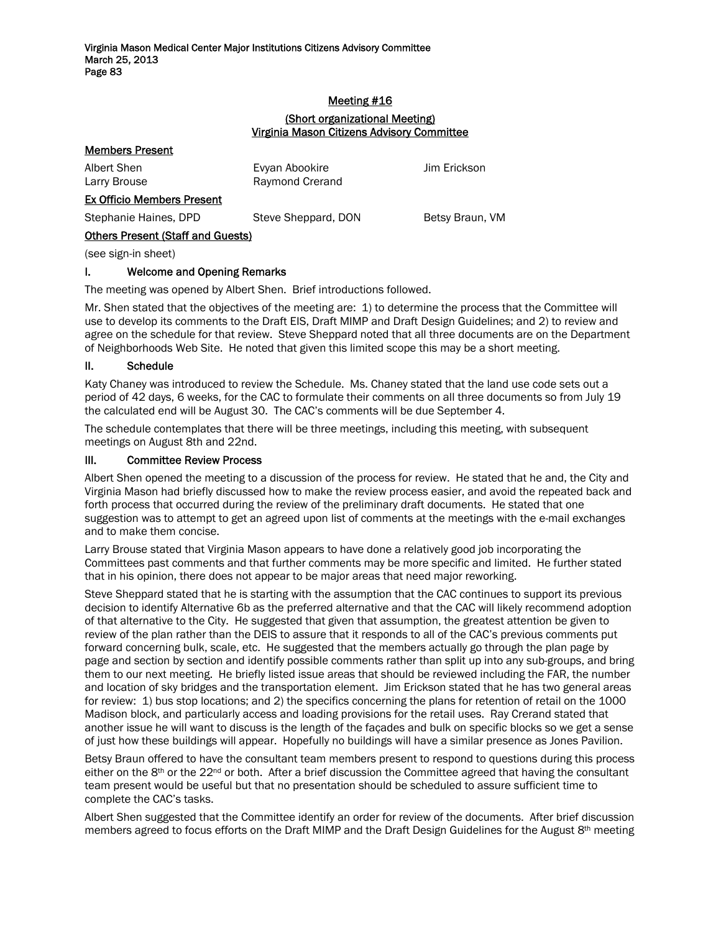## Meeting #16 (Short organizational Meeting) Virginia Mason Citizens Advisory Committee

| <b>Members Present</b>                   |                     |                 |  |  |
|------------------------------------------|---------------------|-----------------|--|--|
| Albert Shen                              | Evyan Abookire      | Jim Erickson    |  |  |
| Larry Brouse                             | Raymond Crerand     |                 |  |  |
| <b>Ex Officio Members Present</b>        |                     |                 |  |  |
| Stephanie Haines, DPD                    | Steve Sheppard, DON | Betsy Braun, VM |  |  |
| <b>Others Present (Staff and Guests)</b> |                     |                 |  |  |
| (see sign-in sheet)                      |                     |                 |  |  |
| <b>Welcome and Opening Remarks</b>       |                     |                 |  |  |

The meeting was opened by Albert Shen. Brief introductions followed.

Mr. Shen stated that the objectives of the meeting are: 1) to determine the process that the Committee will use to develop its comments to the Draft EIS, Draft MIMP and Draft Design Guidelines; and 2) to review and agree on the schedule for that review. Steve Sheppard noted that all three documents are on the Department of Neighborhoods Web Site. He noted that given this limited scope this may be a short meeting.

### II. Schedule

Katy Chaney was introduced to review the Schedule. Ms. Chaney stated that the land use code sets out a period of 42 days, 6 weeks, for the CAC to formulate their comments on all three documents so from July 19 the calculated end will be August 30. The CAC's comments will be due September 4.

The schedule contemplates that there will be three meetings, including this meeting, with subsequent meetings on August 8th and 22nd.

### III. Committee Review Process

Albert Shen opened the meeting to a discussion of the process for review. He stated that he and, the City and Virginia Mason had briefly discussed how to make the review process easier, and avoid the repeated back and forth process that occurred during the review of the preliminary draft documents. He stated that one suggestion was to attempt to get an agreed upon list of comments at the meetings with the e-mail exchanges and to make them concise.

Larry Brouse stated that Virginia Mason appears to have done a relatively good job incorporating the Committees past comments and that further comments may be more specific and limited. He further stated that in his opinion, there does not appear to be major areas that need major reworking.

Steve Sheppard stated that he is starting with the assumption that the CAC continues to support its previous decision to identify Alternative 6b as the preferred alternative and that the CAC will likely recommend adoption of that alternative to the City. He suggested that given that assumption, the greatest attention be given to review of the plan rather than the DEIS to assure that it responds to all of the CAC's previous comments put forward concerning bulk, scale, etc. He suggested that the members actually go through the plan page by page and section by section and identify possible comments rather than split up into any sub-groups, and bring them to our next meeting. He briefly listed issue areas that should be reviewed including the FAR, the number and location of sky bridges and the transportation element. Jim Erickson stated that he has two general areas for review: 1) bus stop locations; and 2) the specifics concerning the plans for retention of retail on the 1000 Madison block, and particularly access and loading provisions for the retail uses. Ray Crerand stated that another issue he will want to discuss is the length of the façades and bulk on specific blocks so we get a sense of just how these buildings will appear. Hopefully no buildings will have a similar presence as Jones Pavilion.

Betsy Braun offered to have the consultant team members present to respond to questions during this process either on the 8<sup>th</sup> or the 22<sup>nd</sup> or both. After a brief discussion the Committee agreed that having the consultant team present would be useful but that no presentation should be scheduled to assure sufficient time to complete the CAC's tasks.

Albert Shen suggested that the Committee identify an order for review of the documents. After brief discussion members agreed to focus efforts on the Draft MIMP and the Draft Design Guidelines for the August 8<sup>th</sup> meeting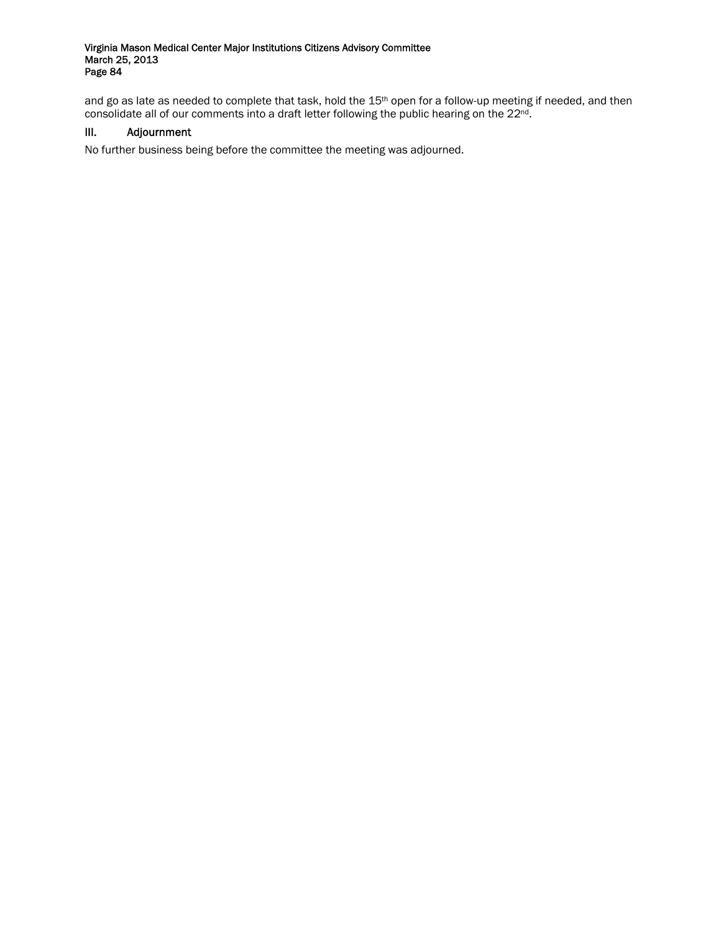and go as late as needed to complete that task, hold the 15<sup>th</sup> open for a follow-up meeting if needed, and then consolidate all of our comments into a draft letter following the public hearing on the 22nd.

## III. Adjournment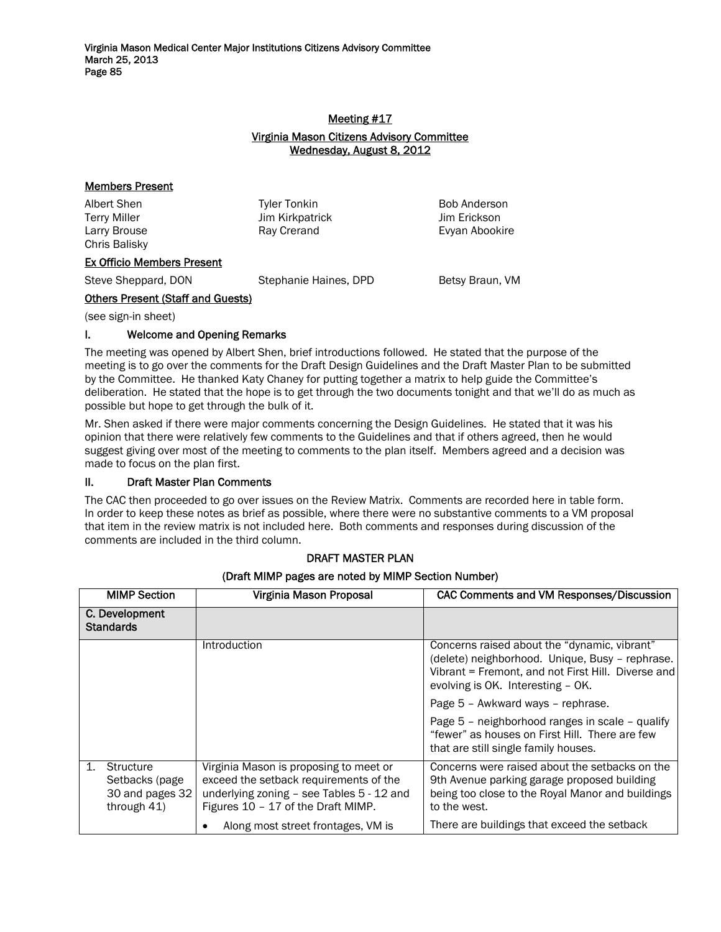## Meeting #17 Virginia Mason Citizens Advisory Committee Wednesday, August 8, 2012

## Members Present

Chris Balisky

Terry Miller Jim Kirkpatrick Jim Erickson

Albert Shen Tyler Tonkin Bob Anderson Larry Brouse **Ray Creand** Evyan Abookire **Ray Creand** 

# Ex Officio Members Present

Steve Sheppard, DON Stephanie Haines, DPD Betsy Braun, VM

# Others Present (Staff and Guests)

(see sign-in sheet)

# I. Welcome and Opening Remarks

The meeting was opened by Albert Shen, brief introductions followed. He stated that the purpose of the meeting is to go over the comments for the Draft Design Guidelines and the Draft Master Plan to be submitted by the Committee. He thanked Katy Chaney for putting together a matrix to help guide the Committee's deliberation. He stated that the hope is to get through the two documents tonight and that we'll do as much as possible but hope to get through the bulk of it.

Mr. Shen asked if there were major comments concerning the Design Guidelines. He stated that it was his opinion that there were relatively few comments to the Guidelines and that if others agreed, then he would suggest giving over most of the meeting to comments to the plan itself. Members agreed and a decision was made to focus on the plan first.

# II. Draft Master Plan Comments

The CAC then proceeded to go over issues on the Review Matrix. Comments are recorded here in table form. In order to keep these notes as brief as possible, where there were no substantive comments to a VM proposal that item in the review matrix is not included here. Both comments and responses during discussion of the comments are included in the third column.

|                | <b>MIMP Section</b>                                           | Virginia Mason Proposal                                                                                                                                             | <b>CAC Comments and VM Responses/Discussion</b>                                                                                                                                            |
|----------------|---------------------------------------------------------------|---------------------------------------------------------------------------------------------------------------------------------------------------------------------|--------------------------------------------------------------------------------------------------------------------------------------------------------------------------------------------|
|                | C. Development<br><b>Standards</b>                            |                                                                                                                                                                     |                                                                                                                                                                                            |
|                |                                                               | Introduction                                                                                                                                                        | Concerns raised about the "dynamic, vibrant"<br>(delete) neighborhood. Unique, Busy - rephrase.<br>Vibrant = Fremont, and not First Hill. Diverse and<br>evolving is OK. Interesting - OK. |
|                |                                                               |                                                                                                                                                                     | Page 5 - Awkward ways - rephrase.                                                                                                                                                          |
|                |                                                               |                                                                                                                                                                     | Page 5 - neighborhood ranges in scale - qualify<br>"fewer" as houses on First Hill. There are few<br>that are still single family houses.                                                  |
| $\mathbf{1}$ . | Structure<br>Setbacks (page<br>30 and pages 32<br>through 41) | Virginia Mason is proposing to meet or<br>exceed the setback requirements of the<br>underlying zoning - see Tables 5 - 12 and<br>Figures 10 - 17 of the Draft MIMP. | Concerns were raised about the setbacks on the<br>9th Avenue parking garage proposed building<br>being too close to the Royal Manor and buildings<br>to the west.                          |
|                |                                                               | Along most street frontages, VM is                                                                                                                                  | There are buildings that exceed the setback                                                                                                                                                |

# DRAFT MASTER PLAN (Draft MIMP pages are noted by MIMP Section Number)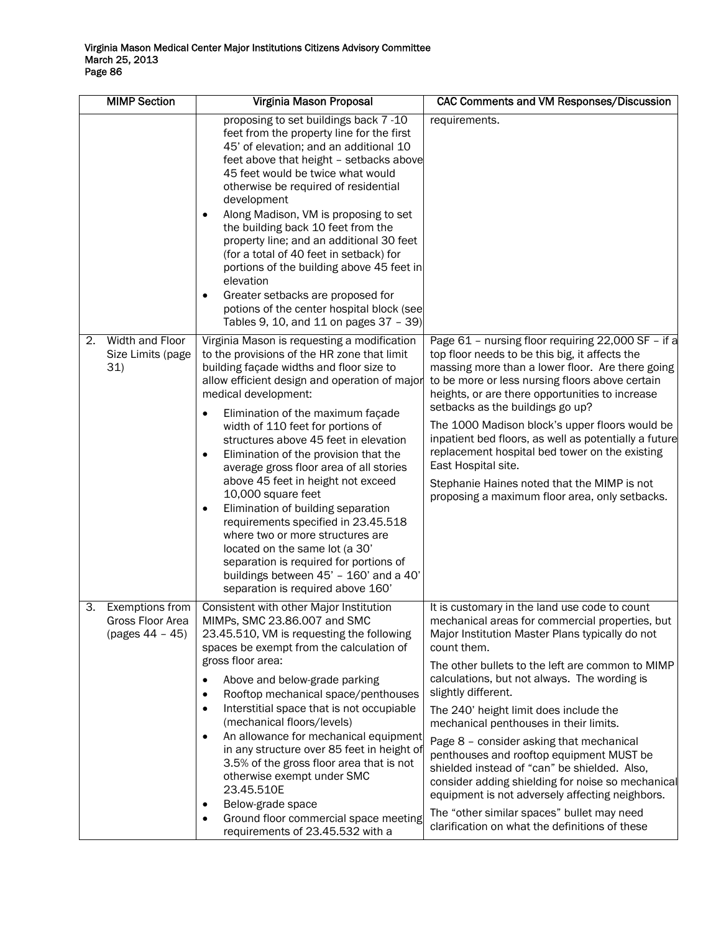| <b>MIMP Section</b>                                            | Virginia Mason Proposal                                                                                                                                                                                                                                                                                                                                                                                                                                                                                                                                                                                                                                                                                                                                             | <b>CAC Comments and VM Responses/Discussion</b>                                                                                                                                                                                                                                                                                                                                                                                                                                                                                                                                                                                                                                                                                   |
|----------------------------------------------------------------|---------------------------------------------------------------------------------------------------------------------------------------------------------------------------------------------------------------------------------------------------------------------------------------------------------------------------------------------------------------------------------------------------------------------------------------------------------------------------------------------------------------------------------------------------------------------------------------------------------------------------------------------------------------------------------------------------------------------------------------------------------------------|-----------------------------------------------------------------------------------------------------------------------------------------------------------------------------------------------------------------------------------------------------------------------------------------------------------------------------------------------------------------------------------------------------------------------------------------------------------------------------------------------------------------------------------------------------------------------------------------------------------------------------------------------------------------------------------------------------------------------------------|
|                                                                | proposing to set buildings back 7 -10<br>feet from the property line for the first<br>45' of elevation; and an additional 10<br>feet above that height - setbacks above<br>45 feet would be twice what would<br>otherwise be required of residential<br>development<br>Along Madison, VM is proposing to set<br>٠<br>the building back 10 feet from the<br>property line; and an additional 30 feet<br>(for a total of 40 feet in setback) for<br>portions of the building above 45 feet in<br>elevation<br>Greater setbacks are proposed for<br>potions of the center hospital block (see<br>Tables 9, 10, and 11 on pages 37 - 39)                                                                                                                                | requirements.                                                                                                                                                                                                                                                                                                                                                                                                                                                                                                                                                                                                                                                                                                                     |
| Width and Floor<br>2.<br>Size Limits (page<br>31)              | Virginia Mason is requesting a modification<br>to the provisions of the HR zone that limit<br>building façade widths and floor size to<br>allow efficient design and operation of major<br>medical development:<br>Elimination of the maximum façade<br>width of 110 feet for portions of<br>structures above 45 feet in elevation<br>Elimination of the provision that the<br>٠<br>average gross floor area of all stories<br>above 45 feet in height not exceed<br>10,000 square feet<br>Elimination of building separation<br>requirements specified in 23.45.518<br>where two or more structures are<br>located on the same lot (a 30'<br>separation is required for portions of<br>buildings between 45' - 160' and a 40'<br>separation is required above 160' | Page 61 - nursing floor requiring 22,000 SF - if a<br>top floor needs to be this big, it affects the<br>massing more than a lower floor. Are there going<br>to be more or less nursing floors above certain<br>heights, or are there opportunities to increase<br>setbacks as the buildings go up?<br>The 1000 Madison block's upper floors would be<br>inpatient bed floors, as well as potentially a future<br>replacement hospital bed tower on the existing<br>East Hospital site.<br>Stephanie Haines noted that the MIMP is not<br>proposing a maximum floor area, only setbacks.                                                                                                                                           |
| Exemptions from<br>З.<br>Gross Floor Area<br>$(pages 44 - 45)$ | Consistent with other Major Institution<br>MIMPs, SMC 23.86.007 and SMC<br>23.45.510, VM is requesting the following<br>spaces be exempt from the calculation of<br>gross floor area:<br>Above and below-grade parking<br>٠<br>Rooftop mechanical space/penthouses<br>$\bullet$<br>Interstitial space that is not occupiable<br>$\bullet$<br>(mechanical floors/levels)<br>An allowance for mechanical equipment<br>$\bullet$<br>in any structure over 85 feet in height of<br>3.5% of the gross floor area that is not<br>otherwise exempt under SMC<br>23.45.510E<br>Below-grade space<br>٠<br>Ground floor commercial space meeting<br>$\bullet$<br>requirements of 23.45.532 with a                                                                             | It is customary in the land use code to count<br>mechanical areas for commercial properties, but<br>Major Institution Master Plans typically do not<br>count them.<br>The other bullets to the left are common to MIMP<br>calculations, but not always. The wording is<br>slightly different.<br>The 240' height limit does include the<br>mechanical penthouses in their limits.<br>Page 8 - consider asking that mechanical<br>penthouses and rooftop equipment MUST be<br>shielded instead of "can" be shielded. Also,<br>consider adding shielding for noise so mechanical<br>equipment is not adversely affecting neighbors.<br>The "other similar spaces" bullet may need<br>clarification on what the definitions of these |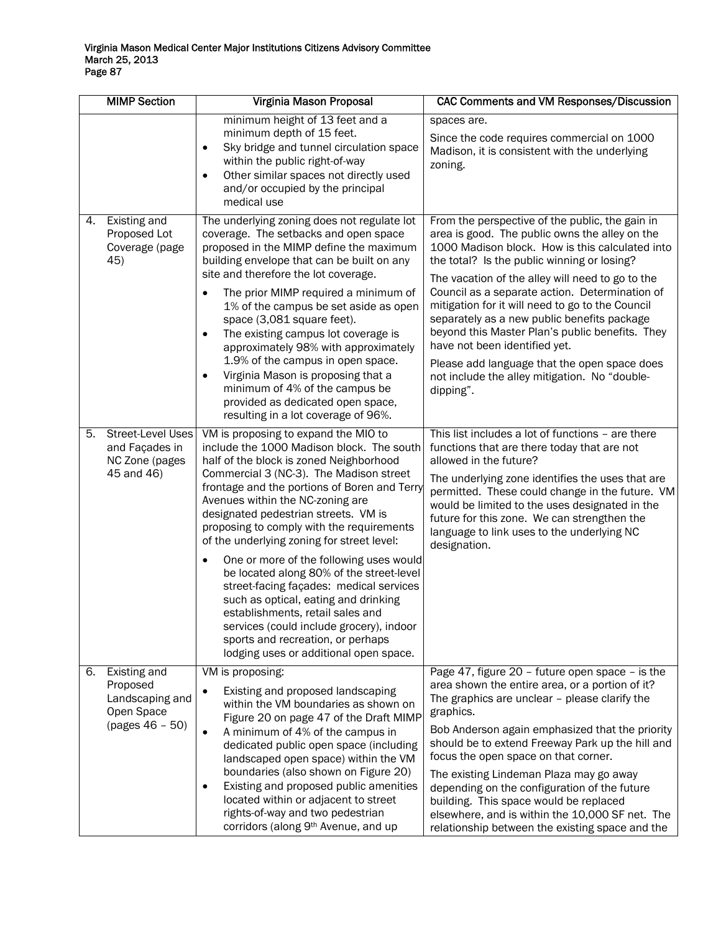|    | <b>MIMP Section</b>                                                            | Virginia Mason Proposal                                                                                                                                                                                                                                                                                                                                                                                                                                                                                                                                                                                                                                                                                                                              | CAC Comments and VM Responses/Discussion                                                                                                                                                                                                                                                                                                                                                                                                                                                                                                                                                                       |
|----|--------------------------------------------------------------------------------|------------------------------------------------------------------------------------------------------------------------------------------------------------------------------------------------------------------------------------------------------------------------------------------------------------------------------------------------------------------------------------------------------------------------------------------------------------------------------------------------------------------------------------------------------------------------------------------------------------------------------------------------------------------------------------------------------------------------------------------------------|----------------------------------------------------------------------------------------------------------------------------------------------------------------------------------------------------------------------------------------------------------------------------------------------------------------------------------------------------------------------------------------------------------------------------------------------------------------------------------------------------------------------------------------------------------------------------------------------------------------|
|    |                                                                                | minimum height of 13 feet and a<br>minimum depth of 15 feet.<br>Sky bridge and tunnel circulation space<br>within the public right-of-way<br>Other similar spaces not directly used<br>and/or occupied by the principal<br>medical use                                                                                                                                                                                                                                                                                                                                                                                                                                                                                                               | spaces are.<br>Since the code requires commercial on 1000<br>Madison, it is consistent with the underlying<br>zoning.                                                                                                                                                                                                                                                                                                                                                                                                                                                                                          |
| 4. | Existing and<br>Proposed Lot<br>Coverage (page<br>45)                          | The underlying zoning does not regulate lot<br>coverage. The setbacks and open space<br>proposed in the MIMP define the maximum<br>building envelope that can be built on any<br>site and therefore the lot coverage.<br>The prior MIMP required a minimum of<br>1% of the campus be set aside as open<br>space (3,081 square feet).<br>The existing campus lot coverage is<br>$\bullet$<br>approximately 98% with approximately<br>1.9% of the campus in open space.<br>Virginia Mason is proposing that a<br>$\bullet$<br>minimum of 4% of the campus be<br>provided as dedicated open space,<br>resulting in a lot coverage of 96%.                                                                                                               | From the perspective of the public, the gain in<br>area is good. The public owns the alley on the<br>1000 Madison block. How is this calculated into<br>the total? Is the public winning or losing?<br>The vacation of the alley will need to go to the<br>Council as a separate action. Determination of<br>mitigation for it will need to go to the Council<br>separately as a new public benefits package<br>beyond this Master Plan's public benefits. They<br>have not been identified yet.<br>Please add language that the open space does<br>not include the alley mitigation. No "double-<br>dipping". |
| 5. | <b>Street-Level Uses</b><br>and Façades in<br>NC Zone (pages<br>45 and 46)     | VM is proposing to expand the MIO to<br>include the 1000 Madison block. The south<br>half of the block is zoned Neighborhood<br>Commercial 3 (NC-3). The Madison street<br>frontage and the portions of Boren and Terry<br>Avenues within the NC-zoning are<br>designated pedestrian streets. VM is<br>proposing to comply with the requirements<br>of the underlying zoning for street level:<br>One or more of the following uses would<br>$\bullet$<br>be located along 80% of the street-level<br>street-facing façades: medical services<br>such as optical, eating and drinking<br>establishments, retail sales and<br>services (could include grocery), indoor<br>sports and recreation, or perhaps<br>lodging uses or additional open space. | This list includes a lot of functions - are there<br>functions that are there today that are not<br>allowed in the future?<br>The underlying zone identifies the uses that are<br>permitted. These could change in the future. VM<br>would be limited to the uses designated in the<br>future for this zone. We can strengthen the<br>language to link uses to the underlying NC<br>designation.                                                                                                                                                                                                               |
| 6. | Existing and<br>Proposed<br>Landscaping and<br>Open Space<br>$(pages 46 - 50)$ | VM is proposing:<br>Existing and proposed landscaping<br>within the VM boundaries as shown on<br>Figure 20 on page 47 of the Draft MIMP<br>A minimum of 4% of the campus in<br>$\bullet$<br>dedicated public open space (including<br>landscaped open space) within the VM<br>boundaries (also shown on Figure 20)<br>Existing and proposed public amenities<br>located within or adjacent to street<br>rights-of-way and two pedestrian<br>corridors (along 9th Avenue, and up                                                                                                                                                                                                                                                                      | Page 47, figure 20 - future open space - is the<br>area shown the entire area, or a portion of it?<br>The graphics are unclear - please clarify the<br>graphics.<br>Bob Anderson again emphasized that the priority<br>should be to extend Freeway Park up the hill and<br>focus the open space on that corner.<br>The existing Lindeman Plaza may go away<br>depending on the configuration of the future<br>building. This space would be replaced<br>elsewhere, and is within the 10,000 SF net. The<br>relationship between the existing space and the                                                     |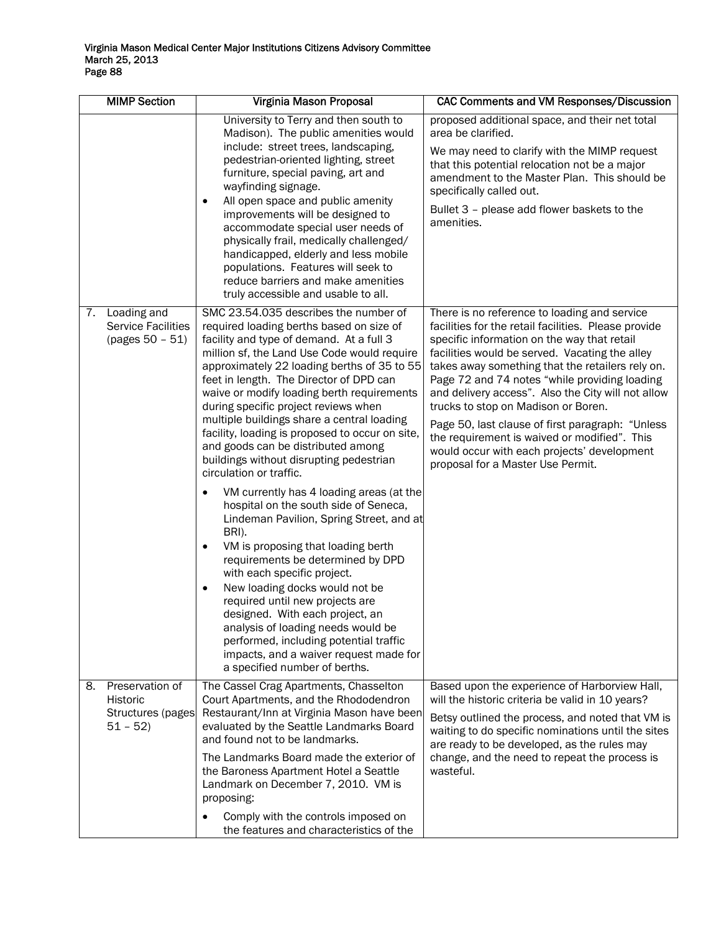|    | <b>MIMP Section</b>                                           | Virginia Mason Proposal                                                                                                                                                                                                                                                                                                                                                                                                                                                                                                                                                                                                                                                                                                                                                                                                                                                                                                                                                                                                                                                                                                    | CAC Comments and VM Responses/Discussion                                                                                                                                                                                                                                                                                                                                                                                                                                                                                                                                                        |
|----|---------------------------------------------------------------|----------------------------------------------------------------------------------------------------------------------------------------------------------------------------------------------------------------------------------------------------------------------------------------------------------------------------------------------------------------------------------------------------------------------------------------------------------------------------------------------------------------------------------------------------------------------------------------------------------------------------------------------------------------------------------------------------------------------------------------------------------------------------------------------------------------------------------------------------------------------------------------------------------------------------------------------------------------------------------------------------------------------------------------------------------------------------------------------------------------------------|-------------------------------------------------------------------------------------------------------------------------------------------------------------------------------------------------------------------------------------------------------------------------------------------------------------------------------------------------------------------------------------------------------------------------------------------------------------------------------------------------------------------------------------------------------------------------------------------------|
|    |                                                               | University to Terry and then south to<br>Madison). The public amenities would<br>include: street trees, landscaping,<br>pedestrian-oriented lighting, street<br>furniture, special paving, art and<br>wayfinding signage.<br>All open space and public amenity<br>improvements will be designed to<br>accommodate special user needs of<br>physically frail, medically challenged/<br>handicapped, elderly and less mobile<br>populations. Features will seek to<br>reduce barriers and make amenities<br>truly accessible and usable to all.                                                                                                                                                                                                                                                                                                                                                                                                                                                                                                                                                                              | proposed additional space, and their net total<br>area be clarified.<br>We may need to clarify with the MIMP request<br>that this potential relocation not be a major<br>amendment to the Master Plan. This should be<br>specifically called out.<br>Bullet 3 - please add flower baskets to the<br>amenities.                                                                                                                                                                                                                                                                                  |
| 7. | Loading and<br><b>Service Facilities</b><br>(pages 50 - 51)   | SMC 23.54.035 describes the number of<br>required loading berths based on size of<br>facility and type of demand. At a full 3<br>million sf, the Land Use Code would require<br>approximately 22 loading berths of 35 to 55<br>feet in length. The Director of DPD can<br>waive or modify loading berth requirements<br>during specific project reviews when<br>multiple buildings share a central loading<br>facility, loading is proposed to occur on site,<br>and goods can be distributed among<br>buildings without disrupting pedestrian<br>circulation or traffic.<br>VM currently has 4 loading areas (at the<br>hospital on the south side of Seneca,<br>Lindeman Pavilion, Spring Street, and at<br>BRI).<br>VM is proposing that loading berth<br>$\bullet$<br>requirements be determined by DPD<br>with each specific project.<br>New loading docks would not be<br>$\bullet$<br>required until new projects are<br>designed. With each project, an<br>analysis of loading needs would be<br>performed, including potential traffic<br>impacts, and a waiver request made for<br>a specified number of berths. | There is no reference to loading and service<br>facilities for the retail facilities. Please provide<br>specific information on the way that retail<br>facilities would be served. Vacating the alley<br>takes away something that the retailers rely on.<br>Page 72 and 74 notes "while providing loading<br>and delivery access". Also the City will not allow<br>trucks to stop on Madison or Boren.<br>Page 50, last clause of first paragraph: "Unless<br>the requirement is waived or modified". This<br>would occur with each projects' development<br>proposal for a Master Use Permit. |
| 8. | Preservation of<br>Historic<br>Structures (pages<br>$51 - 52$ | The Cassel Crag Apartments, Chasselton<br>Court Apartments, and the Rhododendron<br>Restaurant/Inn at Virginia Mason have been<br>evaluated by the Seattle Landmarks Board<br>and found not to be landmarks.<br>The Landmarks Board made the exterior of<br>the Baroness Apartment Hotel a Seattle                                                                                                                                                                                                                                                                                                                                                                                                                                                                                                                                                                                                                                                                                                                                                                                                                         | Based upon the experience of Harborview Hall,<br>will the historic criteria be valid in 10 years?<br>Betsy outlined the process, and noted that VM is<br>waiting to do specific nominations until the sites<br>are ready to be developed, as the rules may<br>change, and the need to repeat the process is<br>wasteful.                                                                                                                                                                                                                                                                        |
|    |                                                               | Landmark on December 7, 2010. VM is<br>proposing:<br>Comply with the controls imposed on<br>the features and characteristics of the                                                                                                                                                                                                                                                                                                                                                                                                                                                                                                                                                                                                                                                                                                                                                                                                                                                                                                                                                                                        |                                                                                                                                                                                                                                                                                                                                                                                                                                                                                                                                                                                                 |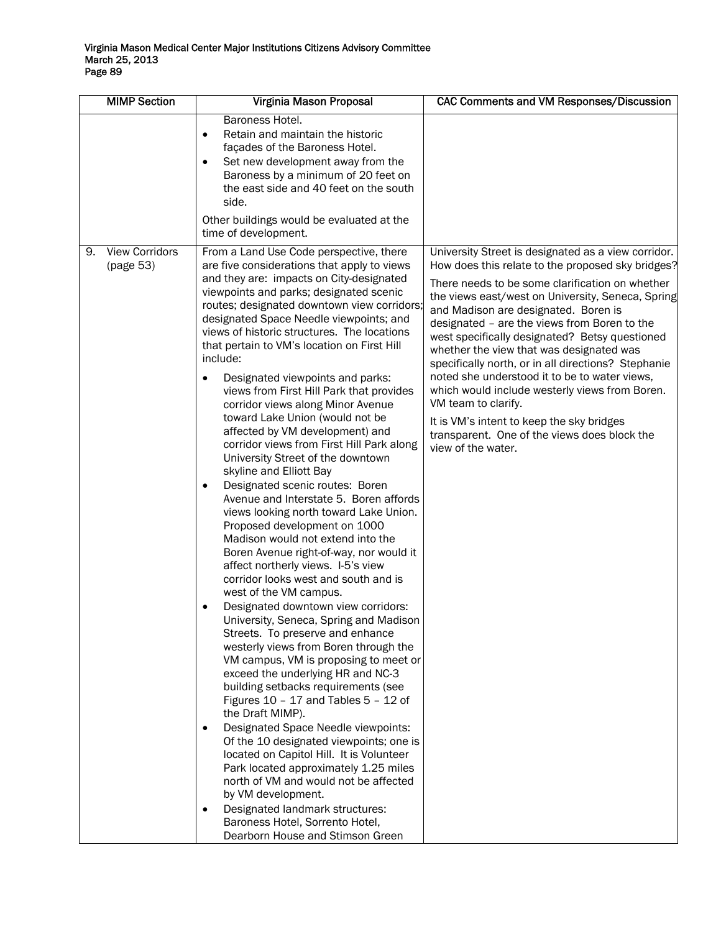| <b>MIMP Section</b>                      | Virginia Mason Proposal                                                                                                                                                                                                                                                                                                                                                                                                                                                                                                                                                                                                                                                                                                                                                                                                                                                                                                                                                                                                                                                                                                                                                                                                                                                                                                                                                                                                                                                                                                                                                                                                                                                                                                                                                         | <b>CAC Comments and VM Responses/Discussion</b>                                                                                                                                                                                                                                                                                                                                                                                                                                                                                                                                                                                                                                                            |
|------------------------------------------|---------------------------------------------------------------------------------------------------------------------------------------------------------------------------------------------------------------------------------------------------------------------------------------------------------------------------------------------------------------------------------------------------------------------------------------------------------------------------------------------------------------------------------------------------------------------------------------------------------------------------------------------------------------------------------------------------------------------------------------------------------------------------------------------------------------------------------------------------------------------------------------------------------------------------------------------------------------------------------------------------------------------------------------------------------------------------------------------------------------------------------------------------------------------------------------------------------------------------------------------------------------------------------------------------------------------------------------------------------------------------------------------------------------------------------------------------------------------------------------------------------------------------------------------------------------------------------------------------------------------------------------------------------------------------------------------------------------------------------------------------------------------------------|------------------------------------------------------------------------------------------------------------------------------------------------------------------------------------------------------------------------------------------------------------------------------------------------------------------------------------------------------------------------------------------------------------------------------------------------------------------------------------------------------------------------------------------------------------------------------------------------------------------------------------------------------------------------------------------------------------|
|                                          | Baroness Hotel.<br>Retain and maintain the historic<br>$\bullet$<br>façades of the Baroness Hotel.<br>Set new development away from the<br>$\bullet$<br>Baroness by a minimum of 20 feet on<br>the east side and 40 feet on the south<br>side.<br>Other buildings would be evaluated at the<br>time of development.                                                                                                                                                                                                                                                                                                                                                                                                                                                                                                                                                                                                                                                                                                                                                                                                                                                                                                                                                                                                                                                                                                                                                                                                                                                                                                                                                                                                                                                             |                                                                                                                                                                                                                                                                                                                                                                                                                                                                                                                                                                                                                                                                                                            |
| <b>View Corridors</b><br>9.<br>(page 53) | From a Land Use Code perspective, there<br>are five considerations that apply to views<br>and they are: impacts on City-designated<br>viewpoints and parks; designated scenic<br>routes; designated downtown view corridors;<br>designated Space Needle viewpoints; and<br>views of historic structures. The locations<br>that pertain to VM's location on First Hill<br>include:<br>Designated viewpoints and parks:<br>$\bullet$<br>views from First Hill Park that provides<br>corridor views along Minor Avenue<br>toward Lake Union (would not be<br>affected by VM development) and<br>corridor views from First Hill Park along<br>University Street of the downtown<br>skyline and Elliott Bay<br>Designated scenic routes: Boren<br>$\bullet$<br>Avenue and Interstate 5. Boren affords<br>views looking north toward Lake Union.<br>Proposed development on 1000<br>Madison would not extend into the<br>Boren Avenue right-of-way, nor would it<br>affect northerly views. I-5's view<br>corridor looks west and south and is<br>west of the VM campus.<br>Designated downtown view corridors:<br>University, Seneca, Spring and Madison<br>Streets. To preserve and enhance<br>westerly views from Boren through the<br>VM campus, VM is proposing to meet or<br>exceed the underlying HR and NC-3<br>building setbacks requirements (see<br>Figures $10 - 17$ and Tables $5 - 12$ of<br>the Draft MIMP).<br>Designated Space Needle viewpoints:<br>٠<br>Of the 10 designated viewpoints; one is<br>located on Capitol Hill. It is Volunteer<br>Park located approximately 1.25 miles<br>north of VM and would not be affected<br>by VM development.<br>Designated landmark structures:<br>٠<br>Baroness Hotel, Sorrento Hotel,<br>Dearborn House and Stimson Green | University Street is designated as a view corridor.<br>How does this relate to the proposed sky bridges?<br>There needs to be some clarification on whether<br>the views east/west on University, Seneca, Spring<br>and Madison are designated. Boren is<br>designated - are the views from Boren to the<br>west specifically designated? Betsy questioned<br>whether the view that was designated was<br>specifically north, or in all directions? Stephanie<br>noted she understood it to be to water views,<br>which would include westerly views from Boren.<br>VM team to clarify.<br>It is VM's intent to keep the sky bridges<br>transparent. One of the views does block the<br>view of the water. |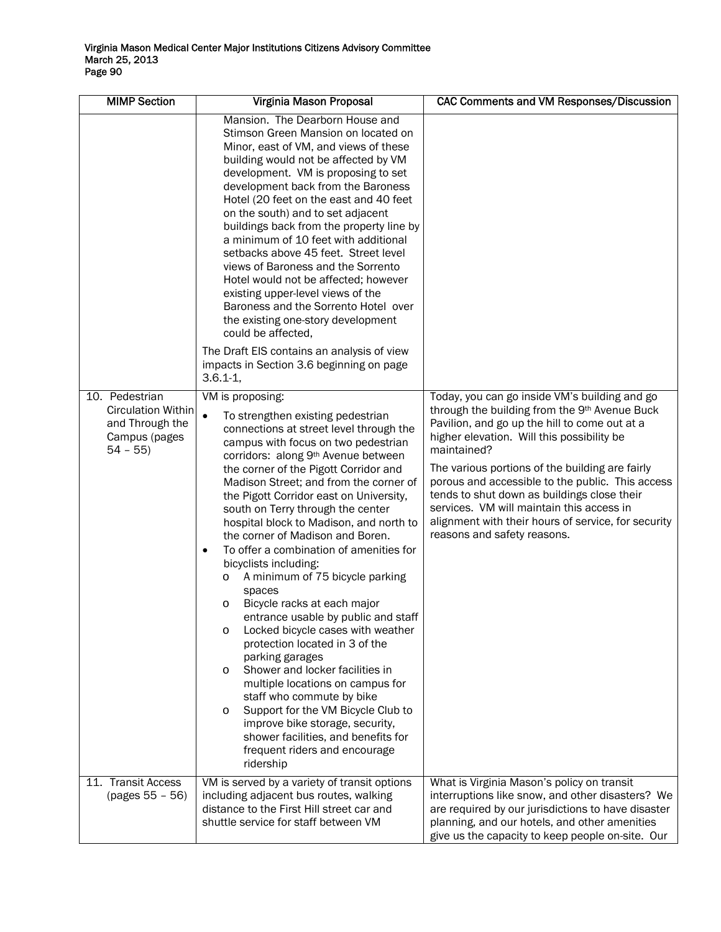| <b>MIMP Section</b>                                                                          | Virginia Mason Proposal                                                                                                                                                                                                                                                                                                                                                                                                                                                                                                                                                                                                                                                                                                                                                                                                                                                                                                                                                                                                                | <b>CAC Comments and VM Responses/Discussion</b>                                                                                                                                                                                                                                                                                                                                                                                                                                                       |
|----------------------------------------------------------------------------------------------|----------------------------------------------------------------------------------------------------------------------------------------------------------------------------------------------------------------------------------------------------------------------------------------------------------------------------------------------------------------------------------------------------------------------------------------------------------------------------------------------------------------------------------------------------------------------------------------------------------------------------------------------------------------------------------------------------------------------------------------------------------------------------------------------------------------------------------------------------------------------------------------------------------------------------------------------------------------------------------------------------------------------------------------|-------------------------------------------------------------------------------------------------------------------------------------------------------------------------------------------------------------------------------------------------------------------------------------------------------------------------------------------------------------------------------------------------------------------------------------------------------------------------------------------------------|
|                                                                                              | Mansion. The Dearborn House and<br>Stimson Green Mansion on located on<br>Minor, east of VM, and views of these<br>building would not be affected by VM<br>development. VM is proposing to set<br>development back from the Baroness<br>Hotel (20 feet on the east and 40 feet<br>on the south) and to set adjacent<br>buildings back from the property line by<br>a minimum of 10 feet with additional<br>setbacks above 45 feet. Street level<br>views of Baroness and the Sorrento<br>Hotel would not be affected; however<br>existing upper-level views of the<br>Baroness and the Sorrento Hotel over<br>the existing one-story development<br>could be affected,<br>The Draft EIS contains an analysis of view<br>impacts in Section 3.6 beginning on page<br>$3.6.1 - 1,$                                                                                                                                                                                                                                                       |                                                                                                                                                                                                                                                                                                                                                                                                                                                                                                       |
| 10. Pedestrian<br><b>Circulation Within</b><br>and Through the<br>Campus (pages<br>$54 - 55$ | VM is proposing:<br>$\bullet$<br>To strengthen existing pedestrian<br>connections at street level through the<br>campus with focus on two pedestrian<br>corridors: along 9th Avenue between<br>the corner of the Pigott Corridor and<br>Madison Street; and from the corner of<br>the Pigott Corridor east on University,<br>south on Terry through the center<br>hospital block to Madison, and north to<br>the corner of Madison and Boren.<br>To offer a combination of amenities for<br>$\bullet$<br>bicyclists including:<br>A minimum of 75 bicycle parking<br>O<br>spaces<br>Bicycle racks at each major<br>O<br>entrance usable by public and staff<br>Locked bicycle cases with weather<br>O<br>protection located in 3 of the<br>parking garages<br>Shower and locker facilities in<br>O<br>multiple locations on campus for<br>staff who commute by bike<br>Support for the VM Bicycle Club to<br>O<br>improve bike storage, security,<br>shower facilities, and benefits for<br>frequent riders and encourage<br>ridership | Today, you can go inside VM's building and go<br>through the building from the 9th Avenue Buck<br>Pavilion, and go up the hill to come out at a<br>higher elevation. Will this possibility be<br>maintained?<br>The various portions of the building are fairly<br>porous and accessible to the public. This access<br>tends to shut down as buildings close their<br>services. VM will maintain this access in<br>alignment with their hours of service, for security<br>reasons and safety reasons. |
| 11. Transit Access<br>(pages 55 - 56)                                                        | VM is served by a variety of transit options<br>including adjacent bus routes, walking<br>distance to the First Hill street car and<br>shuttle service for staff between VM                                                                                                                                                                                                                                                                                                                                                                                                                                                                                                                                                                                                                                                                                                                                                                                                                                                            | What is Virginia Mason's policy on transit<br>interruptions like snow, and other disasters? We<br>are required by our jurisdictions to have disaster<br>planning, and our hotels, and other amenities<br>give us the capacity to keep people on-site. Our                                                                                                                                                                                                                                             |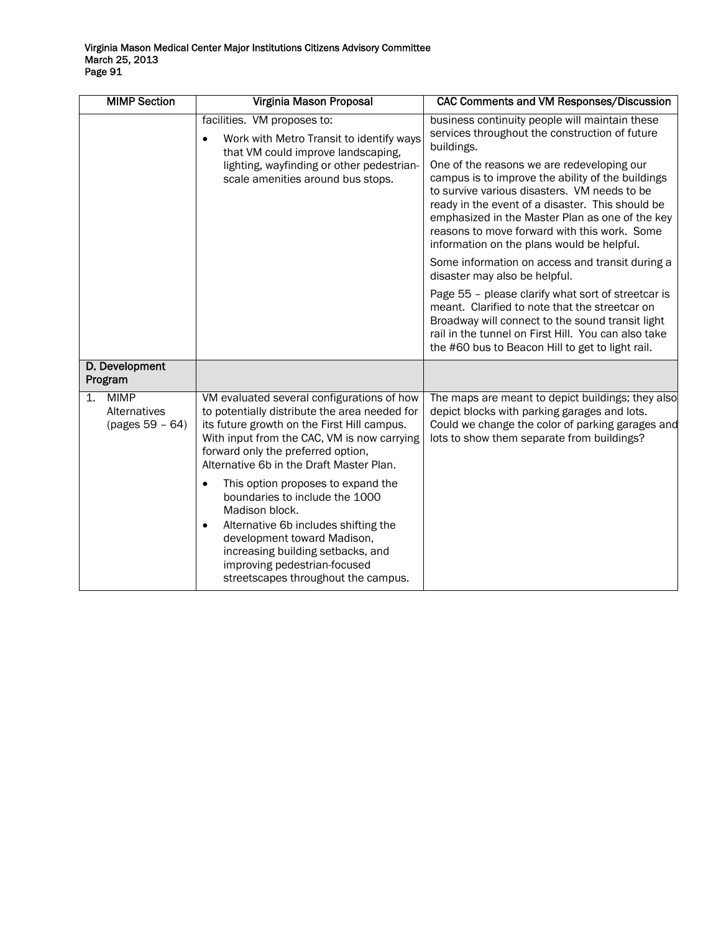|    | <b>MIMP Section</b>                            | Virginia Mason Proposal                                                                                                                                                                                                                                                                             | <b>CAC Comments and VM Responses/Discussion</b>                                                                                                                                                                                                                                                                                                      |
|----|------------------------------------------------|-----------------------------------------------------------------------------------------------------------------------------------------------------------------------------------------------------------------------------------------------------------------------------------------------------|------------------------------------------------------------------------------------------------------------------------------------------------------------------------------------------------------------------------------------------------------------------------------------------------------------------------------------------------------|
|    |                                                | facilities. VM proposes to:<br>Work with Metro Transit to identify ways<br>٠<br>that VM could improve landscaping,<br>lighting, wayfinding or other pedestrian-<br>scale amenities around bus stops.                                                                                                | business continuity people will maintain these<br>services throughout the construction of future<br>buildings.                                                                                                                                                                                                                                       |
|    |                                                |                                                                                                                                                                                                                                                                                                     | One of the reasons we are redeveloping our<br>campus is to improve the ability of the buildings<br>to survive various disasters. VM needs to be<br>ready in the event of a disaster. This should be<br>emphasized in the Master Plan as one of the key<br>reasons to move forward with this work. Some<br>information on the plans would be helpful. |
|    |                                                |                                                                                                                                                                                                                                                                                                     | Some information on access and transit during a<br>disaster may also be helpful.                                                                                                                                                                                                                                                                     |
|    |                                                |                                                                                                                                                                                                                                                                                                     | Page 55 - please clarify what sort of streetcar is<br>meant. Clarified to note that the streetcar on<br>Broadway will connect to the sound transit light<br>rail in the tunnel on First Hill. You can also take<br>the #60 bus to Beacon Hill to get to light rail.                                                                                  |
|    | D. Development<br>Program                      |                                                                                                                                                                                                                                                                                                     |                                                                                                                                                                                                                                                                                                                                                      |
| 1. | <b>MIMP</b><br>Alternatives<br>(pages 59 - 64) | VM evaluated several configurations of how<br>to potentially distribute the area needed for<br>its future growth on the First Hill campus.<br>With input from the CAC, VM is now carrying<br>forward only the preferred option,<br>Alternative 6b in the Draft Master Plan.                         | The maps are meant to depict buildings; they also<br>depict blocks with parking garages and lots.<br>Could we change the color of parking garages and<br>lots to show them separate from buildings?                                                                                                                                                  |
|    |                                                | This option proposes to expand the<br>$\bullet$<br>boundaries to include the 1000<br>Madison block.<br>Alternative 6b includes shifting the<br>$\bullet$<br>development toward Madison,<br>increasing building setbacks, and<br>improving pedestrian-focused<br>streetscapes throughout the campus. |                                                                                                                                                                                                                                                                                                                                                      |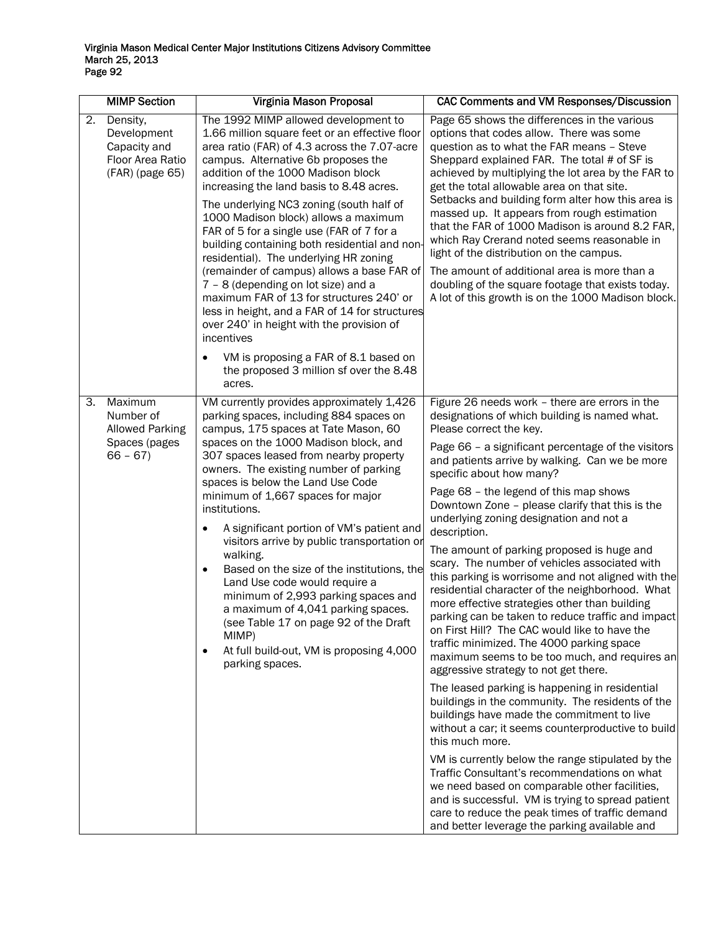|    | <b>MIMP Section</b>                                                            | Virginia Mason Proposal                                                                                                                                                                                                                                                                                                                                                                                                                                                                                                                                                                                                                                                                                                                                                                                                                              | CAC Comments and VM Responses/Discussion                                                                                                                                                                                                                                                                                                                                                                                                                                                                                                                                                                                                                                                                                                                                                                                                                                                                                                                                                                                                                                                                                                                                                                                                                                                                                                                                                                                                                                  |
|----|--------------------------------------------------------------------------------|------------------------------------------------------------------------------------------------------------------------------------------------------------------------------------------------------------------------------------------------------------------------------------------------------------------------------------------------------------------------------------------------------------------------------------------------------------------------------------------------------------------------------------------------------------------------------------------------------------------------------------------------------------------------------------------------------------------------------------------------------------------------------------------------------------------------------------------------------|---------------------------------------------------------------------------------------------------------------------------------------------------------------------------------------------------------------------------------------------------------------------------------------------------------------------------------------------------------------------------------------------------------------------------------------------------------------------------------------------------------------------------------------------------------------------------------------------------------------------------------------------------------------------------------------------------------------------------------------------------------------------------------------------------------------------------------------------------------------------------------------------------------------------------------------------------------------------------------------------------------------------------------------------------------------------------------------------------------------------------------------------------------------------------------------------------------------------------------------------------------------------------------------------------------------------------------------------------------------------------------------------------------------------------------------------------------------------------|
| 2. | Density,<br>Development<br>Capacity and<br>Floor Area Ratio<br>(FAR) (page 65) | The 1992 MIMP allowed development to<br>1.66 million square feet or an effective floor<br>area ratio (FAR) of 4.3 across the 7.07-acre<br>campus. Alternative 6b proposes the<br>addition of the 1000 Madison block<br>increasing the land basis to 8.48 acres.<br>The underlying NC3 zoning (south half of<br>1000 Madison block) allows a maximum<br>FAR of 5 for a single use (FAR of 7 for a<br>building containing both residential and non-<br>residential). The underlying HR zoning<br>(remainder of campus) allows a base FAR of<br>7 - 8 (depending on lot size) and a<br>maximum FAR of 13 for structures 240' or<br>less in height, and a FAR of 14 for structures<br>over 240' in height with the provision of<br>incentives<br>VM is proposing a FAR of 8.1 based on<br>$\bullet$<br>the proposed 3 million sf over the 8.48<br>acres. | Page 65 shows the differences in the various<br>options that codes allow. There was some<br>question as to what the FAR means - Steve<br>Sheppard explained FAR. The total # of SF is<br>achieved by multiplying the lot area by the FAR to<br>get the total allowable area on that site.<br>Setbacks and building form alter how this area is<br>massed up. It appears from rough estimation<br>that the FAR of 1000 Madison is around 8.2 FAR,<br>which Ray Crerand noted seems reasonable in<br>light of the distribution on the campus.<br>The amount of additional area is more than a<br>doubling of the square footage that exists today.<br>A lot of this growth is on the 1000 Madison block.                                                                                                                                                                                                                                                                                                                                                                                                                                                                                                                                                                                                                                                                                                                                                                    |
| 3. | Maximum<br>Number of<br><b>Allowed Parking</b><br>Spaces (pages<br>$66 - 67$   | VM currently provides approximately 1,426<br>parking spaces, including 884 spaces on<br>campus, 175 spaces at Tate Mason, 60<br>spaces on the 1000 Madison block, and<br>307 spaces leased from nearby property<br>owners. The existing number of parking<br>spaces is below the Land Use Code<br>minimum of 1,667 spaces for major<br>institutions.<br>A significant portion of VM's patient and<br>$\bullet$<br>visitors arrive by public transportation or<br>walking.<br>Based on the size of the institutions, the<br>$\bullet$<br>Land Use code would require a<br>minimum of 2,993 parking spaces and<br>a maximum of 4,041 parking spaces.<br>(see Table 17 on page 92 of the Draft<br>MIMP)<br>At full build-out, VM is proposing 4,000<br>$\bullet$<br>parking spaces.                                                                     | Figure 26 needs work - there are errors in the<br>designations of which building is named what.<br>Please correct the key.<br>Page 66 - a significant percentage of the visitors<br>and patients arrive by walking. Can we be more<br>specific about how many?<br>Page 68 - the legend of this map shows<br>Downtown Zone - please clarify that this is the<br>underlying zoning designation and not a<br>description.<br>The amount of parking proposed is huge and<br>scary. The number of vehicles associated with<br>this parking is worrisome and not aligned with the<br>residential character of the neighborhood. What<br>more effective strategies other than building<br>parking can be taken to reduce traffic and impactl<br>on First Hill? The CAC would like to have the<br>traffic minimized. The 4000 parking space<br>maximum seems to be too much, and requires an<br>aggressive strategy to not get there.<br>The leased parking is happening in residential<br>buildings in the community. The residents of the<br>buildings have made the commitment to live<br>without a car; it seems counterproductive to build<br>this much more.<br>VM is currently below the range stipulated by the<br>Traffic Consultant's recommendations on what<br>we need based on comparable other facilities,<br>and is successful. VM is trying to spread patient<br>care to reduce the peak times of traffic demand<br>and better leverage the parking available and |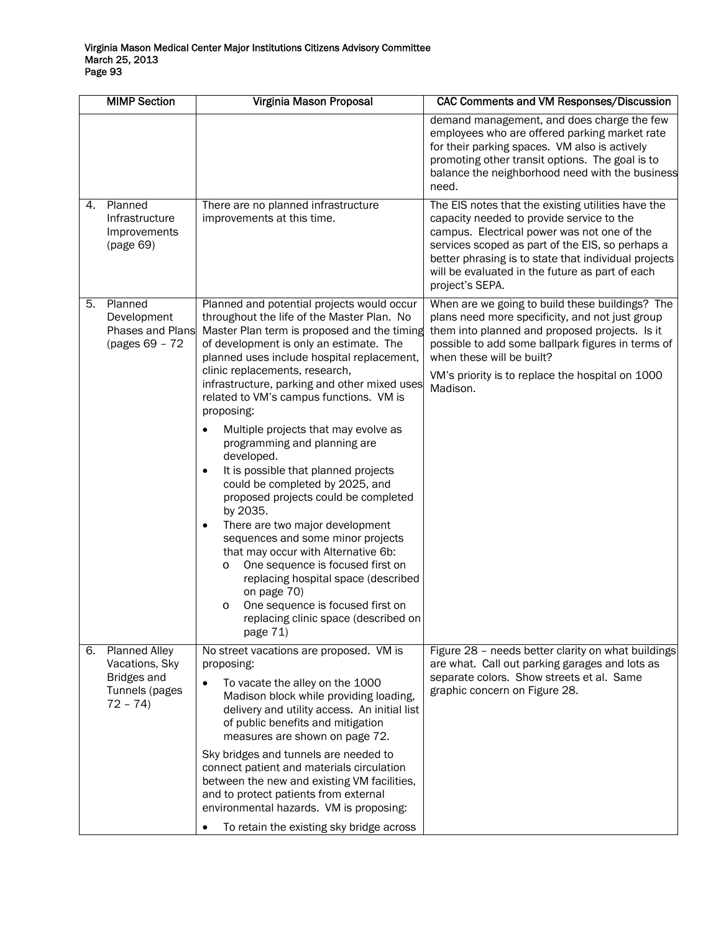|                                                                                      |                                                                                                                                                                                                                                                                                                                                                                                                                                                                                                                                                                                                                                                                                                    | demand management, and does charge the few                                                                                                                                                                                                                                                                                       |
|--------------------------------------------------------------------------------------|----------------------------------------------------------------------------------------------------------------------------------------------------------------------------------------------------------------------------------------------------------------------------------------------------------------------------------------------------------------------------------------------------------------------------------------------------------------------------------------------------------------------------------------------------------------------------------------------------------------------------------------------------------------------------------------------------|----------------------------------------------------------------------------------------------------------------------------------------------------------------------------------------------------------------------------------------------------------------------------------------------------------------------------------|
|                                                                                      |                                                                                                                                                                                                                                                                                                                                                                                                                                                                                                                                                                                                                                                                                                    | employees who are offered parking market rate<br>for their parking spaces. VM also is actively<br>promoting other transit options. The goal is to<br>balance the neighborhood need with the business<br>need.                                                                                                                    |
| Planned<br>Infrastructure<br>Improvements<br>(page 69)                               | There are no planned infrastructure<br>improvements at this time.                                                                                                                                                                                                                                                                                                                                                                                                                                                                                                                                                                                                                                  | The EIS notes that the existing utilities have the<br>capacity needed to provide service to the<br>campus. Electrical power was not one of the<br>services scoped as part of the EIS, so perhaps a<br>better phrasing is to state that individual projects<br>will be evaluated in the future as part of each<br>project's SEPA. |
| Planned<br>Development<br>(pages 69 - 72                                             | Planned and potential projects would occur<br>throughout the life of the Master Plan. No<br>Master Plan term is proposed and the timing<br>of development is only an estimate. The<br>planned uses include hospital replacement,<br>clinic replacements, research,<br>infrastructure, parking and other mixed uses<br>related to VM's campus functions. VM is<br>proposing:<br>Multiple projects that may evolve as<br>programming and planning are<br>developed.<br>It is possible that planned projects<br>$\bullet$<br>could be completed by 2025, and<br>proposed projects could be completed<br>by 2035.<br>There are two major development<br>$\bullet$<br>sequences and some minor projects | When are we going to build these buildings? The<br>plans need more specificity, and not just group<br>them into planned and proposed projects. Is it<br>possible to add some ballpark figures in terms of<br>when these will be built?<br>VM's priority is to replace the hospital on 1000<br>Madison.                           |
|                                                                                      | One sequence is focused first on<br>$\circ$<br>replacing hospital space (described<br>on page 70)<br>One sequence is focused first on<br>O<br>replacing clinic space (described on<br>page 71)                                                                                                                                                                                                                                                                                                                                                                                                                                                                                                     |                                                                                                                                                                                                                                                                                                                                  |
| <b>Planned Alley</b><br>Vacations, Sky<br>Bridges and<br>Tunnels (pages<br>$72 - 74$ | No street vacations are proposed. VM is<br>proposing:<br>To vacate the alley on the 1000<br>$\bullet$<br>Madison block while providing loading,<br>delivery and utility access. An initial list<br>of public benefits and mitigation<br>measures are shown on page 72.<br>Sky bridges and tunnels are needed to<br>connect patient and materials circulation<br>between the new and existing VM facilities,<br>and to protect patients from external<br>environmental hazards. VM is proposing:                                                                                                                                                                                                    | Figure 28 - needs better clarity on what buildings<br>are what. Call out parking garages and lots as<br>separate colors. Show streets et al. Same<br>graphic concern on Figure 28.                                                                                                                                               |
|                                                                                      |                                                                                                                                                                                                                                                                                                                                                                                                                                                                                                                                                                                                                                                                                                    | Phases and Plans<br>that may occur with Alternative 6b:<br>To retain the existing sky bridge across                                                                                                                                                                                                                              |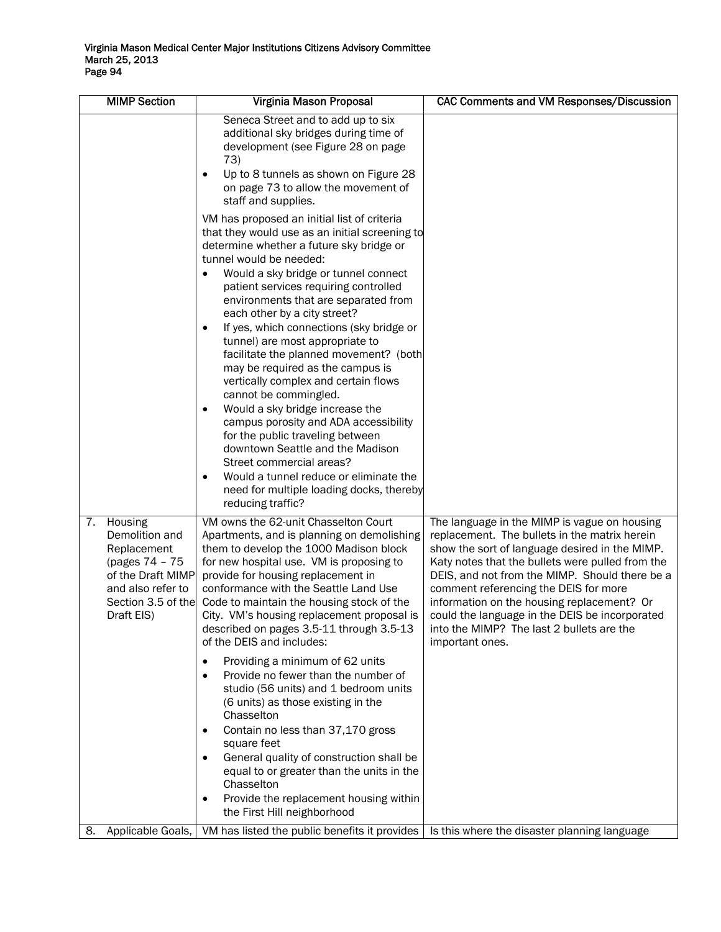| <b>MIMP Section</b>                                                                                                                            | Virginia Mason Proposal                                                                                                                                                                                                                                                                                                                                                                                                                                                                                                                                                                                                                                                                                                                                                                                                                                                          | <b>CAC Comments and VM Responses/Discussion</b>                                                                                                                                                                                                                                                                                                                                                                                                                |
|------------------------------------------------------------------------------------------------------------------------------------------------|----------------------------------------------------------------------------------------------------------------------------------------------------------------------------------------------------------------------------------------------------------------------------------------------------------------------------------------------------------------------------------------------------------------------------------------------------------------------------------------------------------------------------------------------------------------------------------------------------------------------------------------------------------------------------------------------------------------------------------------------------------------------------------------------------------------------------------------------------------------------------------|----------------------------------------------------------------------------------------------------------------------------------------------------------------------------------------------------------------------------------------------------------------------------------------------------------------------------------------------------------------------------------------------------------------------------------------------------------------|
|                                                                                                                                                | Seneca Street and to add up to six<br>additional sky bridges during time of<br>development (see Figure 28 on page<br>73)<br>Up to 8 tunnels as shown on Figure 28<br>$\bullet$<br>on page 73 to allow the movement of<br>staff and supplies.                                                                                                                                                                                                                                                                                                                                                                                                                                                                                                                                                                                                                                     |                                                                                                                                                                                                                                                                                                                                                                                                                                                                |
|                                                                                                                                                | VM has proposed an initial list of criteria<br>that they would use as an initial screening to<br>determine whether a future sky bridge or<br>tunnel would be needed:<br>Would a sky bridge or tunnel connect<br>$\bullet$<br>patient services requiring controlled<br>environments that are separated from<br>each other by a city street?<br>If yes, which connections (sky bridge or<br>$\bullet$<br>tunnel) are most appropriate to<br>facilitate the planned movement? (both<br>may be required as the campus is<br>vertically complex and certain flows<br>cannot be commingled.<br>Would a sky bridge increase the<br>campus porosity and ADA accessibility<br>for the public traveling between<br>downtown Seattle and the Madison<br>Street commercial areas?<br>Would a tunnel reduce or eliminate the<br>need for multiple loading docks, thereby<br>reducing traffic? |                                                                                                                                                                                                                                                                                                                                                                                                                                                                |
| Housing<br>7.<br>Demolition and<br>Replacement<br>(pages 74 - 75<br>of the Draft MIMP<br>and also refer to<br>Section 3.5 of the<br>Draft EIS) | VM owns the 62-unit Chasselton Court<br>Apartments, and is planning on demolishing<br>them to develop the 1000 Madison block<br>for new hospital use. VM is proposing to<br>provide for housing replacement in<br>conformance with the Seattle Land Use<br>Code to maintain the housing stock of the<br>City. VM's housing replacement proposal is<br>described on pages 3.5-11 through 3.5-13<br>of the DEIS and includes:<br>Providing a minimum of 62 units<br>Provide no fewer than the number of<br>$\bullet$<br>studio (56 units) and 1 bedroom units<br>(6 units) as those existing in the<br>Chasselton<br>Contain no less than 37,170 gross<br>square feet<br>General quality of construction shall be<br>equal to or greater than the units in the<br>Chasselton<br>Provide the replacement housing within<br>the First Hill neighborhood                              | The language in the MIMP is vague on housing<br>replacement. The bullets in the matrix herein<br>show the sort of language desired in the MIMP.<br>Katy notes that the bullets were pulled from the<br>DEIS, and not from the MIMP. Should there be a<br>comment referencing the DEIS for more<br>information on the housing replacement? Or<br>could the language in the DEIS be incorporated<br>into the MIMP? The last 2 bullets are the<br>important ones. |
| Applicable Goals,<br>8.                                                                                                                        | VM has listed the public benefits it provides                                                                                                                                                                                                                                                                                                                                                                                                                                                                                                                                                                                                                                                                                                                                                                                                                                    | Is this where the disaster planning language                                                                                                                                                                                                                                                                                                                                                                                                                   |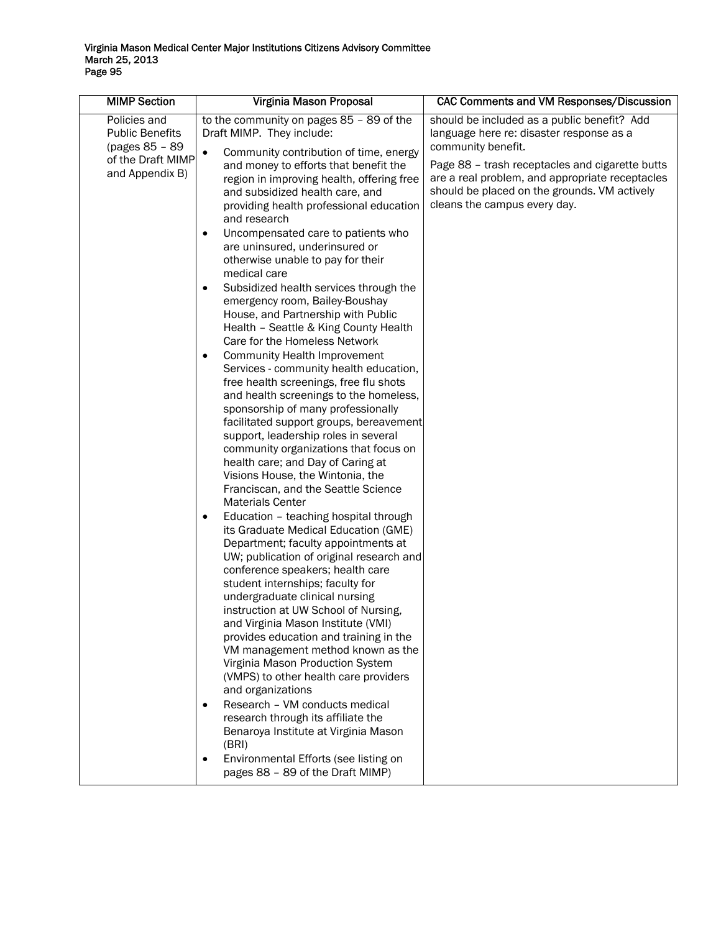| <b>MIMP Section</b>                                                                              | Virginia Mason Proposal                                                                                                                                                                                                                                                                                                                                                                                                                                                                                                                                                                                                                                                                                                                                                                                                                                                                                                                                                                                                                                                                                                                                                                                                                                                                                                                                                                                                                                                                                                                                                                                                                                                                                                                                                                                                                                                                                                    | CAC Comments and VM Responses/Discussion                                                                                                                                                                                                                                                            |
|--------------------------------------------------------------------------------------------------|----------------------------------------------------------------------------------------------------------------------------------------------------------------------------------------------------------------------------------------------------------------------------------------------------------------------------------------------------------------------------------------------------------------------------------------------------------------------------------------------------------------------------------------------------------------------------------------------------------------------------------------------------------------------------------------------------------------------------------------------------------------------------------------------------------------------------------------------------------------------------------------------------------------------------------------------------------------------------------------------------------------------------------------------------------------------------------------------------------------------------------------------------------------------------------------------------------------------------------------------------------------------------------------------------------------------------------------------------------------------------------------------------------------------------------------------------------------------------------------------------------------------------------------------------------------------------------------------------------------------------------------------------------------------------------------------------------------------------------------------------------------------------------------------------------------------------------------------------------------------------------------------------------------------------|-----------------------------------------------------------------------------------------------------------------------------------------------------------------------------------------------------------------------------------------------------------------------------------------------------|
| Policies and<br><b>Public Benefits</b><br>(pages 85 - 89<br>of the Draft MIMP<br>and Appendix B) | to the community on pages 85 - 89 of the<br>Draft MIMP. They include:<br>Community contribution of time, energy<br>$\bullet$<br>and money to efforts that benefit the<br>region in improving health, offering free<br>and subsidized health care, and<br>providing health professional education<br>and research<br>Uncompensated care to patients who<br>$\bullet$<br>are uninsured, underinsured or<br>otherwise unable to pay for their<br>medical care<br>Subsidized health services through the<br>$\bullet$<br>emergency room, Bailey-Boushay<br>House, and Partnership with Public<br>Health - Seattle & King County Health<br>Care for the Homeless Network<br><b>Community Health Improvement</b><br>$\bullet$<br>Services - community health education,<br>free health screenings, free flu shots<br>and health screenings to the homeless,<br>sponsorship of many professionally<br>facilitated support groups, bereavement<br>support, leadership roles in several<br>community organizations that focus on<br>health care; and Day of Caring at<br>Visions House, the Wintonia, the<br>Franciscan, and the Seattle Science<br><b>Materials Center</b><br>Education - teaching hospital through<br>٠<br>its Graduate Medical Education (GME)<br>Department; faculty appointments at<br>UW; publication of original research and<br>conference speakers; health care<br>student internships; faculty for<br>undergraduate clinical nursing<br>instruction at UW School of Nursing,<br>and Virginia Mason Institute (VMI)<br>provides education and training in the<br>VM management method known as the<br>Virginia Mason Production System<br>(VMPS) to other health care providers<br>and organizations<br>Research - VM conducts medical<br>research through its affiliate the<br>Benaroya Institute at Virginia Mason<br>(BRI)<br>Environmental Efforts (see listing on<br>pages 88 - 89 of the Draft MIMP) | should be included as a public benefit? Add<br>language here re: disaster response as a<br>community benefit.<br>Page 88 - trash receptacles and cigarette butts<br>are a real problem, and appropriate receptacles<br>should be placed on the grounds. VM actively<br>cleans the campus every day. |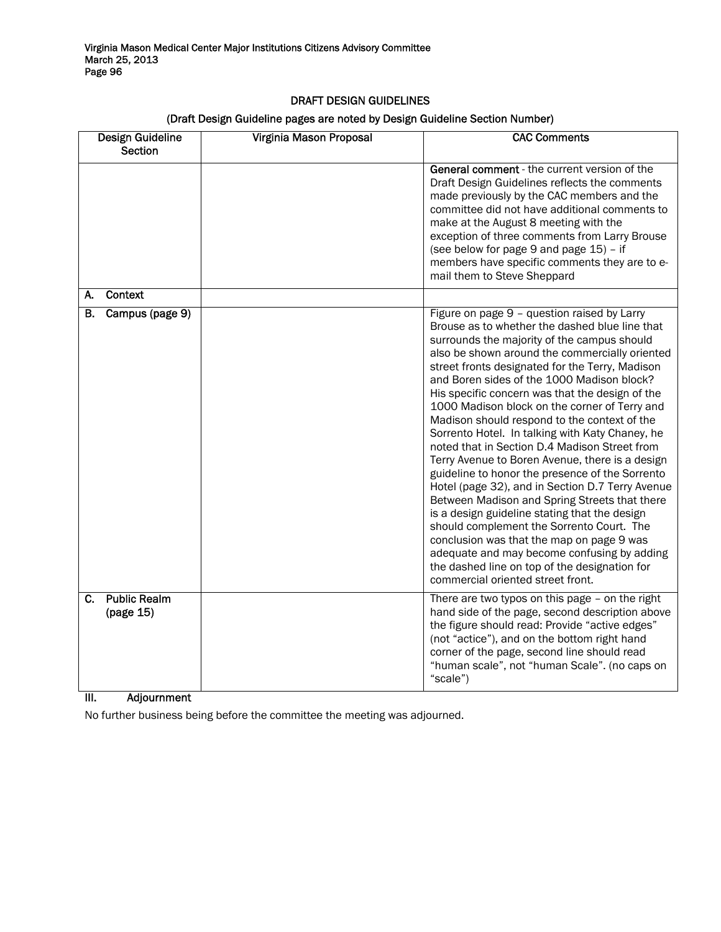# DRAFT DESIGN GUIDELINES

## (Draft Design Guideline pages are noted by Design Guideline Section Number)

| Design Guideline<br><b>Section</b>     | Virginia Mason Proposal | <b>CAC Comments</b>                                                                                                                                                                                                                                                                                                                                                                                                                                                                                                                                                                                                                                                                                                                                                                                                                                                                                                                                                                                                                                |
|----------------------------------------|-------------------------|----------------------------------------------------------------------------------------------------------------------------------------------------------------------------------------------------------------------------------------------------------------------------------------------------------------------------------------------------------------------------------------------------------------------------------------------------------------------------------------------------------------------------------------------------------------------------------------------------------------------------------------------------------------------------------------------------------------------------------------------------------------------------------------------------------------------------------------------------------------------------------------------------------------------------------------------------------------------------------------------------------------------------------------------------|
|                                        |                         | <b>General comment</b> - the current version of the<br>Draft Design Guidelines reflects the comments<br>made previously by the CAC members and the<br>committee did not have additional comments to<br>make at the August 8 meeting with the<br>exception of three comments from Larry Brouse<br>(see below for page 9 and page 15) - if<br>members have specific comments they are to e-<br>mail them to Steve Sheppard                                                                                                                                                                                                                                                                                                                                                                                                                                                                                                                                                                                                                           |
| <b>Context</b><br>А.                   |                         |                                                                                                                                                                                                                                                                                                                                                                                                                                                                                                                                                                                                                                                                                                                                                                                                                                                                                                                                                                                                                                                    |
| Campus (page 9)<br>В.                  |                         | Figure on page 9 - question raised by Larry<br>Brouse as to whether the dashed blue line that<br>surrounds the majority of the campus should<br>also be shown around the commercially oriented<br>street fronts designated for the Terry, Madison<br>and Boren sides of the 1000 Madison block?<br>His specific concern was that the design of the<br>1000 Madison block on the corner of Terry and<br>Madison should respond to the context of the<br>Sorrento Hotel. In talking with Katy Chaney, he<br>noted that in Section D.4 Madison Street from<br>Terry Avenue to Boren Avenue, there is a design<br>guideline to honor the presence of the Sorrento<br>Hotel (page 32), and in Section D.7 Terry Avenue<br>Between Madison and Spring Streets that there<br>is a design guideline stating that the design<br>should complement the Sorrento Court. The<br>conclusion was that the map on page 9 was<br>adequate and may become confusing by adding<br>the dashed line on top of the designation for<br>commercial oriented street front. |
| <b>Public Realm</b><br>C.<br>(page 15) |                         | There are two typos on this page - on the right<br>hand side of the page, second description above<br>the figure should read: Provide "active edges"<br>(not "actice"), and on the bottom right hand<br>corner of the page, second line should read<br>"human scale", not "human Scale". (no caps on<br>"scale")                                                                                                                                                                                                                                                                                                                                                                                                                                                                                                                                                                                                                                                                                                                                   |

# III. Adjournment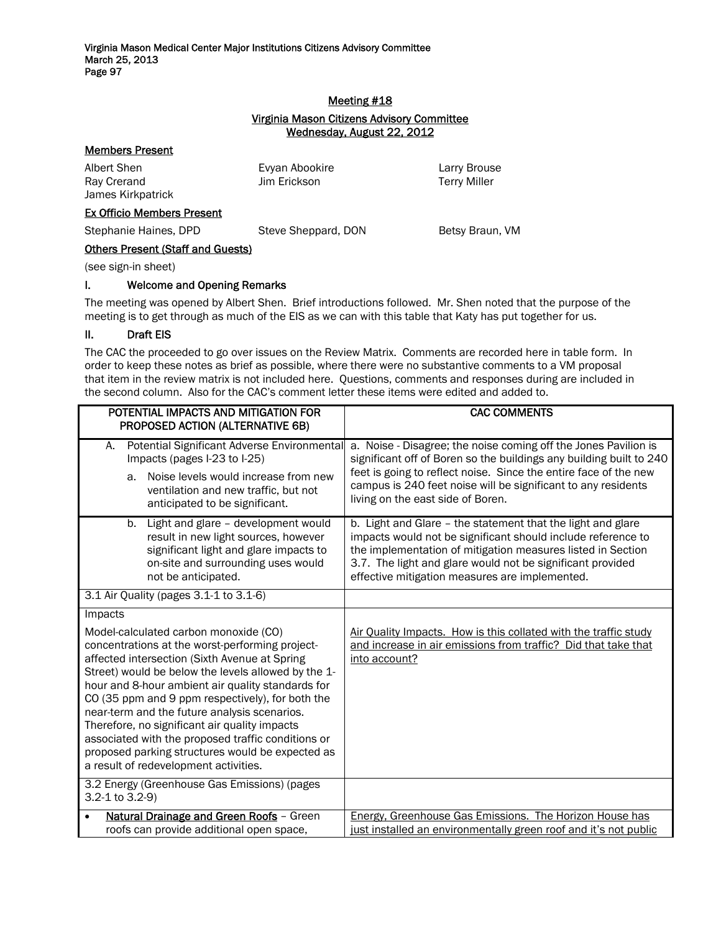### Meeting #18

### Virginia Mason Citizens Advisory Committee Wednesday, August 22, 2012

### Members Present

| Albert Shen       | Evyan Abookire | Larry Brouse        |
|-------------------|----------------|---------------------|
| Ray Crerand       | Jim Erickson   | <b>Terry Miller</b> |
| James Kirkpatrick |                |                     |

## Ex Officio Members Present

Stephanie Haines, DPD Steve Sheppard, DON Betsy Braun, VM

## Others Present (Staff and Guests)

(see sign-in sheet)

### I. Welcome and Opening Remarks

The meeting was opened by Albert Shen. Brief introductions followed. Mr. Shen noted that the purpose of the meeting is to get through as much of the EIS as we can with this table that Katy has put together for us.

### II. Draft EIS

The CAC the proceeded to go over issues on the Review Matrix. Comments are recorded here in table form. In order to keep these notes as brief as possible, where there were no substantive comments to a VM proposal that item in the review matrix is not included here. Questions, comments and responses during are included in the second column. Also for the CAC's comment letter these items were edited and added to.

| POTENTIAL IMPACTS AND MITIGATION FOR<br>PROPOSED ACTION (ALTERNATIVE 6B)                                                                                                                                                                                                                                                                                                                                                                                                                                                                                                 | <b>CAC COMMENTS</b>                                                                                                                                                                                                                                                                                              |
|--------------------------------------------------------------------------------------------------------------------------------------------------------------------------------------------------------------------------------------------------------------------------------------------------------------------------------------------------------------------------------------------------------------------------------------------------------------------------------------------------------------------------------------------------------------------------|------------------------------------------------------------------------------------------------------------------------------------------------------------------------------------------------------------------------------------------------------------------------------------------------------------------|
| Potential Significant Adverse Environmental<br>А.<br>Impacts (pages I-23 to I-25)<br>Noise levels would increase from new<br>a.<br>ventilation and new traffic, but not<br>anticipated to be significant.                                                                                                                                                                                                                                                                                                                                                                | a. Noise - Disagree; the noise coming off the Jones Pavilion is<br>significant off of Boren so the buildings any building built to 240<br>feet is going to reflect noise. Since the entire face of the new<br>campus is 240 feet noise will be significant to any residents<br>living on the east side of Boren. |
| Light and glare - development would<br>b.<br>result in new light sources, however<br>significant light and glare impacts to<br>on-site and surrounding uses would<br>not be anticipated.                                                                                                                                                                                                                                                                                                                                                                                 | b. Light and Glare - the statement that the light and glare<br>impacts would not be significant should include reference to<br>the implementation of mitigation measures listed in Section<br>3.7. The light and glare would not be significant provided<br>effective mitigation measures are implemented.       |
| 3.1 Air Quality (pages 3.1-1 to 3.1-6)                                                                                                                                                                                                                                                                                                                                                                                                                                                                                                                                   |                                                                                                                                                                                                                                                                                                                  |
| Impacts<br>Model-calculated carbon monoxide (CO)<br>concentrations at the worst-performing project-<br>affected intersection (Sixth Avenue at Spring<br>Street) would be below the levels allowed by the 1-<br>hour and 8-hour ambient air quality standards for<br>CO (35 ppm and 9 ppm respectively), for both the<br>near-term and the future analysis scenarios.<br>Therefore, no significant air quality impacts<br>associated with the proposed traffic conditions or<br>proposed parking structures would be expected as<br>a result of redevelopment activities. | Air Quality Impacts. How is this collated with the traffic study<br>and increase in air emissions from traffic? Did that take that<br>into account?                                                                                                                                                              |
| 3.2 Energy (Greenhouse Gas Emissions) (pages<br>3.2-1 to 3.2-9)                                                                                                                                                                                                                                                                                                                                                                                                                                                                                                          |                                                                                                                                                                                                                                                                                                                  |
| Natural Drainage and Green Roofs - Green<br>$\bullet$<br>roofs can provide additional open space,                                                                                                                                                                                                                                                                                                                                                                                                                                                                        | Energy, Greenhouse Gas Emissions. The Horizon House has<br>just installed an environmentally green roof and it's not public                                                                                                                                                                                      |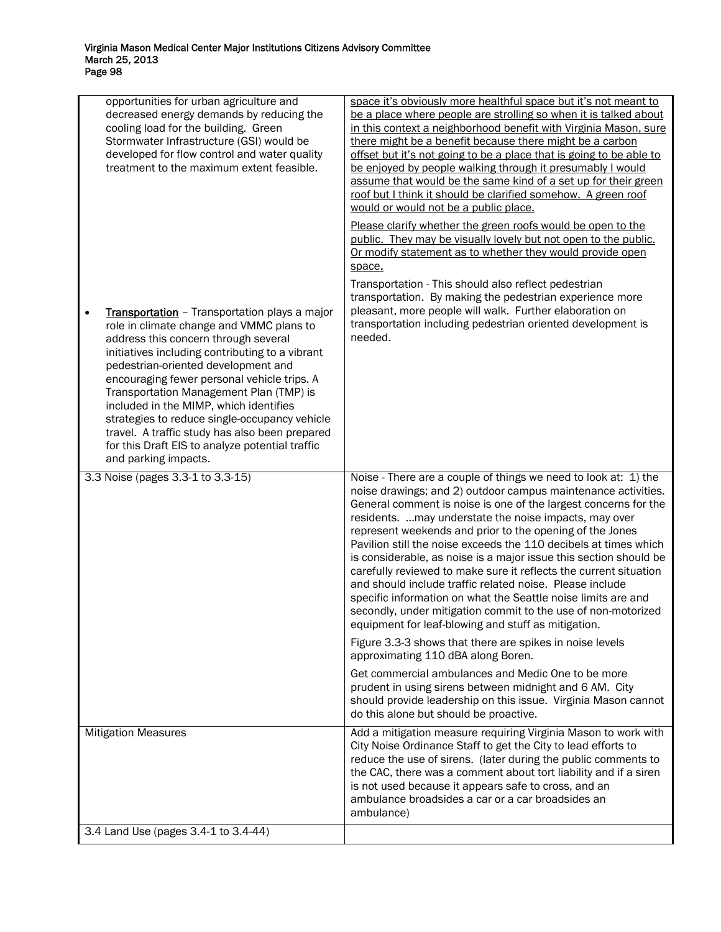| opportunities for urban agriculture and<br>decreased energy demands by reducing the<br>cooling load for the building. Green<br>Stormwater Infrastructure (GSI) would be<br>developed for flow control and water quality<br>treatment to the maximum extent feasible.                                                                                                                                                                                                                                                                                       | space it's obviously more healthful space but it's not meant to<br>be a place where people are strolling so when it is talked about<br>in this context a neighborhood benefit with Virginia Mason, sure<br>there might be a benefit because there might be a carbon<br>offset but it's not going to be a place that is going to be able to<br>be enjoyed by people walking through it presumably I would<br>assume that would be the same kind of a set up for their green<br>roof but I think it should be clarified somehow. A green roof<br>would or would not be a public place.                                                                                                                                                                                                         |
|------------------------------------------------------------------------------------------------------------------------------------------------------------------------------------------------------------------------------------------------------------------------------------------------------------------------------------------------------------------------------------------------------------------------------------------------------------------------------------------------------------------------------------------------------------|----------------------------------------------------------------------------------------------------------------------------------------------------------------------------------------------------------------------------------------------------------------------------------------------------------------------------------------------------------------------------------------------------------------------------------------------------------------------------------------------------------------------------------------------------------------------------------------------------------------------------------------------------------------------------------------------------------------------------------------------------------------------------------------------|
|                                                                                                                                                                                                                                                                                                                                                                                                                                                                                                                                                            | Please clarify whether the green roofs would be open to the<br>public. They may be visually lovely but not open to the public.<br>Or modify statement as to whether they would provide open<br>space.                                                                                                                                                                                                                                                                                                                                                                                                                                                                                                                                                                                        |
| Transportation - Transportation plays a major<br>$\bullet$<br>role in climate change and VMMC plans to<br>address this concern through several<br>initiatives including contributing to a vibrant<br>pedestrian-oriented development and<br>encouraging fewer personal vehicle trips. A<br>Transportation Management Plan (TMP) is<br>included in the MIMP, which identifies<br>strategies to reduce single-occupancy vehicle<br>travel. A traffic study has also been prepared<br>for this Draft EIS to analyze potential traffic<br>and parking impacts. | Transportation - This should also reflect pedestrian<br>transportation. By making the pedestrian experience more<br>pleasant, more people will walk. Further elaboration on<br>transportation including pedestrian oriented development is<br>needed.                                                                                                                                                                                                                                                                                                                                                                                                                                                                                                                                        |
| 3.3 Noise (pages 3.3-1 to 3.3-15)                                                                                                                                                                                                                                                                                                                                                                                                                                                                                                                          | Noise - There are a couple of things we need to look at: 1) the<br>noise drawings; and 2) outdoor campus maintenance activities.<br>General comment is noise is one of the largest concerns for the<br>residents.  may understate the noise impacts, may over<br>represent weekends and prior to the opening of the Jones<br>Pavilion still the noise exceeds the 110 decibels at times which<br>is considerable, as noise is a major issue this section should be<br>carefully reviewed to make sure it reflects the current situation<br>and should include traffic related noise. Please include<br>specific information on what the Seattle noise limits are and<br>secondly, under mitigation commit to the use of non-motorized<br>equipment for leaf-blowing and stuff as mitigation. |
|                                                                                                                                                                                                                                                                                                                                                                                                                                                                                                                                                            | Figure 3.3-3 shows that there are spikes in noise levels<br>approximating 110 dBA along Boren.                                                                                                                                                                                                                                                                                                                                                                                                                                                                                                                                                                                                                                                                                               |
|                                                                                                                                                                                                                                                                                                                                                                                                                                                                                                                                                            | Get commercial ambulances and Medic One to be more<br>prudent in using sirens between midnight and 6 AM. City<br>should provide leadership on this issue. Virginia Mason cannot<br>do this alone but should be proactive.                                                                                                                                                                                                                                                                                                                                                                                                                                                                                                                                                                    |
| <b>Mitigation Measures</b>                                                                                                                                                                                                                                                                                                                                                                                                                                                                                                                                 | Add a mitigation measure requiring Virginia Mason to work with<br>City Noise Ordinance Staff to get the City to lead efforts to<br>reduce the use of sirens. (later during the public comments to<br>the CAC, there was a comment about tort liability and if a siren<br>is not used because it appears safe to cross, and an<br>ambulance broadsides a car or a car broadsides an<br>ambulance)                                                                                                                                                                                                                                                                                                                                                                                             |
| 3.4 Land Use (pages 3.4-1 to 3.4-44)                                                                                                                                                                                                                                                                                                                                                                                                                                                                                                                       |                                                                                                                                                                                                                                                                                                                                                                                                                                                                                                                                                                                                                                                                                                                                                                                              |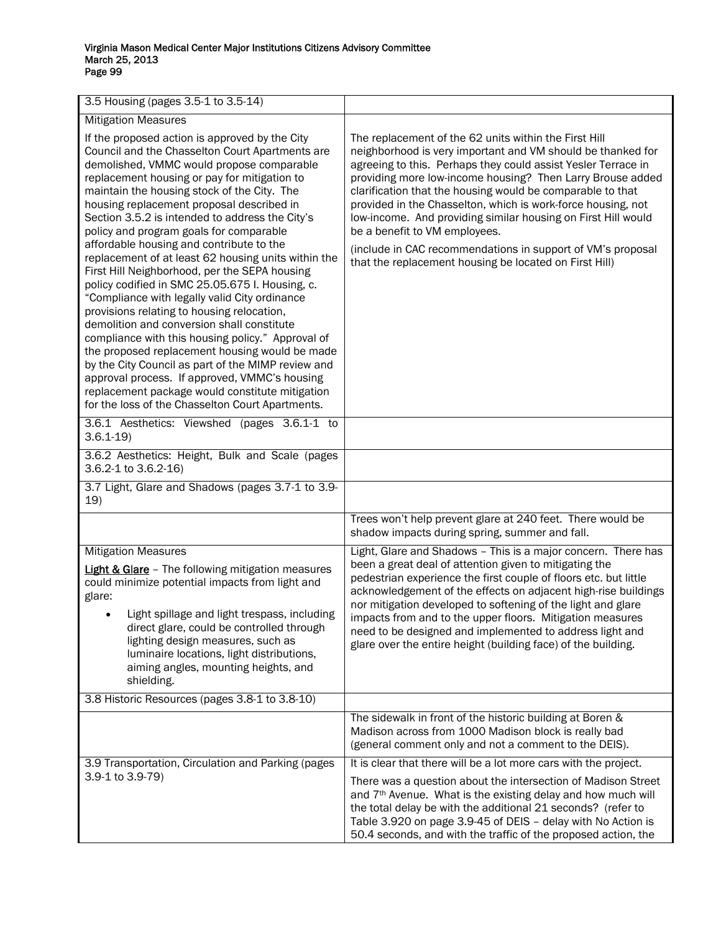| 3.5 Housing (pages 3.5-1 to 3.5-14)                                                                                                                                                                                                                                                                                                                                                                                                                                                                                                                                                                                                                                                                                                                                                                                                                                                                                                                                                                                                                               |                                                                                                                                                                                                                                                                                                                                                                                                                                                                                                                                                                                                              |
|-------------------------------------------------------------------------------------------------------------------------------------------------------------------------------------------------------------------------------------------------------------------------------------------------------------------------------------------------------------------------------------------------------------------------------------------------------------------------------------------------------------------------------------------------------------------------------------------------------------------------------------------------------------------------------------------------------------------------------------------------------------------------------------------------------------------------------------------------------------------------------------------------------------------------------------------------------------------------------------------------------------------------------------------------------------------|--------------------------------------------------------------------------------------------------------------------------------------------------------------------------------------------------------------------------------------------------------------------------------------------------------------------------------------------------------------------------------------------------------------------------------------------------------------------------------------------------------------------------------------------------------------------------------------------------------------|
| <b>Mitigation Measures</b>                                                                                                                                                                                                                                                                                                                                                                                                                                                                                                                                                                                                                                                                                                                                                                                                                                                                                                                                                                                                                                        |                                                                                                                                                                                                                                                                                                                                                                                                                                                                                                                                                                                                              |
| If the proposed action is approved by the City<br>Council and the Chasselton Court Apartments are<br>demolished, VMMC would propose comparable<br>replacement housing or pay for mitigation to<br>maintain the housing stock of the City. The<br>housing replacement proposal described in<br>Section 3.5.2 is intended to address the City's<br>policy and program goals for comparable<br>affordable housing and contribute to the<br>replacement of at least 62 housing units within the<br>First Hill Neighborhood, per the SEPA housing<br>policy codified in SMC 25.05.675 I. Housing, c.<br>"Compliance with legally valid City ordinance<br>provisions relating to housing relocation,<br>demolition and conversion shall constitute<br>compliance with this housing policy." Approval of<br>the proposed replacement housing would be made<br>by the City Council as part of the MIMP review and<br>approval process. If approved, VMMC's housing<br>replacement package would constitute mitigation<br>for the loss of the Chasselton Court Apartments. | The replacement of the 62 units within the First Hill<br>neighborhood is very important and VM should be thanked for<br>agreeing to this. Perhaps they could assist Yesler Terrace in<br>providing more low-income housing? Then Larry Brouse added<br>clarification that the housing would be comparable to that<br>provided in the Chasselton, which is work-force housing, not<br>low-income. And providing similar housing on First Hill would<br>be a benefit to VM employees.<br>(include in CAC recommendations in support of VM's proposal<br>that the replacement housing be located on First Hill) |
| 3.6.1 Aesthetics: Viewshed (pages 3.6.1-1 to<br>$3.6.1 - 19$                                                                                                                                                                                                                                                                                                                                                                                                                                                                                                                                                                                                                                                                                                                                                                                                                                                                                                                                                                                                      |                                                                                                                                                                                                                                                                                                                                                                                                                                                                                                                                                                                                              |
| 3.6.2 Aesthetics: Height, Bulk and Scale (pages<br>3.6.2-1 to 3.6.2-16)                                                                                                                                                                                                                                                                                                                                                                                                                                                                                                                                                                                                                                                                                                                                                                                                                                                                                                                                                                                           |                                                                                                                                                                                                                                                                                                                                                                                                                                                                                                                                                                                                              |
| 3.7 Light, Glare and Shadows (pages 3.7-1 to 3.9-<br>19)                                                                                                                                                                                                                                                                                                                                                                                                                                                                                                                                                                                                                                                                                                                                                                                                                                                                                                                                                                                                          |                                                                                                                                                                                                                                                                                                                                                                                                                                                                                                                                                                                                              |
|                                                                                                                                                                                                                                                                                                                                                                                                                                                                                                                                                                                                                                                                                                                                                                                                                                                                                                                                                                                                                                                                   | Trees won't help prevent glare at 240 feet. There would be<br>shadow impacts during spring, summer and fall.                                                                                                                                                                                                                                                                                                                                                                                                                                                                                                 |
| <b>Mitigation Measures</b><br><b>Light &amp; Glare</b> - The following mitigation measures<br>could minimize potential impacts from light and<br>glare:<br>Light spillage and light trespass, including<br>direct glare, could be controlled through<br>lighting design measures, such as<br>luminaire locations, light distributions,<br>aiming angles, mounting heights, and<br>shielding.                                                                                                                                                                                                                                                                                                                                                                                                                                                                                                                                                                                                                                                                      | Light, Glare and Shadows - This is a major concern. There has<br>been a great deal of attention given to mitigating the<br>pedestrian experience the first couple of floors etc. but little<br>acknowledgement of the effects on adjacent high-rise buildings<br>nor mitigation developed to softening of the light and glare<br>impacts from and to the upper floors. Mitigation measures<br>need to be designed and implemented to address light and<br>glare over the entire height (building face) of the building.                                                                                      |
| 3.8 Historic Resources (pages 3.8-1 to 3.8-10)                                                                                                                                                                                                                                                                                                                                                                                                                                                                                                                                                                                                                                                                                                                                                                                                                                                                                                                                                                                                                    |                                                                                                                                                                                                                                                                                                                                                                                                                                                                                                                                                                                                              |
|                                                                                                                                                                                                                                                                                                                                                                                                                                                                                                                                                                                                                                                                                                                                                                                                                                                                                                                                                                                                                                                                   | The sidewalk in front of the historic building at Boren &<br>Madison across from 1000 Madison block is really bad<br>(general comment only and not a comment to the DEIS).                                                                                                                                                                                                                                                                                                                                                                                                                                   |
| 3.9 Transportation, Circulation and Parking (pages<br>3.9-1 to 3.9-79)                                                                                                                                                                                                                                                                                                                                                                                                                                                                                                                                                                                                                                                                                                                                                                                                                                                                                                                                                                                            | It is clear that there will be a lot more cars with the project.<br>There was a question about the intersection of Madison Street<br>and 7 <sup>th</sup> Avenue. What is the existing delay and how much will<br>the total delay be with the additional 21 seconds? (refer to<br>Table 3.920 on page 3.9-45 of DEIS - delay with No Action is<br>50.4 seconds, and with the traffic of the proposed action, the                                                                                                                                                                                              |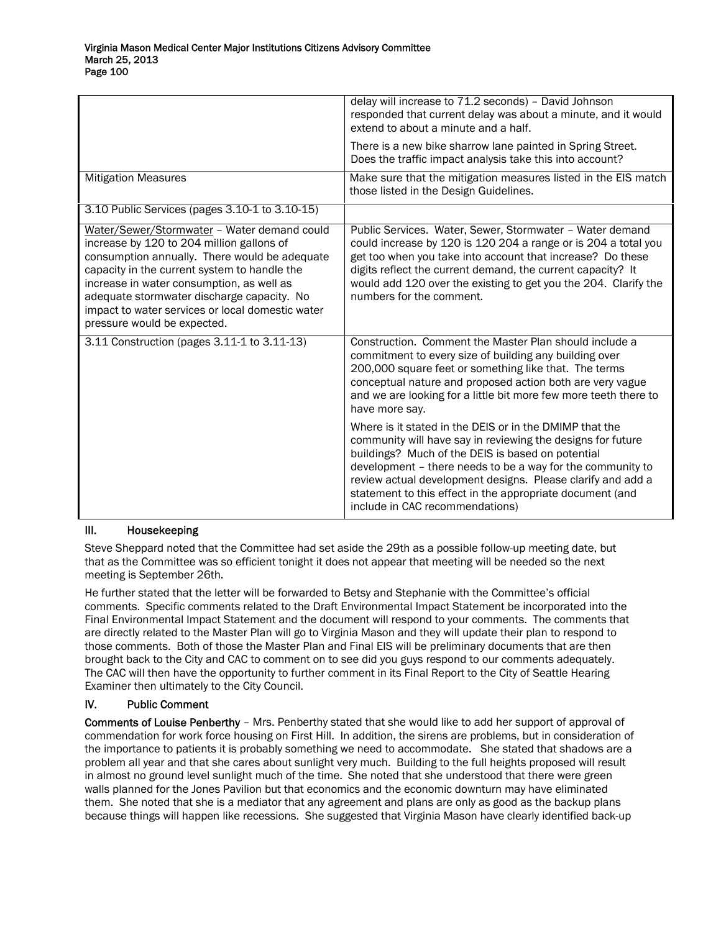|                                                                                                                                                                                                                                                                                                                                                                         | delay will increase to 71.2 seconds) - David Johnson<br>responded that current delay was about a minute, and it would<br>extend to about a minute and a half.<br>There is a new bike sharrow lane painted in Spring Street.<br>Does the traffic impact analysis take this into account?                                                                                                                  |
|-------------------------------------------------------------------------------------------------------------------------------------------------------------------------------------------------------------------------------------------------------------------------------------------------------------------------------------------------------------------------|----------------------------------------------------------------------------------------------------------------------------------------------------------------------------------------------------------------------------------------------------------------------------------------------------------------------------------------------------------------------------------------------------------|
| <b>Mitigation Measures</b>                                                                                                                                                                                                                                                                                                                                              | Make sure that the mitigation measures listed in the EIS match<br>those listed in the Design Guidelines.                                                                                                                                                                                                                                                                                                 |
| 3.10 Public Services (pages 3.10-1 to 3.10-15)                                                                                                                                                                                                                                                                                                                          |                                                                                                                                                                                                                                                                                                                                                                                                          |
| Water/Sewer/Stormwater - Water demand could<br>increase by 120 to 204 million gallons of<br>consumption annually. There would be adequate<br>capacity in the current system to handle the<br>increase in water consumption, as well as<br>adequate stormwater discharge capacity. No<br>impact to water services or local domestic water<br>pressure would be expected. | Public Services. Water, Sewer, Stormwater - Water demand<br>could increase by 120 is 120 204 a range or is 204 a total you<br>get too when you take into account that increase? Do these<br>digits reflect the current demand, the current capacity? It<br>would add 120 over the existing to get you the 204. Clarify the<br>numbers for the comment.                                                   |
| 3.11 Construction (pages 3.11-1 to 3.11-13)                                                                                                                                                                                                                                                                                                                             | Construction. Comment the Master Plan should include a<br>commitment to every size of building any building over<br>200,000 square feet or something like that. The terms<br>conceptual nature and proposed action both are very vague<br>and we are looking for a little bit more few more teeth there to<br>have more say.                                                                             |
|                                                                                                                                                                                                                                                                                                                                                                         | Where is it stated in the DEIS or in the DMIMP that the<br>community will have say in reviewing the designs for future<br>buildings? Much of the DEIS is based on potential<br>development - there needs to be a way for the community to<br>review actual development designs. Please clarify and add a<br>statement to this effect in the appropriate document (and<br>include in CAC recommendations) |

## III. Housekeeping

Steve Sheppard noted that the Committee had set aside the 29th as a possible follow-up meeting date, but that as the Committee was so efficient tonight it does not appear that meeting will be needed so the next meeting is September 26th.

He further stated that the letter will be forwarded to Betsy and Stephanie with the Committee's official comments. Specific comments related to the Draft Environmental Impact Statement be incorporated into the Final Environmental Impact Statement and the document will respond to your comments. The comments that are directly related to the Master Plan will go to Virginia Mason and they will update their plan to respond to those comments. Both of those the Master Plan and Final EIS will be preliminary documents that are then brought back to the City and CAC to comment on to see did you guys respond to our comments adequately. The CAC will then have the opportunity to further comment in its Final Report to the City of Seattle Hearing Examiner then ultimately to the City Council.

# IV. Public Comment

Comments of Louise Penberthy – Mrs. Penberthy stated that she would like to add her support of approval of commendation for work force housing on First Hill. In addition, the sirens are problems, but in consideration of the importance to patients it is probably something we need to accommodate. She stated that shadows are a problem all year and that she cares about sunlight very much. Building to the full heights proposed will result in almost no ground level sunlight much of the time. She noted that she understood that there were green walls planned for the Jones Pavilion but that economics and the economic downturn may have eliminated them. She noted that she is a mediator that any agreement and plans are only as good as the backup plans because things will happen like recessions. She suggested that Virginia Mason have clearly identified back-up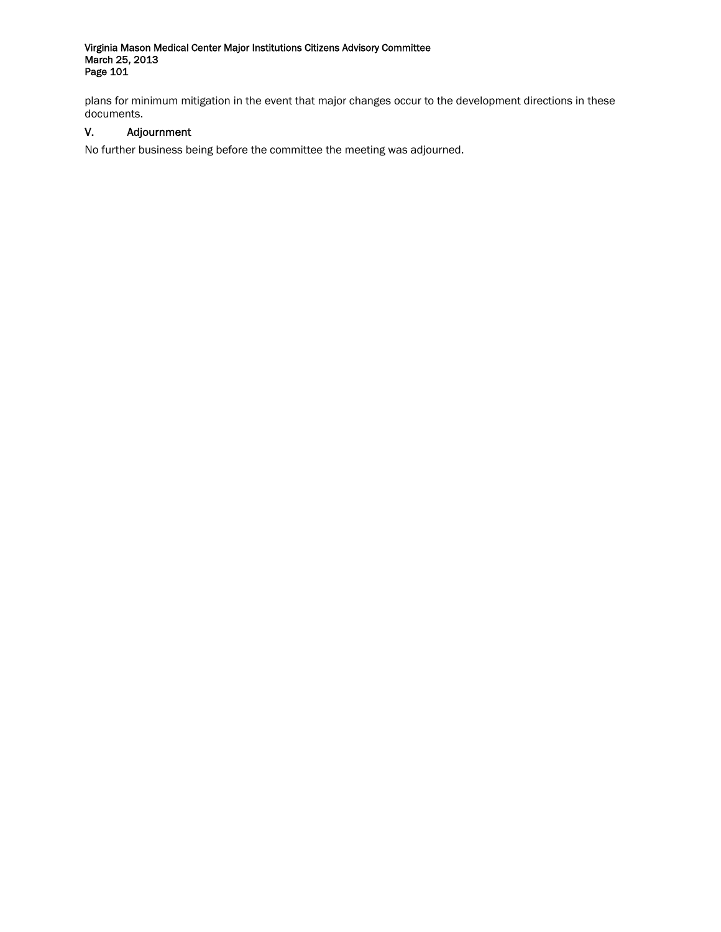plans for minimum mitigation in the event that major changes occur to the development directions in these documents.

# V. Adjournment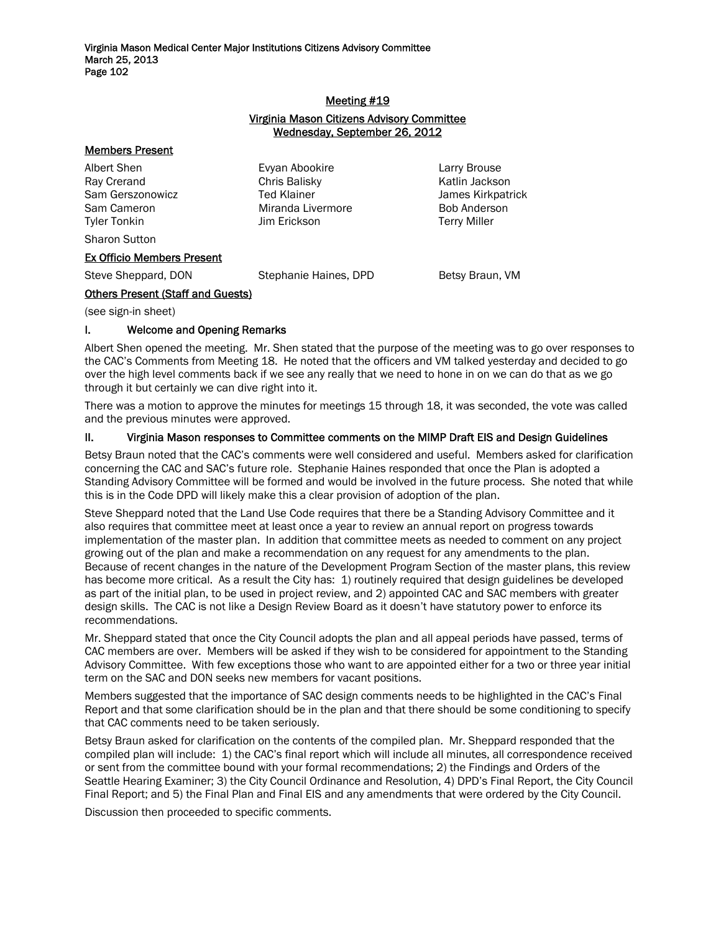# Meeting #19 Virginia Mason Citizens Advisory Committee Wednesday, September 26, 2012

#### Members Present

Albert Shen Evyan Abookire Larry Brouse Ray Crerand **Chris Balisky** Chris Halisky Katlin Jackson Sam Gerszonowicz **Ted Klainer Ted Klainer** James Kirkpatrick Sam Cameron **Miranda Livermore** Bob Anderson Tyler Tonkin Jim Erickson Terry Miller

Sharon Sutton

# Ex Officio Members Present

Steve Sheppard, DON Stephanie Haines, DPD Betsy Braun, VM

# Others Present (Staff and Guests)

(see sign-in sheet)

# I. Welcome and Opening Remarks

Albert Shen opened the meeting. Mr. Shen stated that the purpose of the meeting was to go over responses to the CAC's Comments from Meeting 18. He noted that the officers and VM talked yesterday and decided to go over the high level comments back if we see any really that we need to hone in on we can do that as we go through it but certainly we can dive right into it.

There was a motion to approve the minutes for meetings 15 through 18, it was seconded, the vote was called and the previous minutes were approved.

# II. Virginia Mason responses to Committee comments on the MIMP Draft EIS and Design Guidelines

Betsy Braun noted that the CAC's comments were well considered and useful. Members asked for clarification concerning the CAC and SAC's future role. Stephanie Haines responded that once the Plan is adopted a Standing Advisory Committee will be formed and would be involved in the future process. She noted that while this is in the Code DPD will likely make this a clear provision of adoption of the plan.

Steve Sheppard noted that the Land Use Code requires that there be a Standing Advisory Committee and it also requires that committee meet at least once a year to review an annual report on progress towards implementation of the master plan. In addition that committee meets as needed to comment on any project growing out of the plan and make a recommendation on any request for any amendments to the plan. Because of recent changes in the nature of the Development Program Section of the master plans, this review has become more critical. As a result the City has: 1) routinely required that design guidelines be developed as part of the initial plan, to be used in project review, and 2) appointed CAC and SAC members with greater design skills. The CAC is not like a Design Review Board as it doesn't have statutory power to enforce its recommendations.

Mr. Sheppard stated that once the City Council adopts the plan and all appeal periods have passed, terms of CAC members are over. Members will be asked if they wish to be considered for appointment to the Standing Advisory Committee. With few exceptions those who want to are appointed either for a two or three year initial term on the SAC and DON seeks new members for vacant positions.

Members suggested that the importance of SAC design comments needs to be highlighted in the CAC's Final Report and that some clarification should be in the plan and that there should be some conditioning to specify that CAC comments need to be taken seriously.

Betsy Braun asked for clarification on the contents of the compiled plan. Mr. Sheppard responded that the compiled plan will include: 1) the CAC's final report which will include all minutes, all correspondence received or sent from the committee bound with your formal recommendations; 2) the Findings and Orders of the Seattle Hearing Examiner; 3) the City Council Ordinance and Resolution, 4) DPD's Final Report, the City Council Final Report; and 5) the Final Plan and Final EIS and any amendments that were ordered by the City Council.

Discussion then proceeded to specific comments.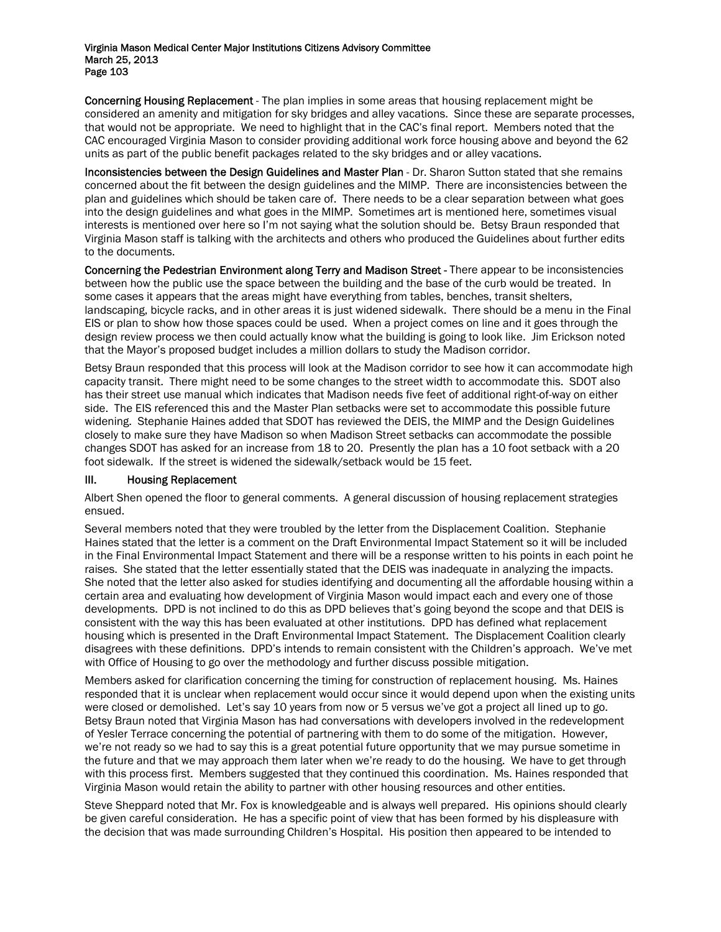Concerning Housing Replacement - The plan implies in some areas that housing replacement might be considered an amenity and mitigation for sky bridges and alley vacations. Since these are separate processes, that would not be appropriate. We need to highlight that in the CAC's final report. Members noted that the CAC encouraged Virginia Mason to consider providing additional work force housing above and beyond the 62 units as part of the public benefit packages related to the sky bridges and or alley vacations.

Inconsistencies between the Design Guidelines and Master Plan - Dr. Sharon Sutton stated that she remains concerned about the fit between the design guidelines and the MIMP. There are inconsistencies between the plan and guidelines which should be taken care of. There needs to be a clear separation between what goes into the design guidelines and what goes in the MIMP. Sometimes art is mentioned here, sometimes visual interests is mentioned over here so I'm not saying what the solution should be. Betsy Braun responded that Virginia Mason staff is talking with the architects and others who produced the Guidelines about further edits to the documents.

Concerning the Pedestrian Environment along Terry and Madison Street - There appear to be inconsistencies between how the public use the space between the building and the base of the curb would be treated. In some cases it appears that the areas might have everything from tables, benches, transit shelters, landscaping, bicycle racks, and in other areas it is just widened sidewalk. There should be a menu in the Final EIS or plan to show how those spaces could be used. When a project comes on line and it goes through the design review process we then could actually know what the building is going to look like. Jim Erickson noted that the Mayor's proposed budget includes a million dollars to study the Madison corridor.

Betsy Braun responded that this process will look at the Madison corridor to see how it can accommodate high capacity transit. There might need to be some changes to the street width to accommodate this. SDOT also has their street use manual which indicates that Madison needs five feet of additional right-of-way on either side. The EIS referenced this and the Master Plan setbacks were set to accommodate this possible future widening. Stephanie Haines added that SDOT has reviewed the DEIS, the MIMP and the Design Guidelines closely to make sure they have Madison so when Madison Street setbacks can accommodate the possible changes SDOT has asked for an increase from 18 to 20. Presently the plan has a 10 foot setback with a 20 foot sidewalk. If the street is widened the sidewalk/setback would be 15 feet.

# III. Housing Replacement

Albert Shen opened the floor to general comments. A general discussion of housing replacement strategies ensued.

Several members noted that they were troubled by the letter from the Displacement Coalition. Stephanie Haines stated that the letter is a comment on the Draft Environmental Impact Statement so it will be included in the Final Environmental Impact Statement and there will be a response written to his points in each point he raises. She stated that the letter essentially stated that the DEIS was inadequate in analyzing the impacts. She noted that the letter also asked for studies identifying and documenting all the affordable housing within a certain area and evaluating how development of Virginia Mason would impact each and every one of those developments. DPD is not inclined to do this as DPD believes that's going beyond the scope and that DEIS is consistent with the way this has been evaluated at other institutions. DPD has defined what replacement housing which is presented in the Draft Environmental Impact Statement. The Displacement Coalition clearly disagrees with these definitions. DPD's intends to remain consistent with the Children's approach. We've met with Office of Housing to go over the methodology and further discuss possible mitigation.

Members asked for clarification concerning the timing for construction of replacement housing. Ms. Haines responded that it is unclear when replacement would occur since it would depend upon when the existing units were closed or demolished. Let's say 10 years from now or 5 versus we've got a project all lined up to go. Betsy Braun noted that Virginia Mason has had conversations with developers involved in the redevelopment of Yesler Terrace concerning the potential of partnering with them to do some of the mitigation. However, we're not ready so we had to say this is a great potential future opportunity that we may pursue sometime in the future and that we may approach them later when we're ready to do the housing. We have to get through with this process first. Members suggested that they continued this coordination. Ms. Haines responded that Virginia Mason would retain the ability to partner with other housing resources and other entities.

Steve Sheppard noted that Mr. Fox is knowledgeable and is always well prepared. His opinions should clearly be given careful consideration. He has a specific point of view that has been formed by his displeasure with the decision that was made surrounding Children's Hospital. His position then appeared to be intended to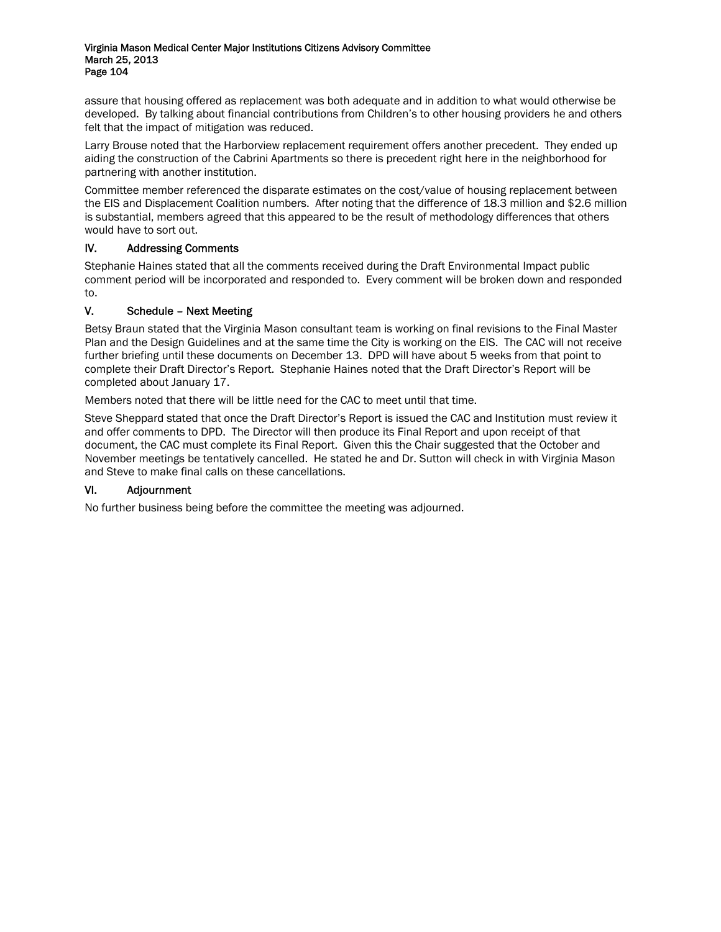assure that housing offered as replacement was both adequate and in addition to what would otherwise be developed. By talking about financial contributions from Children's to other housing providers he and others felt that the impact of mitigation was reduced.

Larry Brouse noted that the Harborview replacement requirement offers another precedent. They ended up aiding the construction of the Cabrini Apartments so there is precedent right here in the neighborhood for partnering with another institution.

Committee member referenced the disparate estimates on the cost/value of housing replacement between the EIS and Displacement Coalition numbers. After noting that the difference of 18.3 million and \$2.6 million is substantial, members agreed that this appeared to be the result of methodology differences that others would have to sort out.

# IV. Addressing Comments

Stephanie Haines stated that all the comments received during the Draft Environmental Impact public comment period will be incorporated and responded to. Every comment will be broken down and responded to.

# V. Schedule – Next Meeting

Betsy Braun stated that the Virginia Mason consultant team is working on final revisions to the Final Master Plan and the Design Guidelines and at the same time the City is working on the EIS. The CAC will not receive further briefing until these documents on December 13. DPD will have about 5 weeks from that point to complete their Draft Director's Report. Stephanie Haines noted that the Draft Director's Report will be completed about January 17.

Members noted that there will be little need for the CAC to meet until that time.

Steve Sheppard stated that once the Draft Director's Report is issued the CAC and Institution must review it and offer comments to DPD. The Director will then produce its Final Report and upon receipt of that document, the CAC must complete its Final Report. Given this the Chair suggested that the October and November meetings be tentatively cancelled. He stated he and Dr. Sutton will check in with Virginia Mason and Steve to make final calls on these cancellations.

# VI. Adjournment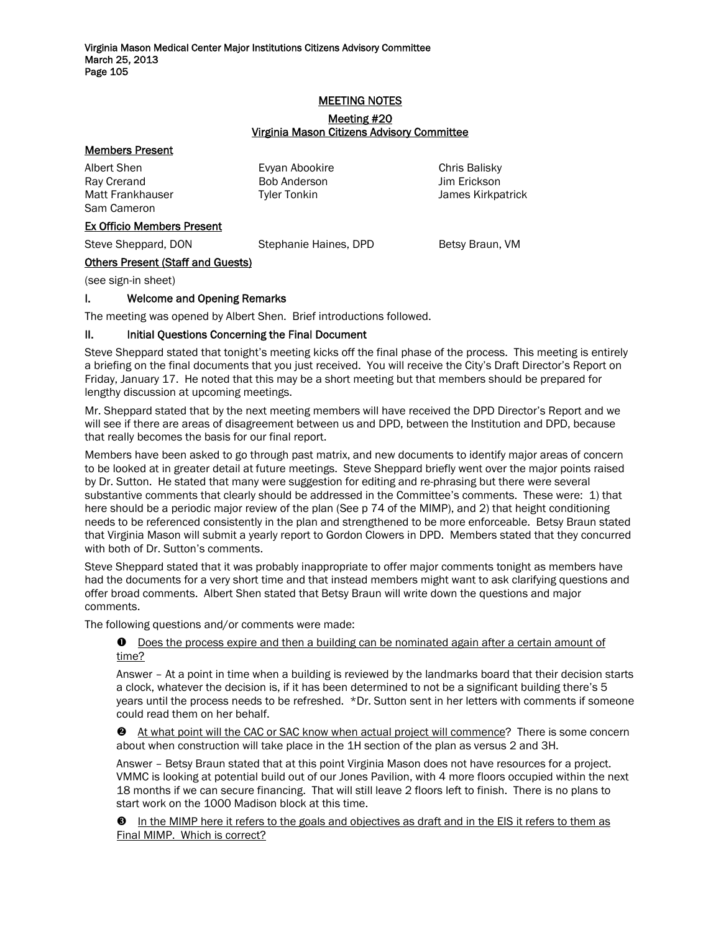# MEETING NOTES

# Meeting #20 Virginia Mason Citizens Advisory Committee

#### Members Present

Albert Shen Evyan Abookire Chris Balisky Ray Crerand **Bob Anderson** Bob Anderson Jim Erickson Matt Frankhauser Tyler Tonkin and The James Kirkpatrick Sam Cameron

# Ex Officio Members Present

Steve Sheppard, DON Stephanie Haines, DPD Betsy Braun, VM

# Others Present (Staff and Guests)

(see sign-in sheet)

# I. Welcome and Opening Remarks

The meeting was opened by Albert Shen. Brief introductions followed.

# II. Initial Questions Concerning the Final Document

Steve Sheppard stated that tonight's meeting kicks off the final phase of the process. This meeting is entirely a briefing on the final documents that you just received. You will receive the City's Draft Director's Report on Friday, January 17. He noted that this may be a short meeting but that members should be prepared for lengthy discussion at upcoming meetings.

Mr. Sheppard stated that by the next meeting members will have received the DPD Director's Report and we will see if there are areas of disagreement between us and DPD, between the Institution and DPD, because that really becomes the basis for our final report.

Members have been asked to go through past matrix, and new documents to identify major areas of concern to be looked at in greater detail at future meetings. Steve Sheppard briefly went over the major points raised by Dr. Sutton. He stated that many were suggestion for editing and re-phrasing but there were several substantive comments that clearly should be addressed in the Committee's comments. These were: 1) that here should be a periodic major review of the plan (See p 74 of the MIMP), and 2) that height conditioning needs to be referenced consistently in the plan and strengthened to be more enforceable. Betsy Braun stated that Virginia Mason will submit a yearly report to Gordon Clowers in DPD. Members stated that they concurred with both of Dr. Sutton's comments.

Steve Sheppard stated that it was probably inappropriate to offer major comments tonight as members have had the documents for a very short time and that instead members might want to ask clarifying questions and offer broad comments. Albert Shen stated that Betsy Braun will write down the questions and major comments.

The following questions and/or comments were made:

# $\bullet$  Does the process expire and then a building can be nominated again after a certain amount of time?

Answer – At a point in time when a building is reviewed by the landmarks board that their decision starts a clock, whatever the decision is, if it has been determined to not be a significant building there's 5 years until the process needs to be refreshed. \*Dr. Sutton sent in her letters with comments if someone could read them on her behalf.

<sup>2</sup> At what point will the CAC or SAC know when actual project will commence? There is some concern about when construction will take place in the 1H section of the plan as versus 2 and 3H.

Answer – Betsy Braun stated that at this point Virginia Mason does not have resources for a project. VMMC is looking at potential build out of our Jones Pavilion, with 4 more floors occupied within the next 18 months if we can secure financing. That will still leave 2 floors left to finish. There is no plans to start work on the 1000 Madison block at this time.

 $\Theta$  In the MIMP here it refers to the goals and objectives as draft and in the EIS it refers to them as Final MIMP. Which is correct?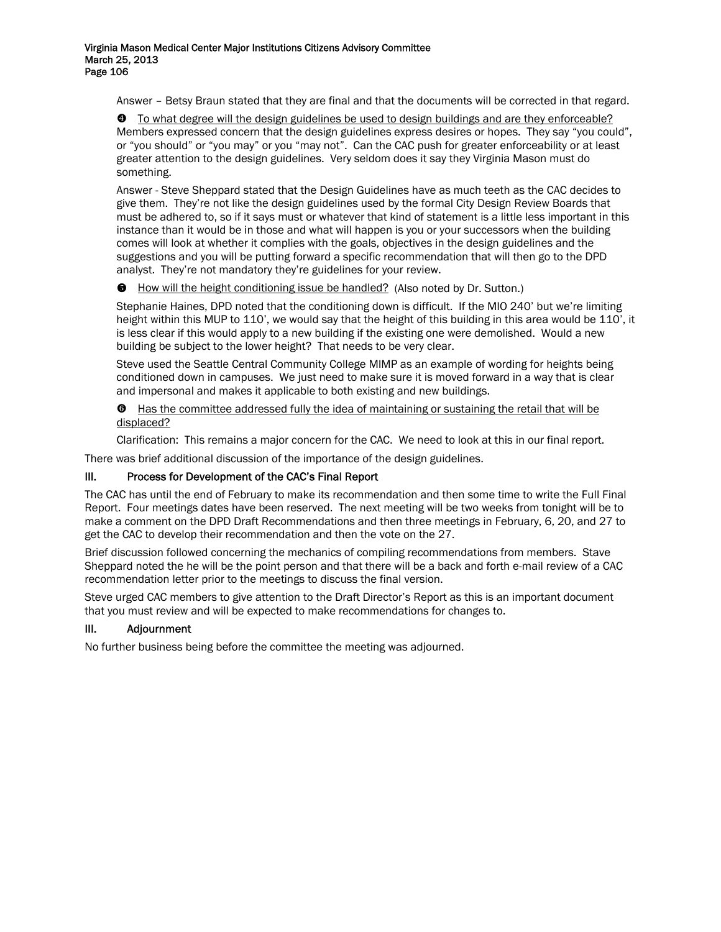Answer – Betsy Braun stated that they are final and that the documents will be corrected in that regard.

[ To what degree will the design guidelines be used to design buildings and are they enforceable? Members expressed concern that the design guidelines express desires or hopes. They say "you could", or "you should" or "you may" or you "may not". Can the CAC push for greater enforceability or at least greater attention to the design guidelines. Very seldom does it say they Virginia Mason must do something.

Answer - Steve Sheppard stated that the Design Guidelines have as much teeth as the CAC decides to give them. They're not like the design guidelines used by the formal City Design Review Boards that must be adhered to, so if it says must or whatever that kind of statement is a little less important in this instance than it would be in those and what will happen is you or your successors when the building comes will look at whether it complies with the goals, objectives in the design guidelines and the suggestions and you will be putting forward a specific recommendation that will then go to the DPD analyst. They're not mandatory they're guidelines for your review.

 $\bullet$  How will the height conditioning issue be handled? (Also noted by Dr. Sutton.)

Stephanie Haines, DPD noted that the conditioning down is difficult. If the MIO 240' but we're limiting height within this MUP to 110', we would say that the height of this building in this area would be 110', it is less clear if this would apply to a new building if the existing one were demolished. Would a new building be subject to the lower height? That needs to be very clear.

Steve used the Seattle Central Community College MIMP as an example of wording for heights being conditioned down in campuses. We just need to make sure it is moved forward in a way that is clear and impersonal and makes it applicable to both existing and new buildings.

 $\Theta$  Has the committee addressed fully the idea of maintaining or sustaining the retail that will be displaced?

Clarification: This remains a major concern for the CAC. We need to look at this in our final report.

There was brief additional discussion of the importance of the design guidelines.

# III. Process for Development of the CAC's Final Report

The CAC has until the end of February to make its recommendation and then some time to write the Full Final Report. Four meetings dates have been reserved. The next meeting will be two weeks from tonight will be to make a comment on the DPD Draft Recommendations and then three meetings in February, 6, 20, and 27 to get the CAC to develop their recommendation and then the vote on the 27.

Brief discussion followed concerning the mechanics of compiling recommendations from members. Stave Sheppard noted the he will be the point person and that there will be a back and forth e-mail review of a CAC recommendation letter prior to the meetings to discuss the final version.

Steve urged CAC members to give attention to the Draft Director's Report as this is an important document that you must review and will be expected to make recommendations for changes to.

# III. Adjournment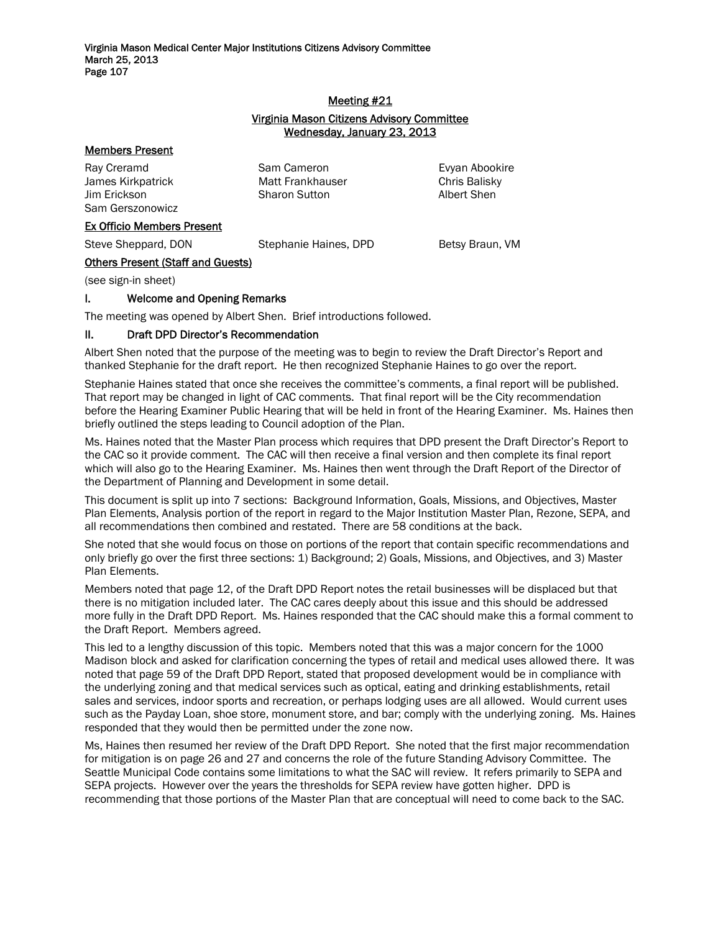#### Meeting #21

# Virginia Mason Citizens Advisory Committee Wednesday, January 23, 2013

#### Members Present

Ray Creramd **Sam Cameron** Sam Cameron Evyan Abookire James Kirkpatrick Matt Frankhauser Chris Balisky Jim Erickson Sharon Sutton Albert Shen Sam Gerszonowicz

#### Ex Officio Members Present

Steve Sheppard, DON Stephanie Haines, DPD Betsy Braun, VM

# Others Present (Staff and Guests)

(see sign-in sheet)

# I. Welcome and Opening Remarks

The meeting was opened by Albert Shen. Brief introductions followed.

# II. Draft DPD Director's Recommendation

Albert Shen noted that the purpose of the meeting was to begin to review the Draft Director's Report and thanked Stephanie for the draft report. He then recognized Stephanie Haines to go over the report.

Stephanie Haines stated that once she receives the committee's comments, a final report will be published. That report may be changed in light of CAC comments. That final report will be the City recommendation before the Hearing Examiner Public Hearing that will be held in front of the Hearing Examiner. Ms. Haines then briefly outlined the steps leading to Council adoption of the Plan.

Ms. Haines noted that the Master Plan process which requires that DPD present the Draft Director's Report to the CAC so it provide comment. The CAC will then receive a final version and then complete its final report which will also go to the Hearing Examiner. Ms. Haines then went through the Draft Report of the Director of the Department of Planning and Development in some detail.

This document is split up into 7 sections: Background Information, Goals, Missions, and Objectives, Master Plan Elements, Analysis portion of the report in regard to the Major Institution Master Plan, Rezone, SEPA, and all recommendations then combined and restated. There are 58 conditions at the back.

She noted that she would focus on those on portions of the report that contain specific recommendations and only briefly go over the first three sections: 1) Background; 2) Goals, Missions, and Objectives, and 3) Master Plan Elements.

Members noted that page 12, of the Draft DPD Report notes the retail businesses will be displaced but that there is no mitigation included later. The CAC cares deeply about this issue and this should be addressed more fully in the Draft DPD Report. Ms. Haines responded that the CAC should make this a formal comment to the Draft Report. Members agreed.

This led to a lengthy discussion of this topic. Members noted that this was a major concern for the 1000 Madison block and asked for clarification concerning the types of retail and medical uses allowed there. It was noted that page 59 of the Draft DPD Report, stated that proposed development would be in compliance with the underlying zoning and that medical services such as optical, eating and drinking establishments, retail sales and services, indoor sports and recreation, or perhaps lodging uses are all allowed. Would current uses such as the Payday Loan, shoe store, monument store, and bar; comply with the underlying zoning. Ms. Haines responded that they would then be permitted under the zone now.

Ms, Haines then resumed her review of the Draft DPD Report. She noted that the first major recommendation for mitigation is on page 26 and 27 and concerns the role of the future Standing Advisory Committee. The Seattle Municipal Code contains some limitations to what the SAC will review. It refers primarily to SEPA and SEPA projects. However over the years the thresholds for SEPA review have gotten higher. DPD is recommending that those portions of the Master Plan that are conceptual will need to come back to the SAC.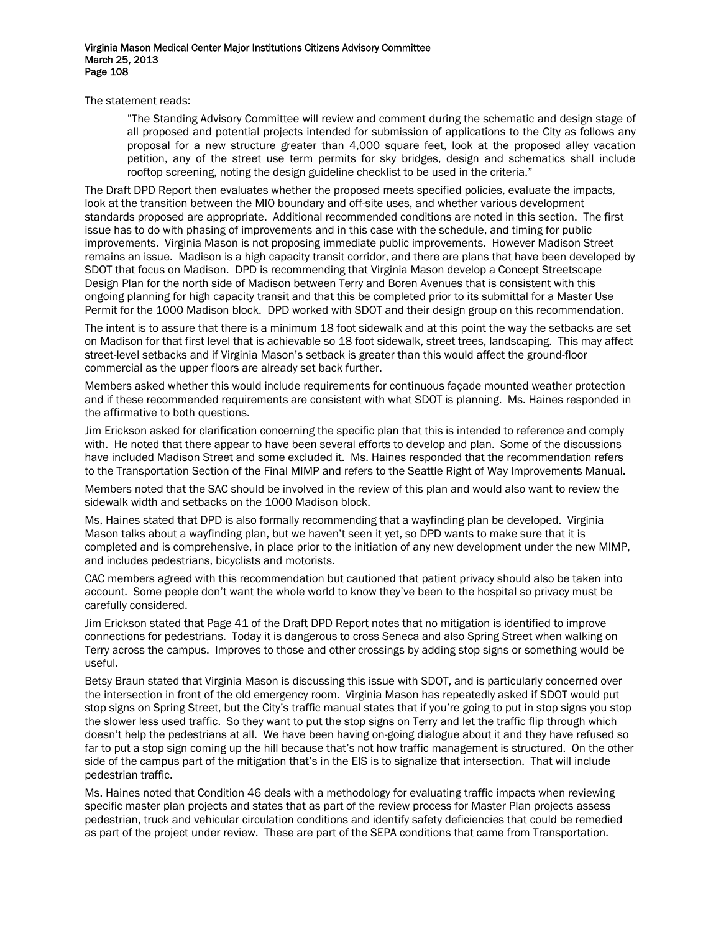The statement reads:

"The Standing Advisory Committee will review and comment during the schematic and design stage of all proposed and potential projects intended for submission of applications to the City as follows any proposal for a new structure greater than 4,000 square feet, look at the proposed alley vacation petition, any of the street use term permits for sky bridges, design and schematics shall include rooftop screening, noting the design guideline checklist to be used in the criteria."

The Draft DPD Report then evaluates whether the proposed meets specified policies, evaluate the impacts, look at the transition between the MIO boundary and off-site uses, and whether various development standards proposed are appropriate. Additional recommended conditions are noted in this section. The first issue has to do with phasing of improvements and in this case with the schedule, and timing for public improvements. Virginia Mason is not proposing immediate public improvements. However Madison Street remains an issue. Madison is a high capacity transit corridor, and there are plans that have been developed by SDOT that focus on Madison. DPD is recommending that Virginia Mason develop a Concept Streetscape Design Plan for the north side of Madison between Terry and Boren Avenues that is consistent with this ongoing planning for high capacity transit and that this be completed prior to its submittal for a Master Use Permit for the 1000 Madison block. DPD worked with SDOT and their design group on this recommendation.

The intent is to assure that there is a minimum 18 foot sidewalk and at this point the way the setbacks are set on Madison for that first level that is achievable so 18 foot sidewalk, street trees, landscaping. This may affect street-level setbacks and if Virginia Mason's setback is greater than this would affect the ground-floor commercial as the upper floors are already set back further.

Members asked whether this would include requirements for continuous façade mounted weather protection and if these recommended requirements are consistent with what SDOT is planning. Ms. Haines responded in the affirmative to both questions.

Jim Erickson asked for clarification concerning the specific plan that this is intended to reference and comply with. He noted that there appear to have been several efforts to develop and plan. Some of the discussions have included Madison Street and some excluded it. Ms. Haines responded that the recommendation refers to the Transportation Section of the Final MIMP and refers to the Seattle Right of Way Improvements Manual.

Members noted that the SAC should be involved in the review of this plan and would also want to review the sidewalk width and setbacks on the 1000 Madison block.

Ms, Haines stated that DPD is also formally recommending that a wayfinding plan be developed. Virginia Mason talks about a wayfinding plan, but we haven't seen it yet, so DPD wants to make sure that it is completed and is comprehensive, in place prior to the initiation of any new development under the new MIMP, and includes pedestrians, bicyclists and motorists.

CAC members agreed with this recommendation but cautioned that patient privacy should also be taken into account. Some people don't want the whole world to know they've been to the hospital so privacy must be carefully considered.

Jim Erickson stated that Page 41 of the Draft DPD Report notes that no mitigation is identified to improve connections for pedestrians. Today it is dangerous to cross Seneca and also Spring Street when walking on Terry across the campus. Improves to those and other crossings by adding stop signs or something would be useful.

Betsy Braun stated that Virginia Mason is discussing this issue with SDOT, and is particularly concerned over the intersection in front of the old emergency room. Virginia Mason has repeatedly asked if SDOT would put stop signs on Spring Street, but the City's traffic manual states that if you're going to put in stop signs you stop the slower less used traffic. So they want to put the stop signs on Terry and let the traffic flip through which doesn't help the pedestrians at all. We have been having on-going dialogue about it and they have refused so far to put a stop sign coming up the hill because that's not how traffic management is structured. On the other side of the campus part of the mitigation that's in the EIS is to signalize that intersection. That will include pedestrian traffic.

Ms. Haines noted that Condition 46 deals with a methodology for evaluating traffic impacts when reviewing specific master plan projects and states that as part of the review process for Master Plan projects assess pedestrian, truck and vehicular circulation conditions and identify safety deficiencies that could be remedied as part of the project under review. These are part of the SEPA conditions that came from Transportation.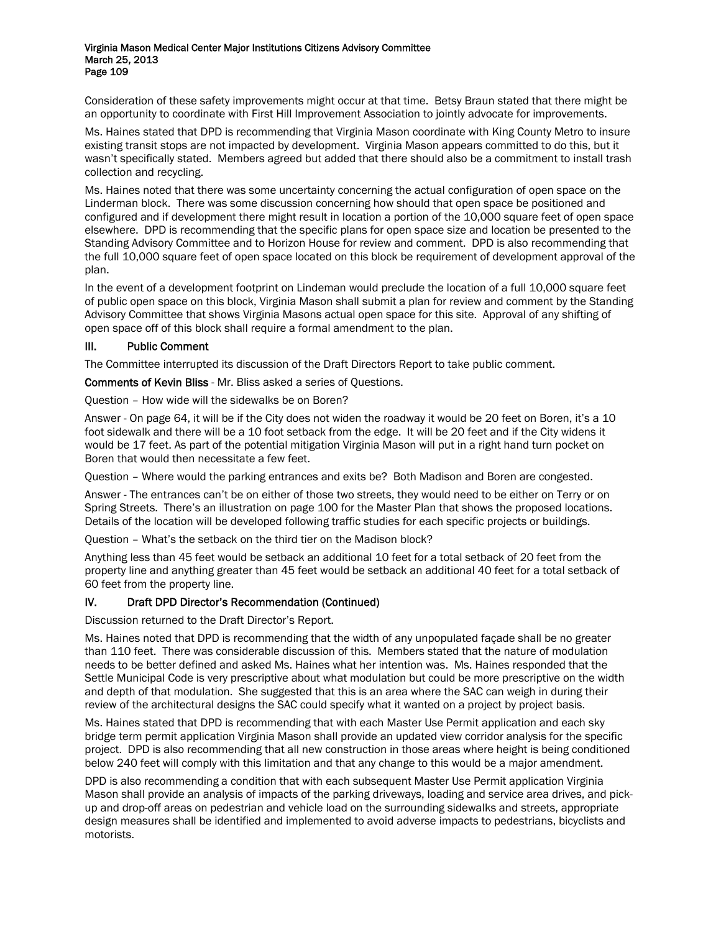Consideration of these safety improvements might occur at that time. Betsy Braun stated that there might be an opportunity to coordinate with First Hill Improvement Association to jointly advocate for improvements.

Ms. Haines stated that DPD is recommending that Virginia Mason coordinate with King County Metro to insure existing transit stops are not impacted by development. Virginia Mason appears committed to do this, but it wasn't specifically stated. Members agreed but added that there should also be a commitment to install trash collection and recycling.

Ms. Haines noted that there was some uncertainty concerning the actual configuration of open space on the Linderman block. There was some discussion concerning how should that open space be positioned and configured and if development there might result in location a portion of the 10,000 square feet of open space elsewhere. DPD is recommending that the specific plans for open space size and location be presented to the Standing Advisory Committee and to Horizon House for review and comment. DPD is also recommending that the full 10,000 square feet of open space located on this block be requirement of development approval of the plan.

In the event of a development footprint on Lindeman would preclude the location of a full 10,000 square feet of public open space on this block, Virginia Mason shall submit a plan for review and comment by the Standing Advisory Committee that shows Virginia Masons actual open space for this site. Approval of any shifting of open space off of this block shall require a formal amendment to the plan.

# III. Public Comment

The Committee interrupted its discussion of the Draft Directors Report to take public comment.

Comments of Kevin Bliss - Mr. Bliss asked a series of Questions.

Question – How wide will the sidewalks be on Boren?

Answer - On page 64, it will be if the City does not widen the roadway it would be 20 feet on Boren, it's a 10 foot sidewalk and there will be a 10 foot setback from the edge. It will be 20 feet and if the City widens it would be 17 feet. As part of the potential mitigation Virginia Mason will put in a right hand turn pocket on Boren that would then necessitate a few feet.

Question – Where would the parking entrances and exits be? Both Madison and Boren are congested.

Answer - The entrances can't be on either of those two streets, they would need to be either on Terry or on Spring Streets. There's an illustration on page 100 for the Master Plan that shows the proposed locations. Details of the location will be developed following traffic studies for each specific projects or buildings.

Question – What's the setback on the third tier on the Madison block?

Anything less than 45 feet would be setback an additional 10 feet for a total setback of 20 feet from the property line and anything greater than 45 feet would be setback an additional 40 feet for a total setback of 60 feet from the property line.

# IV. Draft DPD Director's Recommendation (Continued)

Discussion returned to the Draft Director's Report.

Ms. Haines noted that DPD is recommending that the width of any unpopulated façade shall be no greater than 110 feet. There was considerable discussion of this. Members stated that the nature of modulation needs to be better defined and asked Ms. Haines what her intention was. Ms. Haines responded that the Settle Municipal Code is very prescriptive about what modulation but could be more prescriptive on the width and depth of that modulation. She suggested that this is an area where the SAC can weigh in during their review of the architectural designs the SAC could specify what it wanted on a project by project basis.

Ms. Haines stated that DPD is recommending that with each Master Use Permit application and each sky bridge term permit application Virginia Mason shall provide an updated view corridor analysis for the specific project. DPD is also recommending that all new construction in those areas where height is being conditioned below 240 feet will comply with this limitation and that any change to this would be a major amendment.

DPD is also recommending a condition that with each subsequent Master Use Permit application Virginia Mason shall provide an analysis of impacts of the parking driveways, loading and service area drives, and pickup and drop-off areas on pedestrian and vehicle load on the surrounding sidewalks and streets, appropriate design measures shall be identified and implemented to avoid adverse impacts to pedestrians, bicyclists and motorists.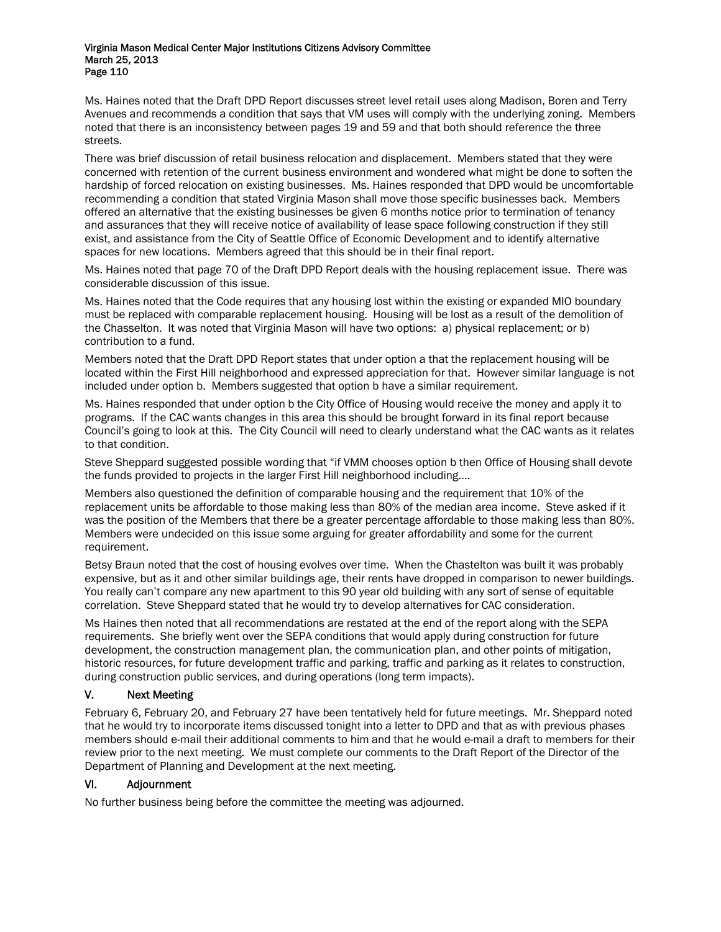Ms. Haines noted that the Draft DPD Report discusses street level retail uses along Madison, Boren and Terry Avenues and recommends a condition that says that VM uses will comply with the underlying zoning. Members noted that there is an inconsistency between pages 19 and 59 and that both should reference the three streets.

There was brief discussion of retail business relocation and displacement. Members stated that they were concerned with retention of the current business environment and wondered what might be done to soften the hardship of forced relocation on existing businesses. Ms. Haines responded that DPD would be uncomfortable recommending a condition that stated Virginia Mason shall move those specific businesses back. Members offered an alternative that the existing businesses be given 6 months notice prior to termination of tenancy and assurances that they will receive notice of availability of lease space following construction if they still exist, and assistance from the City of Seattle Office of Economic Development and to identify alternative spaces for new locations. Members agreed that this should be in their final report.

Ms. Haines noted that page 70 of the Draft DPD Report deals with the housing replacement issue. There was considerable discussion of this issue.

Ms. Haines noted that the Code requires that any housing lost within the existing or expanded MIO boundary must be replaced with comparable replacement housing. Housing will be lost as a result of the demolition of the Chasselton. It was noted that Virginia Mason will have two options: a) physical replacement; or b) contribution to a fund.

Members noted that the Draft DPD Report states that under option a that the replacement housing will be located within the First Hill neighborhood and expressed appreciation for that. However similar language is not included under option b. Members suggested that option b have a similar requirement.

Ms. Haines responded that under option b the City Office of Housing would receive the money and apply it to programs. If the CAC wants changes in this area this should be brought forward in its final report because Council's going to look at this. The City Council will need to clearly understand what the CAC wants as it relates to that condition.

Steve Sheppard suggested possible wording that "if VMM chooses option b then Office of Housing shall devote the funds provided to projects in the larger First Hill neighborhood including….

Members also questioned the definition of comparable housing and the requirement that 10% of the replacement units be affordable to those making less than 80% of the median area income. Steve asked if it was the position of the Members that there be a greater percentage affordable to those making less than 80%. Members were undecided on this issue some arguing for greater affordability and some for the current requirement.

Betsy Braun noted that the cost of housing evolves over time. When the Chastelton was built it was probably expensive, but as it and other similar buildings age, their rents have dropped in comparison to newer buildings. You really can't compare any new apartment to this 90 year old building with any sort of sense of equitable correlation. Steve Sheppard stated that he would try to develop alternatives for CAC consideration.

Ms Haines then noted that all recommendations are restated at the end of the report along with the SEPA requirements. She briefly went over the SEPA conditions that would apply during construction for future development, the construction management plan, the communication plan, and other points of mitigation, historic resources, for future development traffic and parking, traffic and parking as it relates to construction, during construction public services, and during operations (long term impacts).

# V. Next Meeting

February 6, February 20, and February 27 have been tentatively held for future meetings. Mr. Sheppard noted that he would try to incorporate items discussed tonight into a letter to DPD and that as with previous phases members should e-mail their additional comments to him and that he would e-mail a draft to members for their review prior to the next meeting. We must complete our comments to the Draft Report of the Director of the Department of Planning and Development at the next meeting.

# VI. Adjournment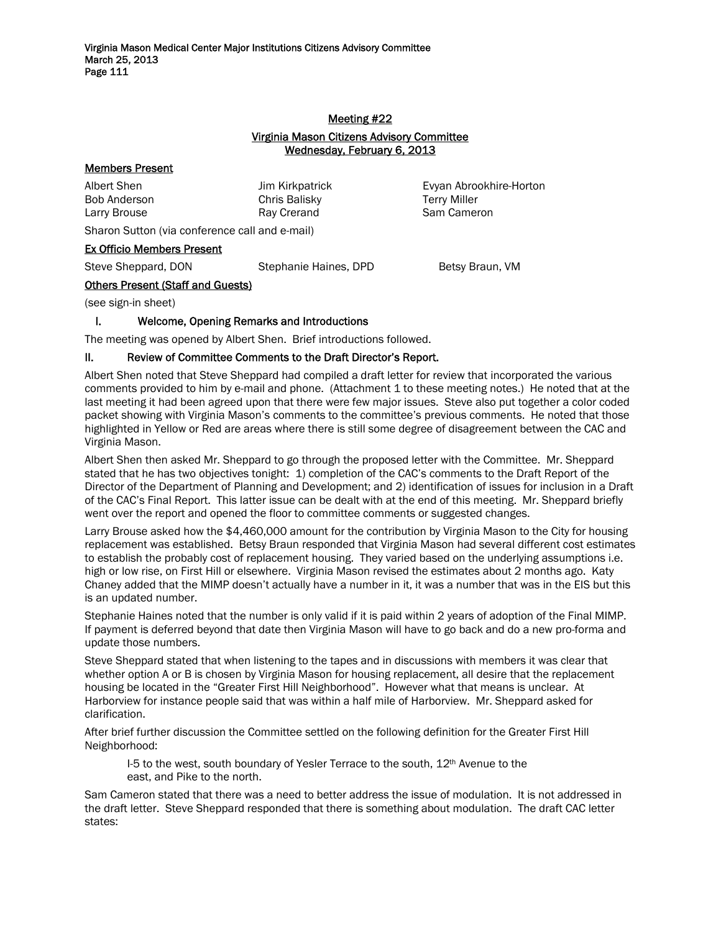# Meeting #22

# Virginia Mason Citizens Advisory Committee Wednesday, February 6, 2013

# Members Present

| Albert Shen  | Jim. |
|--------------|------|
| Bob Anderson | Chri |
| Larry Brouse | Rav  |

Kirkpatrick Evyan Abrookhire-Horton is Balisky **Terry Miller** Crerand Sam Cameron

Sharon Sutton (via conference call and e-mail)

# Ex Officio Members Present

Steve Sheppard, DON Stephanie Haines, DPD Betsy Braun, VM

# Others Present (Staff and Guests)

(see sign-in sheet)

# I. Welcome, Opening Remarks and Introductions

The meeting was opened by Albert Shen. Brief introductions followed.

# II. Review of Committee Comments to the Draft Director's Report.

Albert Shen noted that Steve Sheppard had compiled a draft letter for review that incorporated the various comments provided to him by e-mail and phone. (Attachment 1 to these meeting notes.) He noted that at the last meeting it had been agreed upon that there were few major issues. Steve also put together a color coded packet showing with Virginia Mason's comments to the committee's previous comments. He noted that those highlighted in Yellow or Red are areas where there is still some degree of disagreement between the CAC and Virginia Mason.

Albert Shen then asked Mr. Sheppard to go through the proposed letter with the Committee. Mr. Sheppard stated that he has two objectives tonight: 1) completion of the CAC's comments to the Draft Report of the Director of the Department of Planning and Development; and 2) identification of issues for inclusion in a Draft of the CAC's Final Report. This latter issue can be dealt with at the end of this meeting. Mr. Sheppard briefly went over the report and opened the floor to committee comments or suggested changes.

Larry Brouse asked how the \$4,460,000 amount for the contribution by Virginia Mason to the City for housing replacement was established. Betsy Braun responded that Virginia Mason had several different cost estimates to establish the probably cost of replacement housing. They varied based on the underlying assumptions i.e. high or low rise, on First Hill or elsewhere. Virginia Mason revised the estimates about 2 months ago. Katy Chaney added that the MIMP doesn't actually have a number in it, it was a number that was in the EIS but this is an updated number.

Stephanie Haines noted that the number is only valid if it is paid within 2 years of adoption of the Final MIMP. If payment is deferred beyond that date then Virginia Mason will have to go back and do a new pro-forma and update those numbers.

Steve Sheppard stated that when listening to the tapes and in discussions with members it was clear that whether option A or B is chosen by Virginia Mason for housing replacement, all desire that the replacement housing be located in the "Greater First Hill Neighborhood". However what that means is unclear. At Harborview for instance people said that was within a half mile of Harborview. Mr. Sheppard asked for clarification.

After brief further discussion the Committee settled on the following definition for the Greater First Hill Neighborhood:

I-5 to the west, south boundary of Yesler Terrace to the south,  $12<sup>th</sup>$  Avenue to the east, and Pike to the north.

Sam Cameron stated that there was a need to better address the issue of modulation. It is not addressed in the draft letter. Steve Sheppard responded that there is something about modulation. The draft CAC letter states: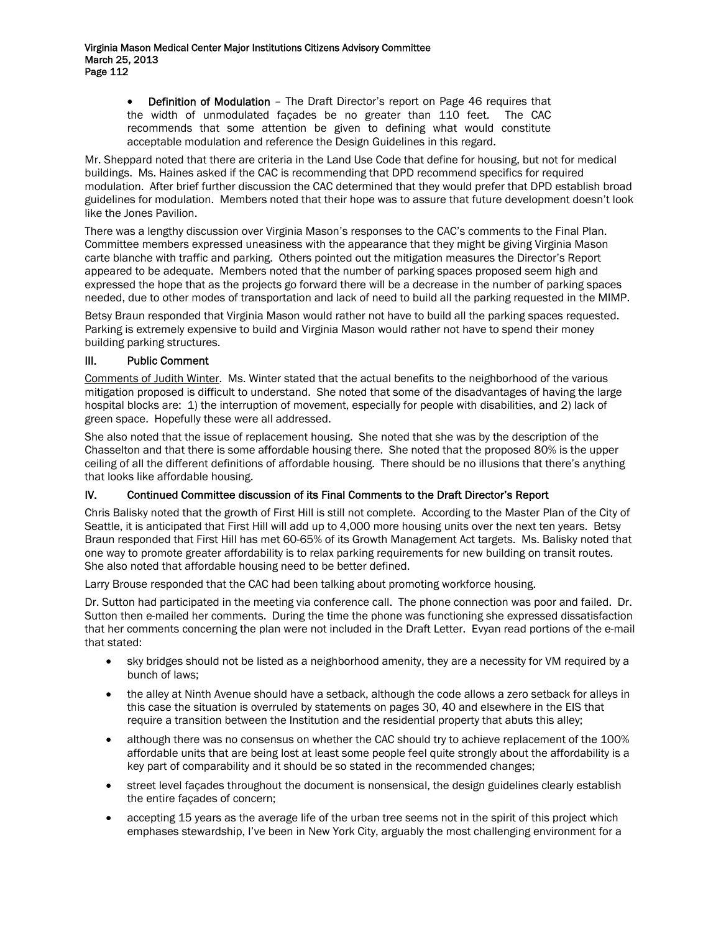• Definition of Modulation – The Draft Director's report on Page 46 requires that the width of unmodulated façades be no greater than 110 feet. The CAC recommends that some attention be given to defining what would constitute acceptable modulation and reference the Design Guidelines in this regard.

Mr. Sheppard noted that there are criteria in the Land Use Code that define for housing, but not for medical buildings. Ms. Haines asked if the CAC is recommending that DPD recommend specifics for required modulation. After brief further discussion the CAC determined that they would prefer that DPD establish broad guidelines for modulation. Members noted that their hope was to assure that future development doesn't look like the Jones Pavilion.

There was a lengthy discussion over Virginia Mason's responses to the CAC's comments to the Final Plan. Committee members expressed uneasiness with the appearance that they might be giving Virginia Mason carte blanche with traffic and parking. Others pointed out the mitigation measures the Director's Report appeared to be adequate. Members noted that the number of parking spaces proposed seem high and expressed the hope that as the projects go forward there will be a decrease in the number of parking spaces needed, due to other modes of transportation and lack of need to build all the parking requested in the MIMP.

Betsy Braun responded that Virginia Mason would rather not have to build all the parking spaces requested. Parking is extremely expensive to build and Virginia Mason would rather not have to spend their money building parking structures.

# III. Public Comment

Comments of Judith Winter. Ms. Winter stated that the actual benefits to the neighborhood of the various mitigation proposed is difficult to understand. She noted that some of the disadvantages of having the large hospital blocks are: 1) the interruption of movement, especially for people with disabilities, and 2) lack of green space. Hopefully these were all addressed.

She also noted that the issue of replacement housing. She noted that she was by the description of the Chasselton and that there is some affordable housing there. She noted that the proposed 80% is the upper ceiling of all the different definitions of affordable housing. There should be no illusions that there's anything that looks like affordable housing.

# IV. Continued Committee discussion of its Final Comments to the Draft Director's Report

Chris Balisky noted that the growth of First Hill is still not complete. According to the Master Plan of the City of Seattle, it is anticipated that First Hill will add up to 4,000 more housing units over the next ten years. Betsy Braun responded that First Hill has met 60-65% of its Growth Management Act targets. Ms. Balisky noted that one way to promote greater affordability is to relax parking requirements for new building on transit routes. She also noted that affordable housing need to be better defined.

Larry Brouse responded that the CAC had been talking about promoting workforce housing.

Dr. Sutton had participated in the meeting via conference call. The phone connection was poor and failed. Dr. Sutton then e-mailed her comments. During the time the phone was functioning she expressed dissatisfaction that her comments concerning the plan were not included in the Draft Letter. Evyan read portions of the e-mail that stated:

- sky bridges should not be listed as a neighborhood amenity, they are a necessity for VM required by a bunch of laws;
- the alley at Ninth Avenue should have a setback, although the code allows a zero setback for alleys in this case the situation is overruled by statements on pages 30, 40 and elsewhere in the EIS that require a transition between the Institution and the residential property that abuts this alley:
- although there was no consensus on whether the CAC should try to achieve replacement of the 100% affordable units that are being lost at least some people feel quite strongly about the affordability is a key part of comparability and it should be so stated in the recommended changes;
- street level façades throughout the document is nonsensical, the design guidelines clearly establish the entire façades of concern;
- accepting 15 years as the average life of the urban tree seems not in the spirit of this project which emphases stewardship, I've been in New York City, arguably the most challenging environment for a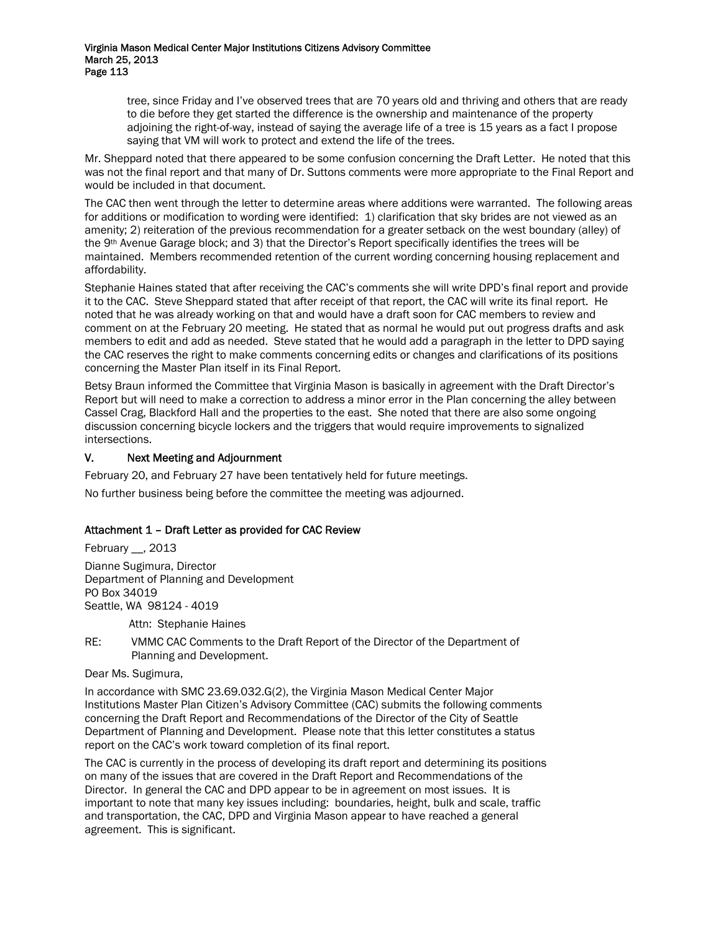tree, since Friday and I've observed trees that are 70 years old and thriving and others that are ready to die before they get started the difference is the ownership and maintenance of the property adjoining the right-of-way, instead of saying the average life of a tree is 15 years as a fact I propose saying that VM will work to protect and extend the life of the trees.

Mr. Sheppard noted that there appeared to be some confusion concerning the Draft Letter. He noted that this was not the final report and that many of Dr. Suttons comments were more appropriate to the Final Report and would be included in that document.

The CAC then went through the letter to determine areas where additions were warranted. The following areas for additions or modification to wording were identified: 1) clarification that sky brides are not viewed as an amenity; 2) reiteration of the previous recommendation for a greater setback on the west boundary (alley) of the 9th Avenue Garage block; and 3) that the Director's Report specifically identifies the trees will be maintained. Members recommended retention of the current wording concerning housing replacement and affordability.

Stephanie Haines stated that after receiving the CAC's comments she will write DPD's final report and provide it to the CAC. Steve Sheppard stated that after receipt of that report, the CAC will write its final report. He noted that he was already working on that and would have a draft soon for CAC members to review and comment on at the February 20 meeting. He stated that as normal he would put out progress drafts and ask members to edit and add as needed. Steve stated that he would add a paragraph in the letter to DPD saying the CAC reserves the right to make comments concerning edits or changes and clarifications of its positions concerning the Master Plan itself in its Final Report.

Betsy Braun informed the Committee that Virginia Mason is basically in agreement with the Draft Director's Report but will need to make a correction to address a minor error in the Plan concerning the alley between Cassel Crag, Blackford Hall and the properties to the east. She noted that there are also some ongoing discussion concerning bicycle lockers and the triggers that would require improvements to signalized intersections.

# V. Next Meeting and Adjournment

February 20, and February 27 have been tentatively held for future meetings.

No further business being before the committee the meeting was adjourned.

# Attachment 1 – Draft Letter as provided for CAC Review

February \_\_, 2013

Dianne Sugimura, Director Department of Planning and Development PO Box 34019 Seattle, WA 98124 - 4019

Attn: Stephanie Haines

RE: VMMC CAC Comments to the Draft Report of the Director of the Department of Planning and Development.

#### Dear Ms. Sugimura,

In accordance with SMC 23.69.032.G(2), the Virginia Mason Medical Center Major Institutions Master Plan Citizen's Advisory Committee (CAC) submits the following comments concerning the Draft Report and Recommendations of the Director of the City of Seattle Department of Planning and Development. Please note that this letter constitutes a status report on the CAC's work toward completion of its final report.

The CAC is currently in the process of developing its draft report and determining its positions on many of the issues that are covered in the Draft Report and Recommendations of the Director. In general the CAC and DPD appear to be in agreement on most issues. It is important to note that many key issues including: boundaries, height, bulk and scale, traffic and transportation, the CAC, DPD and Virginia Mason appear to have reached a general agreement. This is significant.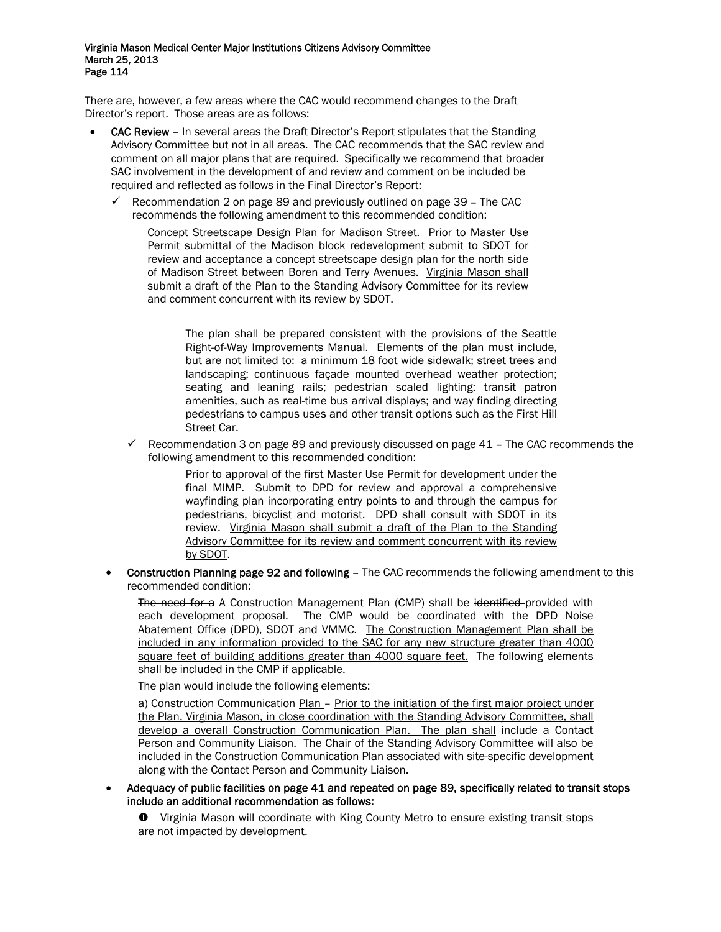There are, however, a few areas where the CAC would recommend changes to the Draft Director's report. Those areas are as follows:

- CAC Review In several areas the Draft Director's Report stipulates that the Standing Advisory Committee but not in all areas. The CAC recommends that the SAC review and comment on all major plans that are required. Specifically we recommend that broader SAC involvement in the development of and review and comment on be included be required and reflected as follows in the Final Director's Report:
	- $\checkmark$  Recommendation 2 on page 89 and previously outlined on page 39 The CAC recommends the following amendment to this recommended condition:

Concept Streetscape Design Plan for Madison Street. Prior to Master Use Permit submittal of the Madison block redevelopment submit to SDOT for review and acceptance a concept streetscape design plan for the north side of Madison Street between Boren and Terry Avenues. Virginia Mason shall submit a draft of the Plan to the Standing Advisory Committee for its review and comment concurrent with its review by SDOT.

The plan shall be prepared consistent with the provisions of the Seattle Right-of-Way Improvements Manual. Elements of the plan must include, but are not limited to: a minimum 18 foot wide sidewalk; street trees and landscaping; continuous façade mounted overhead weather protection; seating and leaning rails; pedestrian scaled lighting; transit patron amenities, such as real-time bus arrival displays; and way finding directing pedestrians to campus uses and other transit options such as the First Hill Street Car.

 $\checkmark$  Recommendation 3 on page 89 and previously discussed on page 41 – The CAC recommends the following amendment to this recommended condition:

> Prior to approval of the first Master Use Permit for development under the final MIMP. Submit to DPD for review and approval a comprehensive wayfinding plan incorporating entry points to and through the campus for pedestrians, bicyclist and motorist. DPD shall consult with SDOT in its review. Virginia Mason shall submit a draft of the Plan to the Standing Advisory Committee for its review and comment concurrent with its review by SDOT.

• Construction Planning page 92 and following – The CAC recommends the following amendment to this recommended condition:

The need for a A Construction Management Plan (CMP) shall be identified provided with each development proposal. The CMP would be coordinated with the DPD Noise Abatement Office (DPD), SDOT and VMMC. The Construction Management Plan shall be included in any information provided to the SAC for any new structure greater than 4000 square feet of building additions greater than 4000 square feet. The following elements shall be included in the CMP if applicable.

The plan would include the following elements:

a) Construction Communication Plan - Prior to the initiation of the first major project under the Plan, Virginia Mason, in close coordination with the Standing Advisory Committee, shall develop a overall Construction Communication Plan. The plan shall include a Contact Person and Community Liaison. The Chair of the Standing Advisory Committee will also be included in the Construction Communication Plan associated with site-specific development along with the Contact Person and Community Liaison.

- Adequacy of public facilities on page 41 and repeated on page 89, specifically related to transit stops include an additional recommendation as follows:
	- $\bullet$  Virginia Mason will coordinate with King County Metro to ensure existing transit stops are not impacted by development.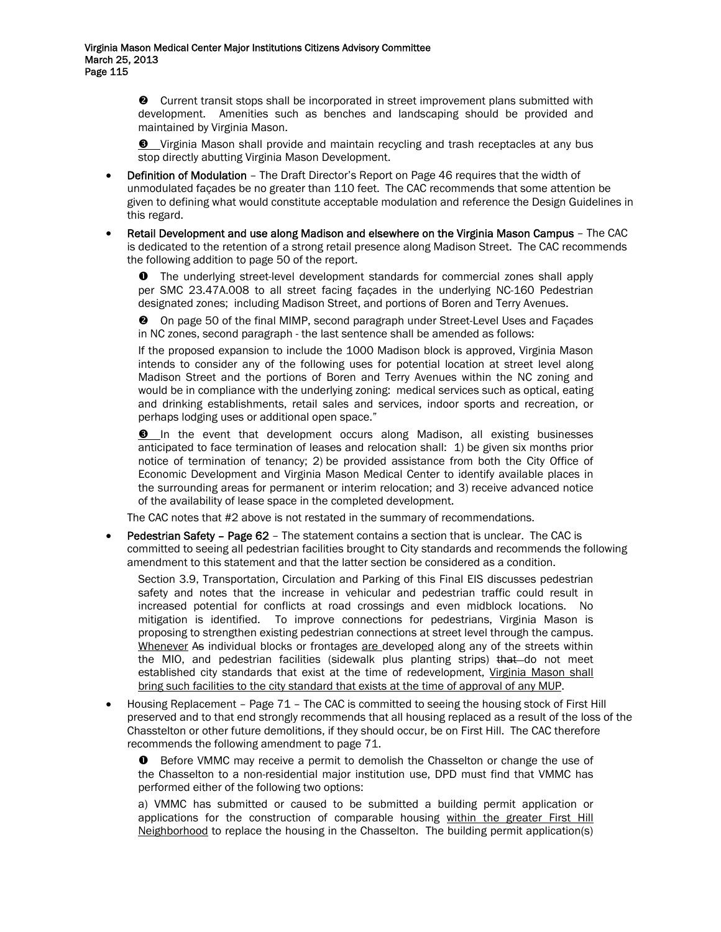o Current transit stops shall be incorporated in street improvement plans submitted with development. Amenities such as benches and landscaping should be provided and maintained by Virginia Mason.

 $\bullet$  Virginia Mason shall provide and maintain recycling and trash receptacles at any bus stop directly abutting Virginia Mason Development.

- Definition of Modulation The Draft Director's Report on Page 46 requires that the width of unmodulated façades be no greater than 110 feet. The CAC recommends that some attention be given to defining what would constitute acceptable modulation and reference the Design Guidelines in this regard.
- Retail Development and use along Madison and elsewhere on the Virginia Mason Campus The CAC is dedicated to the retention of a strong retail presence along Madison Street. The CAC recommends the following addition to page 50 of the report.

**O** The underlying street-level development standards for commercial zones shall apply per SMC 23.47A.008 to all street facing façades in the underlying NC-160 Pedestrian designated zones; including Madison Street, and portions of Boren and Terry Avenues.

**<sup>2</sup>** On page 50 of the final MIMP, second paragraph under Street-Level Uses and Façades in NC zones, second paragraph - the last sentence shall be amended as follows:

If the proposed expansion to include the 1000 Madison block is approved, Virginia Mason intends to consider any of the following uses for potential location at street level along Madison Street and the portions of Boren and Terry Avenues within the NC zoning and would be in compliance with the underlying zoning: medical services such as optical, eating and drinking establishments, retail sales and services, indoor sports and recreation, or perhaps lodging uses or additional open space."

 $\Theta$  In the event that development occurs along Madison, all existing businesses anticipated to face termination of leases and relocation shall: 1) be given six months prior notice of termination of tenancy; 2) be provided assistance from both the City Office of Economic Development and Virginia Mason Medical Center to identify available places in the surrounding areas for permanent or interim relocation; and 3) receive advanced notice of the availability of lease space in the completed development.

The CAC notes that #2 above is not restated in the summary of recommendations.

• Pedestrian Safety – Page 62 – The statement contains a section that is unclear. The CAC is committed to seeing all pedestrian facilities brought to City standards and recommends the following amendment to this statement and that the latter section be considered as a condition.

Section 3.9, Transportation, Circulation and Parking of this Final EIS discusses pedestrian safety and notes that the increase in vehicular and pedestrian traffic could result in increased potential for conflicts at road crossings and even midblock locations. No mitigation is identified. To improve connections for pedestrians, Virginia Mason is proposing to strengthen existing pedestrian connections at street level through the campus. Whenever As individual blocks or frontages are developed along any of the streets within the MIO, and pedestrian facilities (sidewalk plus planting strips) that do not meet established city standards that exist at the time of redevelopment, Virginia Mason shall bring such facilities to the city standard that exists at the time of approval of any MUP.

• Housing Replacement – Page 71 – The CAC is committed to seeing the housing stock of First Hill preserved and to that end strongly recommends that all housing replaced as a result of the loss of the Chasstelton or other future demolitions, if they should occur, be on First Hill. The CAC therefore recommends the following amendment to page 71.

 $\bullet$  Before VMMC may receive a permit to demolish the Chasselton or change the use of the Chasselton to a non-residential major institution use, DPD must find that VMMC has performed either of the following two options:

a) VMMC has submitted or caused to be submitted a building permit application or applications for the construction of comparable housing within the greater First Hill Neighborhood to replace the housing in the Chasselton. The building permit application(s)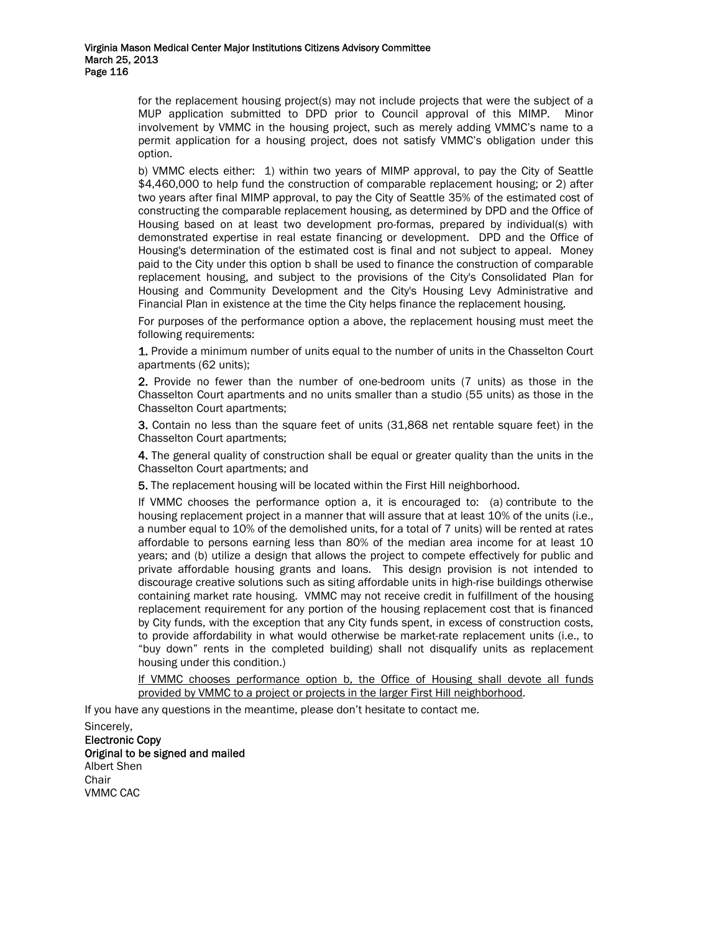for the replacement housing project(s) may not include projects that were the subject of a MUP application submitted to DPD prior to Council approval of this MIMP. Minor involvement by VMMC in the housing project, such as merely adding VMMC's name to a permit application for a housing project, does not satisfy VMMC's obligation under this option.

b) VMMC elects either: 1) within two years of MIMP approval, to pay the City of Seattle \$4,460,000 to help fund the construction of comparable replacement housing; or 2) after two years after final MIMP approval, to pay the City of Seattle 35% of the estimated cost of constructing the comparable replacement housing, as determined by DPD and the Office of Housing based on at least two development pro-formas, prepared by individual(s) with demonstrated expertise in real estate financing or development. DPD and the Office of Housing's determination of the estimated cost is final and not subject to appeal. Money paid to the City under this option b shall be used to finance the construction of comparable replacement housing, and subject to the provisions of the City's Consolidated Plan for Housing and Community Development and the City's Housing Levy Administrative and Financial Plan in existence at the time the City helps finance the replacement housing.

For purposes of the performance option a above, the replacement housing must meet the following requirements:

1. Provide a minimum number of units equal to the number of units in the Chasselton Court apartments (62 units);

2. Provide no fewer than the number of one-bedroom units (7 units) as those in the Chasselton Court apartments and no units smaller than a studio (55 units) as those in the Chasselton Court apartments;

3. Contain no less than the square feet of units (31,868 net rentable square feet) in the Chasselton Court apartments;

4. The general quality of construction shall be equal or greater quality than the units in the Chasselton Court apartments; and

5. The replacement housing will be located within the First Hill neighborhood.

If VMMC chooses the performance option a, it is encouraged to: (a) contribute to the housing replacement project in a manner that will assure that at least 10% of the units (i.e., a number equal to 10% of the demolished units, for a total of 7 units) will be rented at rates affordable to persons earning less than 80% of the median area income for at least 10 years; and (b) utilize a design that allows the project to compete effectively for public and private affordable housing grants and loans. This design provision is not intended to discourage creative solutions such as siting affordable units in high-rise buildings otherwise containing market rate housing. VMMC may not receive credit in fulfillment of the housing replacement requirement for any portion of the housing replacement cost that is financed by City funds, with the exception that any City funds spent, in excess of construction costs, to provide affordability in what would otherwise be market-rate replacement units (i.e., to "buy down" rents in the completed building) shall not disqualify units as replacement housing under this condition.)

If VMMC chooses performance option b, the Office of Housing shall devote all funds provided by VMMC to a project or projects in the larger First Hill neighborhood.

If you have any questions in the meantime, please don't hesitate to contact me.

Sincerely, Electronic Copy Original to be signed and mailed Albert Shen **Chair** VMMC CAC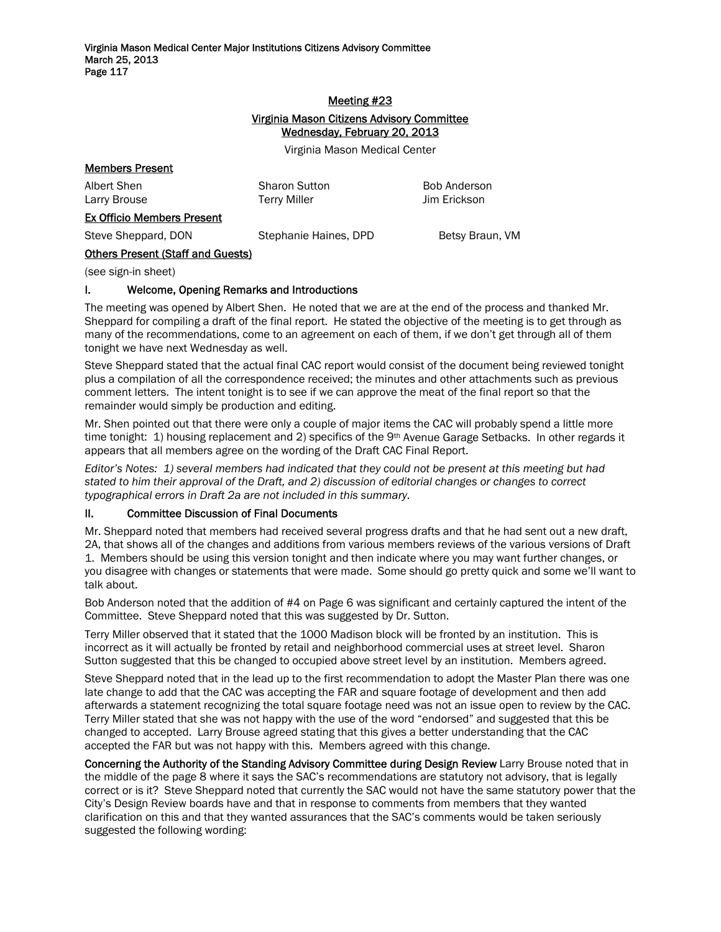# Meeting #23 Virginia Mason Citizens Advisory Committee Wednesday, February 20, 2013

Virginia Mason Medical Center

| <b>Members Present</b>                   |                                             |                              |
|------------------------------------------|---------------------------------------------|------------------------------|
| Albert Shen<br>Larry Brouse              | <b>Sharon Sutton</b><br><b>Terry Miller</b> | Bob Anderson<br>Jim Erickson |
| <b>Ex Officio Members Present</b>        |                                             |                              |
| Steve Sheppard, DON                      | Stephanie Haines, DPD                       | Betsy Braun, VM              |
| <b>Others Present (Staff and Guests)</b> |                                             |                              |

(see sign-in sheet)

# I. Welcome, Opening Remarks and Introductions

The meeting was opened by Albert Shen. He noted that we are at the end of the process and thanked Mr. Sheppard for compiling a draft of the final report. He stated the objective of the meeting is to get through as many of the recommendations, come to an agreement on each of them, if we don't get through all of them tonight we have next Wednesday as well.

Steve Sheppard stated that the actual final CAC report would consist of the document being reviewed tonight plus a compilation of all the correspondence received; the minutes and other attachments such as previous comment letters. The intent tonight is to see if we can approve the meat of the final report so that the remainder would simply be production and editing.

Mr. Shen pointed out that there were only a couple of major items the CAC will probably spend a little more time tonight: 1) housing replacement and 2) specifics of the 9<sup>th</sup> Avenue Garage Setbacks. In other regards it appears that all members agree on the wording of the Draft CAC Final Report.

*Editor's Notes: 1) several members had indicated that they could not be present at this meeting but had stated to him their approval of the Draft, and 2) discussion of editorial changes or changes to correct typographical errors in Draft 2a are not included in this summary.* 

# II. Committee Discussion of Final Documents

Mr. Sheppard noted that members had received several progress drafts and that he had sent out a new draft, 2A, that shows all of the changes and additions from various members reviews of the various versions of Draft 1. Members should be using this version tonight and then indicate where you may want further changes, or you disagree with changes or statements that were made. Some should go pretty quick and some we'll want to talk about.

Bob Anderson noted that the addition of #4 on Page 6 was significant and certainly captured the intent of the Committee. Steve Sheppard noted that this was suggested by Dr. Sutton.

Terry Miller observed that it stated that the 1000 Madison block will be fronted by an institution. This is incorrect as it will actually be fronted by retail and neighborhood commercial uses at street level. Sharon Sutton suggested that this be changed to occupied above street level by an institution. Members agreed.

Steve Sheppard noted that in the lead up to the first recommendation to adopt the Master Plan there was one late change to add that the CAC was accepting the FAR and square footage of development and then add afterwards a statement recognizing the total square footage need was not an issue open to review by the CAC. Terry Miller stated that she was not happy with the use of the word "endorsed" and suggested that this be changed to accepted. Larry Brouse agreed stating that this gives a better understanding that the CAC accepted the FAR but was not happy with this. Members agreed with this change.

Concerning the Authority of the Standing Advisory Committee during Design Review Larry Brouse noted that in the middle of the page 8 where it says the SAC's recommendations are statutory not advisory, that is legally correct or is it? Steve Sheppard noted that currently the SAC would not have the same statutory power that the City's Design Review boards have and that in response to comments from members that they wanted clarification on this and that they wanted assurances that the SAC's comments would be taken seriously suggested the following wording: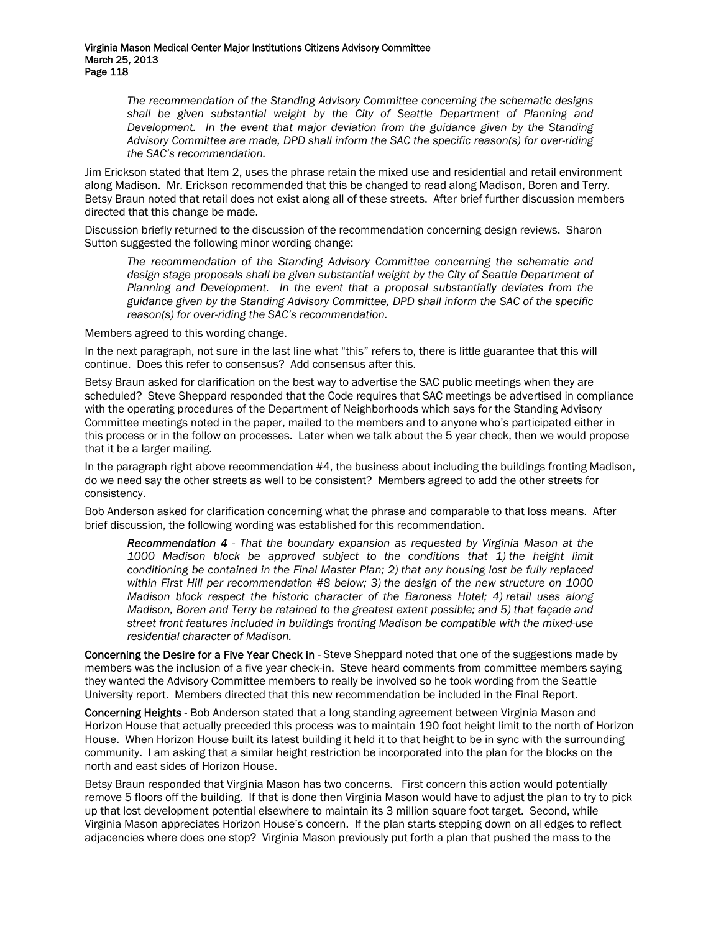*The recommendation of the Standing Advisory Committee concerning the schematic designs shall be given substantial weight by the City of Seattle Department of Planning and Development. In the event that major deviation from the guidance given by the Standing Advisory Committee are made, DPD shall inform the SAC the specific reason(s) for over-riding the SAC's recommendation.* 

Jim Erickson stated that Item 2, uses the phrase retain the mixed use and residential and retail environment along Madison. Mr. Erickson recommended that this be changed to read along Madison, Boren and Terry. Betsy Braun noted that retail does not exist along all of these streets. After brief further discussion members directed that this change be made.

Discussion briefly returned to the discussion of the recommendation concerning design reviews. Sharon Sutton suggested the following minor wording change:

*The recommendation of the Standing Advisory Committee concerning the schematic and*  design stage proposals shall be given substantial weight by the City of Seattle Department of *Planning and Development. In the event that a proposal substantially deviates from the guidance given by the Standing Advisory Committee, DPD shall inform the SAC of the specific reason(s) for over-riding the SAC's recommendation.* 

Members agreed to this wording change.

In the next paragraph, not sure in the last line what "this" refers to, there is little guarantee that this will continue. Does this refer to consensus? Add consensus after this.

Betsy Braun asked for clarification on the best way to advertise the SAC public meetings when they are scheduled? Steve Sheppard responded that the Code requires that SAC meetings be advertised in compliance with the operating procedures of the Department of Neighborhoods which says for the Standing Advisory Committee meetings noted in the paper, mailed to the members and to anyone who's participated either in this process or in the follow on processes. Later when we talk about the 5 year check, then we would propose that it be a larger mailing.

In the paragraph right above recommendation #4, the business about including the buildings fronting Madison, do we need say the other streets as well to be consistent? Members agreed to add the other streets for consistency.

Bob Anderson asked for clarification concerning what the phrase and comparable to that loss means. After brief discussion, the following wording was established for this recommendation.

*Recommendation 4 - That the boundary expansion as requested by Virginia Mason at the 1000 Madison block be approved subject to the conditions that 1) the height limit conditioning be contained in the Final Master Plan; 2) that any housing lost be fully replaced within First Hill per recommendation #8 below; 3) the design of the new structure on 1000 Madison block respect the historic character of the Baroness Hotel; 4) retail uses along Madison, Boren and Terry be retained to the greatest extent possible; and 5) that façade and street front features included in buildings fronting Madison be compatible with the mixed-use residential character of Madison.* 

Concerning the Desire for a Five Year Check in - Steve Sheppard noted that one of the suggestions made by members was the inclusion of a five year check-in. Steve heard comments from committee members saying they wanted the Advisory Committee members to really be involved so he took wording from the Seattle University report. Members directed that this new recommendation be included in the Final Report.

Concerning Heights - Bob Anderson stated that a long standing agreement between Virginia Mason and Horizon House that actually preceded this process was to maintain 190 foot height limit to the north of Horizon House. When Horizon House built its latest building it held it to that height to be in sync with the surrounding community. I am asking that a similar height restriction be incorporated into the plan for the blocks on the north and east sides of Horizon House.

Betsy Braun responded that Virginia Mason has two concerns. First concern this action would potentially remove 5 floors off the building. If that is done then Virginia Mason would have to adjust the plan to try to pick up that lost development potential elsewhere to maintain its 3 million square foot target. Second, while Virginia Mason appreciates Horizon House's concern. If the plan starts stepping down on all edges to reflect adjacencies where does one stop? Virginia Mason previously put forth a plan that pushed the mass to the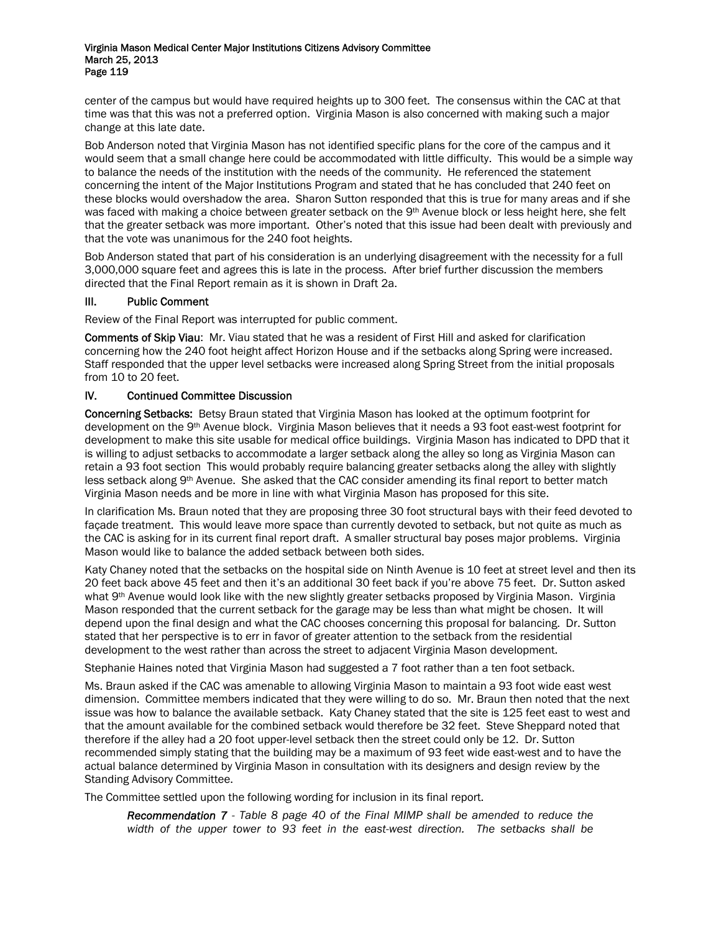center of the campus but would have required heights up to 300 feet. The consensus within the CAC at that time was that this was not a preferred option. Virginia Mason is also concerned with making such a major change at this late date.

Bob Anderson noted that Virginia Mason has not identified specific plans for the core of the campus and it would seem that a small change here could be accommodated with little difficulty. This would be a simple way to balance the needs of the institution with the needs of the community. He referenced the statement concerning the intent of the Major Institutions Program and stated that he has concluded that 240 feet on these blocks would overshadow the area. Sharon Sutton responded that this is true for many areas and if she was faced with making a choice between greater setback on the 9th Avenue block or less height here, she felt that the greater setback was more important. Other's noted that this issue had been dealt with previously and that the vote was unanimous for the 240 foot heights.

Bob Anderson stated that part of his consideration is an underlying disagreement with the necessity for a full 3,000,000 square feet and agrees this is late in the process. After brief further discussion the members directed that the Final Report remain as it is shown in Draft 2a.

# III. Public Comment

Review of the Final Report was interrupted for public comment.

Comments of Skip Viau: Mr. Viau stated that he was a resident of First Hill and asked for clarification concerning how the 240 foot height affect Horizon House and if the setbacks along Spring were increased. Staff responded that the upper level setbacks were increased along Spring Street from the initial proposals from 10 to 20 feet.

# IV. Continued Committee Discussion

Concerning Setbacks: Betsy Braun stated that Virginia Mason has looked at the optimum footprint for development on the 9th Avenue block. Virginia Mason believes that it needs a 93 foot east-west footprint for development to make this site usable for medical office buildings. Virginia Mason has indicated to DPD that it is willing to adjust setbacks to accommodate a larger setback along the alley so long as Virginia Mason can retain a 93 foot section This would probably require balancing greater setbacks along the alley with slightly less setback along 9th Avenue. She asked that the CAC consider amending its final report to better match Virginia Mason needs and be more in line with what Virginia Mason has proposed for this site.

In clarification Ms. Braun noted that they are proposing three 30 foot structural bays with their feed devoted to façade treatment. This would leave more space than currently devoted to setback, but not quite as much as the CAC is asking for in its current final report draft. A smaller structural bay poses major problems. Virginia Mason would like to balance the added setback between both sides.

Katy Chaney noted that the setbacks on the hospital side on Ninth Avenue is 10 feet at street level and then its 20 feet back above 45 feet and then it's an additional 30 feet back if you're above 75 feet. Dr. Sutton asked what 9th Avenue would look like with the new slightly greater setbacks proposed by Virginia Mason. Virginia Mason responded that the current setback for the garage may be less than what might be chosen. It will depend upon the final design and what the CAC chooses concerning this proposal for balancing. Dr. Sutton stated that her perspective is to err in favor of greater attention to the setback from the residential development to the west rather than across the street to adjacent Virginia Mason development.

Stephanie Haines noted that Virginia Mason had suggested a 7 foot rather than a ten foot setback.

Ms. Braun asked if the CAC was amenable to allowing Virginia Mason to maintain a 93 foot wide east west dimension. Committee members indicated that they were willing to do so. Mr. Braun then noted that the next issue was how to balance the available setback. Katy Chaney stated that the site is 125 feet east to west and that the amount available for the combined setback would therefore be 32 feet. Steve Sheppard noted that therefore if the alley had a 20 foot upper-level setback then the street could only be 12. Dr. Sutton recommended simply stating that the building may be a maximum of 93 feet wide east-west and to have the actual balance determined by Virginia Mason in consultation with its designers and design review by the Standing Advisory Committee.

The Committee settled upon the following wording for inclusion in its final report.

*Recommendation 7 - Table 8 page 40 of the Final MIMP shall be amended to reduce the width of the upper tower to 93 feet in the east-west direction. The setbacks shall be*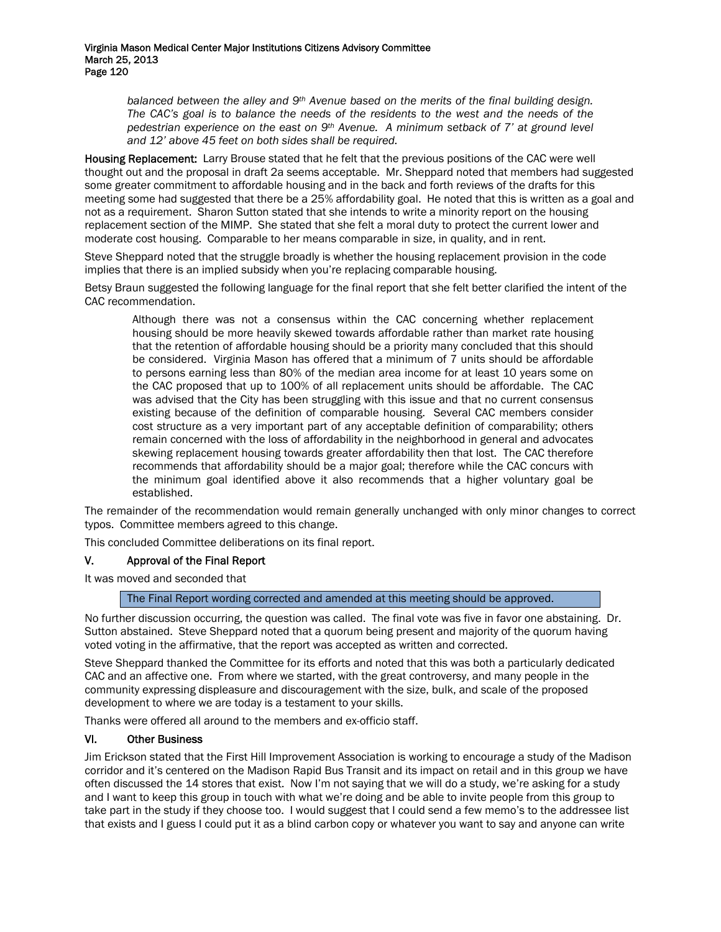balanced between the alley and 9<sup>th</sup> Avenue based on the merits of the final building design. *The CAC's goal is to balance the needs of the residents to the west and the needs of the pedestrian experience on the east on 9th Avenue. A minimum setback of 7' at ground level and 12' above 45 feet on both sides shall be required.* 

Housing Replacement: Larry Brouse stated that he felt that the previous positions of the CAC were well thought out and the proposal in draft 2a seems acceptable. Mr. Sheppard noted that members had suggested some greater commitment to affordable housing and in the back and forth reviews of the drafts for this meeting some had suggested that there be a 25% affordability goal. He noted that this is written as a goal and not as a requirement. Sharon Sutton stated that she intends to write a minority report on the housing replacement section of the MIMP. She stated that she felt a moral duty to protect the current lower and moderate cost housing. Comparable to her means comparable in size, in quality, and in rent.

Steve Sheppard noted that the struggle broadly is whether the housing replacement provision in the code implies that there is an implied subsidy when you're replacing comparable housing.

Betsy Braun suggested the following language for the final report that she felt better clarified the intent of the CAC recommendation.

Although there was not a consensus within the CAC concerning whether replacement housing should be more heavily skewed towards affordable rather than market rate housing that the retention of affordable housing should be a priority many concluded that this should be considered. Virginia Mason has offered that a minimum of 7 units should be affordable to persons earning less than 80% of the median area income for at least 10 years some on the CAC proposed that up to 100% of all replacement units should be affordable. The CAC was advised that the City has been struggling with this issue and that no current consensus existing because of the definition of comparable housing. Several CAC members consider cost structure as a very important part of any acceptable definition of comparability; others remain concerned with the loss of affordability in the neighborhood in general and advocates skewing replacement housing towards greater affordability then that lost. The CAC therefore recommends that affordability should be a major goal; therefore while the CAC concurs with the minimum goal identified above it also recommends that a higher voluntary goal be established.

The remainder of the recommendation would remain generally unchanged with only minor changes to correct typos. Committee members agreed to this change.

This concluded Committee deliberations on its final report.

# V. Approval of the Final Report

It was moved and seconded that

# The Final Report wording corrected and amended at this meeting should be approved.

No further discussion occurring, the question was called. The final vote was five in favor one abstaining. Dr. Sutton abstained. Steve Sheppard noted that a quorum being present and majority of the quorum having voted voting in the affirmative, that the report was accepted as written and corrected.

Steve Sheppard thanked the Committee for its efforts and noted that this was both a particularly dedicated CAC and an affective one. From where we started, with the great controversy, and many people in the community expressing displeasure and discouragement with the size, bulk, and scale of the proposed development to where we are today is a testament to your skills.

Thanks were offered all around to the members and ex-officio staff.

# VI. Other Business

Jim Erickson stated that the First Hill Improvement Association is working to encourage a study of the Madison corridor and it's centered on the Madison Rapid Bus Transit and its impact on retail and in this group we have often discussed the 14 stores that exist. Now I'm not saying that we will do a study, we're asking for a study and I want to keep this group in touch with what we're doing and be able to invite people from this group to take part in the study if they choose too. I would suggest that I could send a few memo's to the addressee list that exists and I guess I could put it as a blind carbon copy or whatever you want to say and anyone can write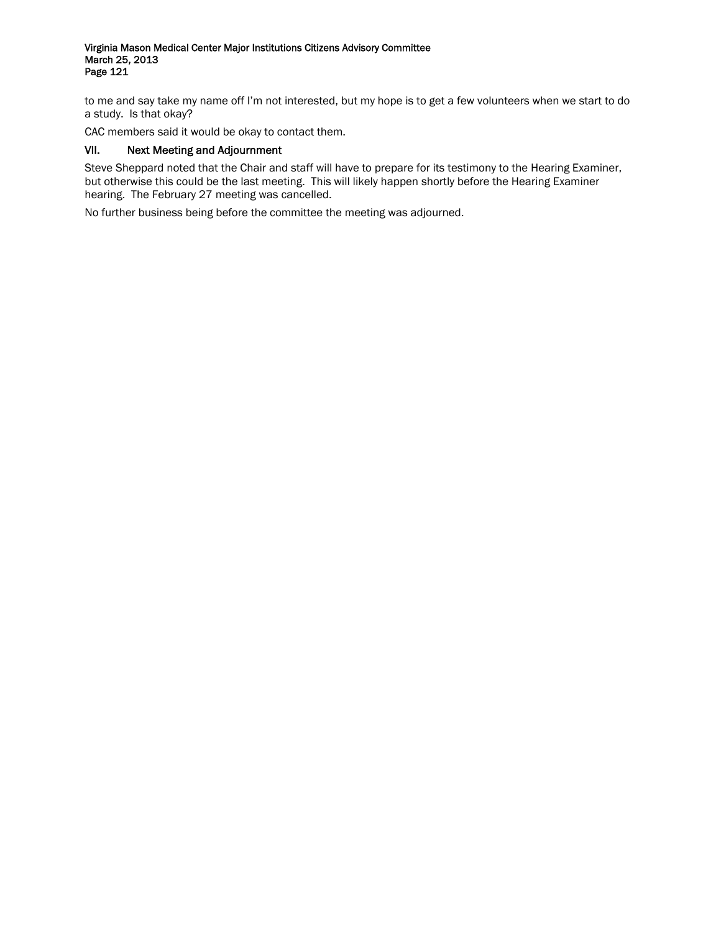to me and say take my name off I'm not interested, but my hope is to get a few volunteers when we start to do a study. Is that okay?

CAC members said it would be okay to contact them.

# VII. Next Meeting and Adjournment

Steve Sheppard noted that the Chair and staff will have to prepare for its testimony to the Hearing Examiner, but otherwise this could be the last meeting. This will likely happen shortly before the Hearing Examiner hearing. The February 27 meeting was cancelled.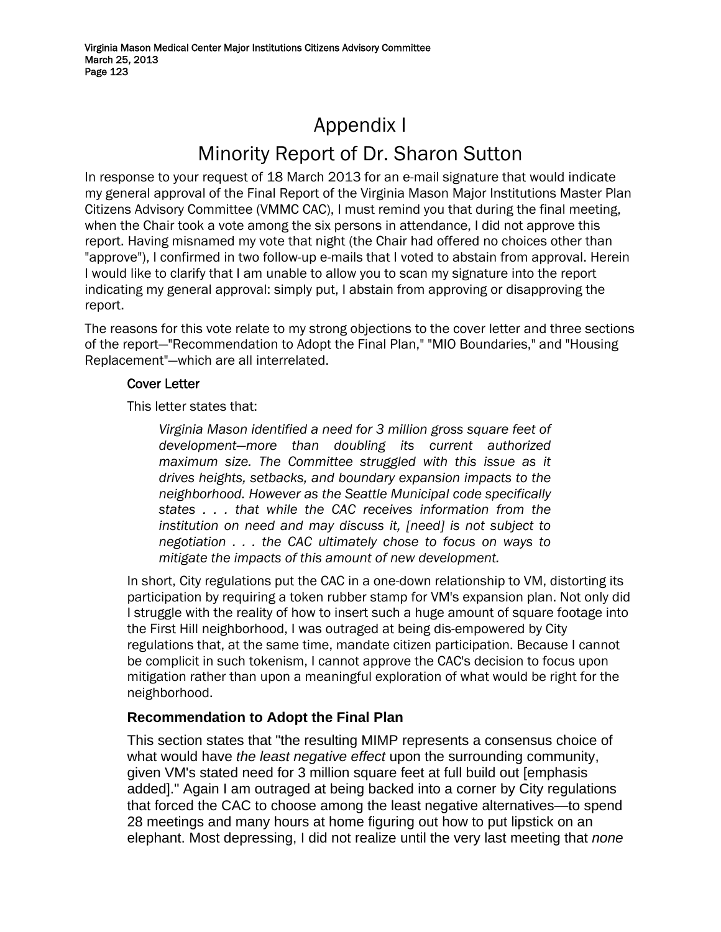# Appendix I Minority Report of Dr. Sharon Sutton

In response to your request of 18 March 2013 for an e-mail signature that would indicate my general approval of the Final Report of the Virginia Mason Major Institutions Master Plan Citizens Advisory Committee (VMMC CAC), I must remind you that during the final meeting, when the Chair took a vote among the six persons in attendance, I did not approve this report. Having misnamed my vote that night (the Chair had offered no choices other than "approve"), I confirmed in two follow-up e-mails that I voted to abstain from approval. Herein I would like to clarify that I am unable to allow you to scan my signature into the report indicating my general approval: simply put, I abstain from approving or disapproving the report.

The reasons for this vote relate to my strong objections to the cover letter and three sections of the report—"Recommendation to Adopt the Final Plan," "MIO Boundaries," and "Housing Replacement"—which are all interrelated.

# Cover Letter

This letter states that:

*Virginia Mason identified a need for 3 million gross square feet of development—more than doubling its current authorized maximum size. The Committee struggled with this issue as it drives heights, setbacks, and boundary expansion impacts to the neighborhood. However as the Seattle Municipal code specifically states . . . that while the CAC receives information from the institution on need and may discuss it, [need] is not subject to negotiation . . . the CAC ultimately chose to focus on ways to mitigate the impacts of this amount of new development.* 

In short, City regulations put the CAC in a one-down relationship to VM, distorting its participation by requiring a token rubber stamp for VM's expansion plan. Not only did I struggle with the reality of how to insert such a huge amount of square footage into the First Hill neighborhood, I was outraged at being dis-empowered by City regulations that, at the same time, mandate citizen participation. Because I cannot be complicit in such tokenism, I cannot approve the CAC's decision to focus upon mitigation rather than upon a meaningful exploration of what would be right for the neighborhood.

# **Recommendation to Adopt the Final Plan**

This section states that "the resulting MIMP represents a consensus choice of what would have *the least negative effect* upon the surrounding community, given VM's stated need for 3 million square feet at full build out [emphasis added]." Again I am outraged at being backed into a corner by City regulations that forced the CAC to choose among the least negative alternatives—to spend 28 meetings and many hours at home figuring out how to put lipstick on an elephant. Most depressing, I did not realize until the very last meeting that *none*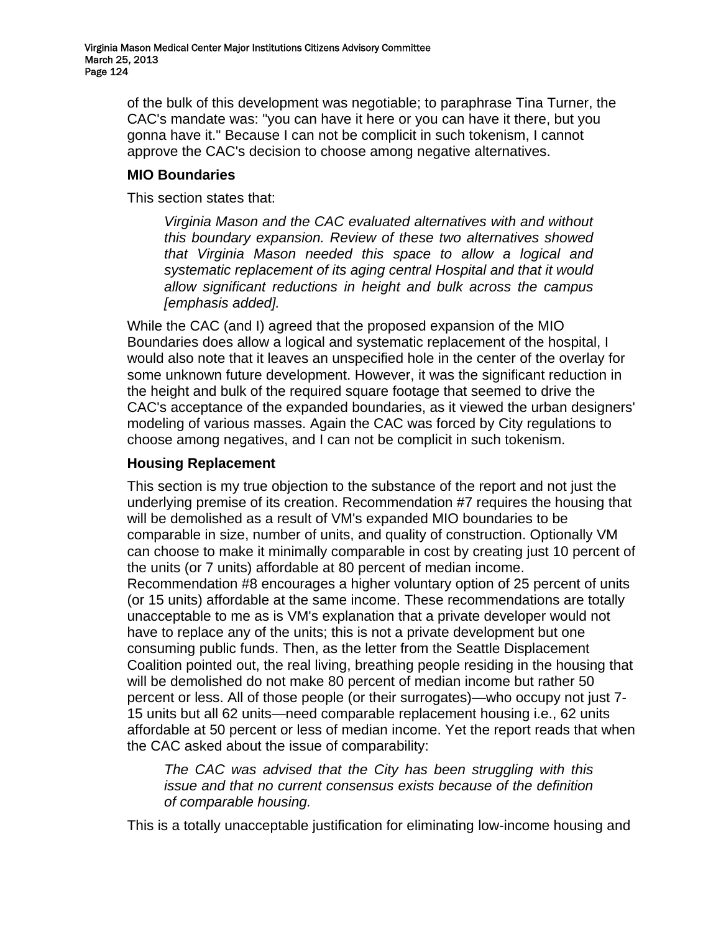of the bulk of this development was negotiable; to paraphrase Tina Turner, the CAC's mandate was: "you can have it here or you can have it there, but you gonna have it." Because I can not be complicit in such tokenism, I cannot approve the CAC's decision to choose among negative alternatives.

# **MIO Boundaries**

This section states that:

*Virginia Mason and the CAC evaluated alternatives with and without this boundary expansion. Review of these two alternatives showed that Virginia Mason needed this space to allow a logical and systematic replacement of its aging central Hospital and that it would allow significant reductions in height and bulk across the campus [emphasis added].* 

While the CAC (and I) agreed that the proposed expansion of the MIO Boundaries does allow a logical and systematic replacement of the hospital, I would also note that it leaves an unspecified hole in the center of the overlay for some unknown future development. However, it was the significant reduction in the height and bulk of the required square footage that seemed to drive the CAC's acceptance of the expanded boundaries, as it viewed the urban designers' modeling of various masses. Again the CAC was forced by City regulations to choose among negatives, and I can not be complicit in such tokenism.

# **Housing Replacement**

This section is my true objection to the substance of the report and not just the underlying premise of its creation. Recommendation #7 requires the housing that will be demolished as a result of VM's expanded MIO boundaries to be comparable in size, number of units, and quality of construction. Optionally VM can choose to make it minimally comparable in cost by creating just 10 percent of the units (or 7 units) affordable at 80 percent of median income. Recommendation #8 encourages a higher voluntary option of 25 percent of units (or 15 units) affordable at the same income. These recommendations are totally unacceptable to me as is VM's explanation that a private developer would not have to replace any of the units; this is not a private development but one consuming public funds. Then, as the letter from the Seattle Displacement Coalition pointed out, the real living, breathing people residing in the housing that will be demolished do not make 80 percent of median income but rather 50 percent or less. All of those people (or their surrogates)—who occupy not just 7- 15 units but all 62 units—need comparable replacement housing i.e., 62 units affordable at 50 percent or less of median income. Yet the report reads that when the CAC asked about the issue of comparability:

*The CAC was advised that the City has been struggling with this issue and that no current consensus exists because of the definition of comparable housing.* 

This is a totally unacceptable justification for eliminating low-income housing and